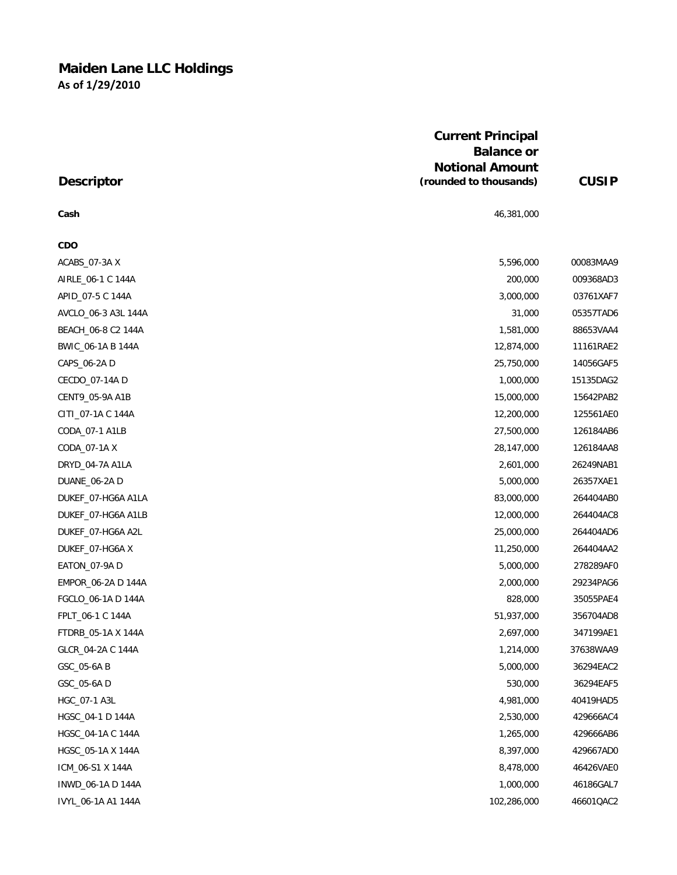# **Maiden Lane LLC Holdings As of 1/29/2010**

|                     | <b>Current Principal</b><br><b>Balance or</b><br><b>Notional Amount</b> | <b>CUSIP</b> |
|---------------------|-------------------------------------------------------------------------|--------------|
| <b>Descriptor</b>   | (rounded to thousands)                                                  |              |
| Cash                | 46,381,000                                                              |              |
| <b>CDO</b>          |                                                                         |              |
| ACABS_07-3AX        | 5,596,000                                                               | 00083MAA9    |
| AIRLE_06-1 C 144A   | 200,000                                                                 | 009368AD3    |
| APID_07-5 C 144A    | 3,000,000                                                               | 03761XAF7    |
| AVCLO_06-3 A3L 144A | 31,000                                                                  | 05357TAD6    |
| BEACH_06-8 C2 144A  | 1,581,000                                                               | 88653VAA4    |
| BWIC_06-1A B 144A   | 12,874,000                                                              | 11161RAE2    |
| CAPS_06-2A D        | 25,750,000                                                              | 14056GAF5    |
| CECDO_07-14A D      | 1,000,000                                                               | 15135DAG2    |
| CENT9_05-9A A1B     | 15,000,000                                                              | 15642PAB2    |
| CITI_07-1A C 144A   | 12,200,000                                                              | 125561AE0    |
| CODA_07-1 A1LB      | 27,500,000                                                              | 126184AB6    |
| CODA_07-1AX         | 28,147,000                                                              | 126184AA8    |
| DRYD_04-7A A1LA     | 2,601,000                                                               | 26249NAB1    |
| DUANE_06-2A D       | 5,000,000                                                               | 26357XAE1    |
| DUKEF_07-HG6A A1LA  | 83,000,000                                                              | 264404AB0    |
| DUKEF_07-HG6A A1LB  | 12,000,000                                                              | 264404AC8    |
| DUKEF_07-HG6A A2L   | 25,000,000                                                              | 264404AD6    |
| DUKEF_07-HG6A X     | 11,250,000                                                              | 264404AA2    |
| EATON_07-9A D       | 5,000,000                                                               | 278289AF0    |
| EMPOR_06-2A D 144A  | 2,000,000                                                               | 29234PAG6    |
| FGCLO_06-1A D 144A  | 828,000                                                                 | 35055PAE4    |
| FPLT_06-1 C 144A    | 51,937,000                                                              | 356704AD8    |
| FTDRB_05-1A X 144A  | 2,697,000                                                               | 347199AE1    |
| GLCR_04-2A C 144A   | 1,214,000                                                               | 37638WAA9    |
| GSC_05-6A B         | 5,000,000                                                               | 36294EAC2    |
| GSC_05-6AD          | 530,000                                                                 | 36294EAF5    |
| HGC_07-1 A3L        | 4,981,000                                                               | 40419HAD5    |
| HGSC_04-1 D 144A    | 2,530,000                                                               | 429666AC4    |
| HGSC_04-1A C 144A   | 1,265,000                                                               | 429666AB6    |
| HGSC_05-1A X 144A   | 8,397,000                                                               | 429667AD0    |
| ICM_06-S1 X 144A    | 8,478,000                                                               | 46426VAE0    |
| INWD_06-1A D 144A   | 1,000,000                                                               | 46186GAL7    |
| IVYL_06-1A A1 144A  | 102,286,000                                                             | 46601QAC2    |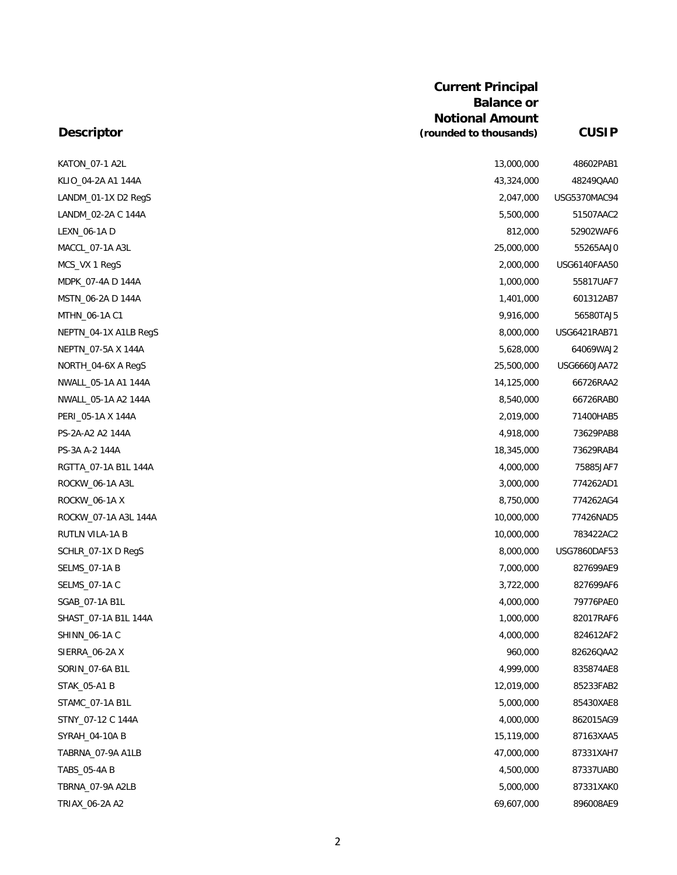| KATON_07-1 A2L        | 13,000,000 | 48602PAB1    |
|-----------------------|------------|--------------|
| KLIO_04-2A A1 144A    | 43,324,000 | 48249QAA0    |
| LANDM_01-1X D2 RegS   | 2,047,000  | USG5370MAC94 |
| LANDM_02-2A C 144A    | 5,500,000  | 51507AAC2    |
| LEXN_06-1A D          | 812,000    | 52902WAF6    |
| MACCL_07-1A A3L       | 25,000,000 | 55265AAJ0    |
| MCS_VX 1 RegS         | 2,000,000  | USG6140FAA50 |
| MDPK_07-4A D 144A     | 1,000,000  | 55817UAF7    |
| MSTN_06-2A D 144A     | 1,401,000  | 601312AB7    |
| MTHN_06-1A C1         | 9,916,000  | 56580TAJ5    |
| NEPTN_04-1X A1LB RegS | 8,000,000  | USG6421RAB71 |
| NEPTN_07-5A X 144A    | 5,628,000  | 64069WAJ2    |
| NORTH_04-6X A RegS    | 25,500,000 | USG6660JAA72 |
| NWALL_05-1A A1 144A   | 14,125,000 | 66726RAA2    |
| NWALL_05-1A A2 144A   | 8,540,000  | 66726RAB0    |
| PERI_05-1A X 144A     | 2,019,000  | 71400HAB5    |
| PS-2A-A2 A2 144A      | 4,918,000  | 73629PAB8    |
| PS-3A A-2 144A        | 18,345,000 | 73629RAB4    |
| RGTTA_07-1A B1L 144A  | 4,000,000  | 75885JAF7    |
| ROCKW_06-1A A3L       | 3,000,000  | 774262AD1    |
| ROCKW_06-1AX          | 8,750,000  | 774262AG4    |
| ROCKW_07-1A A3L 144A  | 10,000,000 | 77426NAD5    |
| RUTLN VILA-1A B       | 10,000,000 | 783422AC2    |
| SCHLR_07-1X D RegS    | 8,000,000  | USG7860DAF53 |
| <b>SELMS_07-1A B</b>  | 7,000,000  | 827699AE9    |
| SELMS_07-1A C         | 3,722,000  | 827699AF6    |
| SGAB_07-1A B1L        | 4,000,000  | 79776PAE0    |
| SHAST_07-1A B1L 144A  | 1,000,000  | 82017RAF6    |
| SHINN_06-1A C         | 4,000,000  | 824612AF2    |
| SIERRA_06-2AX         | 960,000    | 82626QAA2    |
| SORIN_07-6A B1L       | 4,999,000  | 835874AE8    |
| STAK_05-A1 B          | 12,019,000 | 85233FAB2    |
| STAMC_07-1A B1L       | 5,000,000  | 85430XAE8    |
| STNY_07-12 C 144A     | 4,000,000  | 862015AG9    |
| SYRAH_04-10A B        | 15,119,000 | 87163XAA5    |
| TABRNA_07-9A A1LB     | 47,000,000 | 87331XAH7    |
| TABS_05-4A B          | 4,500,000  | 87337UAB0    |
| TBRNA_07-9A A2LB      | 5,000,000  | 87331XAK0    |
| TRIAX_06-2A A2        | 69,607,000 | 896008AE9    |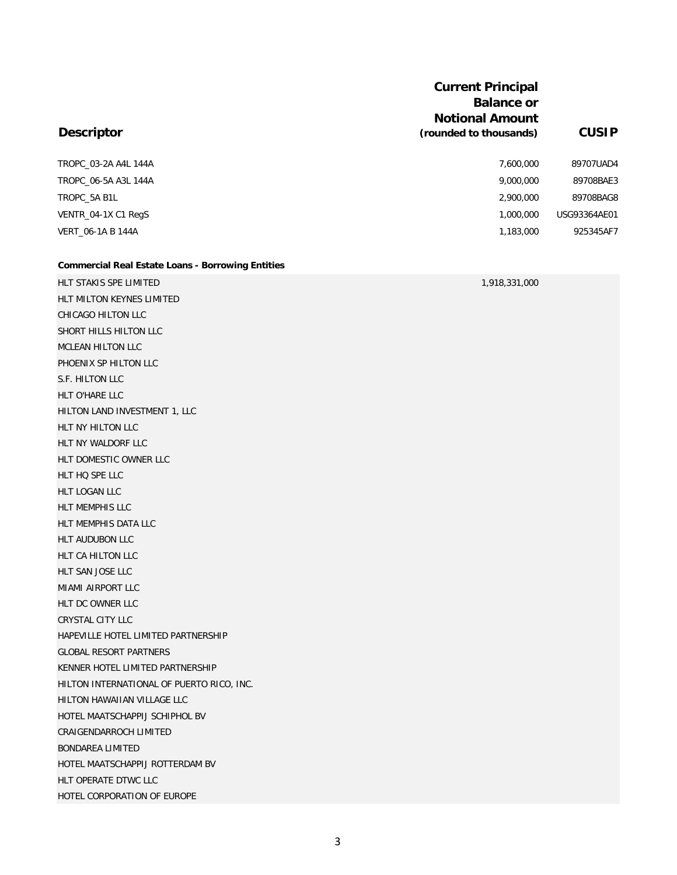|                          | <b>Current Principal</b><br><b>Balance or</b><br><b>Notional Amount</b> |              |
|--------------------------|-------------------------------------------------------------------------|--------------|
| <b>Descriptor</b>        | (rounded to thousands)                                                  | <b>CUSIP</b> |
| TROPC 03-2A A4L 144A     | 7,600,000                                                               | 89707UAD4    |
| TROPC 06-5A A3L 144A     | 9,000,000                                                               | 89708BAE3    |
| TROPC 5A B1L             | 2,900,000                                                               | 89708BAG8    |
| VENTR 04-1X C1 RegS      | 1,000,000                                                               | USG93364AE01 |
| <b>VERT 06-1A B 144A</b> | 1,183,000                                                               | 925345AF7    |

#### **Commercial Real Estate Loans - Borrowing Entities**

HLT STAKIS SPE LIMITED 1,918,331,000 HLT MILTON KEYNES LIMITED CHICAGO HILTON LLC SHORT HILLS HILTON LLC MCLEAN HILTON LLC PHOENIX SP HILTON LLC S.F. HILTON LLC HLT O'HARE LLC HILTON LAND INVESTMENT 1, LLC HLT NY HILTON LLC HLT NY WALDORF LLC HLT DOMESTIC OWNER LLC HLT HQ SPE LLC HLT LOGAN LLC HLT MEMPHIS LLC HLT MEMPHIS DATA LLC HLT AUDUBON LLC HLT CA HILTON LLC HLT SAN JOSE LLC MIAMI AIRPORT LLC HLT DC OWNER LLC CRYSTAL CITY LLC HAPEVILLE HOTEL LIMITED PARTNERSHIP GLOBAL RESORT PARTNERS KENNER HOTEL LIMITED PARTNERSHIP HILTON INTERNATIONAL OF PUERTO RICO, INC. HILTON HAWAIIAN VILLAGE LLC HOTEL MAATSCHAPPIJ SCHIPHOL BV CRAIGENDARROCH LIMITED BONDAREA LIMITED HOTEL MAATSCHAPPIJ ROTTERDAM BV HLT OPERATE DTWC LLC HOTEL CORPORATION OF EUROPE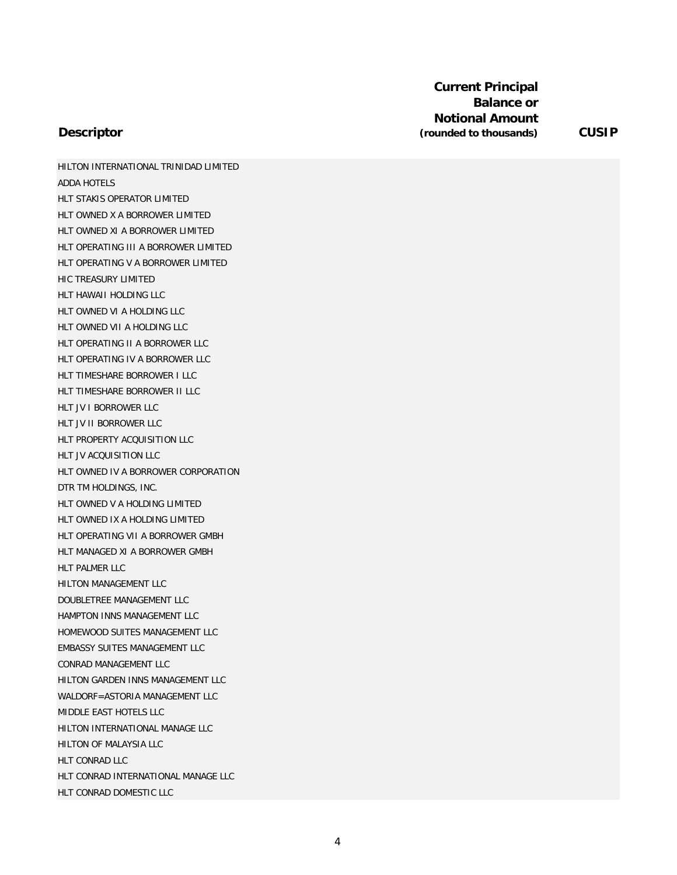HILTON INTERNATIONAL TRINIDAD LIMITED ADDA HOTELS HLT STAKIS OPERATOR LIMITED HLT OWNED X A BORROWER LIMITED HLT OWNED XI A BORROWER LIMITED HLT OPERATING III A BORROWER LIMITED HLT OPERATING V A BORROWER LIMITED HIC TREASURY LIMITED HLT HAWAII HOLDING LLC HLT OWNED VI A HOLDING LLC HLT OWNED VII A HOLDING LLC HLT OPERATING II A BORROWER LLC HLT OPERATING IV A BORROWER LLC HLT TIMESHARE BORROWER I LLC HLT TIMESHARE BORROWER II LLC HLT JV I BORROWER LLC HLT JV II BORROWER LLC HLT PROPERTY ACQUISITION LLC HLT JV ACQUISITION LLC HLT OWNED IV A BORROWER CORPORATION DTR TM HOLDINGS, INC. HLT OWNED V A HOLDING LIMITED HLT OWNED IX A HOLDING LIMITED HLT OPERATING VII A BORROWER GMBH HLT MANAGED XI A BORROWER GMBH HLT PALMER LLC HILTON MANAGEMENT LLC DOUBLETREE MANAGEMENT LLC HAMPTON INNS MANAGEMENT LLC HOMEWOOD SUITES MANAGEMENT LLC EMBASSY SUITES MANAGEMENT LLC CONRAD MANAGEMENT LLC HILTON GARDEN INNS MANAGEMENT LLC WALDORF=ASTORIA MANAGEMENT LLC MIDDLE EAST HOTELS LLC HILTON INTERNATIONAL MANAGE LLC HILTON OF MALAYSIA LLC HLT CONRAD LLC HLT CONRAD INTERNATIONAL MANAGE LLC HLT CONRAD DOMESTIC LLC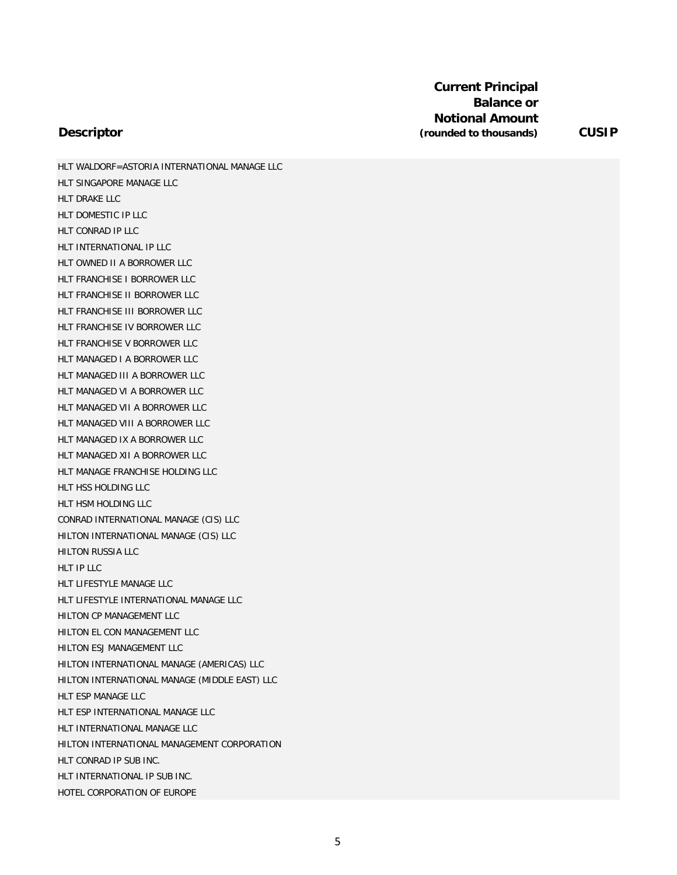HLT WALDORF=ASTORIA INTERNATIONAL MANAGE LLC HLT SINGAPORE MANAGE LLC HLT DRAKE LLC HLT DOMESTIC IP LLC HLT CONRAD IP LLC HLT INTERNATIONAL IP LLC HLT OWNED II A BORROWER LLC HLT FRANCHISE I BORROWER LLC HLT FRANCHISE II BORROWER LLC HLT FRANCHISE III BORROWER LLC HLT FRANCHISE IV BORROWER LLC HLT FRANCHISE V BORROWER LLC HLT MANAGED I A BORROWER LLC HLT MANAGED III A BORROWER LLC HLT MANAGED VI A BORROWER LLC HLT MANAGED VII A BORROWER LLC HLT MANAGED VIII A BORROWER LLC HLT MANAGED IX A BORROWER LLC HLT MANAGED XII A BORROWER LLC HLT MANAGE FRANCHISE HOLDING LLC HLT HSS HOLDING LLC HLT HSM HOLDING LLC CONRAD INTERNATIONAL MANAGE (CIS) LLC HILTON INTERNATIONAL MANAGE (CIS) LLC HILTON RUSSIA LLC HLT IP LLC HLT LIFESTYLE MANAGE LLC HLT LIFESTYLE INTERNATIONAL MANAGE LLC HILTON CP MANAGEMENT LLC HILTON EL CON MANAGEMENT LLC HILTON ESJ MANAGEMENT LLC HILTON INTERNATIONAL MANAGE (AMERICAS) LLC HILTON INTERNATIONAL MANAGE (MIDDLE EAST) LLC HLT ESP MANAGE LLC HLT ESP INTERNATIONAL MANAGE LLC HLT INTERNATIONAL MANAGE LLC HILTON INTERNATIONAL MANAGEMENT CORPORATION HLT CONRAD IP SUB INC. HLT INTERNATIONAL IP SUB INC. HOTEL CORPORATION OF EUROPE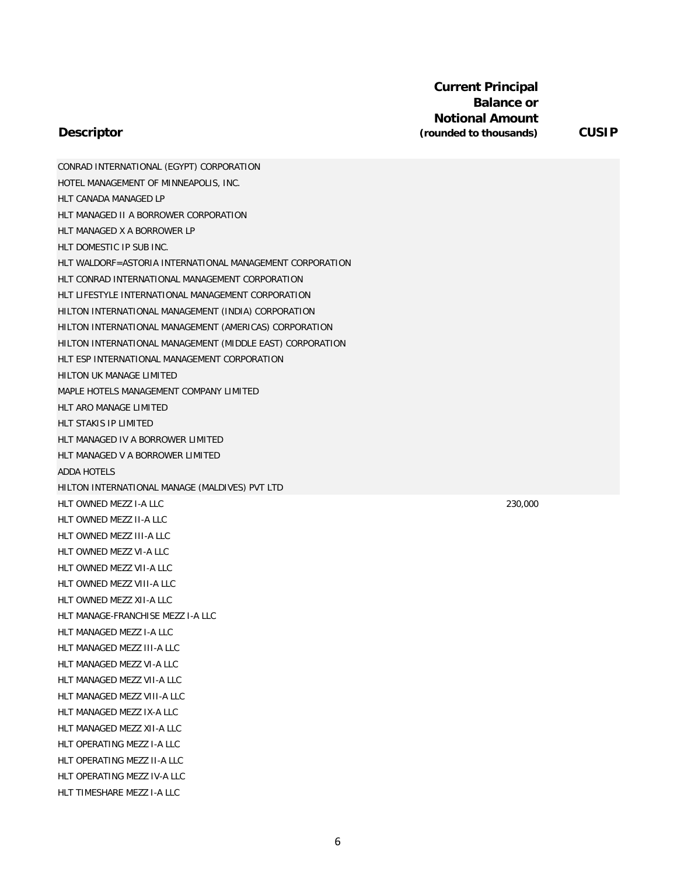### **Descriptor**

CONRAD INTERNATIONAL (EGYPT) CORPORATION HOTEL MANAGEMENT OF MINNEAPOLIS, INC. HLT CANADA MANAGED LP HLT MANAGED II A BORROWER CORPORATION HLT MANAGED X A BORROWER LP HLT DOMESTIC IP SUB INC. HLT WALDORF=ASTORIA INTERNATIONAL MANAGEMENT CORPORATION HLT CONRAD INTERNATIONAL MANAGEMENT CORPORATION HLT LIFESTYLE INTERNATIONAL MANAGEMENT CORPORATION HILTON INTERNATIONAL MANAGEMENT (INDIA) CORPORATION HILTON INTERNATIONAL MANAGEMENT (AMERICAS) CORPORATION HILTON INTERNATIONAL MANAGEMENT (MIDDLE EAST) CORPORATION HLT ESP INTERNATIONAL MANAGEMENT CORPORATION HILTON UK MANAGE LIMITED MAPLE HOTELS MANAGEMENT COMPANY LIMITED HLT ARO MANAGE LIMITED HLT STAKIS IP LIMITED HLT MANAGED IV A BORROWER LIMITED HLT MANAGED V A BORROWER LIMITED ADDA HOTELS HILTON INTERNATIONAL MANAGE (MALDIVES) PVT LTD HLT OWNED MEZZ I-A LLC 230,000 HLT OWNED MEZZ II-A LLC HLT OWNED MEZZ III-A LLC HLT OWNED MEZZ VI-A LLC HLT OWNED MEZZ VII-A LLC HLT OWNED MEZZ VIII-A LLC HLT OWNED MEZZ XII-A LLC HLT MANAGE-FRANCHISE MEZZ I-A LLC HLT MANAGED MEZZ I-A LLC HLT MANAGED MEZZ III-A LLC HLT MANAGED MEZZ VI-A LLC HLT MANAGED MEZZ VII-A LLC HLT MANAGED MEZZ VIII-A LLC HLT MANAGED MEZZ IX-A LLC HLT MANAGED MEZZ XII-A LLC HLT OPERATING MEZZ I-A LLC HLT OPERATING MEZZ II-A LLC HLT OPERATING MEZZ IV-A LLC HLT TIMESHARE MEZZ I-A LLC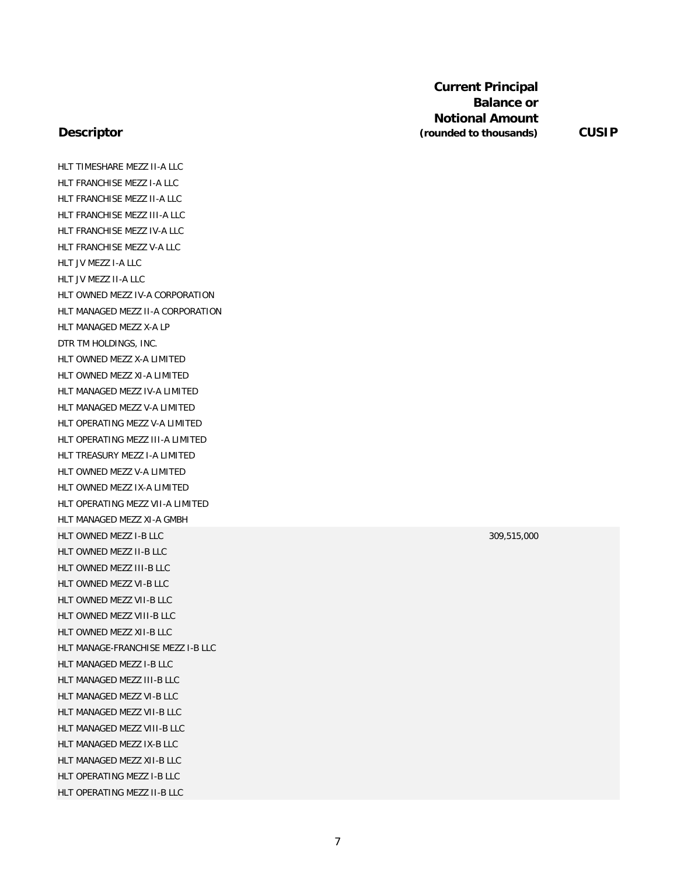### **Descriptor**

HLT TIMESHARE MEZZ II-A LLC HLT FRANCHISE MEZZ I-A LLC HLT FRANCHISE MEZZ II-A LLC HLT FRANCHISE MEZZ III-A LLC HLT FRANCHISE MEZZ IV-A LLC HLT FRANCHISE MEZZ V-A LLC HLT JV MEZZ I-A LLC HLT JV MEZZ II-A LLC HLT OWNED MEZZ IV-A CORPORATION HLT MANAGED MEZZ II-A CORPORATION HLT MANAGED MEZZ X-A LP DTR TM HOLDINGS, INC. HLT OWNED MEZZ X-A LIMITED HLT OWNED MEZZ XI-A LIMITED HLT MANAGED MEZZ IV-A LIMITED HLT MANAGED MEZZ V-A LIMITED HLT OPERATING MEZZ V-A LIMITED HLT OPERATING MEZZ III-A LIMITED HLT TREASURY MEZZ I-A LIMITED HLT OWNED MEZZ V-A LIMITED HLT OWNED MEZZ IX-A LIMITED HLT OPERATING MEZZ VII-A LIMITED HLT MANAGED MEZZ XI-A GMBH HLT OWNED MEZZ I-B LLC 309,515,000 HLT OWNED MEZZ II-B LLC HLT OWNED MEZZ III-B LLC HLT OWNED MEZZ VI-B LLC HLT OWNED MEZZ VII-B LLC HLT OWNED MEZZ VIII-B LLC HLT OWNED MEZZ XII-B LLC HLT MANAGE-FRANCHISE MEZZ I-B LLC HLT MANAGED MEZZ I-B LLC HLT MANAGED MEZZ III-B LLC HLT MANAGED MEZZ VI-B LLC HLT MANAGED MEZZ VII-B LLC HLT MANAGED MEZZ VIII-B LLC HLT MANAGED MEZZ IX-B LLC HLT MANAGED MEZZ XII-B LLC HLT OPERATING MEZZ I-B LLC HLT OPERATING MEZZ II-B LLC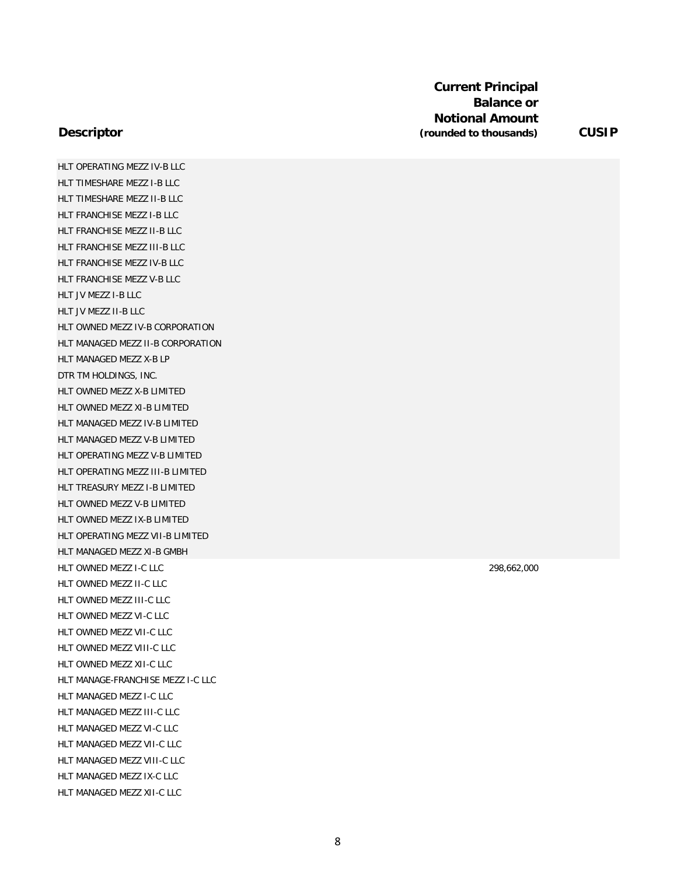HLT OPERATING MEZZ IV-B LLC HLT TIMESHARE MEZZ I-B LLC HLT TIMESHARE MEZZ II-B LLC HLT FRANCHISE MEZZ I-B LLC HLT FRANCHISE MEZZ II-B LLC HLT FRANCHISE MEZZ III-B LLC HLT FRANCHISE MEZZ IV-B LLC HLT FRANCHISE MEZZ V-B LLC HLT JV MEZZ I-B LLC HLT JV MEZZ II-B LLC HLT OWNED MEZZ IV-B CORPORATION HLT MANAGED MEZZ II-B CORPORATION HLT MANAGED MEZZ X-B LP DTR TM HOLDINGS, INC. HLT OWNED MEZZ X-B LIMITED HLT OWNED MEZZ XI-B LIMITED HLT MANAGED MEZZ IV-B LIMITED HLT MANAGED MEZZ V-B LIMITED HLT OPERATING MEZZ V-B LIMITED HLT OPERATING MEZZ III-B LIMITED HLT TREASURY MEZZ I-B LIMITED HLT OWNED MEZZ V-B LIMITED HLT OWNED MEZZ IX-B LIMITED HLT OPERATING MEZZ VII-B LIMITED HLT MANAGED MEZZ XI-B GMBH HLT OWNED MEZZ I-C LLC 298,662,000 HLT OWNED MEZZ II-C LLC HLT OWNED MEZZ III-C LLC HLT OWNED MEZZ VI-C LLC HLT OWNED MEZZ VII-C LLC HLT OWNED MEZZ VIII-C LLC HLT OWNED MEZZ XII-C LLC HLT MANAGE-FRANCHISE MEZZ I-C LLC HLT MANAGED MEZZ I-C LLC HLT MANAGED MEZZ III-C LLC HLT MANAGED MEZZ VI-C LLC HLT MANAGED MEZZ VII-C LLC HLT MANAGED MEZZ VIII-C LLC HLT MANAGED MEZZ IX-C LLC HLT MANAGED MEZZ XII-C LLC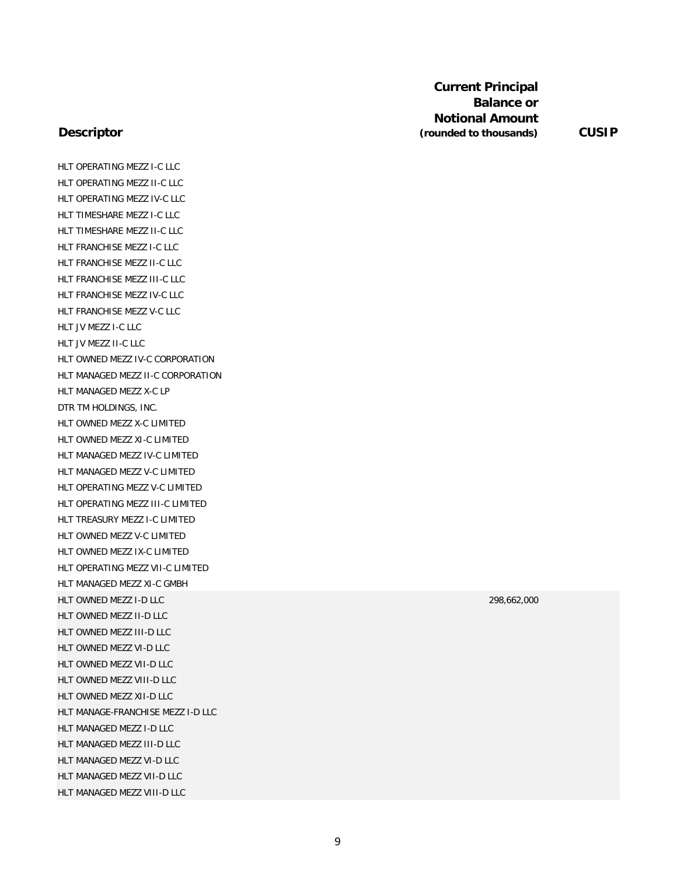### **Descriptor**

HLT OPERATING MEZZ I-C LLC HLT OPERATING MEZZ II-C LLC HLT OPERATING MEZZ IV-C LLC HLT TIMESHARE MEZZ I-C LLC HLT TIMESHARE MEZZ II-C LLC HLT FRANCHISE MEZZ I-C LLC HLT FRANCHISE MEZZ II-C LLC HLT FRANCHISE MEZZ III-C LLC HLT FRANCHISE MEZZ IV-C LLC HLT FRANCHISE MEZZ V-C LLC HLT JV MEZZ I-C LLC HLT JV MEZZ II-C LLC HLT OWNED MEZZ IV-C CORPORATION HLT MANAGED MEZZ II-C CORPORATION HLT MANAGED MEZZ X-C LP DTR TM HOLDINGS, INC. HLT OWNED MEZZ X-C LIMITED HLT OWNED MEZZ XI-C LIMITED HLT MANAGED MEZZ IV-C LIMITED HLT MANAGED MEZZ V-C LIMITED HLT OPERATING MEZZ V-C LIMITED HLT OPERATING MEZZ III-C LIMITED HLT TREASURY MEZZ I-C LIMITED HLT OWNED MEZZ V-C LIMITED HLT OWNED MEZZ IX-C LIMITED HLT OPERATING MEZZ VII-C LIMITED HLT MANAGED MEZZ XI-C GMBH HLT OWNED MEZZ I-D LLC 298,662,000 HLT OWNED MEZZ II-D LLC HLT OWNED MEZZ III-D LLC HLT OWNED MEZZ VI-D LLC HLT OWNED MEZZ VII-D LLC HLT OWNED MEZZ VIII-D LLC HLT OWNED MEZZ XII-D LLC HLT MANAGE-FRANCHISE MEZZ I-D LLC HLT MANAGED MEZZ I-D LLC HLT MANAGED MEZZ III-D LLC HLT MANAGED MEZZ VI-D LLC HLT MANAGED MEZZ VII-D LLC HLT MANAGED MEZZ VIII-D LLC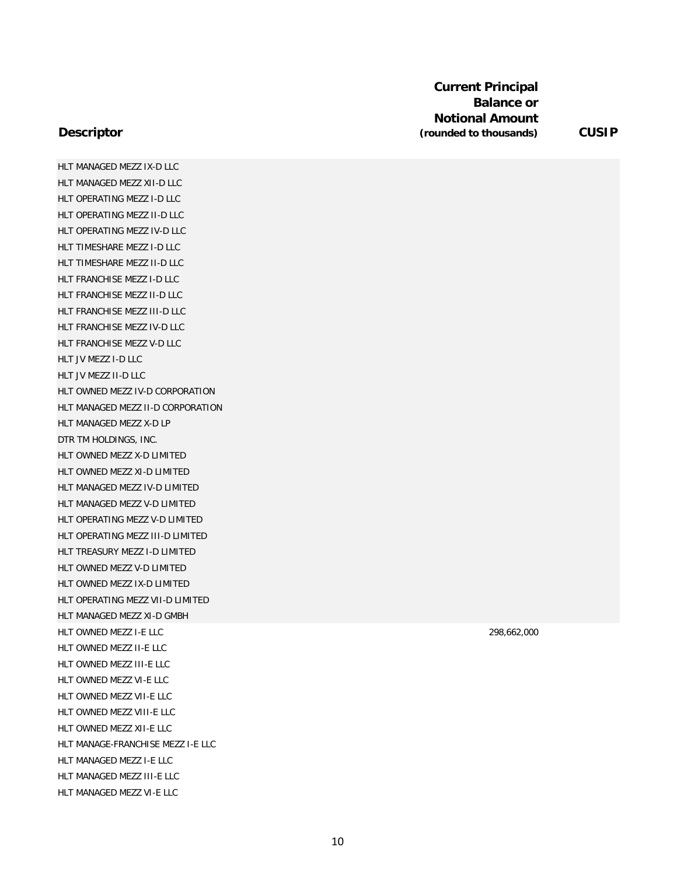HLT MANAGED MEZZ IX-D LLC HLT MANAGED MEZZ XII-D LLC HLT OPERATING MEZZ I-D LLC HLT OPERATING MEZZ II-D LLC HLT OPERATING MEZZ IV-D LLC HLT TIMESHARE MEZZ I-D LLC HLT TIMESHARE MEZZ II-D LLC HLT FRANCHISE MEZZ I-D LLC HLT FRANCHISE MEZZ II-D LLC HLT FRANCHISE MEZZ III-D LLC HLT FRANCHISE MEZZ IV-D LLC HLT FRANCHISE MEZZ V-D LLC HLT JV MEZZ I-D LLC HLT JV MEZZ II-D LLC HLT OWNED MEZZ IV-D CORPORATION HLT MANAGED MEZZ II-D CORPORATION HLT MANAGED MEZZ X-D LP DTR TM HOLDINGS, INC. HLT OWNED MEZZ X-D LIMITED HLT OWNED MEZZ XI-D LIMITED HLT MANAGED MEZZ IV-D LIMITED HLT MANAGED MEZZ V-D LIMITED HLT OPERATING MEZZ V-D LIMITED HLT OPERATING MEZZ III-D LIMITED HLT TREASURY MEZZ I-D LIMITED HLT OWNED MEZZ V-D LIMITED HLT OWNED MEZZ IX-D LIMITED HLT OPERATING MEZZ VII-D LIMITED HLT MANAGED MEZZ XI-D GMBH HLT OWNED MEZZ I-E LLC 298,662,000 HLT OWNED MEZZ II-E LLC HLT OWNED MEZZ III-E LLC HLT OWNED MEZZ VI-E LLC HLT OWNED MEZZ VII-E LLC HLT OWNED MEZZ VIII-E LLC HLT OWNED MEZZ XII-E LLC HLT MANAGE-FRANCHISE MEZZ I-E LLC HLT MANAGED MEZZ I-E LLC HLT MANAGED MEZZ III-E LLC HLT MANAGED MEZZ VI-E LLC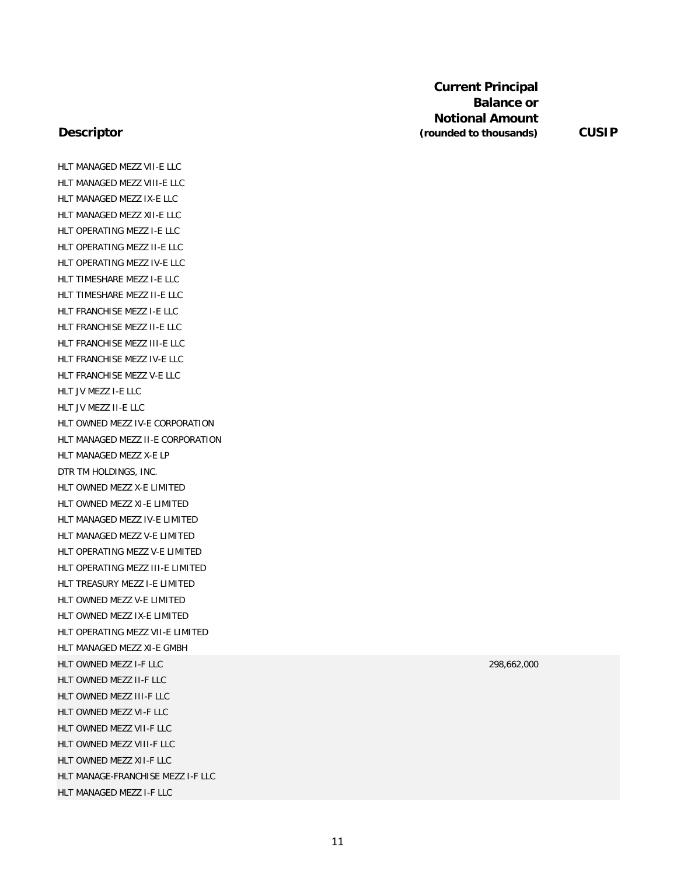### **Descriptor**

HLT MANAGED MEZZ VII-E LLC HLT MANAGED MEZZ VIII-E LLC HLT MANAGED MEZZ IX-E LLC HLT MANAGED MEZZ XII-E LLC HLT OPERATING MEZZ I-E LLC HLT OPERATING MEZZ II-E LLC HLT OPERATING MEZZ IV-E LLC HLT TIMESHARE MEZZ I-E LLC HLT TIMESHARE MEZZ II-E LLC HLT FRANCHISE MEZZ I-E LLC HLT FRANCHISE MEZZ II-E LLC HLT FRANCHISE MEZZ III-E LLC HLT FRANCHISE MEZZ IV-E LLC HLT FRANCHISE MEZZ V-E LLC HLT JV MEZZ I-E LLC HLT JV MEZZ II-E LLC HLT OWNED MEZZ IV-E CORPORATION HLT MANAGED MEZZ II-E CORPORATION HLT MANAGED MEZZ X-E LP DTR TM HOLDINGS, INC. HLT OWNED MEZZ X-E LIMITED HLT OWNED MEZZ XI-E LIMITED HLT MANAGED MEZZ IV-E LIMITED HLT MANAGED MEZZ V-E LIMITED HLT OPERATING MEZZ V-E LIMITED HLT OPERATING MEZZ III-E LIMITED HLT TREASURY MEZZ I-E LIMITED HLT OWNED MEZZ V-E LIMITED HLT OWNED MEZZ IX-E LIMITED HLT OPERATING MEZZ VII-E LIMITED HLT MANAGED MEZZ XI-E GMBH HLT OWNED MEZZ I-F LLC 298,662,000 HLT OWNED MEZZ II-F LLC HLT OWNED MEZZ III-F LLC HLT OWNED MEZZ VI-F LLC HLT OWNED MEZZ VII-F LLC HLT OWNED MEZZ VIII-F LLC HLT OWNED MEZZ XII-F LLC HLT MANAGE-FRANCHISE MEZZ I-F LLC HLT MANAGED MEZZ I-F LLC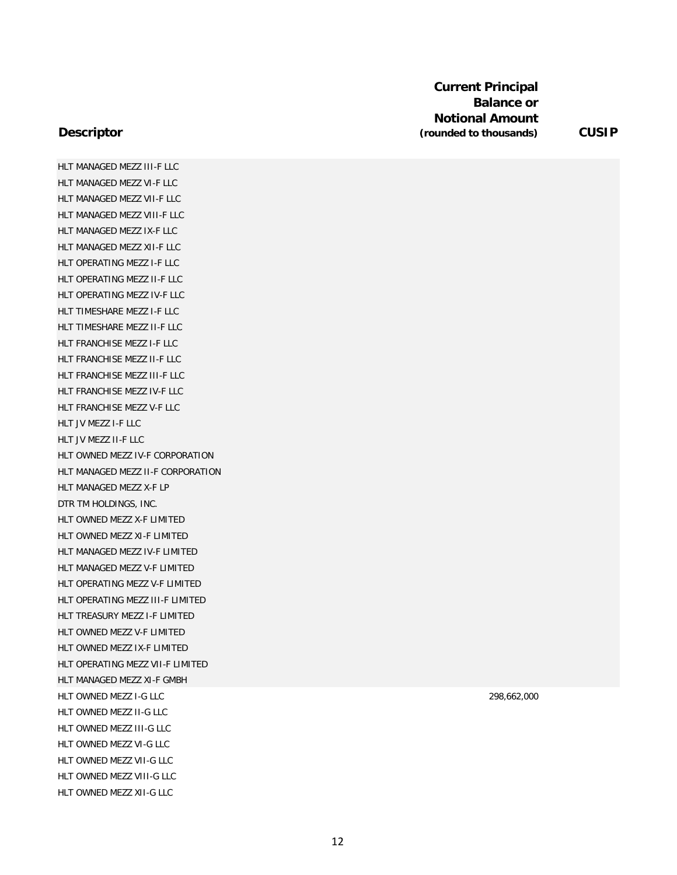### **Descriptor**

HLT MANAGED MEZZ III-F LLC HLT MANAGED MEZZ VI-F LLC HLT MANAGED MEZZ VII-F LLC HLT MANAGED MEZZ VIII-F LLC HLT MANAGED MEZZ IX-F LLC HLT MANAGED MEZZ XII-F LLC HLT OPERATING MEZZ I-F LLC HLT OPERATING MEZZ II-F LLC HLT OPERATING MEZZ IV-F LLC HLT TIMESHARE MEZZ I-F LLC HLT TIMESHARE MEZZ II-F LLC HLT FRANCHISE MEZZ I-F LLC HLT FRANCHISE MEZZ II-F LLC HLT FRANCHISE MEZZ III-F LLC HLT FRANCHISE MEZZ IV-F LLC HLT FRANCHISE MEZZ V-F LLC HLT JV MEZZ I-F LLC HLT JV MEZZ II-F LLC HLT OWNED MEZZ IV-F CORPORATION HLT MANAGED MEZZ II-F CORPORATION HLT MANAGED MEZZ X-F LP DTR TM HOLDINGS, INC. HLT OWNED MEZZ X-F LIMITED HLT OWNED MEZZ XI-F LIMITED HLT MANAGED MEZZ IV-F LIMITED HLT MANAGED MEZZ V-F LIMITED HLT OPERATING MEZZ V-F LIMITED HLT OPERATING MEZZ III-F LIMITED HLT TREASURY MEZZ I-F LIMITED HLT OWNED MEZZ V-F LIMITED HLT OWNED MEZZ IX-F LIMITED HLT OPERATING MEZZ VII-F LIMITED HLT MANAGED MEZZ XI-F GMBH HLT OWNED MEZZ I-G LLC 298,662,000 HLT OWNED MEZZ II-G LLC HLT OWNED MEZZ III-G LLC HLT OWNED MEZZ VI-G LLC HLT OWNED MEZZ VII-G LLC HLT OWNED MEZZ VIII-G LLC HLT OWNED MEZZ XII-G LLC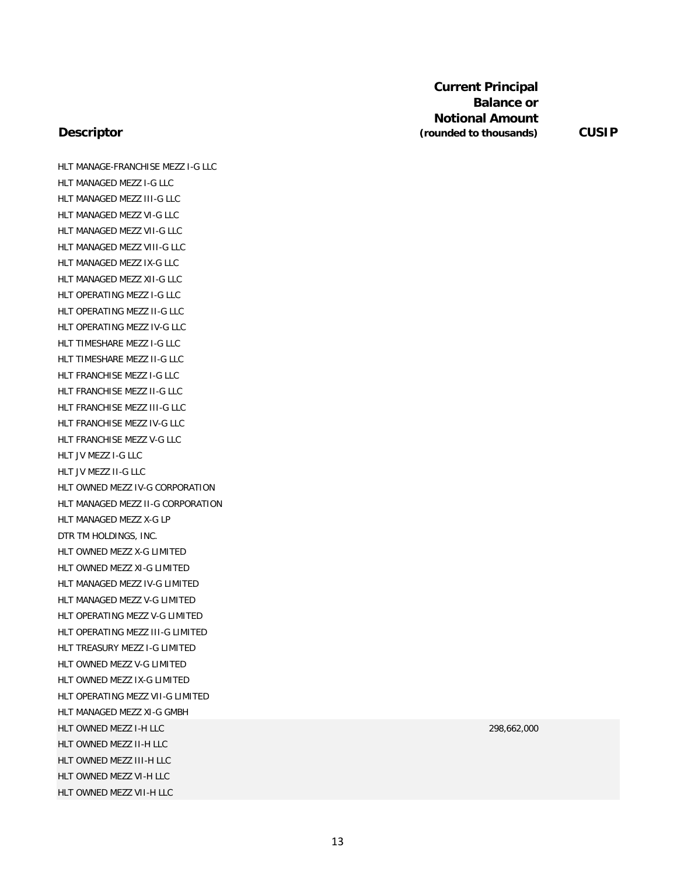#### **Descriptor**

HLT MANAGE-FRANCHISE MEZZ I-G LLC HLT MANAGED MEZZ I-G LLC HLT MANAGED MEZZ III-G LLC HLT MANAGED MEZZ VI-G LLC HLT MANAGED MEZZ VII-G LLC HLT MANAGED MEZZ VIII-G LLC HLT MANAGED MEZZ IX-G LLC HLT MANAGED MEZZ XII-G LLC HLT OPERATING MEZZ I-G LLC HLT OPERATING MEZZ II-G LLC HLT OPERATING MEZZ IV-G LLC HLT TIMESHARE MEZZ I-G LLC HLT TIMESHARE MEZZ II-G LLC HLT FRANCHISE MEZZ I-G LLC HLT FRANCHISE MEZZ II-G LLC HLT FRANCHISE MEZZ III-G LLC HLT FRANCHISE MEZZ IV-G LLC HLT FRANCHISE MEZZ V-G LLC HLT JV MEZZ I-G LLC HLT JV MEZZ II-G LLC HLT OWNED MEZZ IV-G CORPORATION HLT MANAGED MEZZ II-G CORPORATION HLT MANAGED MEZZ X-G LP DTR TM HOLDINGS, INC. HLT OWNED MEZZ X-G LIMITED HLT OWNED MEZZ XI-G LIMITED HLT MANAGED MEZZ IV-G LIMITED HLT MANAGED MEZZ V-G LIMITED HLT OPERATING MEZZ V-G LIMITED HLT OPERATING MEZZ III-G LIMITED HLT TREASURY MEZZ I-G LIMITED HLT OWNED MEZZ V-G LIMITED HLT OWNED MEZZ IX-G LIMITED HLT OPERATING MEZZ VII-G LIMITED HLT MANAGED MEZZ XI-G GMBH HLT OWNED MEZZ I-H LLC 298,662,000 HLT OWNED MEZZ II-H LLC HLT OWNED MEZZ III-H LLC HLT OWNED MEZZ VI-H LLC HLT OWNED MEZZ VII-H LLC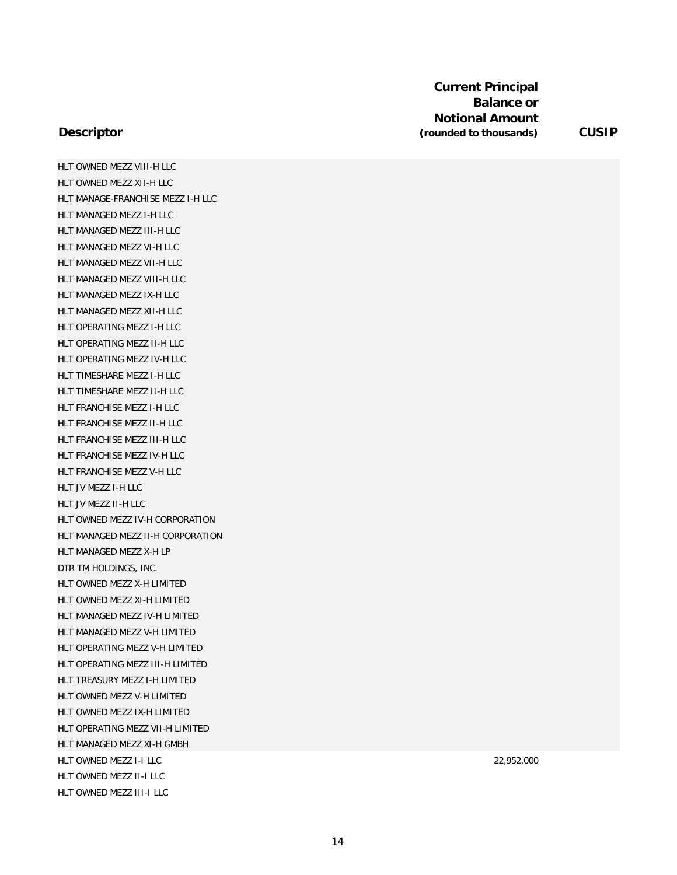HLT OWNED MEZZ VIII-H LLC HLT OWNED MEZZ XII-H LLC HLT MANAGE-FRANCHISE MEZZ I-H LLC HLT MANAGED MEZZ I-H LLC HLT MANAGED MEZZ III-H LLC HLT MANAGED MEZZ VI-H LLC HLT MANAGED MEZZ VII-H LLC HLT MANAGED MEZZ VIII-H LLC HLT MANAGED MEZZ IX-H LLC HLT MANAGED MEZZ XII-H LLC HLT OPERATING MEZZ I-H LLC HLT OPERATING MEZZ II-H LLC HLT OPERATING MEZZ IV-H LLC HLT TIMESHARE MEZZ I-H LLC HLT TIMESHARE MEZZ II-H LLC HLT FRANCHISE MEZZ I-H LLC HLT FRANCHISE MEZZ II-H LLC HLT FRANCHISE MEZZ III-H LLC HLT FRANCHISE MEZZ IV-H LLC HLT FRANCHISE MEZZ V-H LLC HLT JV MEZZ I-H LLC HLT JV MEZZ II-H LLC HLT OWNED MEZZ IV-H CORPORATION HLT MANAGED MEZZ II-H CORPORATION HLT MANAGED MEZZ X-H LP DTR TM HOLDINGS, INC. HLT OWNED MEZZ X-H LIMITED HLT OWNED MEZZ XI-H LIMITED HLT MANAGED MEZZ IV-H LIMITED HLT MANAGED MEZZ V-H LIMITED HLT OPERATING MEZZ V-H LIMITED HLT OPERATING MEZZ III-H LIMITED HLT TREASURY MEZZ I-H LIMITED HLT OWNED MEZZ V-H LIMITED HLT OWNED MEZZ IX-H LIMITED HLT OPERATING MEZZ VII-H LIMITED HLT MANAGED MEZZ XI-H GMBH HLT OWNED MEZZ I-I LLC 22,952,000 HLT OWNED MEZZ II-I LLC HLT OWNED MEZZ III-I LLC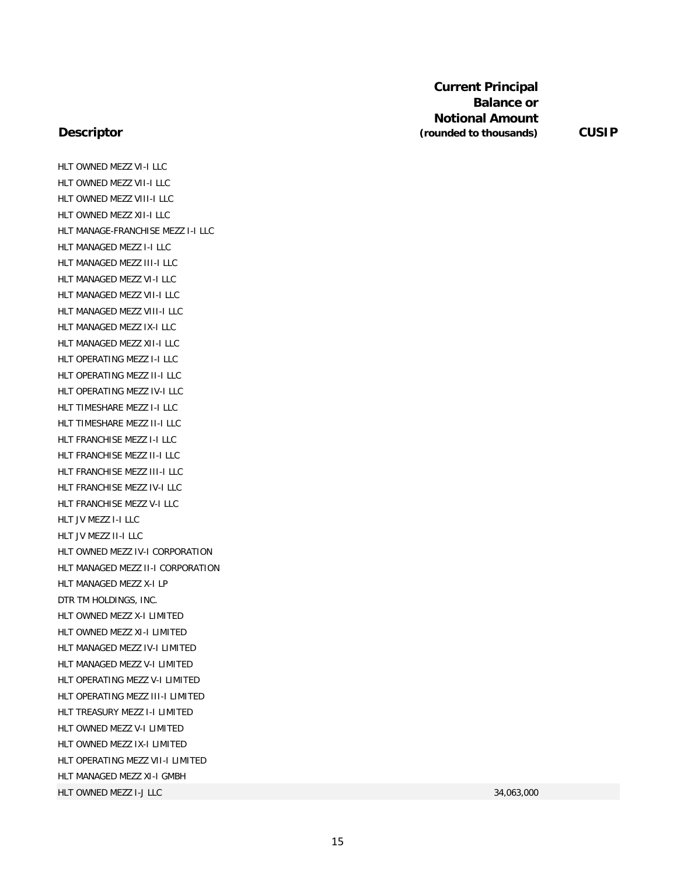### **Descriptor**

HLT OWNED MEZZ VI-I LLC HLT OWNED MEZZ VII-I LLC HLT OWNED MEZZ VIII-I LLC HLT OWNED MEZZ XII-I LLC HLT MANAGE-FRANCHISE MEZZ I-I LLC HLT MANAGED MEZZ I-I LLC HLT MANAGED MEZZ III-I LLC HLT MANAGED MEZZ VI-I LLC HLT MANAGED MEZZ VII-I LLC HLT MANAGED MEZZ VIII-I LLC HLT MANAGED MEZZ IX-I LLC HLT MANAGED MEZZ XII-I LLC HLT OPERATING MEZZ I-I LLC HLT OPERATING MEZZ II-I LLC HLT OPERATING MEZZ IV-I LLC HLT TIMESHARE MEZZ I-I LLC HLT TIMESHARE MEZZ II-I LLC HLT FRANCHISE MEZZ I-I LLC HLT FRANCHISE MEZZ II-I LLC HLT FRANCHISE MEZZ III-I LLC HLT FRANCHISE MEZZ IV-I LLC HLT FRANCHISE MEZZ V-I LLC HLT JV MEZZ I-I LLC HLT JV MEZZ II-I LLC HLT OWNED MEZZ IV-I CORPORATION HLT MANAGED MEZZ II-I CORPORATION HLT MANAGED MEZZ X-I LP DTR TM HOLDINGS, INC. HLT OWNED MEZZ X-I LIMITED HLT OWNED MEZZ XI-I LIMITED HLT MANAGED MEZZ IV-I LIMITED HLT MANAGED MEZZ V-I LIMITED HLT OPERATING MEZZ V-I LIMITED HLT OPERATING MEZZ III-I LIMITED HLT TREASURY MEZZ I-I LIMITED HLT OWNED MEZZ V-I LIMITED HLT OWNED MEZZ IX-I LIMITED HLT OPERATING MEZZ VII-I LIMITED HLT MANAGED MEZZ XI-I GMBH HLT OWNED MEZZ I-J LLC 34,063,000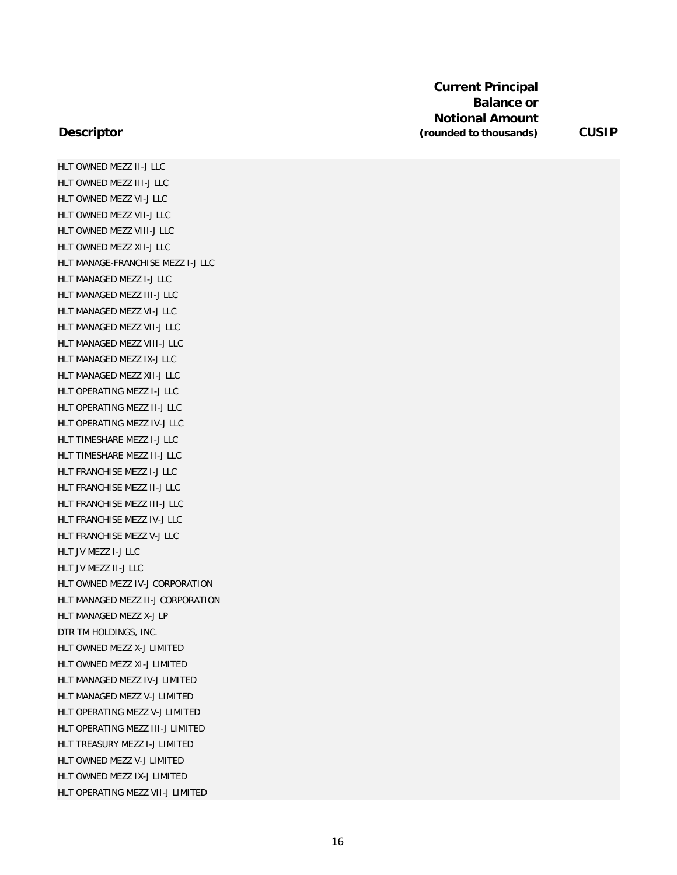### **Descriptor**

HLT OWNED MEZZ II-J LLC HLT OWNED MEZZ III-J LLC HLT OWNED MEZZ VI-J LLC HLT OWNED MEZZ VII-J LLC HLT OWNED MEZZ VIII-J LLC HLT OWNED MEZZ XII-J LLC HLT MANAGE-FRANCHISE MEZZ I-J LLC HLT MANAGED MEZZ I-J LLC HLT MANAGED MEZZ III-J LLC HLT MANAGED MEZZ VI-J LLC HLT MANAGED MEZZ VII-J LLC HLT MANAGED MEZZ VIII-J LLC HLT MANAGED MEZZ IX-J LLC HLT MANAGED MEZZ XII-J LLC HLT OPERATING MEZZ I-J LLC HLT OPERATING MEZZ II-J LLC HLT OPERATING MEZZ IV-J LLC HLT TIMESHARE MEZZ I-J LLC HLT TIMESHARE MEZZ II-J LLC HLT FRANCHISE MEZZ I-J LLC HLT FRANCHISE MEZZ II-J LLC HLT FRANCHISE MEZZ III-J LLC HLT FRANCHISE MEZZ IV-J LLC HLT FRANCHISE MEZZ V-J LLC HLT JV MEZZ I-J LLC HLT JV MEZZ II-J LLC HLT OWNED MEZZ IV-J CORPORATION HLT MANAGED MEZZ II-J CORPORATION HLT MANAGED MEZZ X-J LP DTR TM HOLDINGS, INC. HLT OWNED MEZZ X-J LIMITED HLT OWNED MEZZ XI-J LIMITED HLT MANAGED MEZZ IV-J LIMITED HLT MANAGED MEZZ V-J LIMITED HLT OPERATING MEZZ V-J LIMITED HLT OPERATING MEZZ III-J LIMITED HLT TREASURY MEZZ I-J LIMITED HLT OWNED MEZZ V-J LIMITED HLT OWNED MEZZ IX-J LIMITED HLT OPERATING MEZZ VII-J LIMITED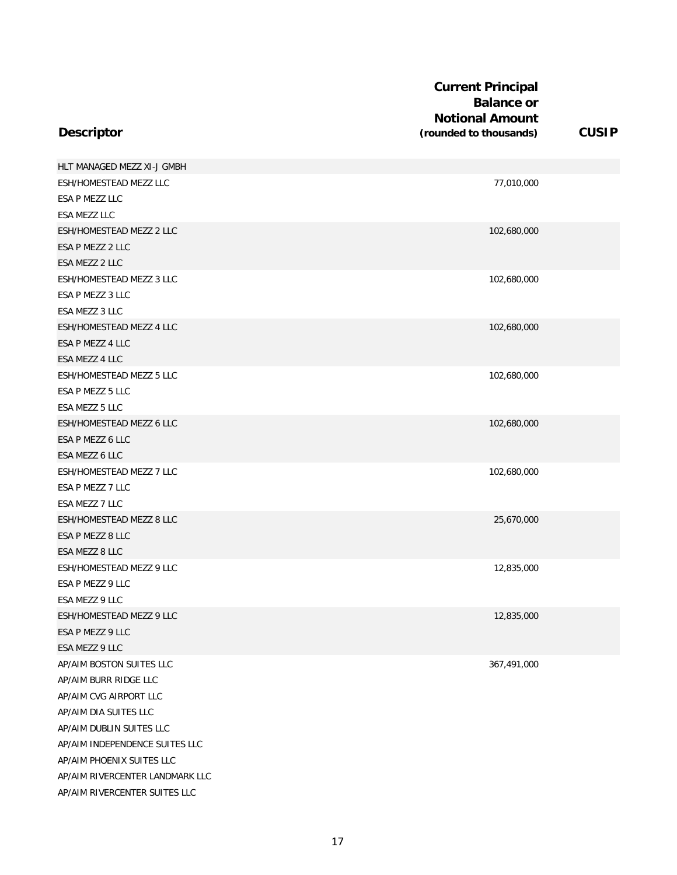| <b>Descriptor</b>               | <b>Current Principal</b><br><b>Balance or</b><br><b>Notional Amount</b><br>(rounded to thousands) | <b>CUSIP</b> |
|---------------------------------|---------------------------------------------------------------------------------------------------|--------------|
| HLT MANAGED MEZZ XI-J GMBH      |                                                                                                   |              |
| ESH/HOMESTEAD MEZZ LLC          | 77,010,000                                                                                        |              |
| ESA P MEZZ LLC                  |                                                                                                   |              |
| <b>ESA MEZZ LLC</b>             |                                                                                                   |              |
| ESH/HOMESTEAD MEZZ 2 LLC        | 102,680,000                                                                                       |              |
| ESA P MEZZ 2 LLC                |                                                                                                   |              |
| ESA MEZZ 2 LLC                  |                                                                                                   |              |
| ESH/HOMESTEAD MEZZ 3 LLC        | 102,680,000                                                                                       |              |
| ESA P MEZZ 3 LLC                |                                                                                                   |              |
| ESA MEZZ 3 LLC                  |                                                                                                   |              |
| ESH/HOMESTEAD MEZZ 4 LLC        | 102,680,000                                                                                       |              |
| ESA P MEZZ 4 LLC                |                                                                                                   |              |
| ESA MEZZ 4 LLC                  |                                                                                                   |              |
| ESH/HOMESTEAD MEZZ 5 LLC        | 102,680,000                                                                                       |              |
| ESA P MEZZ 5 LLC                |                                                                                                   |              |
| ESA MEZZ 5 LLC                  |                                                                                                   |              |
| ESH/HOMESTEAD MEZZ 6 LLC        | 102,680,000                                                                                       |              |
| ESA P MEZZ 6 LLC                |                                                                                                   |              |
| ESA MEZZ 6 LLC                  |                                                                                                   |              |
| ESH/HOMESTEAD MEZZ 7 LLC        | 102,680,000                                                                                       |              |
| ESA P MEZZ 7 LLC                |                                                                                                   |              |
| ESA MEZZ 7 LLC                  |                                                                                                   |              |
| ESH/HOMESTEAD MEZZ 8 LLC        | 25,670,000                                                                                        |              |
| ESA P MEZZ 8 LLC                |                                                                                                   |              |
| ESA MEZZ 8 LLC                  |                                                                                                   |              |
| ESH/HOMESTEAD MEZZ 9 LLC        | 12,835,000                                                                                        |              |
| ESA P MEZZ 9 LLC                |                                                                                                   |              |
| ESA MEZZ 9 LLC                  |                                                                                                   |              |
| ESH/HOMESTEAD MEZZ 9 LLC        | 12,835,000                                                                                        |              |
| ESA P MEZZ 9 LLC                |                                                                                                   |              |
| ESA MEZZ 9 LLC                  |                                                                                                   |              |
| AP/AIM BOSTON SUITES LLC        | 367,491,000                                                                                       |              |
| AP/AIM BURR RIDGE LLC           |                                                                                                   |              |
| AP/AIM CVG AIRPORT LLC          |                                                                                                   |              |
| AP/AIM DIA SUITES LLC           |                                                                                                   |              |
| AP/AIM DUBLIN SUITES LLC        |                                                                                                   |              |
| AP/AIM INDEPENDENCE SUITES LLC  |                                                                                                   |              |
| AP/AIM PHOENIX SUITES LLC       |                                                                                                   |              |
| AP/AIM RIVERCENTER LANDMARK LLC |                                                                                                   |              |
| AP/AIM RIVERCENTER SUITES LLC   |                                                                                                   |              |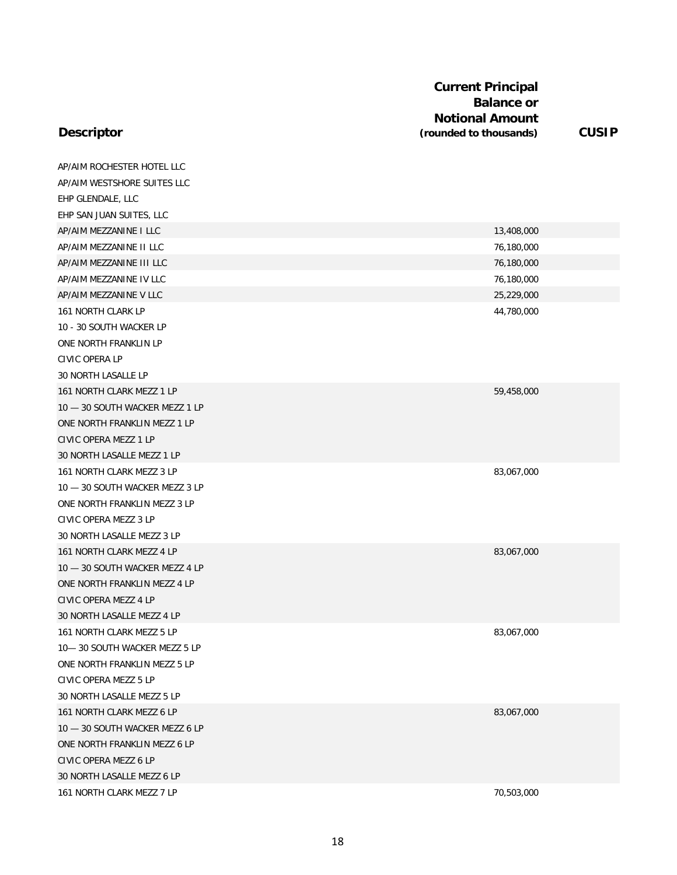| <b>Current Principal</b> |              |
|--------------------------|--------------|
| <b>Balance or</b>        |              |
| <b>Notional Amount</b>   |              |
| (rounded to thousands)   | <b>CUSIP</b> |

| AP/AIM ROCHESTER HOTEL LLC     |            |
|--------------------------------|------------|
| AP/AIM WESTSHORE SUITES LLC    |            |
| EHP GLENDALE, LLC              |            |
| EHP SAN JUAN SUITES, LLC       |            |
| AP/AIM MEZZANINE I LLC         | 13,408,000 |
| AP/AIM MEZZANINE II LLC        | 76,180,000 |
| AP/AIM MEZZANINE III LLC       | 76,180,000 |
| AP/AIM MEZZANINE IV LLC        | 76,180,000 |
| AP/AIM MEZZANINE V LLC         | 25,229,000 |
| 161 NORTH CLARK LP             | 44,780,000 |
| 10 - 30 SOUTH WACKER LP        |            |
| ONE NORTH FRANKLIN LP          |            |
| CIVIC OPERA LP                 |            |
| 30 NORTH LASALLE LP            |            |
| 161 NORTH CLARK MEZZ 1 LP      | 59,458,000 |
| 10 - 30 SOUTH WACKER MEZZ 1 LP |            |
| ONE NORTH FRANKLIN MEZZ 1 LP   |            |
| CIVIC OPERA MEZZ 1 LP          |            |
| 30 NORTH LASALLE MEZZ 1 LP     |            |
| 161 NORTH CLARK MEZZ 3 LP      | 83,067,000 |
| 10 - 30 SOUTH WACKER MEZZ 3 LP |            |
| ONE NORTH FRANKLIN MEZZ 3 LP   |            |
| CIVIC OPERA MEZZ 3 LP          |            |
| 30 NORTH LASALLE MEZZ 3 LP     |            |
| 161 NORTH CLARK MEZZ 4 LP      | 83,067,000 |
| 10 - 30 SOUTH WACKER MEZZ 4 LP |            |
| ONE NORTH FRANKLIN MEZZ 4 LP   |            |
| CIVIC OPERA MEZZ 4 LP          |            |
| 30 NORTH LASALLE MEZZ 4 LP     |            |
| 161 NORTH CLARK MEZZ 5 LP      | 83,067,000 |
| 10-30 SOUTH WACKER MEZZ 5 LP   |            |
| ONE NORTH FRANKLIN MEZZ 5 LP   |            |
| CIVIC OPERA MEZZ 5 LP          |            |
| 30 NORTH LASALLE MEZZ 5 LP     |            |
| 161 NORTH CLARK MEZZ 6 LP      | 83,067,000 |
| 10 - 30 SOUTH WACKER MEZZ 6 LP |            |
| ONE NORTH FRANKLIN MEZZ 6 LP   |            |
| CIVIC OPERA MEZZ 6 LP          |            |
| 30 NORTH LASALLE MEZZ 6 LP     |            |
| 161 NORTH CLARK MEZZ 7 LP      | 70,503,000 |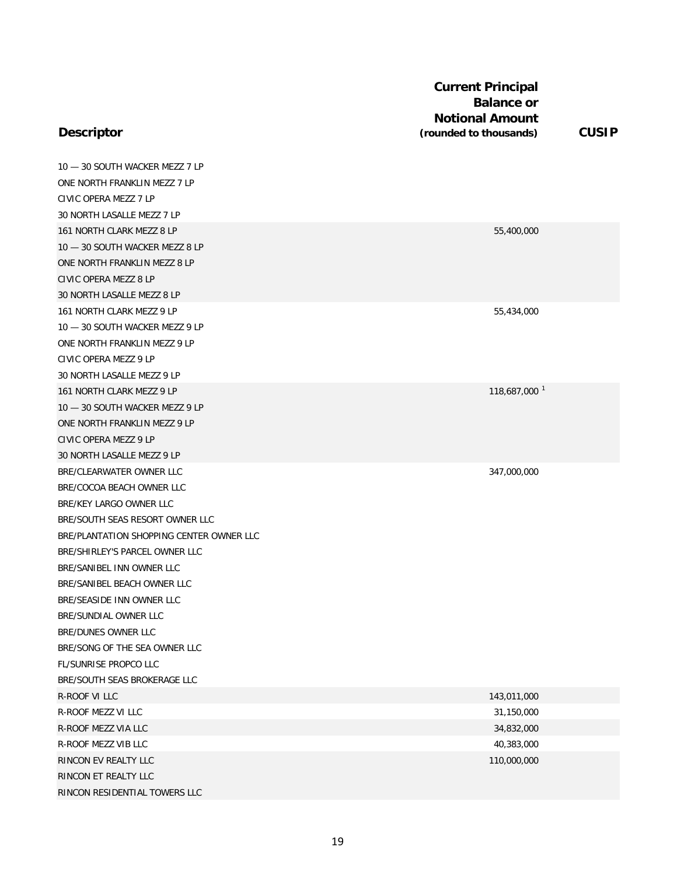## **Descriptor**

10 — 30 SOUTH WACKER MEZZ 7 LP ONE NORTH FRANKLIN MEZZ 7 LP CIVIC OPERA MEZZ 7 LP 30 NORTH LASALLE MEZZ 7 LP 161 NORTH CLARK MEZZ 8 LP 55,400,000 10 — 30 SOUTH WACKER MEZZ 8 LP ONE NORTH FRANKLIN MEZZ 8 LP CIVIC OPERA MEZZ 8 LP 30 NORTH LASALLE MEZZ 8 LP 161 NORTH CLARK MEZZ 9 LP 55,434,000 10 — 30 SOUTH WACKER MEZZ 9 LP ONE NORTH FRANKLIN MEZZ 9 LP CIVIC OPERA MEZZ 9 LP 30 NORTH LASALLE MEZZ 9 LP 161 NORTH CLARK MEZZ 9 LP 118,687,000 1 10 — 30 SOUTH WACKER MEZZ 9 LP ONE NORTH FRANKLIN MEZZ 9 LP CIVIC OPERA MEZZ 9 LP 30 NORTH LASALLE MEZZ 9 LP BRE/CLEARWATER OWNER LLC 347,000,000 BRE/COCOA BEACH OWNER LLC BRE/KEY LARGO OWNER LLC BRE/SOUTH SEAS RESORT OWNER LLC BRE/PLANTATION SHOPPING CENTER OWNER LLC BRE/SHIRLEY'S PARCEL OWNER LLC BRE/SANIBEL INN OWNER LLC BRE/SANIBEL BEACH OWNER LLC BRE/SEASIDE INN OWNER LLC BRE/SUNDIAL OWNER LLC BRE/DUNES OWNER LLC BRE/SONG OF THE SEA OWNER LLC FL/SUNRISE PROPCO LLC BRE/SOUTH SEAS BROKERAGE LLC R-ROOF VI LLC 2008 143,011,000 R-ROOF MEZZ VI LLC 31,150,000 R-ROOF MEZZ VIA LLC 34,832,000 R-ROOF MEZZ VIB LLC 40,383,000 RINCON EV REALTY LLC 110,000,000 RINCON ET REALTY LLC

RINCON RESIDENTIAL TOWERS LLC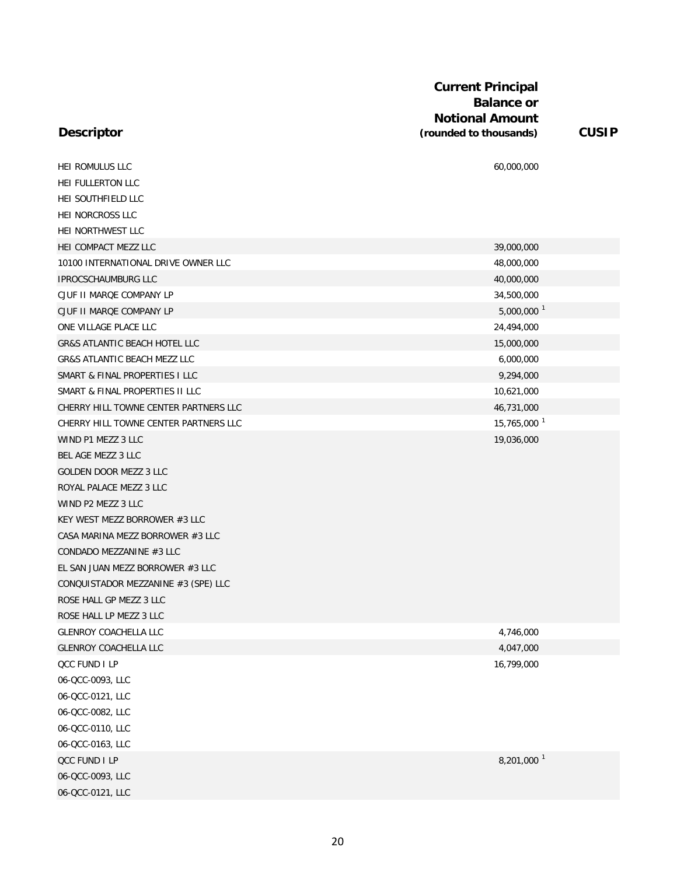| HEI ROMULUS LLC                          | 60,000,000               |
|------------------------------------------|--------------------------|
| <b>HEI FULLERTON LLC</b>                 |                          |
| HEI SOUTHFIELD LLC                       |                          |
| HEI NORCROSS LLC                         |                          |
| HEI NORTHWEST LLC                        |                          |
| HEI COMPACT MEZZ LLC                     | 39,000,000               |
| 10100 INTERNATIONAL DRIVE OWNER LLC      | 48,000,000               |
| <b>IPROCSCHAUMBURG LLC</b>               | 40,000,000               |
| CJUF II MARQE COMPANY LP                 | 34,500,000               |
| CJUF II MARQE COMPANY LP                 | $5,000,000$ <sup>1</sup> |
| ONE VILLAGE PLACE LLC                    | 24,494,000               |
| <b>GR&amp;S ATLANTIC BEACH HOTEL LLC</b> | 15,000,000               |
| <b>GR&amp;S ATLANTIC BEACH MEZZ LLC</b>  | 6,000,000                |
| SMART & FINAL PROPERTIES I LLC           | 9,294,000                |
| SMART & FINAL PROPERTIES II LLC          | 10,621,000               |
| CHERRY HILL TOWNE CENTER PARTNERS LLC    | 46,731,000               |
| CHERRY HILL TOWNE CENTER PARTNERS LLC    | 15,765,000 <sup>1</sup>  |
| WIND P1 MEZZ 3 LLC                       | 19,036,000               |
| BEL AGE MEZZ 3 LLC                       |                          |
| <b>GOLDEN DOOR MEZZ 3 LLC</b>            |                          |
| ROYAL PALACE MEZZ 3 LLC                  |                          |
| WIND P2 MEZZ 3 LLC                       |                          |
| KEY WEST MEZZ BORROWER #3 LLC            |                          |
| CASA MARINA MEZZ BORROWER #3 LLC         |                          |
| CONDADO MEZZANINE #3 LLC                 |                          |
| EL SAN JUAN MEZZ BORROWER #3 LLC         |                          |
| CONQUISTADOR MEZZANINE #3 (SPE) LLC      |                          |
| ROSE HALL GP MEZZ 3 LLC                  |                          |
| ROSE HALL LP MEZZ 3 LLC                  |                          |
| <b>GLENROY COACHELLA LLC</b>             | 4,746,000                |
| <b>GLENROY COACHELLA LLC</b>             | 4,047,000                |
| <b>QCC FUND I LP</b>                     | 16,799,000               |
| 06-QCC-0093, LLC                         |                          |
| 06-QCC-0121, LLC                         |                          |
| 06-QCC-0082, LLC                         |                          |
| 06-QCC-0110, LLC                         |                          |
| 06-QCC-0163, LLC                         |                          |
| QCC FUND I LP                            | 8,201,000 <sup>1</sup>   |
| 06-QCC-0093, LLC                         |                          |
| 06-QCC-0121, LLC                         |                          |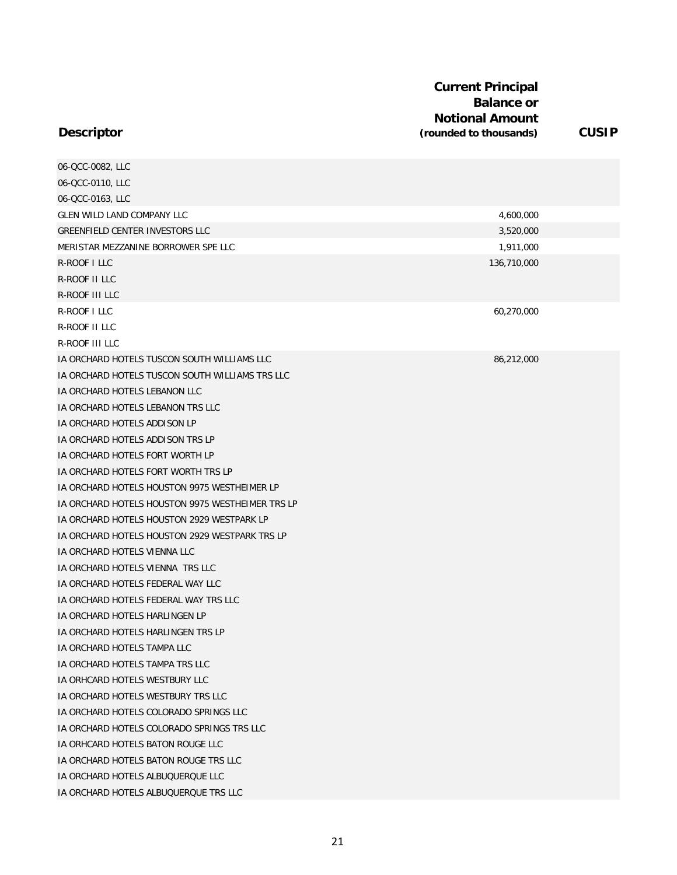| 06-QCC-0082, LLC                                 |             |  |
|--------------------------------------------------|-------------|--|
| 06-QCC-0110, LLC                                 |             |  |
| 06-QCC-0163, LLC                                 |             |  |
| <b>GLEN WILD LAND COMPANY LLC</b>                | 4,600,000   |  |
| GREENFIELD CENTER INVESTORS LLC                  | 3,520,000   |  |
| MERISTAR MEZZANINE BORROWER SPE LLC              | 1,911,000   |  |
| R-ROOF I LLC                                     | 136,710,000 |  |
| R-ROOF II LLC                                    |             |  |
| R-ROOF III LLC                                   |             |  |
| R-ROOF I LLC                                     | 60,270,000  |  |
| R-ROOF II LLC                                    |             |  |
| R-ROOF III LLC                                   |             |  |
| IA ORCHARD HOTELS TUSCON SOUTH WILLIAMS LLC      | 86,212,000  |  |
| IA ORCHARD HOTELS TUSCON SOUTH WILLIAMS TRS LLC  |             |  |
| IA ORCHARD HOTELS LEBANON LLC                    |             |  |
| IA ORCHARD HOTELS LEBANON TRS LLC                |             |  |
| IA ORCHARD HOTELS ADDISON LP                     |             |  |
| IA ORCHARD HOTELS ADDISON TRS LP                 |             |  |
| IA ORCHARD HOTELS FORT WORTH LP                  |             |  |
| IA ORCHARD HOTELS FORT WORTH TRS LP              |             |  |
| IA ORCHARD HOTELS HOUSTON 9975 WESTHEIMER LP     |             |  |
| IA ORCHARD HOTELS HOUSTON 9975 WESTHEIMER TRS LP |             |  |
| IA ORCHARD HOTELS HOUSTON 2929 WESTPARK LP       |             |  |
| IA ORCHARD HOTELS HOUSTON 2929 WESTPARK TRS LP   |             |  |
| IA ORCHARD HOTELS VIENNA LLC                     |             |  |
| IA ORCHARD HOTELS VIENNA TRS LLC                 |             |  |
| IA ORCHARD HOTELS FEDERAL WAY LLC                |             |  |
| IA ORCHARD HOTELS FEDERAL WAY TRS LLC            |             |  |
| IA ORCHARD HOTELS HARLINGEN LP                   |             |  |
| IA ORCHARD HOTELS HARLINGEN TRS LP               |             |  |
| IA ORCHARD HOTELS TAMPA LLC                      |             |  |
| IA ORCHARD HOTELS TAMPA TRS LLC                  |             |  |
| IA ORHCARD HOTELS WESTBURY LLC                   |             |  |
| IA ORCHARD HOTELS WESTBURY TRS LLC               |             |  |
| IA ORCHARD HOTELS COLORADO SPRINGS LLC           |             |  |
| IA ORCHARD HOTELS COLORADO SPRINGS TRS LLC       |             |  |
| IA ORHCARD HOTELS BATON ROUGE LLC                |             |  |
| IA ORCHARD HOTELS BATON ROUGE TRS LLC            |             |  |
| IA ORCHARD HOTELS ALBUQUERQUE LLC                |             |  |
| IA ORCHARD HOTELS ALBUQUERQUE TRS LLC            |             |  |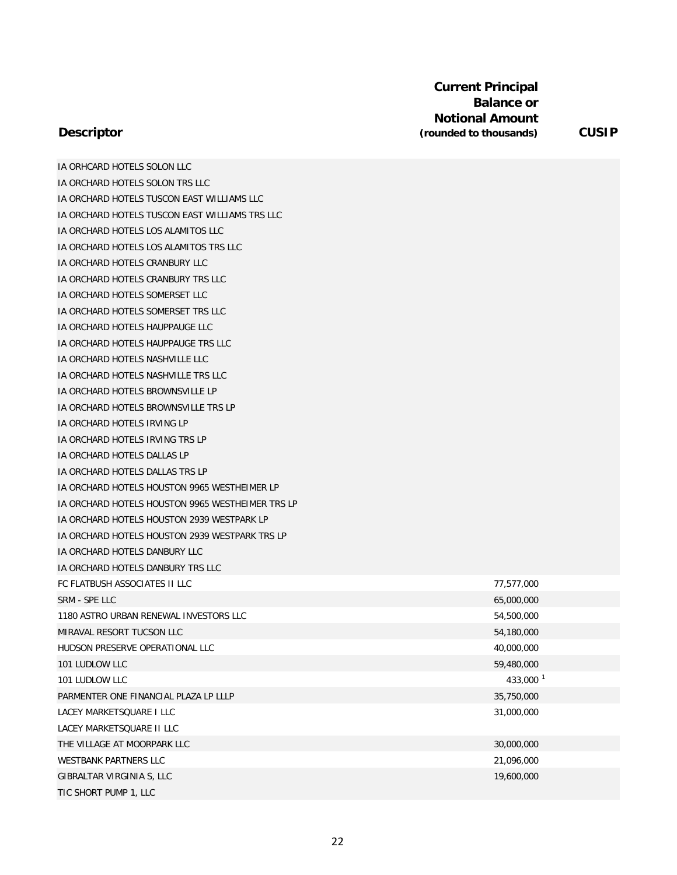**Descriptor**

IA ORHCARD HOTELS SOLON LLC IA ORCHARD HOTELS SOLON TRS LLC

| IA ORCHARD HOTELS TUSCON EAST WILLIAMS LLC       |                      |
|--------------------------------------------------|----------------------|
| IA ORCHARD HOTELS TUSCON EAST WILLIAMS TRS LLC   |                      |
| IA ORCHARD HOTELS LOS ALAMITOS LLC               |                      |
| IA ORCHARD HOTELS LOS ALAMITOS TRS LLC           |                      |
| IA ORCHARD HOTELS CRANBURY LLC                   |                      |
| IA ORCHARD HOTELS CRANBURY TRS LLC               |                      |
| IA ORCHARD HOTELS SOMERSET LLC                   |                      |
| IA ORCHARD HOTELS SOMERSET TRS LLC               |                      |
| IA ORCHARD HOTELS HAUPPAUGE LLC                  |                      |
| IA ORCHARD HOTELS HAUPPAUGE TRS LLC              |                      |
| IA ORCHARD HOTELS NASHVILLE LLC                  |                      |
| IA ORCHARD HOTELS NASHVILLE TRS LLC              |                      |
| <b>IA ORCHARD HOTELS BROWNSVILLE LP</b>          |                      |
| IA ORCHARD HOTELS BROWNSVILLE TRS LP             |                      |
| IA ORCHARD HOTELS IRVING LP                      |                      |
| IA ORCHARD HOTELS IRVING TRS LP                  |                      |
| IA ORCHARD HOTELS DALLAS LP                      |                      |
| IA ORCHARD HOTELS DALLAS TRS LP                  |                      |
| IA ORCHARD HOTELS HOUSTON 9965 WESTHEIMER LP     |                      |
| IA ORCHARD HOTELS HOUSTON 9965 WESTHEIMER TRS LP |                      |
| IA ORCHARD HOTELS HOUSTON 2939 WESTPARK LP       |                      |
| IA ORCHARD HOTELS HOUSTON 2939 WESTPARK TRS LP   |                      |
| IA ORCHARD HOTELS DANBURY LLC                    |                      |
| IA ORCHARD HOTELS DANBURY TRS LLC                |                      |
| FC FLATBUSH ASSOCIATES II LLC                    | 77,577,000           |
| SRM - SPE LLC                                    | 65,000,000           |
| 1180 ASTRO URBAN RENEWAL INVESTORS LLC           | 54,500,000           |
| MIRAVAL RESORT TUCSON LLC                        | 54,180,000           |
| HUDSON PRESERVE OPERATIONAL LLC                  | 40,000,000           |
| 101 LUDLOW LLC                                   | 59,480,000           |
| 101 LUDLOW LLC                                   | 433,000 <sup>1</sup> |
| PARMENTER ONE FINANCIAL PLAZA LP LLLP            | 35,750,000           |
| LACEY MARKETSQUARE I LLC                         | 31,000,000           |
| LACEY MARKETSQUARE II LLC                        |                      |
| THE VILLAGE AT MOORPARK LLC                      | 30,000,000           |
| WESTBANK PARTNERS LLC                            | 21,096,000           |
| GIBRALTAR VIRGINIA S, LLC                        | 19,600,000           |
| TIC SHORT PUMP 1, LLC                            |                      |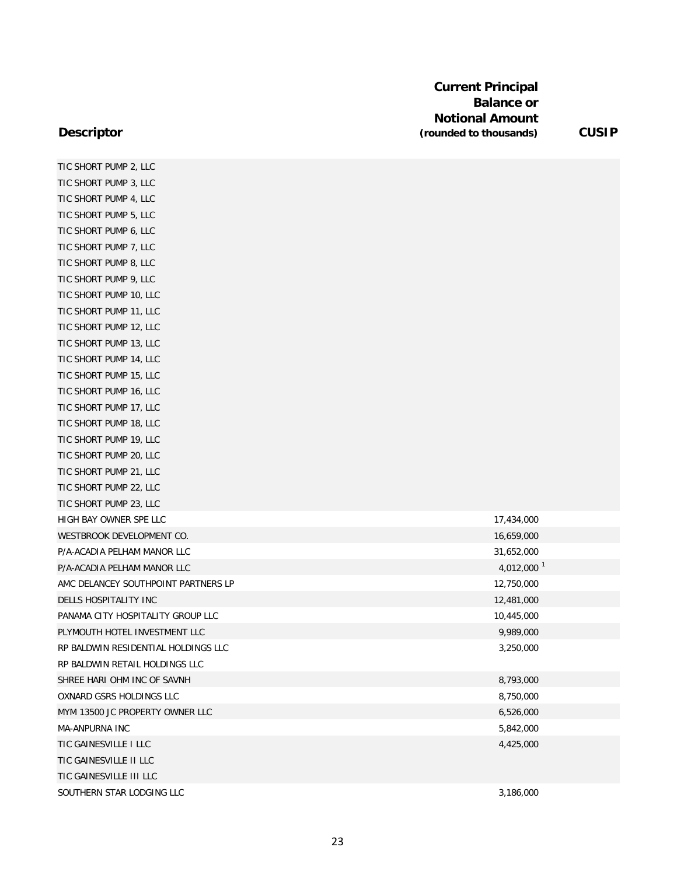| TIC SHORT PUMP 2, LLC               |                        |
|-------------------------------------|------------------------|
| TIC SHORT PUMP 3, LLC               |                        |
| TIC SHORT PUMP 4, LLC               |                        |
| TIC SHORT PUMP 5, LLC               |                        |
| TIC SHORT PUMP 6, LLC               |                        |
| TIC SHORT PUMP 7, LLC               |                        |
| TIC SHORT PUMP 8, LLC               |                        |
| TIC SHORT PUMP 9, LLC               |                        |
| TIC SHORT PUMP 10, LLC              |                        |
| TIC SHORT PUMP 11, LLC              |                        |
| TIC SHORT PUMP 12, LLC              |                        |
| TIC SHORT PUMP 13, LLC              |                        |
| TIC SHORT PUMP 14, LLC              |                        |
| TIC SHORT PUMP 15, LLC              |                        |
| TIC SHORT PUMP 16, LLC              |                        |
| TIC SHORT PUMP 17, LLC              |                        |
| TIC SHORT PUMP 18, LLC              |                        |
| TIC SHORT PUMP 19, LLC              |                        |
| TIC SHORT PUMP 20, LLC              |                        |
| TIC SHORT PUMP 21, LLC              |                        |
| TIC SHORT PUMP 22, LLC              |                        |
| TIC SHORT PUMP 23, LLC              |                        |
| HIGH BAY OWNER SPE LLC              | 17,434,000             |
| WESTBROOK DEVELOPMENT CO.           | 16,659,000             |
| P/A-ACADIA PELHAM MANOR LLC         | 31,652,000             |
| P/A-ACADIA PELHAM MANOR LLC         | 4,012,000 <sup>1</sup> |
| AMC DELANCEY SOUTHPOINT PARTNERS LP | 12,750,000             |
| DELLS HOSPITALITY INC               | 12,481,000             |
| PANAMA CITY HOSPITALITY GROUP LLC   | 10,445,000             |
| PLYMOUTH HOTEL INVESTMENT LLC       | 9,989,000              |
| RP BALDWIN RESIDENTIAL HOLDINGS LLC | 3,250,000              |
| RP BALDWIN RETAIL HOLDINGS LLC      |                        |
| SHREE HARI OHM INC OF SAVNH         | 8,793,000              |
| OXNARD GSRS HOLDINGS LLC            | 8,750,000              |
| MYM 13500 JC PROPERTY OWNER LLC     | 6,526,000              |
| MA-ANPURNA INC                      | 5,842,000              |
| TIC GAINESVILLE I LLC               | 4,425,000              |
| TIC GAINESVILLE II LLC              |                        |
| TIC GAINESVILLE III LLC             |                        |
| SOUTHERN STAR LODGING LLC           | 3,186,000              |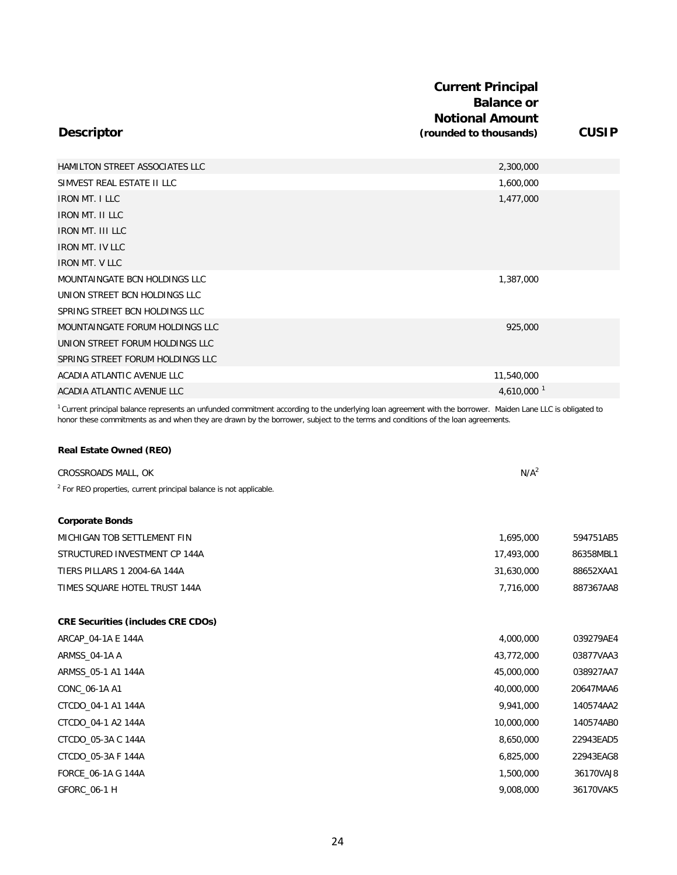|                                  | <b>Current Principal</b><br><b>Balance or</b><br><b>Notional Amount</b> |              |
|----------------------------------|-------------------------------------------------------------------------|--------------|
| <b>Descriptor</b>                | (rounded to thousands)                                                  | <b>CUSIP</b> |
| HAMILTON STREET ASSOCIATES LLC   | 2,300,000                                                               |              |
| SIMVEST REAL ESTATE II LLC       | 1,600,000                                                               |              |
| <b>IRON MT. I LLC</b>            | 1,477,000                                                               |              |
| <b>IRON MT. II LLC</b>           |                                                                         |              |
| <b>IRON MT. III LLC</b>          |                                                                         |              |
| <b>IRON MT. IV LLC</b>           |                                                                         |              |
| <b>IRON MT. V LLC</b>            |                                                                         |              |
| MOUNTAINGATE BCN HOLDINGS LLC    | 1,387,000                                                               |              |
| UNION STREET BCN HOLDINGS LLC    |                                                                         |              |
| SPRING STREET BCN HOLDINGS LLC   |                                                                         |              |
| MOUNTAINGATE FORUM HOLDINGS LLC  | 925,000                                                                 |              |
| UNION STREET FORUM HOLDINGS LLC  |                                                                         |              |
| SPRING STREET FORUM HOLDINGS LLC |                                                                         |              |
| ACADIA ATLANTIC AVENUE LLC       | 11,540,000                                                              |              |
| ACADIA ATLANTIC AVENUE LLC       | 4,610,000 $^{-1}$                                                       |              |

 $1$  Current principal balance represents an unfunded commitment according to the underlying loan agreement with the borrower. Maiden Lane LLC is obligated to honor these commitments as and when they are drawn by the borrower, subject to the terms and conditions of the loan agreements.

#### **Real Estate Owned (REO)**

| CROSSROADS MALL, OK                                                           | N/A <sup>2</sup> |           |
|-------------------------------------------------------------------------------|------------------|-----------|
| <sup>2</sup> For REO properties, current principal balance is not applicable. |                  |           |
|                                                                               |                  |           |
| <b>Corporate Bonds</b>                                                        |                  |           |
| MICHIGAN TOB SETTLEMENT FIN                                                   | 1,695,000        | 594751AB5 |
| STRUCTURED INVESTMENT CP 144A                                                 | 17,493,000       | 86358MBL1 |
| <b>TIERS PILLARS 1 2004-6A 144A</b>                                           | 31,630,000       | 88652XAA1 |
| TIMES SQUARE HOTEL TRUST 144A                                                 | 7,716,000        | 887367AA8 |
|                                                                               |                  |           |
| <b>CRE Securities (includes CRE CDOs)</b>                                     |                  |           |
| ARCAP_04-1A E 144A                                                            | 4,000,000        | 039279AE4 |
| ARMSS_04-1A A                                                                 | 43,772,000       | 03877VAA3 |
| ARMSS_05-1 A1 144A                                                            | 45,000,000       | 038927AA7 |
| CONC_06-1A A1                                                                 | 40,000,000       | 20647MAA6 |
| CTCDO_04-1 A1 144A                                                            | 9,941,000        | 140574AA2 |
| CTCDO 04-1 A2 144A                                                            | 10,000,000       | 140574AB0 |
| CTCDO_05-3A C 144A                                                            | 8,650,000        | 22943EAD5 |
| CTCDO 05-3A F 144A                                                            | 6,825,000        | 22943EAG8 |
| FORCE 06-1A G 144A                                                            | 1,500,000        | 36170VAJ8 |

24

GFORC\_06-1 H 9,008,000 36170VAK5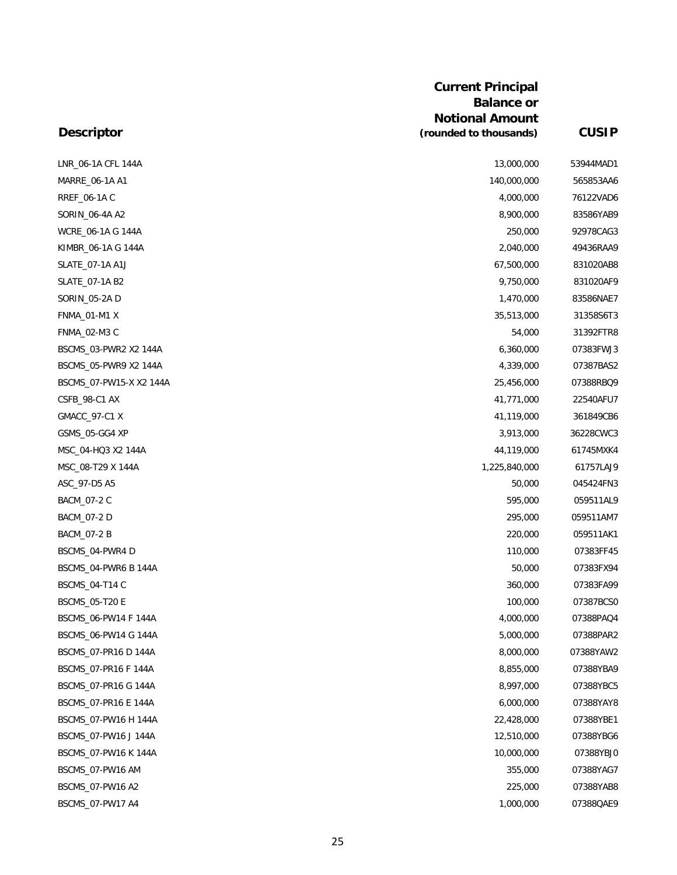| LNR_06-1A CFL 144A      | 13,000,000    | 53944MAD1 |
|-------------------------|---------------|-----------|
| MARRE_06-1A A1          | 140,000,000   | 565853AA6 |
| RREF_06-1A C            | 4,000,000     | 76122VAD6 |
| SORIN_06-4A A2          | 8,900,000     | 83586YAB9 |
| WCRE_06-1A G 144A       | 250,000       | 92978CAG3 |
| KIMBR_06-1A G 144A      | 2,040,000     | 49436RAA9 |
| SLATE_07-1A A1J         | 67,500,000    | 831020AB8 |
| SLATE_07-1A B2          | 9,750,000     | 831020AF9 |
| SORIN_05-2A D           | 1,470,000     | 83586NAE7 |
| <b>FNMA_01-M1 X</b>     | 35,513,000    | 31358S6T3 |
| FNMA_02-M3 C            | 54,000        | 31392FTR8 |
| BSCMS_03-PWR2 X2 144A   | 6,360,000     | 07383FWJ3 |
| BSCMS_05-PWR9 X2 144A   | 4,339,000     | 07387BAS2 |
| BSCMS_07-PW15-X X2 144A | 25,456,000    | 07388RBQ9 |
| CSFB_98-C1 AX           | 41,771,000    | 22540AFU7 |
| GMACC_97-C1 X           | 41,119,000    | 361849CB6 |
| GSMS_05-GG4 XP          | 3,913,000     | 36228CWC3 |
| MSC_04-HQ3 X2 144A      | 44,119,000    | 61745MXK4 |
| MSC 08-T29 X 144A       | 1,225,840,000 | 61757LAJ9 |
| ASC_97-D5 A5            | 50,000        | 045424FN3 |
| BACM_07-2 C             | 595,000       | 059511AL9 |
| BACM_07-2 D             | 295,000       | 059511AM7 |
| BACM_07-2 B             | 220,000       | 059511AK1 |
| BSCMS_04-PWR4 D         | 110,000       | 07383FF45 |
| BSCMS_04-PWR6 B 144A    | 50,000        | 07383FX94 |
| BSCMS_04-T14 C          | 360,000       | 07383FA99 |
| <b>BSCMS_05-T20 E</b>   | 100,000       | 07387BCS0 |
| BSCMS_06-PW14 F 144A    | 4,000,000     | 07388PAQ4 |
| BSCMS_06-PW14 G 144A    | 5,000,000     | 07388PAR2 |
| BSCMS_07-PR16 D 144A    | 8,000,000     | 07388YAW2 |
| BSCMS_07-PR16 F 144A    | 8,855,000     | 07388YBA9 |
| BSCMS_07-PR16 G 144A    | 8,997,000     | 07388YBC5 |
| BSCMS_07-PR16 E 144A    | 6,000,000     | 07388YAY8 |
| BSCMS_07-PW16 H 144A    | 22,428,000    | 07388YBE1 |
| BSCMS_07-PW16 J 144A    | 12,510,000    | 07388YBG6 |
| BSCMS_07-PW16 K 144A    | 10,000,000    | 07388YBJ0 |
| BSCMS_07-PW16 AM        | 355,000       | 07388YAG7 |
| BSCMS_07-PW16 A2        | 225,000       | 07388YAB8 |
| BSCMS_07-PW17 A4        | 1,000,000     | 07388QAE9 |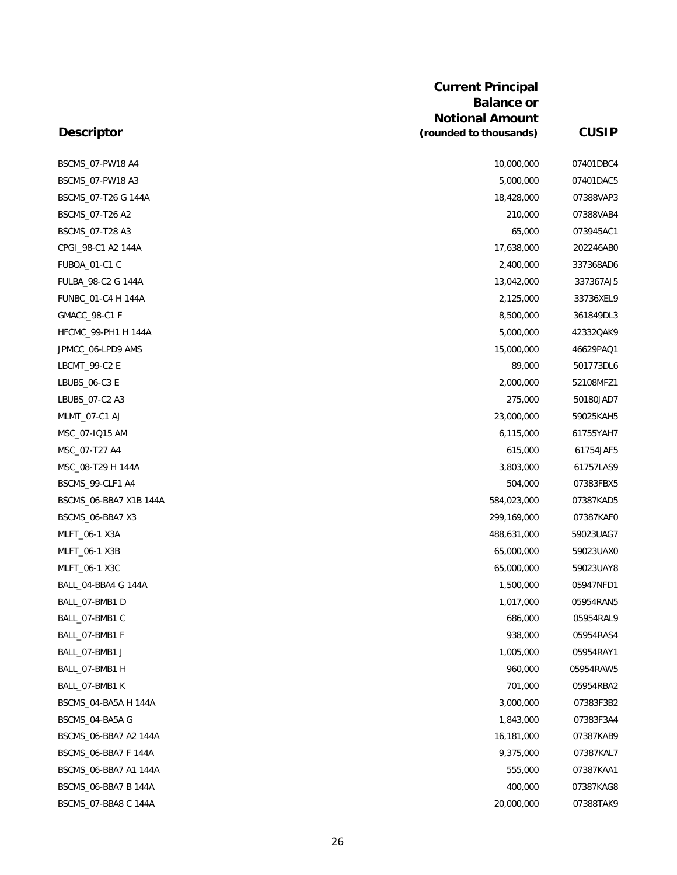| BSCMS_07-PW18 A4       | 10,000,000  | 07401DBC4 |
|------------------------|-------------|-----------|
| BSCMS 07-PW18 A3       | 5,000,000   | 07401DAC5 |
| BSCMS_07-T26 G 144A    | 18,428,000  | 07388VAP3 |
| BSCMS_07-T26 A2        | 210,000     | 07388VAB4 |
| BSCMS_07-T28 A3        | 65,000      | 073945AC1 |
| CPGI_98-C1 A2 144A     | 17,638,000  | 202246AB0 |
| FUBOA_01-C1 C          | 2,400,000   | 337368AD6 |
| FULBA_98-C2 G 144A     | 13,042,000  | 337367AJ5 |
| FUNBC_01-C4 H 144A     | 2,125,000   | 33736XEL9 |
| GMACC_98-C1 F          | 8,500,000   | 361849DL3 |
| HFCMC_99-PH1 H 144A    | 5,000,000   | 42332QAK9 |
| JPMCC_06-LPD9 AMS      | 15,000,000  | 46629PAQ1 |
| LBCMT_99-C2 E          | 89,000      | 501773DL6 |
| LBUBS_06-C3 E          | 2,000,000   | 52108MFZ1 |
| LBUBS 07-C2 A3         | 275,000     | 50180JAD7 |
| MLMT_07-C1 AJ          | 23,000,000  | 59025KAH5 |
| MSC_07-IQ15 AM         | 6,115,000   | 61755YAH7 |
| MSC_07-T27 A4          | 615,000     | 61754JAF5 |
| MSC_08-T29 H 144A      | 3,803,000   | 61757LAS9 |
| BSCMS_99-CLF1 A4       | 504,000     | 07383FBX5 |
| BSCMS_06-BBA7 X1B 144A | 584,023,000 | 07387KAD5 |
| BSCMS_06-BBA7 X3       | 299,169,000 | 07387KAF0 |
| MLFT_06-1 X3A          | 488,631,000 | 59023UAG7 |
| MLFT_06-1 X3B          | 65,000,000  | 59023UAX0 |
| MLFT_06-1 X3C          | 65,000,000  | 59023UAY8 |
| BALL_04-BBA4 G 144A    | 1,500,000   | 05947NFD1 |
| BALL_07-BMB1 D         | 1,017,000   | 05954RAN5 |
| BALL_07-BMB1 C         | 686,000     | 05954RAL9 |
| BALL_07-BMB1 F         | 938,000     | 05954RAS4 |
| BALL_07-BMB1 J         | 1,005,000   | 05954RAY1 |
| BALL_07-BMB1 H         | 960,000     | 05954RAW5 |
| BALL_07-BMB1 K         | 701,000     | 05954RBA2 |
| BSCMS_04-BA5A H 144A   | 3,000,000   | 07383F3B2 |
| BSCMS_04-BA5A G        | 1,843,000   | 07383F3A4 |
| BSCMS 06-BBA7 A2 144A  | 16,181,000  | 07387KAB9 |
| BSCMS_06-BBA7 F 144A   | 9,375,000   | 07387KAL7 |
| BSCMS_06-BBA7 A1 144A  | 555,000     | 07387KAA1 |
| BSCMS_06-BBA7 B 144A   | 400,000     | 07387KAG8 |
| BSCMS_07-BBA8 C 144A   | 20,000,000  | 07388TAK9 |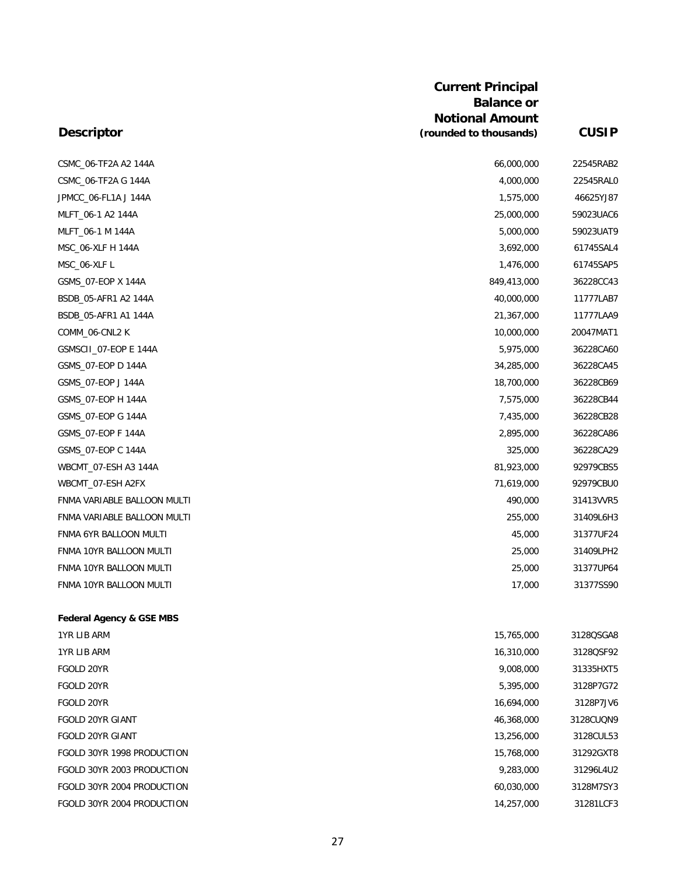| CSMC_06-TF2A A2 144A                | 66,000,000  | 22545RAB2 |
|-------------------------------------|-------------|-----------|
| CSMC 06-TF2A G 144A                 | 4,000,000   | 22545RAL0 |
| JPMCC_06-FL1A J 144A                | 1,575,000   | 46625YJ87 |
| MLFT_06-1 A2 144A                   | 25,000,000  | 59023UAC6 |
| MLFT 06-1 M 144A                    | 5,000,000   | 59023UAT9 |
| MSC_06-XLF H 144A                   | 3,692,000   | 61745SAL4 |
| MSC_06-XLFL                         | 1,476,000   | 61745SAP5 |
| GSMS_07-EOP X 144A                  | 849,413,000 | 36228CC43 |
| BSDB 05-AFR1 A2 144A                | 40,000,000  | 11777LAB7 |
| BSDB_05-AFR1 A1 144A                | 21,367,000  | 11777LAA9 |
| COMM_06-CNL2 K                      | 10,000,000  | 20047MAT1 |
| GSMSCII_07-EOP E 144A               | 5,975,000   | 36228CA60 |
| GSMS_07-EOP D 144A                  | 34,285,000  | 36228CA45 |
| GSMS_07-EOP J 144A                  | 18,700,000  | 36228CB69 |
| GSMS 07-EOP H 144A                  | 7,575,000   | 36228CB44 |
| GSMS 07-EOP G 144A                  | 7,435,000   | 36228CB28 |
| GSMS_07-EOP F 144A                  | 2,895,000   | 36228CA86 |
| GSMS_07-EOP C 144A                  | 325,000     | 36228CA29 |
| WBCMT 07-ESH A3 144A                | 81,923,000  | 92979CBS5 |
| WBCMT_07-ESH A2FX                   | 71,619,000  | 92979CBU0 |
| FNMA VARIABLE BALLOON MULTI         | 490,000     | 31413VVR5 |
| FNMA VARIABLE BALLOON MULTI         | 255,000     | 31409L6H3 |
| FNMA 6YR BALLOON MULTI              | 45,000      | 31377UF24 |
| FNMA 10YR BALLOON MULTI             | 25,000      | 31409LPH2 |
| FNMA 10YR BALLOON MULTI             | 25,000      | 31377UP64 |
| FNMA 10YR BALLOON MULTI             | 17,000      | 31377SS90 |
| <b>Federal Agency &amp; GSE MBS</b> |             |           |
|                                     |             |           |

| 1YR LIB ARM                | 15,765,000 | 3128QSGA8 |
|----------------------------|------------|-----------|
| 1YR LIB ARM                | 16,310,000 | 3128QSF92 |
| FGOLD 20YR                 | 9,008,000  | 31335HXT5 |
| FGOLD 20YR                 | 5,395,000  | 3128P7G72 |
| FGOLD 20YR                 | 16,694,000 | 3128P7JV6 |
| <b>FGOLD 20YR GIANT</b>    | 46,368,000 | 3128CUQN9 |
| <b>FGOLD 20YR GIANT</b>    | 13,256,000 | 3128CUL53 |
| FGOLD 30YR 1998 PRODUCTION | 15,768,000 | 31292GXT8 |
| FGOLD 30YR 2003 PRODUCTION | 9,283,000  | 31296L4U2 |
| FGOLD 30YR 2004 PRODUCTION | 60.030.000 | 3128M7SY3 |
| FGOLD 30YR 2004 PRODUCTION | 14,257,000 | 31281LCF3 |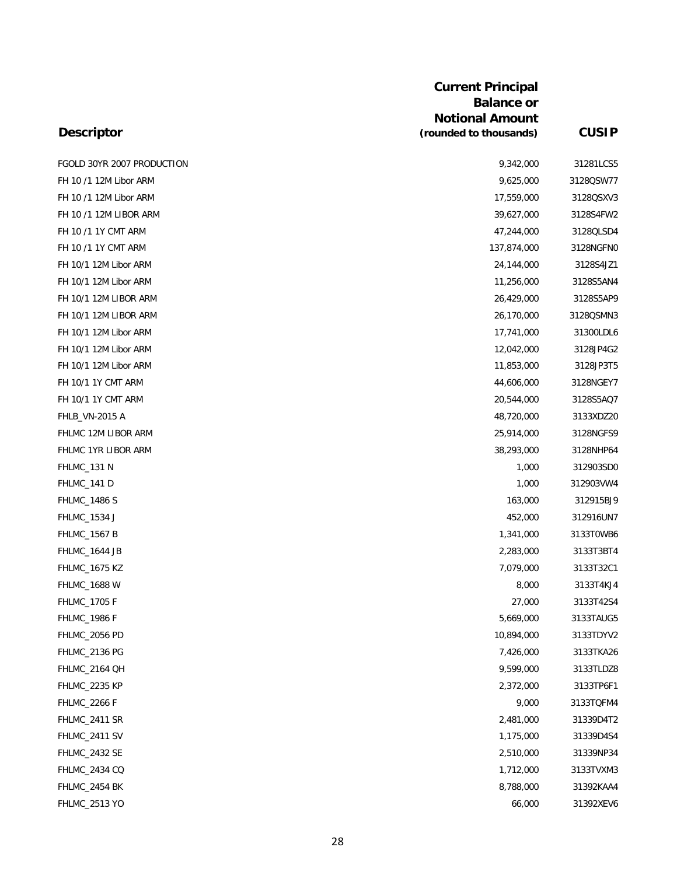|                            | <b>Balance or</b>      |              |
|----------------------------|------------------------|--------------|
|                            | <b>Notional Amount</b> |              |
| <b>Descriptor</b>          | (rounded to thousands) | <b>CUSIP</b> |
| FGOLD 30YR 2007 PRODUCTION | 9,342,000              | 31281LCS5    |
| FH 10 /1 12M Libor ARM     | 9,625,000              | 3128QSW77    |
| FH 10 /1 12M Libor ARM     | 17,559,000             | 3128QSXV3    |
| FH 10 /1 12M LIBOR ARM     | 39,627,000             | 3128S4FW2    |
| FH 10 /1 1Y CMT ARM        | 47,244,000             | 3128QLSD4    |
| FH 10 /1 1Y CMT ARM        | 137,874,000            | 3128NGFN0    |
| FH 10/1 12M Libor ARM      | 24,144,000             | 3128S4JZ1    |
| FH 10/1 12M Libor ARM      | 11,256,000             | 3128S5AN4    |
| FH 10/1 12M LIBOR ARM      | 26,429,000             | 3128S5AP9    |
| FH 10/1 12M LIBOR ARM      | 26,170,000             | 3128QSMN3    |
| FH 10/1 12M Libor ARM      | 17,741,000             | 31300LDL6    |
| FH 10/1 12M Libor ARM      | 12,042,000             | 3128JP4G2    |
| FH 10/1 12M Libor ARM      | 11,853,000             | 3128JP3T5    |
| FH 10/1 1Y CMT ARM         | 44,606,000             | 3128NGEY7    |
| FH 10/1 1Y CMT ARM         | 20,544,000             | 3128S5AQ7    |
| <b>FHLB_VN-2015 A</b>      | 48,720,000             | 3133XDZ20    |
| FHLMC 12M LIBOR ARM        | 25,914,000             | 3128NGFS9    |
| FHLMC 1YR LIBOR ARM        | 38,293,000             | 3128NHP64    |
| FHLMC_131 N                | 1,000                  | 312903SD0    |
| FHLMC_141 D                | 1,000                  | 312903VW4    |
| <b>FHLMC_1486 S</b>        | 163,000                | 312915BJ9    |
| FHLMC_1534 J               | 452,000                | 312916UN7    |
| <b>FHLMC_1567 B</b>        | 1,341,000              | 3133T0WB6    |
| FHLMC_1644 JB              | 2,283,000              | 3133T3BT4    |
| <b>FHLMC_1675 KZ</b>       | 7,079,000              | 3133T32C1    |
| FHLMC_1688 W               | 8,000                  | 3133T4KJ4    |
| FHLMC_1705 F               | 27,000                 | 3133T42S4    |
| <b>FHLMC_1986 F</b>        | 5,669,000              | 3133TAUG5    |
| FHLMC_2056 PD              | 10,894,000             | 3133TDYV2    |
| FHLMC_2136 PG              | 7,426,000              | 3133TKA26    |
| FHLMC_2164 QH              | 9,599,000              | 3133TLDZ8    |
| FHLMC_2235 KP              | 2,372,000              | 3133TP6F1    |
| <b>FHLMC_2266 F</b>        | 9,000                  | 3133TQFM4    |
| FHLMC_2411 SR              | 2,481,000              | 31339D4T2    |
| FHLMC_2411 SV              | 1,175,000              | 31339D4S4    |
| FHLMC_2432 SE              | 2,510,000              | 31339NP34    |
| FHLMC_2434 CQ              | 1,712,000              | 3133TVXM3    |
| FHLMC_2454 BK              | 8,788,000              | 31392KAA4    |
| FHLMC_2513 YO              | 66,000                 | 31392XEV6    |

**Current Principal**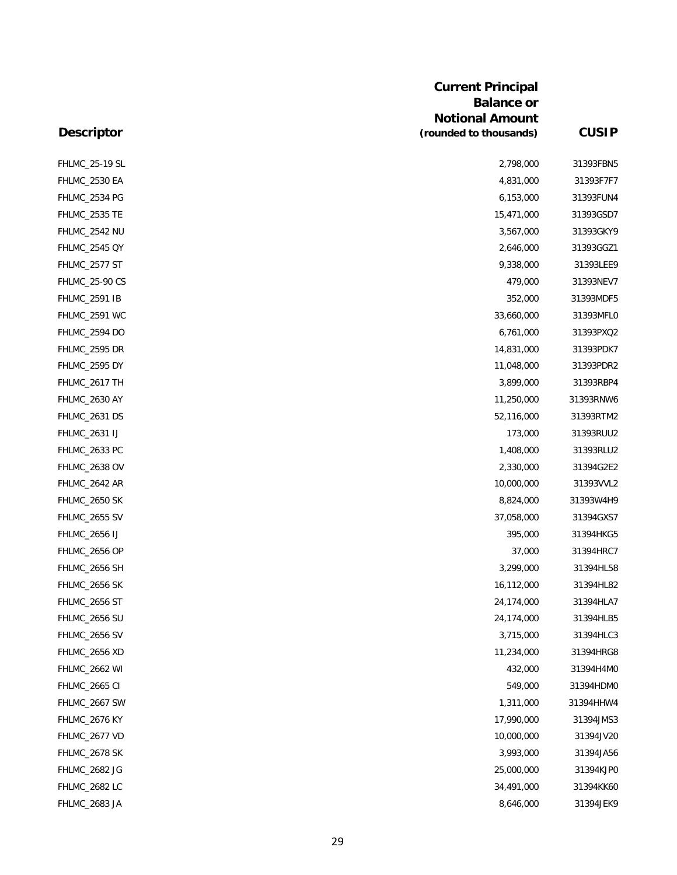|                       | <b>Current Principal</b><br><b>Balance or</b><br><b>Notional Amount</b> |              |
|-----------------------|-------------------------------------------------------------------------|--------------|
| <b>Descriptor</b>     | (rounded to thousands)                                                  | <b>CUSIP</b> |
| <b>FHLMC_25-19 SL</b> | 2,798,000                                                               | 31393FBN5    |
| FHLMC_2530 EA         | 4,831,000                                                               | 31393F7F7    |
| FHLMC_2534 PG         | 6,153,000                                                               | 31393FUN4    |
| FHLMC_2535 TE         | 15,471,000                                                              | 31393GSD7    |
| FHLMC_2542 NU         | 3,567,000                                                               | 31393GKY9    |
| <b>FHLMC_2545 QY</b>  | 2,646,000                                                               | 31393GGZ1    |
| FHLMC_2577 ST         | 9,338,000                                                               | 31393LEE9    |
| <b>FHLMC_25-90 CS</b> | 479,000                                                                 | 31393NEV7    |
| <b>FHLMC_2591 IB</b>  | 352,000                                                                 | 31393MDF5    |
| <b>FHLMC_2591 WC</b>  | 33,660,000                                                              | 31393MFLC    |
| FHLMC_2594 DO         | 6,761,000                                                               | 31393PXQ2    |
| FHLMC_2595 DR         | 14,831,000                                                              | 31393PDK7    |
| FHLMC_2595 DY         | 11,048,000                                                              | 31393PDR2    |
| FHLMC_2617 TH         | 3,899,000                                                               | 31393RBP4    |
| FHLMC_2630 AY         | 11,250,000                                                              | 31393RNW6    |
| FHLMC_2631 DS         | 52,116,000                                                              | 31393RTM2    |
| FHLMC_2631 IJ         | 173,000                                                                 | 31393RUU2    |
| FHLMC_2633 PC         | 1,408,000                                                               | 31393RLU2    |
| FHLMC_2638 OV         | 2,330,000                                                               | 31394G2E2    |
| FHLMC_2642 AR         | 10,000,000                                                              | 31393VVL2    |
| FHLMC_2650 SK         | 8,824,000                                                               | 31393W4H9    |
| FHLMC_2655 SV         | 37,058,000                                                              | 31394GXS7    |
| <b>FHLMC_2656 IJ</b>  | 395,000                                                                 | 31394HKG5    |
| FHLMC_2656 OP         | 37,000                                                                  | 31394HRC7    |
| FHLMC_2656 SH         | 3,299,000                                                               | 31394HL58    |
| FHLMC_2656 SK         | 16,112,000                                                              | 31394HL82    |
| FHLMC_2656 ST         | 24,174,000                                                              | 31394HLA7    |
| FHLMC_2656 SU         | 24,174,000                                                              | 31394HLB5    |
| FHLMC_2656 SV         | 3,715,000                                                               | 31394HLC3    |
| FHLMC_2656 XD         | 11,234,000                                                              | 31394HRG8    |
| FHLMC_2662 WI         | 432,000                                                                 | 31394H4MC    |
| <b>FHLMC_2665 CI</b>  | 549,000                                                                 | 31394HDMC    |
| FHLMC_2667 SW         | 1,311,000                                                               | 31394HHW4    |
| FHLMC_2676 KY         | 17,990,000                                                              | 31394JMS3    |
| FHLMC_2677 VD         | 10,000,000                                                              | 31394JV2C    |
| FHLMC_2678 SK         | 3,993,000                                                               | 31394JA56    |
| FHLMC_2682 JG         | 25,000,000                                                              | 31394KJPC    |
| FHLMC_2682 LC         | 34,491,000                                                              | 31394KK6C    |
| FHLMC_2683 JA         | 8,646,000                                                               | 31394JEK9    |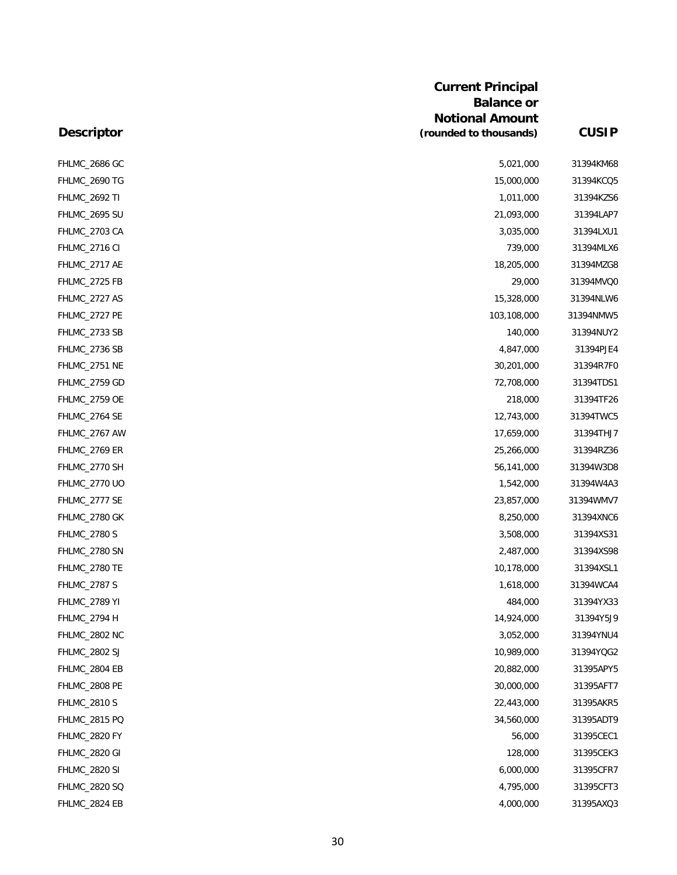|                      | <b>Current Principal</b><br><b>Balance or</b><br><b>Notional Amount</b> |              |
|----------------------|-------------------------------------------------------------------------|--------------|
| <b>Descriptor</b>    | (rounded to thousands)                                                  | <b>CUSIP</b> |
| FHLMC_2686 GC        | 5,021,000                                                               | 31394KM68    |
| FHLMC_2690 TG        | 15,000,000                                                              | 31394KCQ5    |
| <b>FHLMC_2692 TI</b> | 1,011,000                                                               | 31394KZS6    |
| FHLMC_2695 SU        | 21,093,000                                                              | 31394LAP7    |
| FHLMC_2703 CA        | 3,035,000                                                               | 31394LXU1    |
| FHLMC_2716 CI        | 739,000                                                                 | 31394MLX6    |
| FHLMC_2717 AE        | 18,205,000                                                              | 31394MZG8    |
| FHLMC_2725 FB        | 29,000                                                                  | 31394MVQ0    |
| FHLMC_2727 AS        | 15,328,000                                                              | 31394NLW6    |
| FHLMC_2727 PE        | 103,108,000                                                             | 31394NMW5    |
| FHLMC_2733 SB        | 140,000                                                                 | 31394NUY2    |
| FHLMC_2736 SB        | 4,847,000                                                               | 31394PJE4    |
| FHLMC_2751 NE        | 30,201,000                                                              | 31394R7F0    |
| FHLMC_2759 GD        | 72,708,000                                                              | 31394TDS1    |
| <b>FHLMC_2759 OE</b> | 218,000                                                                 | 31394TF26    |
| FHLMC_2764 SE        | 12,743,000                                                              | 31394TWC5    |
| FHLMC_2767 AW        | 17,659,000                                                              | 31394THJ7    |
| <b>FHLMC_2769 ER</b> | 25,266,000                                                              | 31394RZ36    |
| FHLMC_2770 SH        | 56,141,000                                                              | 31394W3D8    |
| FHLMC_2770 UO        | 1,542,000                                                               | 31394W4A3    |
| FHLMC_2777 SE        | 23,857,000                                                              | 31394WMV7    |
| FHLMC_2780 GK        | 8,250,000                                                               | 31394XNC6    |
| <b>FHLMC_2780 S</b>  | 3,508,000                                                               | 31394XS31    |
| FHLMC_2780 SN        | 2,487,000                                                               | 31394XS98    |
| FHLMC_2780 TE        | 10,178,000                                                              | 31394XSL1    |
| <b>FHLMC_2787 S</b>  | 1,618,000                                                               | 31394WCA4    |
| <b>FHLMC_2789 YI</b> | 484,000                                                                 | 31394YX33    |
| FHLMC_2794 H         | 14,924,000                                                              | 31394Y5J9    |
| FHLMC_2802 NC        | 3,052,000                                                               | 31394YNU4    |
| <b>FHLMC_2802 SJ</b> | 10,989,000                                                              | 31394YQG2    |
| FHLMC_2804 EB        | 20,882,000                                                              | 31395APY5    |
| FHLMC_2808 PE        | 30,000,000                                                              | 31395AFT7    |
| <b>FHLMC_2810 S</b>  | 22,443,000                                                              | 31395AKR5    |
| FHLMC_2815 PQ        | 34,560,000                                                              | 31395ADT9    |
| FHLMC_2820 FY        | 56,000                                                                  | 31395CEC1    |
| FHLMC_2820 GI        | 128,000                                                                 | 31395CEK3    |
| <b>FHLMC_2820 SI</b> | 6,000,000                                                               | 31395CFR7    |
| FHLMC_2820 SQ        | 4,795,000                                                               | 31395CFT3    |
| FHLMC_2824 EB        | 4,000,000                                                               | 31395AXQ3    |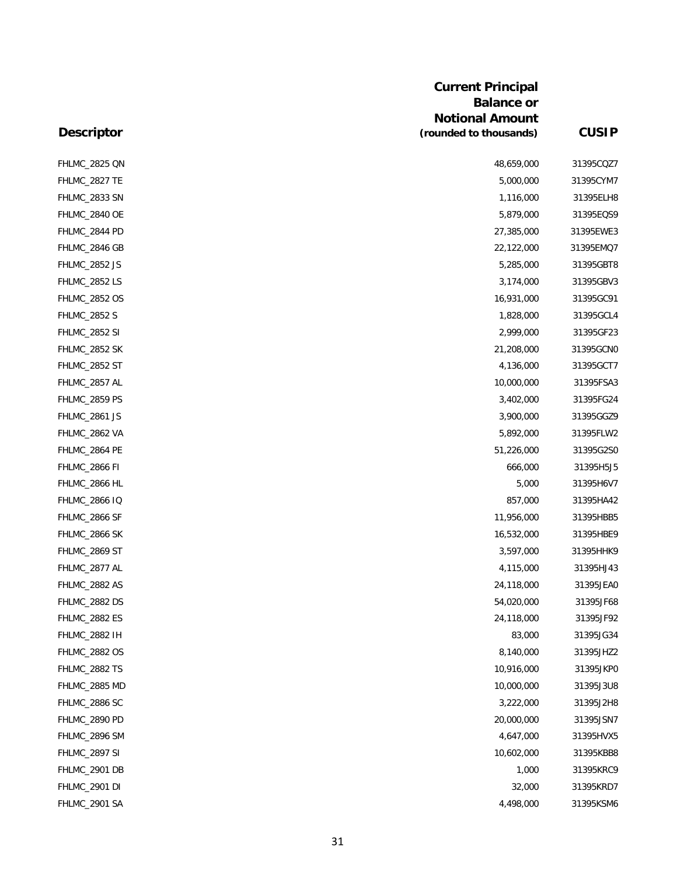| <b>Descriptor</b>    | <b>Current Principal</b><br><b>Balance or</b><br><b>Notional Amount</b><br>(rounded to thousands) | <b>CUSIP</b> |
|----------------------|---------------------------------------------------------------------------------------------------|--------------|
|                      |                                                                                                   |              |
| FHLMC_2825 QN        | 48,659,000                                                                                        | 31395CQZ7    |
| FHLMC_2827 TE        | 5,000,000                                                                                         | 31395CYM7    |
| FHLMC_2833 SN        | 1,116,000                                                                                         | 31395ELH8    |
| FHLMC_2840 OE        | 5,879,000                                                                                         | 31395EQS9    |
| FHLMC_2844 PD        | 27,385,000                                                                                        | 31395EWE3    |
| FHLMC_2846 GB        | 22,122,000                                                                                        | 31395EMQ7    |
| FHLMC_2852 JS        | 5,285,000                                                                                         | 31395GBT8    |
| <b>FHLMC_2852 LS</b> | 3,174,000                                                                                         | 31395GBV3    |
| <b>FHLMC_2852 OS</b> | 16,931,000                                                                                        | 31395GC91    |
| <b>FHLMC_2852 S</b>  | 1,828,000                                                                                         | 31395GCL4    |
| <b>FHLMC_2852 SI</b> | 2,999,000                                                                                         | 31395GF23    |
| FHLMC_2852 SK        | 21,208,000                                                                                        | 31395GCNO    |
| FHLMC_2852 ST        | 4,136,000                                                                                         | 31395GCT7    |
| FHLMC_2857 AL        | 10,000,000                                                                                        | 31395FSA3    |
| FHLMC_2859 PS        | 3,402,000                                                                                         | 31395FG24    |
| FHLMC_2861 JS        | 3,900,000                                                                                         | 31395GGZ9    |
| FHLMC_2862 VA        | 5,892,000                                                                                         | 31395FLW2    |
| FHLMC_2864 PE        | 51,226,000                                                                                        | 31395G2SC    |
| FHLMC_2866 FI        | 666,000                                                                                           | 31395H5J5    |
| FHLMC_2866 HL        | 5,000                                                                                             | 31395H6V7    |
| <b>FHLMC_2866 IQ</b> | 857,000                                                                                           | 31395HA42    |
| FHLMC_2866 SF        | 11,956,000                                                                                        | 31395HBB5    |
| FHLMC_2866 SK        | 16,532,000                                                                                        | 31395HBE9    |
| FHLMC_2869 ST        | 3,597,000                                                                                         | 31395HHK9    |
| FHLMC_2877 AL        | 4,115,000                                                                                         | 31395HJ43    |
| FHLMC_2882 AS        | 24,118,000                                                                                        | 31395JEA0    |
| FHLMC_2882 DS        | 54,020,000                                                                                        | 31395JF68    |
| FHLMC_2882 ES        | 24,118,000                                                                                        | 31395JF92    |
| FHLMC_2882 IH        | 83,000                                                                                            | 31395JG34    |
| <b>FHLMC_2882 OS</b> | 8,140,000                                                                                         | 31395JHZ2    |
| FHLMC_2882 TS        | 10,916,000                                                                                        | 31395JKPC    |
| FHLMC_2885 MD        | 10,000,000                                                                                        | 31395J3U8    |
| FHLMC_2886 SC        | 3,222,000                                                                                         | 31395J2H8    |
| FHLMC_2890 PD        | 20,000,000                                                                                        | 31395JSN7    |
| FHLMC_2896 SM        | 4,647,000                                                                                         | 31395HVX5    |
| FHLMC_2897 SI        | 10,602,000                                                                                        | 31395KBB8    |
| FHLMC_2901 DB        | 1,000                                                                                             | 31395KRC9    |
| FHLMC_2901 DI        | 32,000                                                                                            | 31395KRD7    |
| FHLMC_2901 SA        | 4,498,000                                                                                         | 31395KSM6    |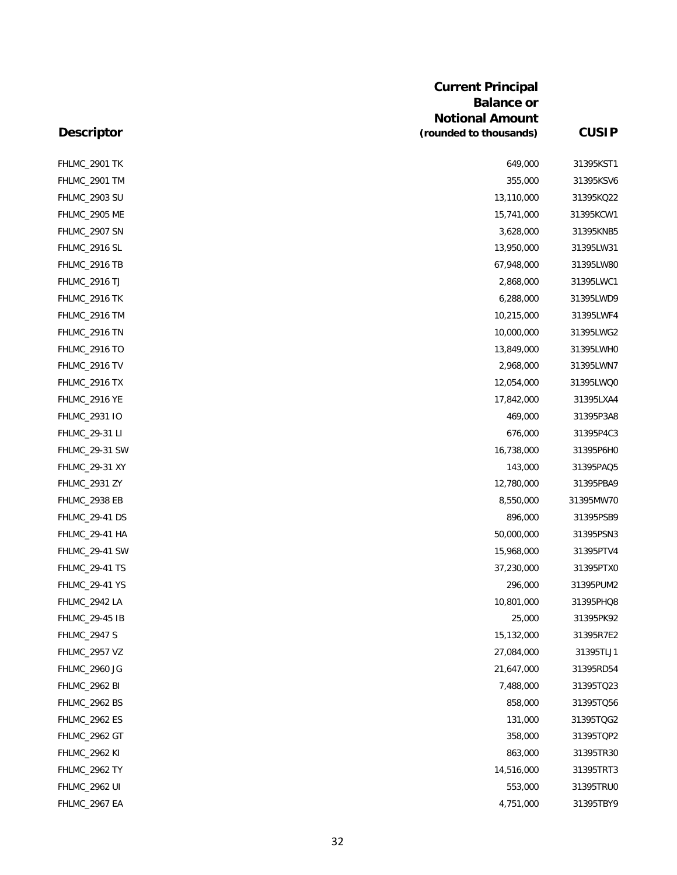|                       | <b>Current Principal</b> |              |
|-----------------------|--------------------------|--------------|
|                       | <b>Balance or</b>        |              |
|                       | <b>Notional Amount</b>   |              |
| <b>Descriptor</b>     | (rounded to thousands)   | <b>CUSIP</b> |
| FHLMC_2901 TK         | 649,000                  | 31395KST1    |
| FHLMC_2901 TM         | 355,000                  | 31395KSV6    |
| FHLMC_2903 SU         | 13,110,000               | 31395KQ22    |
| FHLMC_2905 ME         | 15,741,000               | 31395KCW1    |
| FHLMC_2907 SN         | 3,628,000                | 31395KNB5    |
| FHLMC_2916 SL         | 13,950,000               | 31395LW31    |
| FHLMC_2916 TB         | 67,948,000               | 31395LW80    |
| <b>FHLMC_2916 TJ</b>  | 2,868,000                | 31395LWC1    |
| FHLMC_2916 TK         | 6,288,000                | 31395LWD9    |
| FHLMC_2916 TM         | 10,215,000               | 31395LWF4    |
| FHLMC_2916 TN         | 10,000,000               | 31395LWG2    |
| <b>FHLMC_2916 TO</b>  | 13,849,000               | 31395LWHO    |
| FHLMC_2916 TV         | 2,968,000                | 31395LWN7    |
| FHLMC_2916 TX         | 12,054,000               | 31395LWQ0    |
| FHLMC_2916 YE         | 17,842,000               | 31395LXA4    |
| FHLMC_2931 IO         | 469,000                  | 31395P3A8    |
| FHLMC_29-31 LI        | 676,000                  | 31395P4C3    |
| FHLMC_29-31 SW        | 16,738,000               | 31395P6H0    |
| FHLMC_29-31 XY        | 143,000                  | 31395PAQ5    |
| <b>FHLMC_2931 ZY</b>  | 12,780,000               | 31395PBA9    |
| FHLMC_2938 EB         | 8,550,000                | 31395MW70    |
| FHLMC_29-41 DS        | 896,000                  | 31395PSB9    |
| <b>FHLMC_29-41 HA</b> | 50,000,000               | 31395PSN3    |
| FHLMC_29-41 SW        | 15,968,000               | 31395PTV4    |
| <b>FHLMC_29-41 TS</b> | 37,230,000               | 31395PTX0    |
| <b>FHLMC_29-41 YS</b> | 296,000                  | 31395PUM2    |
| FHLMC_2942 LA         | 10,801,000               | 31395PHQ8    |
| FHLMC_29-45 IB        | 25,000                   | 31395PK92    |
| <b>FHLMC_2947 S</b>   | 15,132,000               | 31395R7E2    |
| <b>FHLMC_2957 VZ</b>  | 27,084,000               | 31395TLJ1    |
| FHLMC_2960 JG         | 21,647,000               | 31395RD54    |
| FHLMC_2962 BI         | 7,488,000                | 31395TQ23    |
| FHLMC_2962 BS         | 858,000                  | 31395TQ56    |
| <b>FHLMC_2962 ES</b>  | 131,000                  | 31395TQG2    |
| FHLMC_2962 GT         | 358,000                  | 31395TQP2    |
| <b>FHLMC_2962 KI</b>  | 863,000                  | 31395TR30    |
| FHLMC_2962 TY         | 14,516,000               | 31395TRT3    |
| <b>FHLMC_2962 UI</b>  | 553,000                  | 31395TRU0    |
| FHLMC_2967 EA         | 4,751,000                | 31395TBY9    |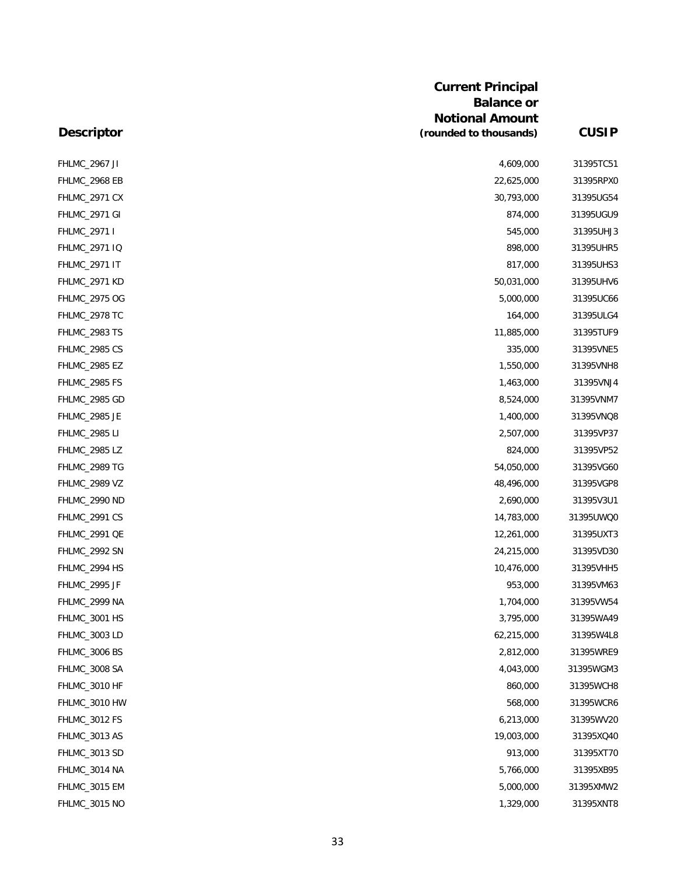| <b>Descriptor</b>    | <b>Current Principal</b><br><b>Balance or</b><br><b>Notional Amount</b><br>(rounded to thousands) | <b>CUSIP</b> |
|----------------------|---------------------------------------------------------------------------------------------------|--------------|
|                      |                                                                                                   |              |
| <b>FHLMC_2967 JI</b> | 4,609,000                                                                                         | 31395TC51    |
| FHLMC_2968 EB        | 22,625,000                                                                                        | 31395RPX0    |
| <b>FHLMC_2971 CX</b> | 30,793,000                                                                                        | 31395UG54    |
| FHLMC_2971 GI        | 874,000                                                                                           | 31395UGU9    |
| FHLMC_2971 I         | 545,000                                                                                           | 31395UHJ3    |
| FHLMC_2971 IQ        | 898,000                                                                                           | 31395UHR5    |
| <b>FHLMC_2971 IT</b> | 817,000                                                                                           | 31395UHS3    |
| FHLMC_2971 KD        | 50,031,000                                                                                        | 31395UHV6    |
| FHLMC_2975 OG        | 5,000,000                                                                                         | 31395UC66    |
| FHLMC_2978 TC        | 164,000                                                                                           | 31395ULG4    |
| FHLMC_2983 TS        | 11,885,000                                                                                        | 31395TUF9    |
| <b>FHLMC_2985 CS</b> | 335,000                                                                                           | 31395VNE5    |
| <b>FHLMC_2985 EZ</b> | 1,550,000                                                                                         | 31395VNH8    |
| FHLMC_2985 FS        | 1,463,000                                                                                         | 31395VNJ4    |
| FHLMC_2985 GD        | 8,524,000                                                                                         | 31395VNM7    |
| FHLMC_2985 JE        | 1,400,000                                                                                         | 31395VNQ8    |
| <b>FHLMC_2985 LI</b> | 2,507,000                                                                                         | 31395VP37    |
| <b>FHLMC_2985 LZ</b> | 824,000                                                                                           | 31395VP52    |
| FHLMC_2989 TG        | 54,050,000                                                                                        | 31395VG60    |
| FHLMC_2989 VZ        | 48,496,000                                                                                        | 31395VGP8    |
| FHLMC_2990 ND        | 2,690,000                                                                                         | 31395V3U1    |
| <b>FHLMC_2991 CS</b> | 14,783,000                                                                                        | 31395UWQ0    |
| <b>FHLMC_2991 QE</b> | 12,261,000                                                                                        | 31395UXT3    |
| FHLMC_2992 SN        | 24,215,000                                                                                        | 31395VD30    |
| FHLMC 2994 HS        | 10,476,000                                                                                        | 31395VHH5    |
| FHLMC_2995 JF        | 953,000                                                                                           | 31395VM63    |
| FHLMC 2999 NA        | 1,704,000                                                                                         | 31395VW54    |
| FHLMC_3001 HS        | 3,795,000                                                                                         | 31395WA49    |
| FHLMC_3003 LD        | 62,215,000                                                                                        | 31395W4L8    |
| FHLMC_3006 BS        | 2,812,000                                                                                         | 31395WRE9    |
| FHLMC_3008 SA        | 4,043,000                                                                                         | 31395WGM3    |
| FHLMC_3010 HF        | 860,000                                                                                           | 31395WCH8    |
| FHLMC_3010 HW        | 568,000                                                                                           | 31395WCR6    |
| FHLMC_3012 FS        | 6,213,000                                                                                         | 31395WV20    |
| FHLMC_3013 AS        | 19,003,000                                                                                        | 31395XQ40    |
| FHLMC_3013 SD        | 913,000                                                                                           | 31395XT70    |
| FHLMC_3014 NA        | 5,766,000                                                                                         | 31395XB95    |
| FHLMC_3015 EM        | 5,000,000                                                                                         | 31395XMW2    |
| FHLMC_3015 NO        | 1,329,000                                                                                         | 31395XNT8    |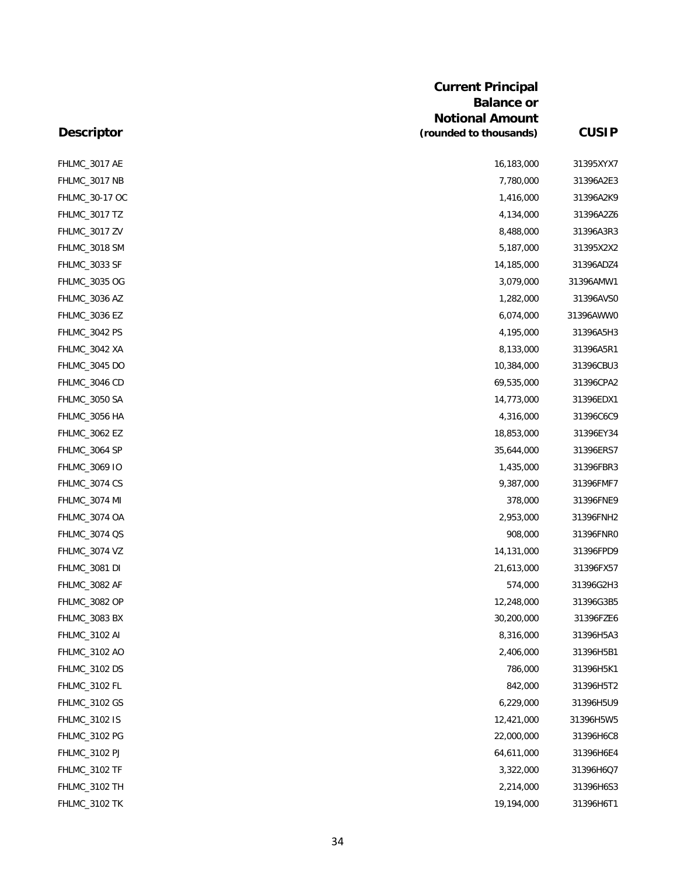|                      | <b>Current Principal</b><br><b>Balance or</b><br><b>Notional Amount</b> |              |
|----------------------|-------------------------------------------------------------------------|--------------|
| <b>Descriptor</b>    | (rounded to thousands)                                                  | <b>CUSIP</b> |
| FHLMC_3017 AE        | 16,183,000                                                              | 31395XYX7    |
| FHLMC_3017 NB        | 7,780,000                                                               | 31396A2E3    |
| FHLMC_30-17 OC       | 1,416,000                                                               | 31396A2K9    |
| FHLMC_3017 TZ        | 4,134,000                                                               | 31396A2Z6    |
| FHLMC_3017 ZV        | 8,488,000                                                               | 31396A3R3    |
| FHLMC_3018 SM        | 5,187,000                                                               | 31395X2X2    |
| FHLMC_3033 SF        | 14,185,000                                                              | 31396ADZ4    |
| FHLMC_3035 OG        | 3,079,000                                                               | 31396AMW1    |
| FHLMC_3036 AZ        | 1,282,000                                                               | 31396AVSC    |
| FHLMC_3036 EZ        | 6,074,000                                                               | 31396AWWC    |
| FHLMC_3042 PS        | 4,195,000                                                               | 31396A5H3    |
| FHLMC_3042 XA        | 8,133,000                                                               | 31396A5R1    |
| FHLMC_3045 DO        | 10,384,000                                                              | 31396CBU3    |
| FHLMC_3046 CD        | 69,535,000                                                              | 31396CPA2    |
| FHLMC_3050 SA        | 14,773,000                                                              | 31396EDX1    |
| FHLMC_3056 HA        | 4,316,000                                                               | 31396C6C9    |
| FHLMC_3062 EZ        | 18,853,000                                                              | 31396EY34    |
| FHLMC_3064 SP        | 35,644,000                                                              | 31396ERS7    |
| FHLMC_3069 IO        | 1,435,000                                                               | 31396FBR3    |
| FHLMC_3074 CS        | 9,387,000                                                               | 31396FMF7    |
| FHLMC_3074 MI        | 378,000                                                                 | 31396FNE9    |
| FHLMC_3074 OA        | 2,953,000                                                               | 31396FNH2    |
| FHLMC_3074 QS        | 908,000                                                                 | 31396FNR0    |
| FHLMC_3074 VZ        | 14,131,000                                                              | 31396FPD9    |
| <b>FHLMC_3081 DI</b> | 21,613,000                                                              | 31396FX57    |
| FHLMC_3082 AF        | 574,000                                                                 | 31396G2H3    |
| FHLMC_3082 OP        | 12,248,000                                                              | 31396G3B5    |
| FHLMC_3083 BX        | 30,200,000                                                              | 31396FZE6    |
| FHLMC_3102 AI        | 8,316,000                                                               | 31396H5A3    |
| FHLMC_3102 AO        | 2,406,000                                                               | 31396H5B1    |
| <b>FHLMC_3102 DS</b> | 786,000                                                                 | 31396H5K1    |
| FHLMC_3102 FL        | 842,000                                                                 | 31396H5T2    |
| FHLMC_3102 GS        | 6,229,000                                                               | 31396H5U9    |
| FHLMC_3102 IS        | 12,421,000                                                              | 31396H5W5    |
| FHLMC_3102 PG        | 22,000,000                                                              | 31396H6C8    |
| FHLMC_3102 PJ        | 64,611,000                                                              | 31396H6E4    |
| FHLMC_3102 TF        | 3,322,000                                                               | 31396H6Q7    |
| FHLMC_3102 TH        | 2,214,000                                                               | 31396H6S3    |
| FHLMC_3102 TK        | 19,194,000                                                              | 31396H6T1    |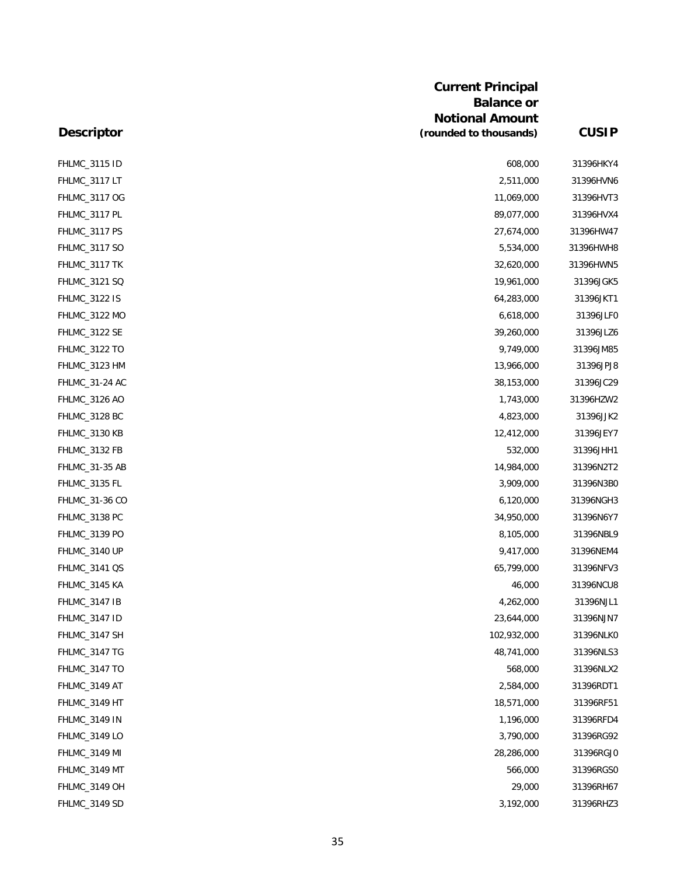| <b>Descriptor</b>    | <b>Current Principal</b><br><b>Balance or</b><br><b>Notional Amount</b><br>(rounded to thousands) | <b>CUSIP</b> |
|----------------------|---------------------------------------------------------------------------------------------------|--------------|
| <b>FHLMC_3115 ID</b> | 608,000                                                                                           | 31396HKY4    |
| FHLMC_3117 LT        | 2,511,000                                                                                         | 31396HVN6    |
| FHLMC_3117 OG        | 11,069,000                                                                                        | 31396HVT3    |
| FHLMC_3117 PL        | 89,077,000                                                                                        | 31396HVX4    |
| FHLMC_3117 PS        | 27,674,000                                                                                        | 31396HW47    |
| FHLMC_3117 SO        | 5,534,000                                                                                         | 31396HWH8    |
| FHLMC_3117 TK        | 32,620,000                                                                                        | 31396HWN5    |
| FHLMC_3121 SQ        | 19,961,000                                                                                        | 31396JGK5    |
| <b>FHLMC_3122 IS</b> | 64,283,000                                                                                        | 31396JKT1    |
| FHLMC_3122 MO        | 6,618,000                                                                                         | 31396JLFC    |
| <b>FHLMC_3122 SE</b> | 39,260,000                                                                                        | 31396JLZ6    |
| <b>FHLMC_3122 TO</b> | 9,749,000                                                                                         | 31396JM85    |
| FHLMC_3123 HM        | 13,966,000                                                                                        | 31396JPJ8    |
| FHLMC_31-24 AC       | 38,153,000                                                                                        | 31396JC29    |
| FHLMC_3126 AO        | 1,743,000                                                                                         | 31396HZW2    |
| FHLMC_3128 BC        | 4,823,000                                                                                         | 31396JJK2    |
| FHLMC_3130 KB        | 12,412,000                                                                                        | 31396JEY7    |
| FHLMC_3132 FB        | 532,000                                                                                           | 31396JHH1    |
| FHLMC_31-35 AB       | 14,984,000                                                                                        | 31396N2T2    |
| FHLMC_3135 FL        | 3,909,000                                                                                         | 31396N3B0    |
| FHLMC_31-36 CO       | 6,120,000                                                                                         | 31396NGH3    |
| FHLMC_3138 PC        | 34,950,000                                                                                        | 31396N6Y7    |
| <b>FHLMC_3139 PO</b> | 8,105,000                                                                                         | 31396NBL9    |
| FHLMC_3140 UP        | 9,417,000                                                                                         | 31396NEM4    |
| FHLMC_3141 QS        | 65,799,000                                                                                        | 31396NFV3    |
| FHLMC_3145 KA        | 46,000                                                                                            | 31396NCU8    |
| FHLMC_3147 IB        | 4,262,000                                                                                         | 31396NJL1    |
| <b>FHLMC_3147 ID</b> | 23,644,000                                                                                        | 31396NJN7    |
| FHLMC_3147 SH        | 102,932,000                                                                                       | 31396NLK0    |
| FHLMC_3147 TG        | 48,741,000                                                                                        | 31396NLS3    |
| <b>FHLMC_3147 TO</b> | 568,000                                                                                           | 31396NLX2    |
| FHLMC_3149 AT        | 2,584,000                                                                                         | 31396RDT1    |
| FHLMC 3149 HT        | 18,571,000                                                                                        | 31396RF51    |
| <b>FHLMC_3149 IN</b> | 1,196,000                                                                                         | 31396RFD4    |
| FHLMC_3149 LO        | 3,790,000                                                                                         | 31396RG92    |
| FHLMC_3149 MI        | 28,286,000                                                                                        | 31396RGJ0    |
| FHLMC_3149 MT        | 566,000                                                                                           | 31396RGS0    |
| FHLMC_3149 OH        | 29,000                                                                                            | 31396RH67    |
| FHLMC_3149 SD        | 3,192,000                                                                                         | 31396RHZ3    |

# 35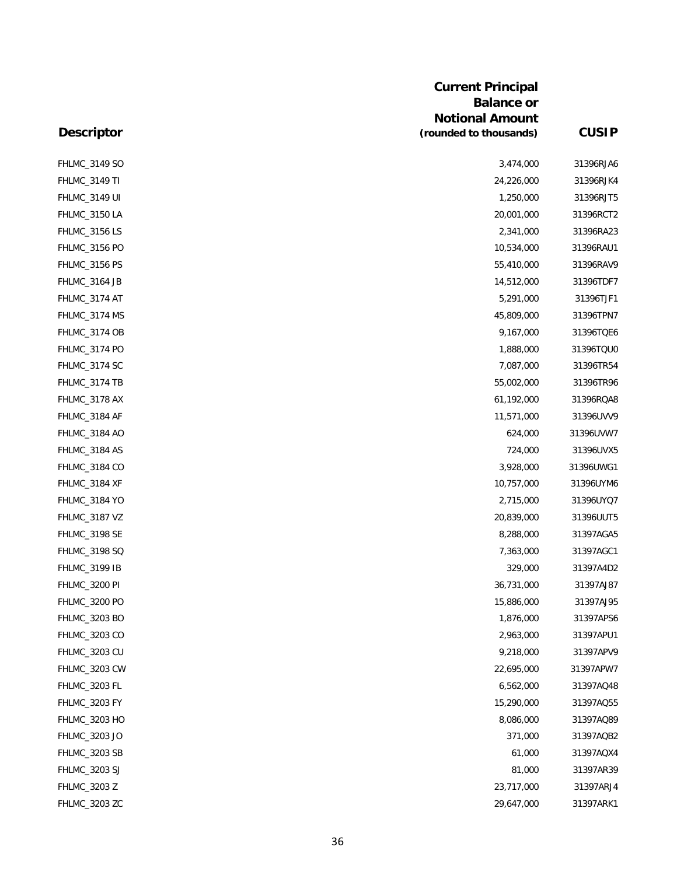| <b>Descriptor</b>    | <b>Current Principal</b><br><b>Balance or</b><br><b>Notional Amount</b><br>(rounded to thousands) | <b>CUSIP</b> |
|----------------------|---------------------------------------------------------------------------------------------------|--------------|
|                      |                                                                                                   |              |
| <b>FHLMC_3149 TI</b> | 24,226,000                                                                                        | 31396RJK4    |
| <b>FHLMC_3149 UI</b> | 1,250,000                                                                                         | 31396RJT5    |
| FHLMC_3150 LA        | 20,001,000                                                                                        | 31396RCT2    |
| FHLMC_3156 LS        | 2,341,000                                                                                         | 31396RA23    |
| FHLMC_3156 PO        | 10,534,000                                                                                        | 31396RAU1    |
| FHLMC_3156 PS        | 55,410,000                                                                                        | 31396RAV9    |
| FHLMC_3164 JB        | 14,512,000                                                                                        | 31396TDF7    |
| FHLMC_3174 AT        | 5,291,000                                                                                         | 31396TJF1    |
| FHLMC_3174 MS        | 45,809,000                                                                                        | 31396TPN7    |
| FHLMC_3174 OB        | 9,167,000                                                                                         | 31396TQE6    |
| FHLMC_3174 PO        | 1,888,000                                                                                         | 31396TQU0    |
| FHLMC_3174 SC        | 7,087,000                                                                                         | 31396TR54    |
| FHLMC_3174 TB        | 55,002,000                                                                                        | 31396TR96    |
| FHLMC_3178 AX        | 61,192,000                                                                                        | 31396RQA8    |
| FHLMC_3184 AF        | 11,571,000                                                                                        | 31396UVV9    |
| FHLMC_3184 AO        | 624,000                                                                                           | 31396UVW7    |
| FHLMC_3184 AS        | 724,000                                                                                           | 31396UVX5    |
| FHLMC_3184 CO        | 3,928,000                                                                                         | 31396UWG1    |
| FHLMC_3184 XF        | 10,757,000                                                                                        | 31396UYM6    |
| <b>FHLMC_3184 YO</b> | 2,715,000                                                                                         | 31396UYQ7    |
| FHLMC_3187 VZ        | 20,839,000                                                                                        | 31396UUT5    |
| FHLMC_3198 SE        | 8,288,000                                                                                         | 31397AGA5    |
| FHLMC_3198 SQ        | 7,363,000                                                                                         | 31397AGC1    |
| <b>FHLMC_3199 IB</b> | 329,000                                                                                           | 31397A4D2    |
| FHLMC_3200 PI        | 36,731,000                                                                                        | 31397AJ87    |
| FHLMC_3200 PO        | 15,886,000                                                                                        | 31397AJ95    |
| FHLMC_3203 BO        | 1,876,000                                                                                         | 31397APS6    |
| FHLMC_3203 CO        | 2,963,000                                                                                         | 31397APU1    |
| <b>FHLMC_3203 CU</b> | 9,218,000                                                                                         | 31397APV9    |
| FHLMC_3203 CW        | 22,695,000                                                                                        | 31397APW7    |
| FHLMC_3203 FL        | 6,562,000                                                                                         | 31397AQ48    |
| FHLMC_3203 FY        | 15,290,000                                                                                        | 31397AQ55    |
| FHLMC_3203 HO        | 8,086,000                                                                                         | 31397AQ89    |
| FHLMC_3203 JO        | 371,000                                                                                           | 31397AQB2    |
| FHLMC_3203 SB        | 61,000                                                                                            | 31397AQX4    |
| FHLMC_3203 SJ        | 81,000                                                                                            | 31397AR39    |
| FHLMC_3203 Z         | 23,717,000                                                                                        | 31397ARJ4    |
| FHLMC_3203 ZC        | 29,647,000                                                                                        | 31397ARK1    |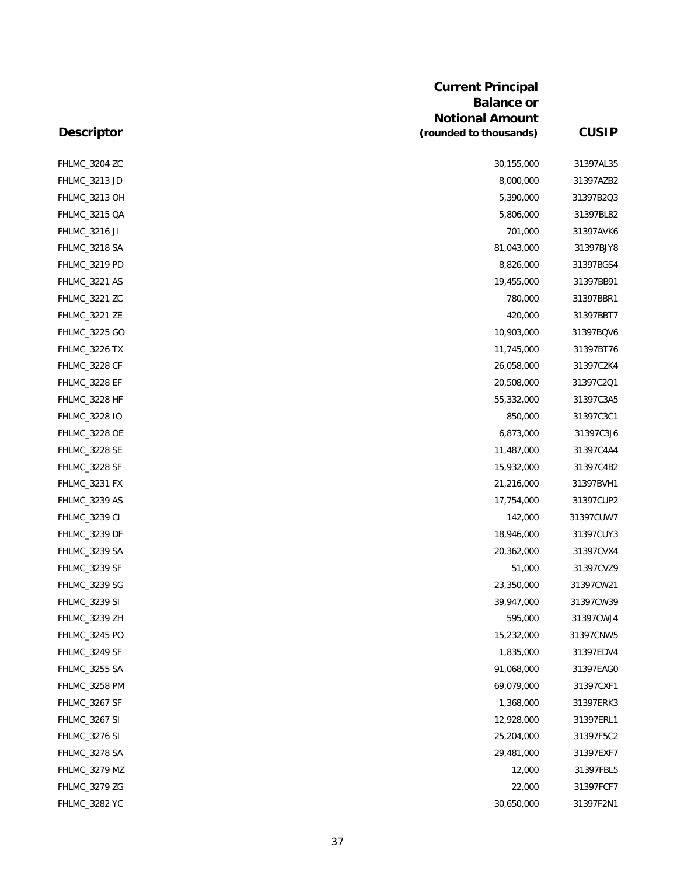|                      | <b>Current Principal</b><br><b>Balance or</b> |              |
|----------------------|-----------------------------------------------|--------------|
|                      | <b>Notional Amount</b>                        |              |
| <b>Descriptor</b>    | (rounded to thousands)                        | <b>CUSIP</b> |
| FHLMC_3204 ZC        | 30,155,000                                    | 31397AL35    |
| FHLMC_3213 JD        | 8,000,000                                     | 31397AZB2    |
| FHLMC_3213 OH        | 5,390,000                                     | 31397B2Q3    |
| FHLMC_3215 QA        | 5,806,000                                     | 31397BL82    |
| <b>FHLMC_3216 JI</b> | 701,000                                       | 31397AVK6    |
| FHLMC_3218 SA        | 81,043,000                                    | 31397BJY8    |
| FHLMC_3219 PD        | 8,826,000                                     | 31397BGS4    |
| FHLMC_3221 AS        | 19,455,000                                    | 31397BB91    |
| FHLMC_3221 ZC        | 780,000                                       | 31397BBR1    |
| FHLMC_3221 ZE        | 420,000                                       | 31397BBT7    |
| FHLMC_3225 GO        | 10,903,000                                    | 31397BQV6    |
| FHLMC_3226 TX        | 11,745,000                                    | 31397BT76    |
| FHLMC_3228 CF        | 26,058,000                                    | 31397C2K4    |
| FHLMC_3228 EF        | 20,508,000                                    | 31397C2Q1    |
| FHLMC_3228 HF        | 55,332,000                                    | 31397C3A5    |
| FHLMC_3228 IO        | 850,000                                       | 31397C3C1    |
| FHLMC_3228 OE        | 6,873,000                                     | 31397C3J6    |
| FHLMC_3228 SE        | 11,487,000                                    | 31397C4A4    |
| FHLMC_3228 SF        | 15,932,000                                    | 31397C4B2    |
| FHLMC_3231 FX        | 21,216,000                                    | 31397BVH1    |
| FHLMC_3239 AS        | 17,754,000                                    | 31397CUP2    |
| <b>FHLMC_3239 CI</b> | 142,000                                       | 31397CUW7    |
| FHLMC_3239 DF        | 18,946,000                                    | 31397CUY3    |
| FHLMC_3239 SA        | 20,362,000                                    | 31397CVX4    |
| FHLMC_3239 SF        | 51,000                                        | 31397CVZ9    |
| FHLMC_3239 SG        | 23,350,000                                    | 31397CW21    |
| <b>FHLMC_3239 SI</b> | 39,947,000                                    | 31397CW39    |
| FHLMC_3239 ZH        | 595,000                                       | 31397CWJ4    |
| FHLMC_3245 PO        | 15,232,000                                    | 31397CNW5    |
| FHLMC_3249 SF        | 1,835,000                                     | 31397EDV4    |
| FHLMC_3255 SA        | 91,068,000                                    | 31397EAG0    |
| FHLMC_3258 PM        | 69,079,000                                    | 31397CXF1    |
| FHLMC_3267 SF        | 1,368,000                                     | 31397ERK3    |
| FHLMC_3267 SI        | 12,928,000                                    | 31397ERL1    |
| <b>FHLMC_3276 SI</b> | 25,204,000                                    | 31397F5C2    |
| FHLMC_3278 SA        | 29,481,000                                    | 31397EXF7    |
| FHLMC_3279 MZ        | 12,000                                        | 31397FBL5    |
| FHLMC_3279 ZG        | 22,000                                        | 31397FCF7    |
| <b>FHLMC_3282 YC</b> | 30,650,000                                    | 31397F2N1    |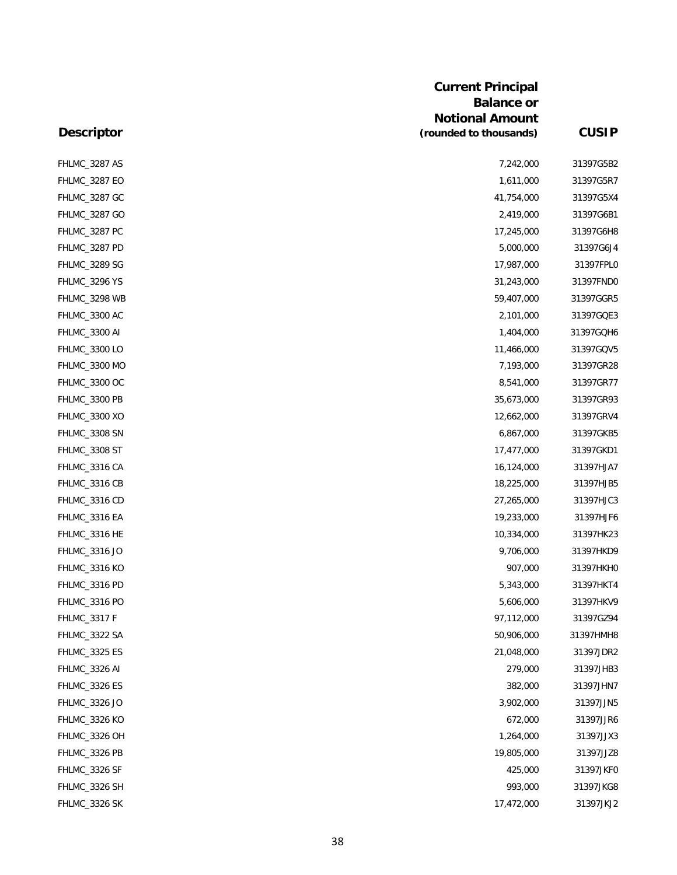|                      | <b>Current Principal</b><br><b>Balance or</b><br><b>Notional Amount</b> |              |
|----------------------|-------------------------------------------------------------------------|--------------|
| <b>Descriptor</b>    | (rounded to thousands)                                                  | <b>CUSIP</b> |
| FHLMC_3287 AS        | 7,242,000                                                               | 31397G5B2    |
| FHLMC_3287 EO        | 1,611,000                                                               | 31397G5R7    |
| FHLMC_3287 GC        | 41,754,000                                                              | 31397G5X4    |
| FHLMC_3287 GO        | 2,419,000                                                               | 31397G6B1    |
| FHLMC_3287 PC        | 17,245,000                                                              | 31397G6H8    |
| FHLMC_3287 PD        | 5,000,000                                                               | 31397G6J4    |
| FHLMC_3289 SG        | 17,987,000                                                              | 31397FPL0    |
| FHLMC_3296 YS        | 31,243,000                                                              | 31397FND0    |
| FHLMC_3298 WB        | 59,407,000                                                              | 31397GGR5    |
| FHLMC_3300 AC        | 2,101,000                                                               | 31397GQE3    |
| <b>FHLMC_3300 AI</b> | 1,404,000                                                               | 31397GQH6    |
| FHLMC_3300 LO        | 11,466,000                                                              | 31397GQV5    |
| FHLMC_3300 MO        | 7,193,000                                                               | 31397GR28    |
| FHLMC_3300 OC        | 8,541,000                                                               | 31397GR77    |
| FHLMC_3300 PB        | 35,673,000                                                              | 31397GR93    |
| FHLMC_3300 XO        | 12,662,000                                                              | 31397GRV4    |
| FHLMC_3308 SN        | 6,867,000                                                               | 31397GKB5    |
| FHLMC_3308 ST        | 17,477,000                                                              | 31397GKD1    |
| FHLMC_3316 CA        | 16,124,000                                                              | 31397HJA7    |
| FHLMC_3316 CB        | 18,225,000                                                              | 31397HJB5    |
| FHLMC_3316 CD        | 27,265,000                                                              | 31397HJC3    |
| FHLMC_3316 EA        | 19,233,000                                                              | 31397HJF6    |
| FHLMC_3316 HE        | 10,334,000                                                              | 31397HK23    |
| FHLMC_3316 JO        | 9,706,000                                                               | 31397HKD9    |
| <b>FHLMC_3316 KO</b> | 907,000                                                                 | 31397HKH0    |
| FHLMC_3316 PD        | 5,343,000                                                               | 31397HKT4    |
| FHLMC_3316 PO        | 5,606,000                                                               | 31397HKV9    |
| FHLMC_3317 F         | 97,112,000                                                              | 31397GZ94    |
| FHLMC_3322 SA        | 50,906,000                                                              | 31397HMH8    |
| <b>FHLMC_3325 ES</b> | 21,048,000                                                              | 31397JDR2    |
| FHLMC_3326 AI        | 279,000                                                                 | 31397JHB3    |
| FHLMC_3326 ES        | 382,000                                                                 | 31397JHN7    |
| FHLMC_3326 JO        | 3,902,000                                                               | 31397JJN5    |
| <b>FHLMC_3326 KO</b> | 672,000                                                                 | 31397JJR6    |
| FHLMC_3326 OH        | 1,264,000                                                               | 31397JJX3    |
| FHLMC_3326 PB        | 19,805,000                                                              | 31397JJZ8    |
| FHLMC_3326 SF        | 425,000                                                                 | 31397JKF0    |
| FHLMC_3326 SH        | 993,000                                                                 | 31397JKG8    |
| FHLMC_3326 SK        | 17,472,000                                                              | 31397JKJ2    |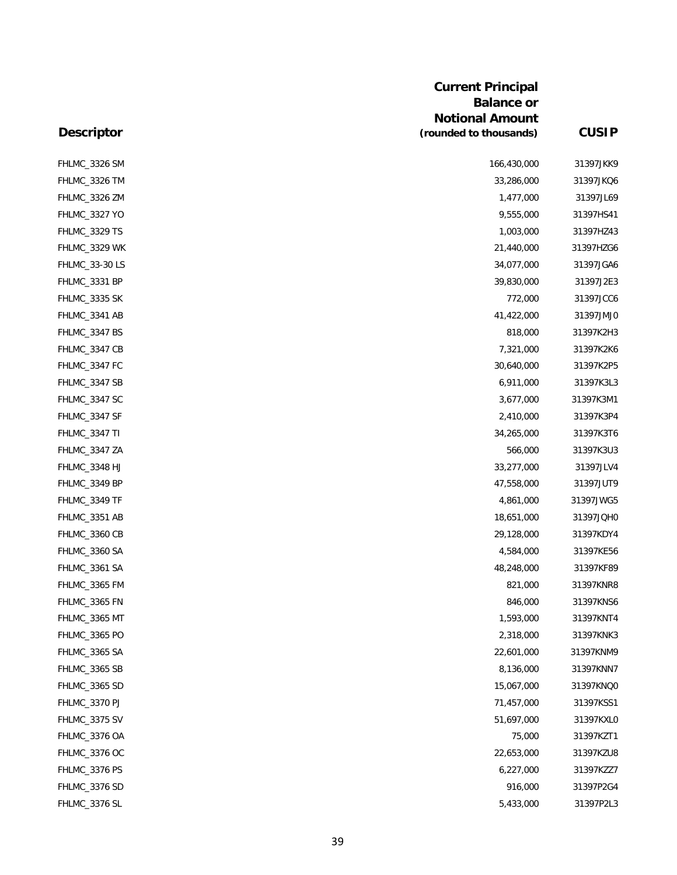|                      | <b>Current Principal</b><br><b>Balance or</b><br><b>Notional Amount</b> |              |
|----------------------|-------------------------------------------------------------------------|--------------|
| <b>Descriptor</b>    | (rounded to thousands)                                                  | <b>CUSIP</b> |
| FHLMC_3326 SM        | 166,430,000                                                             | 31397JKK9    |
| FHLMC_3326 TM        | 33,286,000                                                              | 31397JKQ6    |
| FHLMC_3326 ZM        | 1,477,000                                                               | 31397JL69    |
| FHLMC_3327 YO        | 9,555,000                                                               | 31397HS41    |
| FHLMC_3329 TS        | 1,003,000                                                               | 31397HZ43    |
| FHLMC_3329 WK        | 21,440,000                                                              | 31397HZG6    |
| FHLMC_33-30 LS       | 34,077,000                                                              | 31397JGA6    |
| FHLMC_3331 BP        | 39,830,000                                                              | 31397J2E3    |
| FHLMC_3335 SK        | 772,000                                                                 | 31397JCC6    |
| FHLMC_3341 AB        | 41,422,000                                                              | 31397JMJ0    |
| FHLMC_3347 BS        | 818,000                                                                 | 31397K2H3    |
| FHLMC_3347 CB        | 7,321,000                                                               | 31397K2K6    |
| FHLMC_3347 FC        | 30,640,000                                                              | 31397K2P5    |
| FHLMC_3347 SB        | 6,911,000                                                               | 31397K3L3    |
| FHLMC_3347 SC        | 3,677,000                                                               | 31397K3M1    |
| FHLMC_3347 SF        | 2,410,000                                                               | 31397K3P4    |
| <b>FHLMC_3347 TI</b> | 34,265,000                                                              | 31397K3T6    |
| FHLMC_3347 ZA        | 566,000                                                                 | 31397K3U3    |
| FHLMC_3348 HJ        | 33,277,000                                                              | 31397JLV4    |
| FHLMC_3349 BP        | 47,558,000                                                              | 31397JUT9    |
| FHLMC_3349 TF        | 4,861,000                                                               | 31397JWG5    |
| FHLMC_3351 AB        | 18,651,000                                                              | 31397JQH0    |
| FHLMC_3360 CB        | 29,128,000                                                              | 31397KDY4    |
| FHLMC_3360 SA        | 4,584,000                                                               | 31397KE56    |
| FHLMC_3361 SA        | 48,248,000                                                              | 31397KF89    |
| FHLMC_3365 FM        | 821,000                                                                 | 31397KNR8    |
| FHLMC_3365 FN        | 846,000                                                                 | 31397KNS6    |
| FHLMC_3365 MT        | 1,593,000                                                               | 31397KNT4    |
| FHLMC_3365 PO        | 2,318,000                                                               | 31397KNK3    |
| FHLMC_3365 SA        | 22,601,000                                                              | 31397KNM9    |
| FHLMC_3365 SB        | 8,136,000                                                               | 31397KNN7    |
| FHLMC_3365 SD        | 15,067,000                                                              | 31397KNQ0    |
| FHLMC_3370 PJ        | 71,457,000                                                              | 31397KSS1    |
| FHLMC_3375 SV        | 51,697,000                                                              | 31397KXL0    |
| FHLMC_3376 OA        | 75,000                                                                  | 31397KZT1    |
| FHLMC_3376 OC        | 22,653,000                                                              | 31397KZU8    |
| FHLMC_3376 PS        | 6,227,000                                                               | 31397KZZ7    |
| FHLMC_3376 SD        | 916,000                                                                 | 31397P2G4    |
| FHLMC_3376 SL        | 5,433,000                                                               | 31397P2L3    |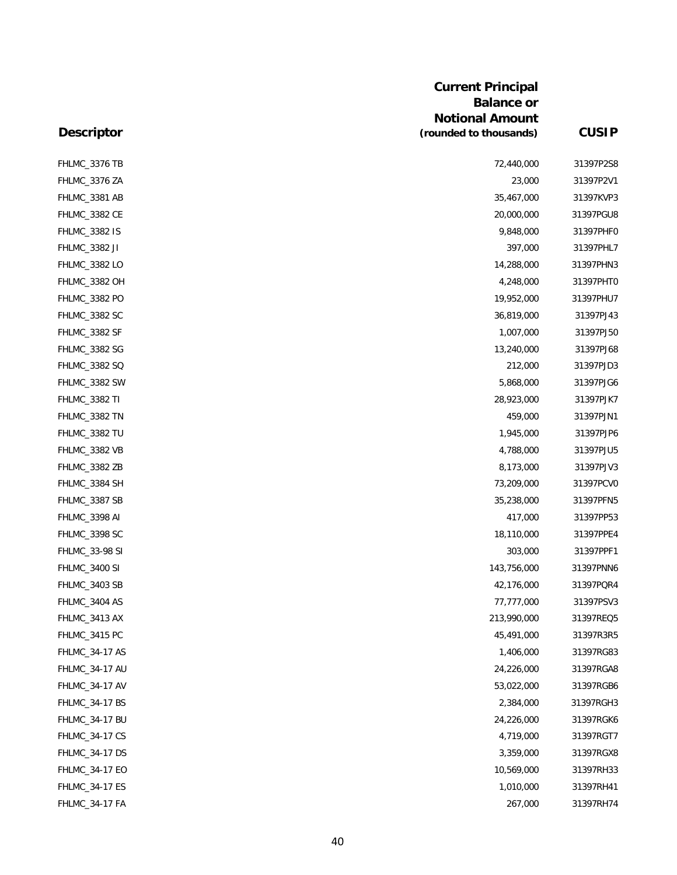|                       | <b>Current Principal</b><br><b>Balance or</b><br><b>Notional Amount</b> |              |
|-----------------------|-------------------------------------------------------------------------|--------------|
| <b>Descriptor</b>     | (rounded to thousands)                                                  | <b>CUSIP</b> |
| FHLMC_3376 TB         | 72,440,000                                                              | 31397P2S8    |
| FHLMC_3376 ZA         | 23,000                                                                  | 31397P2V1    |
| FHLMC_3381 AB         | 35,467,000                                                              | 31397KVP3    |
| FHLMC_3382 CE         | 20,000,000                                                              | 31397PGU8    |
| FHLMC_3382 IS         | 9,848,000                                                               | 31397PHFC    |
| FHLMC_3382 JI         | 397,000                                                                 | 31397PHL7    |
| FHLMC_3382 LO         | 14,288,000                                                              | 31397PHN3    |
| FHLMC_3382 OH         | 4,248,000                                                               | 31397PHT0    |
| FHLMC_3382 PO         | 19,952,000                                                              | 31397PHU7    |
| FHLMC_3382 SC         | 36,819,000                                                              | 31397PJ43    |
| FHLMC_3382 SF         | 1,007,000                                                               | 31397PJ50    |
| FHLMC_3382 SG         | 13,240,000                                                              | 31397PJ68    |
| FHLMC_3382 SQ         | 212,000                                                                 | 31397PJD3    |
| FHLMC_3382 SW         | 5,868,000                                                               | 31397PJG6    |
| <b>FHLMC_3382 TI</b>  | 28,923,000                                                              | 31397PJK7    |
| FHLMC_3382 TN         | 459,000                                                                 | 31397PJN1    |
| FHLMC_3382 TU         | 1,945,000                                                               | 31397PJP6    |
| FHLMC_3382 VB         | 4,788,000                                                               | 31397PJU5    |
| FHLMC_3382 ZB         | 8,173,000                                                               | 31397PJV3    |
| FHLMC_3384 SH         | 73,209,000                                                              | 31397PCVC    |
| FHLMC_3387 SB         | 35,238,000                                                              | 31397PFN5    |
| FHLMC_3398 AI         | 417,000                                                                 | 31397PP53    |
| FHLMC_3398 SC         | 18,110,000                                                              | 31397PPE4    |
| FHLMC_33-98 SI        | 303,000                                                                 | 31397PPF1    |
| <b>FHLMC_3400 SI</b>  | 143,756,000                                                             | 31397PNN6    |
| FHLMC_3403 SB         | 42,176,000                                                              | 31397PQR4    |
| FHLMC_3404 AS         | 77,777,000                                                              | 31397PSV3    |
| FHLMC_3413 AX         | 213,990,000                                                             | 31397REQ5    |
| FHLMC_3415 PC         | 45,491,000                                                              | 31397R3R5    |
| FHLMC_34-17 AS        | 1,406,000                                                               | 31397RG83    |
| FHLMC_34-17 AU        | 24,226,000                                                              | 31397RGA8    |
| FHLMC_34-17 AV        | 53,022,000                                                              | 31397RGB6    |
| FHLMC_34-17 BS        | 2,384,000                                                               | 31397RGH3    |
| FHLMC_34-17 BU        | 24,226,000                                                              | 31397RGK6    |
| <b>FHLMC_34-17 CS</b> | 4,719,000                                                               | 31397RGT7    |
| FHLMC_34-17 DS        | 3,359,000                                                               | 31397RGX8    |
| FHLMC_34-17 EO        | 10,569,000                                                              | 31397RH33    |
| FHLMC_34-17 ES        | 1,010,000                                                               | 31397RH41    |
| <b>FHLMC_34-17 FA</b> | 267,000                                                                 | 31397RH74    |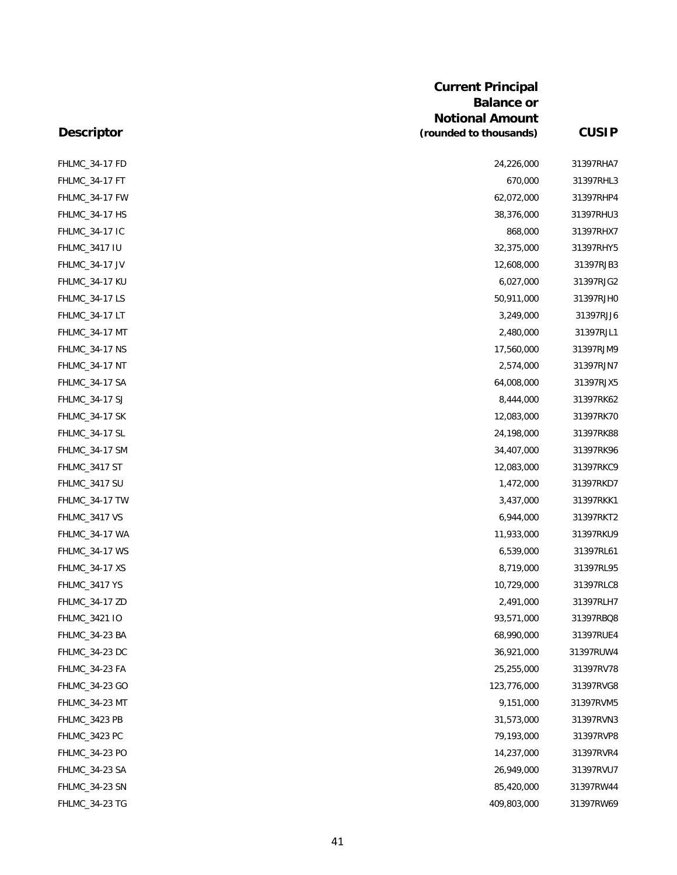|                       | <b>Current Principal</b><br><b>Balance or</b><br><b>Notional Amount</b> |              |
|-----------------------|-------------------------------------------------------------------------|--------------|
| <b>Descriptor</b>     | (rounded to thousands)                                                  | <b>CUSIP</b> |
| <b>FHLMC_34-17 FD</b> | 24,226,000                                                              | 31397RHA7    |
| <b>FHLMC_34-17 FT</b> | 670,000                                                                 | 31397RHL3    |
| FHLMC_34-17 FW        | 62,072,000                                                              | 31397RHP4    |
| FHLMC_34-17 HS        | 38,376,000                                                              | 31397RHU3    |
| FHLMC_34-17 IC        | 868,000                                                                 | 31397RHX7    |
| <b>FHLMC_3417 IU</b>  | 32,375,000                                                              | 31397RHY5    |
| FHLMC_34-17 JV        | 12,608,000                                                              | 31397RJB3    |
| <b>FHLMC_34-17 KU</b> | 6,027,000                                                               | 31397RJG2    |
| FHLMC_34-17 LS        | 50,911,000                                                              | 31397RJH0    |
| <b>FHLMC_34-17 LT</b> | 3,249,000                                                               | 31397RJJ6    |
| FHLMC_34-17 MT        | 2,480,000                                                               | 31397RJL1    |
| <b>FHLMC_34-17 NS</b> | 17,560,000                                                              | 31397RJM9    |
| <b>FHLMC_34-17 NT</b> | 2,574,000                                                               | 31397RJN7    |
| FHLMC_34-17 SA        | 64,008,000                                                              | 31397RJX5    |
| FHLMC_34-17 SJ        | 8,444,000                                                               | 31397RK62    |
| <b>FHLMC_34-17 SK</b> | 12,083,000                                                              | 31397RK70    |
| FHLMC_34-17 SL        | 24,198,000                                                              | 31397RK88    |
| FHLMC_34-17 SM        | 34,407,000                                                              | 31397RK96    |
| FHLMC_3417 ST         | 12,083,000                                                              | 31397RKC9    |
| FHLMC_3417 SU         | 1,472,000                                                               | 31397RKD7    |
| FHLMC_34-17 TW        | 3,437,000                                                               | 31397RKK1    |
| FHLMC_3417 VS         | 6,944,000                                                               | 31397RKT2    |
| FHLMC_34-17 WA        | 11,933,000                                                              | 31397RKU9    |
| FHLMC_34-17 WS        | 6,539,000                                                               | 31397RL61    |
| <b>FHLMC_34-17 XS</b> | 8,719,000                                                               | 31397RL95    |
| FHLMC_3417 YS         | 10,729,000                                                              | 31397RLC8    |
| FHLMC_34-17 ZD        | 2,491,000                                                               | 31397RLH7    |
| FHLMC_3421 IO         | 93,571,000                                                              | 31397RBQ8    |
| FHLMC_34-23 BA        | 68,990,000                                                              | 31397RUE4    |
| FHLMC_34-23 DC        | 36,921,000                                                              | 31397RUW4    |
| FHLMC_34-23 FA        | 25,255,000                                                              | 31397RV78    |
| FHLMC_34-23 GO        | 123,776,000                                                             | 31397RVG8    |
| FHLMC_34-23 MT        | 9,151,000                                                               | 31397RVM5    |
| FHLMC_3423 PB         | 31,573,000                                                              | 31397RVN3    |
| FHLMC_3423 PC         | 79,193,000                                                              | 31397RVP8    |
| FHLMC_34-23 PO        | 14,237,000                                                              | 31397RVR4    |
| FHLMC_34-23 SA        | 26,949,000                                                              | 31397RVU7    |
| FHLMC_34-23 SN        | 85,420,000                                                              | 31397RW44    |
| FHLMC_34-23 TG        | 409,803,000                                                             | 31397RW69    |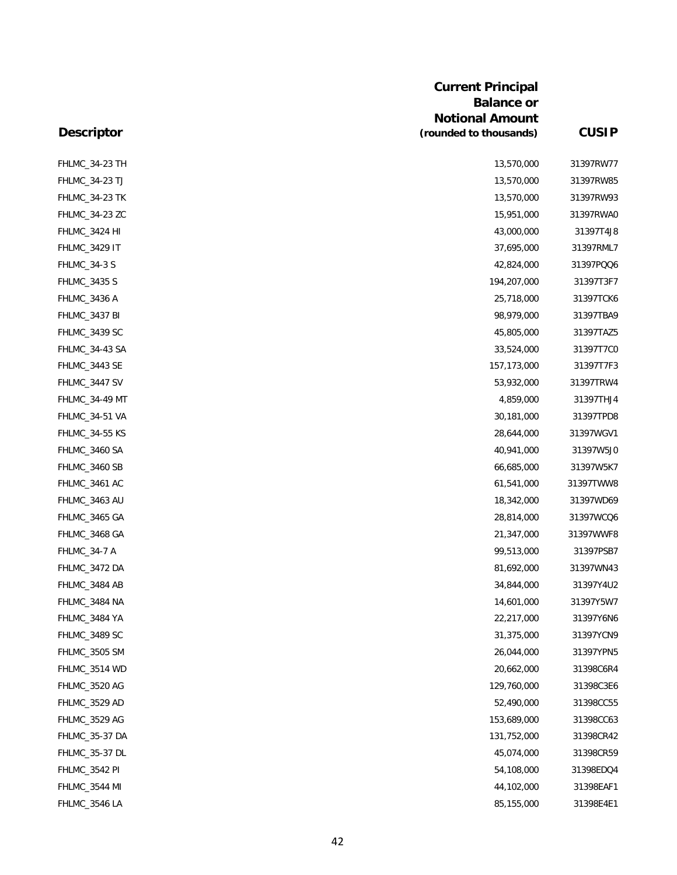|                       | <b>Current Principal</b><br><b>Balance or</b><br><b>Notional Amount</b> |              |
|-----------------------|-------------------------------------------------------------------------|--------------|
| <b>Descriptor</b>     | (rounded to thousands)                                                  | <b>CUSIP</b> |
| FHLMC_34-23 TH        | 13,570,000                                                              | 31397RW77    |
| FHLMC_34-23 TJ        | 13,570,000                                                              | 31397RW85    |
| <b>FHLMC_34-23 TK</b> | 13,570,000                                                              | 31397RW93    |
| FHLMC_34-23 ZC        | 15,951,000                                                              | 31397RWA0    |
| FHLMC_3424 HI         | 43,000,000                                                              | 31397T4J8    |
| <b>FHLMC_3429 IT</b>  | 37,695,000                                                              | 31397RML7    |
| <b>FHLMC_34-3 S</b>   | 42,824,000                                                              | 31397PQQ6    |
| FHLMC_3435 S          | 194,207,000                                                             | 31397T3F7    |
| <b>FHLMC_3436 A</b>   | 25,718,000                                                              | 31397TCK6    |
| FHLMC_3437 BI         | 98,979,000                                                              | 31397TBA9    |
| FHLMC_3439 SC         | 45,805,000                                                              | 31397TAZ5    |
| FHLMC_34-43 SA        | 33,524,000                                                              | 31397T7C0    |
| FHLMC_3443 SE         | 157,173,000                                                             | 31397T7F3    |
| FHLMC_3447 SV         | 53,932,000                                                              | 31397TRW4    |
| <b>FHLMC_34-49 MT</b> | 4,859,000                                                               | 31397THJ4    |
| <b>FHLMC_34-51 VA</b> | 30,181,000                                                              | 31397TPD8    |
| <b>FHLMC_34-55 KS</b> | 28,644,000                                                              | 31397WGV1    |
| FHLMC_3460 SA         | 40,941,000                                                              | 31397W5J0    |
| FHLMC_3460 SB         | 66,685,000                                                              | 31397W5K7    |
| FHLMC_3461 AC         | 61,541,000                                                              | 31397TWW8    |
| FHLMC_3463 AU         | 18,342,000                                                              | 31397WD69    |
| FHLMC_3465 GA         | 28,814,000                                                              | 31397WCQ6    |
| FHLMC_3468 GA         | 21,347,000                                                              | 31397WWF8    |
| <b>FHLMC_34-7 A</b>   | 99,513,000                                                              | 31397PSB7    |
| FHLMC_3472 DA         | 81,692,000                                                              | 31397WN43    |
| FHLMC_3484 AB         | 34,844,000                                                              | 31397Y4U2    |
| FHLMC_3484 NA         | 14,601,000                                                              | 31397Y5W7    |
| FHLMC_3484 YA         | 22,217,000                                                              | 31397Y6N6    |
| FHLMC_3489 SC         | 31,375,000                                                              | 31397YCN9    |
| FHLMC_3505 SM         | 26,044,000                                                              | 31397YPN5    |
| FHLMC_3514 WD         | 20,662,000                                                              | 31398C6R4    |
| FHLMC_3520 AG         | 129,760,000                                                             | 31398C3E6    |
| FHLMC_3529 AD         | 52,490,000                                                              | 31398CC55    |
| FHLMC_3529 AG         | 153,689,000                                                             | 31398CC63    |
| FHLMC_35-37 DA        | 131,752,000                                                             | 31398CR42    |
| FHLMC_35-37 DL        | 45,074,000                                                              | 31398CR59    |
| <b>FHLMC_3542 PI</b>  | 54,108,000                                                              | 31398EDQ4    |
| FHLMC_3544 MI         | 44,102,000                                                              | 31398EAF1    |
| FHLMC_3546 LA         | 85,155,000                                                              | 31398E4E1    |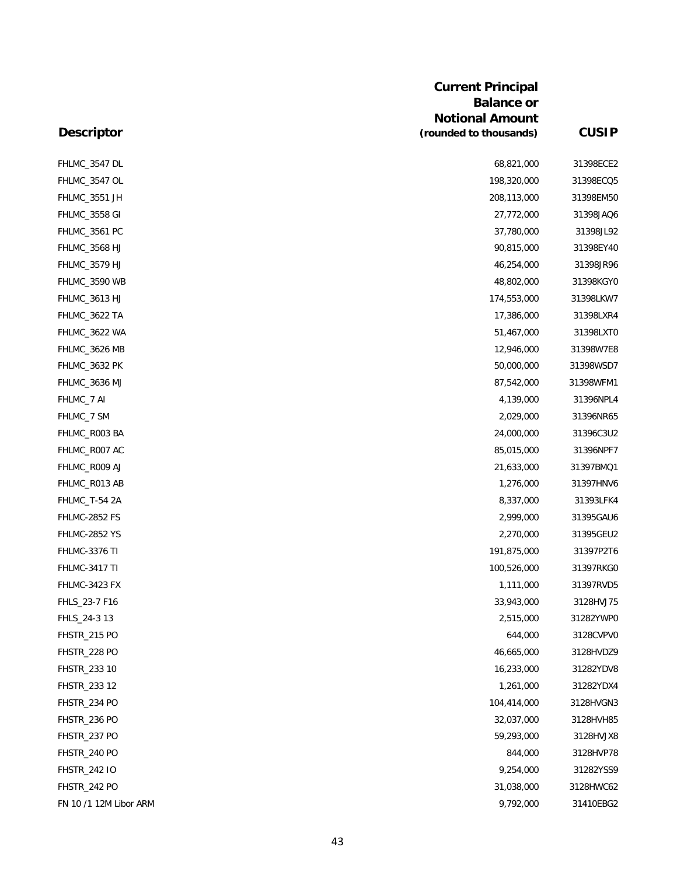| <b>Descriptor</b>      | <b>Current Principal</b><br><b>Balance or</b><br><b>Notional Amount</b><br>(rounded to thousands) | <b>CUSIP</b> |
|------------------------|---------------------------------------------------------------------------------------------------|--------------|
| FHLMC_3547 DL          | 68,821,000                                                                                        | 31398ECE2    |
| FHLMC_3547 OL          | 198,320,000                                                                                       | 31398ECQ5    |
| FHLMC_3551 JH          | 208,113,000                                                                                       | 31398EM5C    |
| <b>FHLMC_3558 GI</b>   | 27,772,000                                                                                        | 31398JAQ6    |
| FHLMC_3561 PC          | 37,780,000                                                                                        | 31398JL92    |
| FHLMC_3568 HJ          | 90,815,000                                                                                        | 31398EY40    |
| FHLMC_3579 HJ          | 46,254,000                                                                                        | 31398JR96    |
| FHLMC_3590 WB          | 48,802,000                                                                                        | 31398KGYC    |
| <b>FHLMC_3613 HJ</b>   | 174,553,000                                                                                       | 31398LKW7    |
| FHLMC_3622 TA          | 17,386,000                                                                                        | 31398LXR4    |
| FHLMC_3622 WA          | 51,467,000                                                                                        | 31398LXTC    |
| FHLMC_3626 MB          | 12,946,000                                                                                        | 31398W7E8    |
| FHLMC_3632 PK          | 50,000,000                                                                                        | 31398WSD7    |
| FHLMC_3636 MJ          | 87,542,000                                                                                        | 31398WFM1    |
| FHLMC_7 AI             | 4,139,000                                                                                         | 31396NPL4    |
| FHLMC_7 SM             | 2,029,000                                                                                         | 31396NR65    |
| FHLMC_R003 BA          | 24,000,000                                                                                        | 31396C3U2    |
| FHLMC_R007 AC          | 85,015,000                                                                                        | 31396NPF7    |
| FHLMC_R009 AJ          | 21,633,000                                                                                        | 31397BMQ1    |
| FHLMC_R013 AB          | 1,276,000                                                                                         | 31397HNV6    |
| FHLMC_T-54 2A          | 8,337,000                                                                                         | 31393LFK4    |
| FHLMC-2852 FS          | 2,999,000                                                                                         | 31395GAU6    |
| <b>FHLMC-2852 YS</b>   | 2,270,000                                                                                         | 31395GEU2    |
| FHLMC-3376 TI          | 191,875,000                                                                                       | 31397P2T6    |
| <b>FHLMC-3417 TI</b>   | 100,526,000                                                                                       | 31397RKGC    |
| FHLMC-3423 FX          | 1,111,000                                                                                         | 31397RVD5    |
| FHLS_23-7 F16          | 33,943,000                                                                                        | 3128HVJ75    |
| FHLS_24-3 13           | 2,515,000                                                                                         | 31282YWPC    |
| FHSTR_215 PO           | 644,000                                                                                           | 3128CVPVC    |
| FHSTR_228 PO           | 46,665,000                                                                                        | 3128HVDZ9    |
| FHSTR_233 10           | 16,233,000                                                                                        | 31282YDV8    |
| FHSTR_233 12           | 1,261,000                                                                                         | 31282YDX4    |
| FHSTR_234 PO           | 104,414,000                                                                                       | 3128HVGN3    |
| FHSTR_236 PO           | 32,037,000                                                                                        | 3128HVH85    |
| FHSTR_237 PO           | 59,293,000                                                                                        | 3128HVJX8    |
| FHSTR_240 PO           | 844,000                                                                                           | 3128HVP78    |
| <b>FHSTR_242 IO</b>    | 9,254,000                                                                                         | 31282YSS9    |
| FHSTR_242 PO           | 31,038,000                                                                                        | 3128HWC62    |
| FN 10 /1 12M Libor ARM | 9,792,000                                                                                         | 31410EBG2    |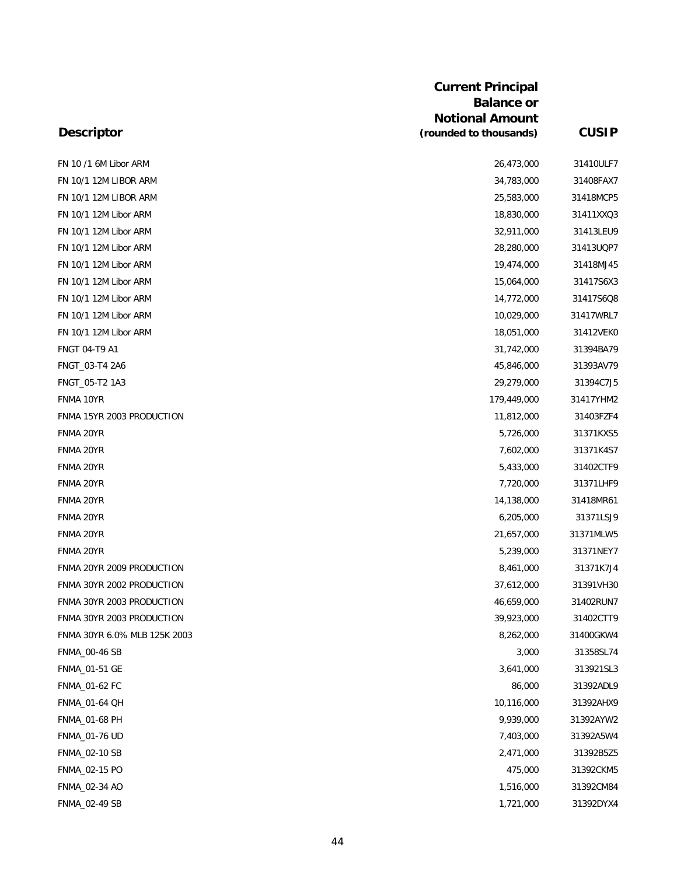|                              | <b>Current Principal</b> |              |
|------------------------------|--------------------------|--------------|
|                              | <b>Balance or</b>        |              |
|                              | <b>Notional Amount</b>   |              |
| <b>Descriptor</b>            | (rounded to thousands)   | <b>CUSIP</b> |
| FN 10 /1 6M Libor ARM        | 26,473,000               | 31410ULF7    |
| FN 10/1 12M LIBOR ARM        | 34,783,000               | 31408FAX7    |
| FN 10/1 12M LIBOR ARM        | 25,583,000               | 31418MCP5    |
| FN 10/1 12M Libor ARM        | 18,830,000               | 31411XXQ3    |
| FN 10/1 12M Libor ARM        | 32,911,000               | 31413LEU9    |
| FN 10/1 12M Libor ARM        | 28,280,000               | 31413UQP7    |
| FN 10/1 12M Libor ARM        | 19,474,000               | 31418MJ45    |
| FN 10/1 12M Libor ARM        | 15,064,000               | 31417S6X3    |
| FN 10/1 12M Libor ARM        | 14,772,000               | 31417S6Q8    |
| FN 10/1 12M Libor ARM        | 10,029,000               | 31417WRL7    |
| FN 10/1 12M Libor ARM        | 18,051,000               | 31412VEK0    |
| FNGT 04-T9 A1                | 31,742,000               | 31394BA79    |
| FNGT_03-T4 2A6               | 45,846,000               | 31393AV79    |
| FNGT_05-T2 1A3               | 29,279,000               | 31394C7J5    |
| FNMA 10YR                    | 179,449,000              | 31417YHM2    |
| FNMA 15YR 2003 PRODUCTION    | 11,812,000               | 31403FZF4    |
| FNMA 20YR                    | 5,726,000                | 31371KXS5    |
| FNMA 20YR                    | 7,602,000                | 31371K4S7    |
| FNMA 20YR                    | 5,433,000                | 31402CTF9    |
| FNMA 20YR                    | 7,720,000                | 31371LHF9    |
| FNMA 20YR                    | 14,138,000               | 31418MR61    |
| FNMA 20YR                    | 6,205,000                | 31371LSJ9    |
| FNMA 20YR                    | 21,657,000               | 31371MLW5    |
| FNMA 20YR                    | 5,239,000                | 31371NEY7    |
| FNMA 20YR 2009 PRODUCTION    | 8,461,000                | 31371K7J4    |
| FNMA 30YR 2002 PRODUCTION    | 37,612,000               | 31391VH30    |
| FNMA 30YR 2003 PRODUCTION    | 46,659,000               | 31402RUN7    |
| FNMA 30YR 2003 PRODUCTION    | 39,923,000               | 31402CTT9    |
| FNMA 30YR 6.0% MLB 125K 2003 | 8,262,000                | 31400GKW4    |
| <b>FNMA_00-46 SB</b>         | 3,000                    | 31358SL74    |
| FNMA_01-51 GE                | 3,641,000                | 313921SL3    |
| FNMA 01-62 FC                | 86,000                   | 31392ADL9    |
| FNMA_01-64 QH                | 10,116,000               | 31392AHX9    |
| FNMA_01-68 PH                | 9,939,000                | 31392AYW2    |
| <b>FNMA_01-76 UD</b>         | 7,403,000                | 31392A5W4    |
| FNMA_02-10 SB                | 2,471,000                | 31392B5Z5    |
| FNMA_02-15 PO                | 475,000                  | 31392CKM5    |
| FNMA_02-34 AO                | 1,516,000                | 31392CM84    |
| FNMA_02-49 SB                | 1,721,000                | 31392DYX4    |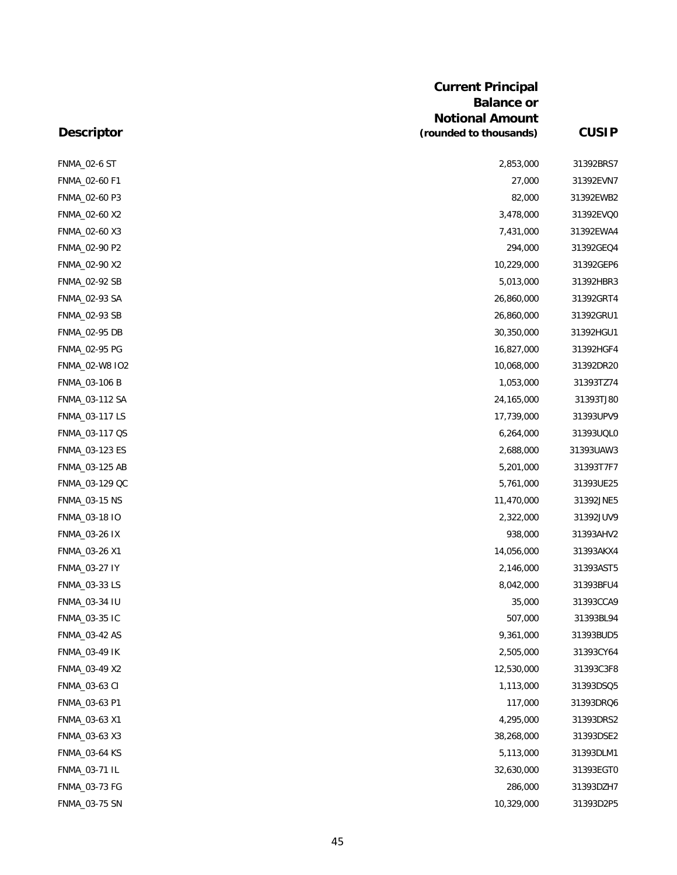|                      | <b>Current Principal</b> |              |
|----------------------|--------------------------|--------------|
|                      | <b>Balance or</b>        |              |
|                      | <b>Notional Amount</b>   |              |
| <b>Descriptor</b>    | (rounded to thousands)   | <b>CUSIP</b> |
| <b>FNMA_02-6 ST</b>  | 2,853,000                | 31392BRS7    |
| FNMA_02-60 F1        | 27,000                   | 31392EVN7    |
| FNMA_02-60 P3        | 82,000                   | 31392EWB2    |
| FNMA_02-60 X2        | 3,478,000                | 31392EVQ0    |
| FNMA_02-60 X3        | 7,431,000                | 31392EWA4    |
| FNMA_02-90 P2        | 294,000                  | 31392GEQ4    |
| FNMA_02-90 X2        | 10,229,000               | 31392GEP6    |
| FNMA_02-92 SB        | 5,013,000                | 31392HBR3    |
| FNMA_02-93 SA        | 26,860,000               | 31392GRT4    |
| FNMA_02-93 SB        | 26,860,000               | 31392GRU1    |
| FNMA_02-95 DB        | 30,350,000               | 31392HGU1    |
| FNMA_02-95 PG        | 16,827,000               | 31392HGF4    |
| FNMA_02-W8 IO2       | 10,068,000               | 31392DR20    |
| FNMA_03-106 B        | 1,053,000                | 31393TZ74    |
| FNMA_03-112 SA       | 24,165,000               | 31393TJ80    |
| FNMA_03-117 LS       | 17,739,000               | 31393UPV9    |
| FNMA_03-117 QS       | 6,264,000                | 31393UQL0    |
| FNMA_03-123 ES       | 2,688,000                | 31393UAW3    |
| FNMA_03-125 AB       | 5,201,000                | 31393T7F7    |
| FNMA_03-129 QC       | 5,761,000                | 31393UE25    |
| FNMA_03-15 NS        | 11,470,000               | 31392JNE5    |
| FNMA_03-18 IO        | 2,322,000                | 31392JUV9    |
| FNMA_03-26 IX        | 938,000                  | 31393AHV2    |
| FNMA_03-26 X1        | 14,056,000               | 31393AKX4    |
| FNMA_03-27 IY        | 2,146,000                | 31393AST5    |
| FNMA_03-33 LS        | 8,042,000                | 31393BFU4    |
| FNMA_03-34 IU        | 35,000                   | 31393CCA9    |
| FNMA_03-35 IC        | 507,000                  | 31393BL94    |
| FNMA_03-42 AS        | 9,361,000                | 31393BUD5    |
| <b>FNMA_03-49 IK</b> | 2,505,000                | 31393CY64    |
| FNMA_03-49 X2        | 12,530,000               | 31393C3F8    |
| FNMA_03-63 CI        | 1,113,000                | 31393DSQ5    |
| FNMA_03-63 P1        | 117,000                  | 31393DRQ6    |
| FNMA_03-63 X1        | 4,295,000                | 31393DRS2    |
| FNMA_03-63 X3        | 38,268,000               | 31393DSE2    |
| <b>FNMA_03-64 KS</b> | 5,113,000                | 31393DLM1    |
| FNMA_03-71 IL        | 32,630,000               | 31393EGT0    |
| FNMA_03-73 FG        | 286,000                  | 31393DZH7    |
| FNMA_03-75 SN        | 10,329,000               | 31393D2P5    |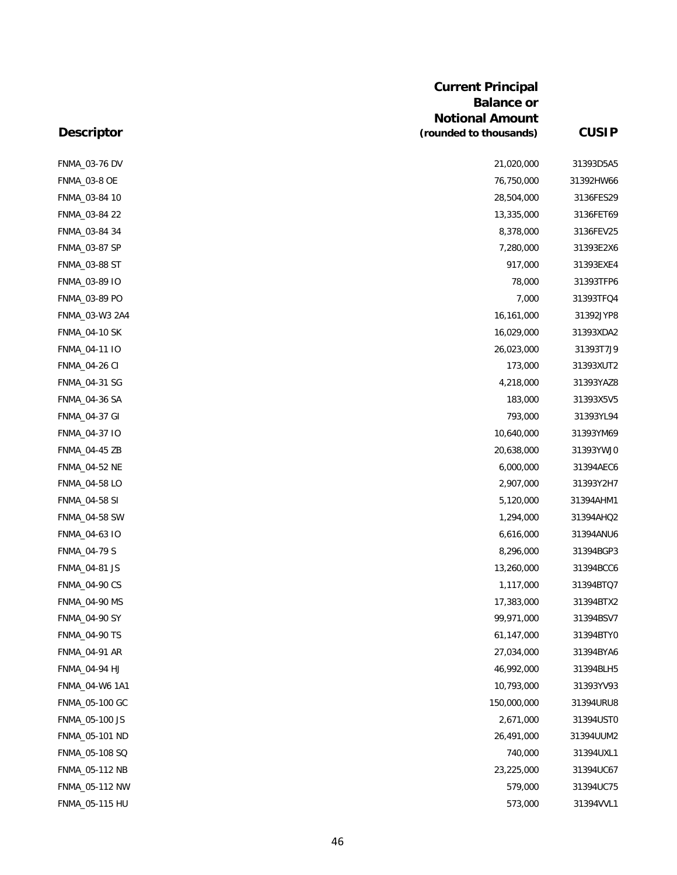|                      | <b>Current Principal</b><br><b>Balance or</b><br><b>Notional Amount</b> |              |
|----------------------|-------------------------------------------------------------------------|--------------|
| <b>Descriptor</b>    | (rounded to thousands)                                                  | <b>CUSIP</b> |
| FNMA_03-76 DV        | 21,020,000                                                              | 31393D5A5    |
| <b>FNMA_03-8 OE</b>  | 76,750,000                                                              | 31392HW66    |
| FNMA_03-84 10        | 28,504,000                                                              | 3136FES29    |
| FNMA_03-84 22        | 13,335,000                                                              | 3136FET69    |
| FNMA_03-84 34        | 8,378,000                                                               | 3136FEV25    |
| FNMA_03-87 SP        | 7,280,000                                                               | 31393E2X6    |
| FNMA_03-88 ST        | 917,000                                                                 | 31393EXE4    |
| FNMA_03-89 IO        | 78,000                                                                  | 31393TFP6    |
| FNMA_03-89 PO        | 7,000                                                                   | 31393TFQ4    |
| FNMA_03-W3 2A4       | 16,161,000                                                              | 31392JYP8    |
| <b>FNMA_04-10 SK</b> | 16,029,000                                                              | 31393XDA2    |
| FNMA_04-11 IO        | 26,023,000                                                              | 31393T7J9    |
| <b>FNMA_04-26 CI</b> | 173,000                                                                 | 31393XUT2    |
| FNMA_04-31 SG        | 4,218,000                                                               | 31393YAZ8    |
| <b>FNMA_04-36 SA</b> | 183,000                                                                 | 31393X5V5    |
| FNMA_04-37 GI        | 793,000                                                                 | 31393YL94    |
| FNMA_04-37 IO        | 10,640,000                                                              | 31393YM69    |
| FNMA_04-45 ZB        | 20,638,000                                                              | 31393YWJ0    |
| FNMA_04-52 NE        | 6,000,000                                                               | 31394AEC6    |
| FNMA_04-58 LO        | 2,907,000                                                               | 31393Y2H7    |
| FNMA_04-58 SI        | 5,120,000                                                               | 31394AHM1    |
| <b>FNMA_04-58 SW</b> | 1,294,000                                                               | 31394AHQ2    |
| FNMA_04-63 IO        | 6,616,000                                                               | 31394ANU6    |
| <b>FNMA_04-79 S</b>  | 8,296,000                                                               | 31394BGP3    |
| FNMA_04-81 JS        | 13,260,000                                                              | 31394BCC6    |
| <b>FNMA_04-90 CS</b> | 1,117,000                                                               | 31394BTQ7    |
| <b>FNMA_04-90 MS</b> | 17,383,000                                                              | 31394BTX2    |
| FNMA_04-90 SY        | 99,971,000                                                              | 31394BSV7    |
| <b>FNMA_04-90 TS</b> | 61,147,000                                                              | 31394BTYC    |
| FNMA_04-91 AR        | 27,034,000                                                              | 31394BYA6    |
| FNMA 04-94 HJ        | 46,992,000                                                              | 31394BLH5    |
| FNMA_04-W6 1A1       | 10,793,000                                                              | 31393YV93    |
| FNMA_05-100 GC       | 150,000,000                                                             | 31394URU8    |
| FNMA_05-100 JS       | 2,671,000                                                               | 31394USTC    |
| FNMA_05-101 ND       | 26,491,000                                                              | 31394UUM2    |
| FNMA_05-108 SQ       | 740,000                                                                 | 31394UXL1    |
| FNMA_05-112 NB       | 23,225,000                                                              | 31394UC67    |
| FNMA_05-112 NW       | 579,000                                                                 | 31394UC75    |
| FNMA_05-115 HU       | 573,000                                                                 | 31394VVL1    |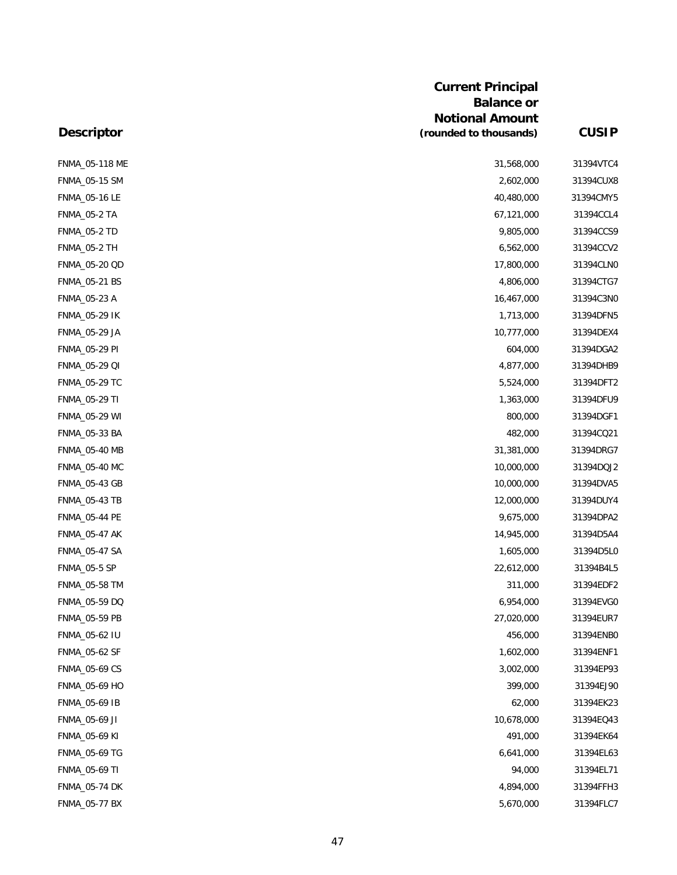| <b>Current Principal</b><br><b>Balance or</b> |                        |              |
|-----------------------------------------------|------------------------|--------------|
|                                               |                        |              |
|                                               | <b>Notional Amount</b> |              |
| <b>Descriptor</b>                             | (rounded to thousands) | <b>CUSIP</b> |
| FNMA_05-118 ME                                | 31,568,000             | 31394VTC4    |
| FNMA_05-15 SM                                 | 2,602,000              | 31394CUX8    |
| FNMA_05-16 LE                                 | 40,480,000             | 31394CMY5    |
| <b>FNMA_05-2 TA</b>                           | 67,121,000             | 31394CCL4    |
| <b>FNMA_05-2 TD</b>                           | 9,805,000              | 31394CCS9    |
| <b>FNMA_05-2 TH</b>                           | 6,562,000              | 31394CCV2    |
| FNMA_05-20 QD                                 | 17,800,000             | 31394CLNO    |
| FNMA_05-21 BS                                 | 4,806,000              | 31394CTG7    |
| FNMA_05-23 A                                  | 16,467,000             | 31394C3NO    |
| <b>FNMA_05-29 IK</b>                          | 1,713,000              | 31394DFN5    |
| FNMA_05-29 JA                                 | 10,777,000             | 31394DEX4    |
| <b>FNMA_05-29 PI</b>                          | 604,000                | 31394DGA2    |
| FNMA_05-29 QI                                 | 4,877,000              | 31394DHB9    |
| FNMA_05-29 TC                                 | 5,524,000              | 31394DFT2    |
| FNMA_05-29 TI                                 | 1,363,000              | 31394DFU9    |
| FNMA_05-29 WI                                 | 800,000                | 31394DGF1    |
| FNMA_05-33 BA                                 | 482,000                | 31394CQ21    |
| FNMA_05-40 MB                                 | 31,381,000             | 31394DRG7    |
| <b>FNMA_05-40 MC</b>                          | 10,000,000             | 31394DQJ2    |
| FNMA_05-43 GB                                 | 10,000,000             | 31394DVA5    |
| FNMA_05-43 TB                                 | 12,000,000             | 31394DUY4    |
| <b>FNMA_05-44 PE</b>                          | 9,675,000              | 31394DPA2    |
| <b>FNMA_05-47 AK</b>                          | 14,945,000             | 31394D5A4    |
| FNMA_05-47 SA                                 | 1,605,000              | 31394D5LC    |
| <b>FNMA_05-5 SP</b>                           | 22,612,000             | 31394B4L5    |
| FNMA_05-58 TM                                 | 311,000                | 31394EDF2    |
| FNMA_05-59 DQ                                 | 6,954,000              | 31394EVG0    |
| FNMA_05-59 PB                                 | 27,020,000             | 31394EUR7    |
| FNMA_05-62 IU                                 | 456,000                | 31394ENBC    |
| FNMA_05-62 SF                                 | 1,602,000              | 31394ENF1    |
| <b>FNMA_05-69 CS</b>                          | 3,002,000              | 31394EP93    |
| FNMA_05-69 HO                                 | 399,000                | 31394EJ90    |
| FNMA_05-69 IB                                 | 62,000                 | 31394EK23    |
| FNMA_05-69 JI                                 | 10,678,000             | 31394EQ43    |
| FNMA_05-69 KI                                 | 491,000                | 31394EK64    |
| FNMA_05-69 TG                                 | 6,641,000              | 31394EL63    |
| FNMA_05-69 TI                                 | 94,000                 | 31394EL71    |
| <b>FNMA_05-74 DK</b>                          | 4,894,000              | 31394FFH3    |
| FNMA_05-77 BX                                 | 5,670,000              | 31394FLC7    |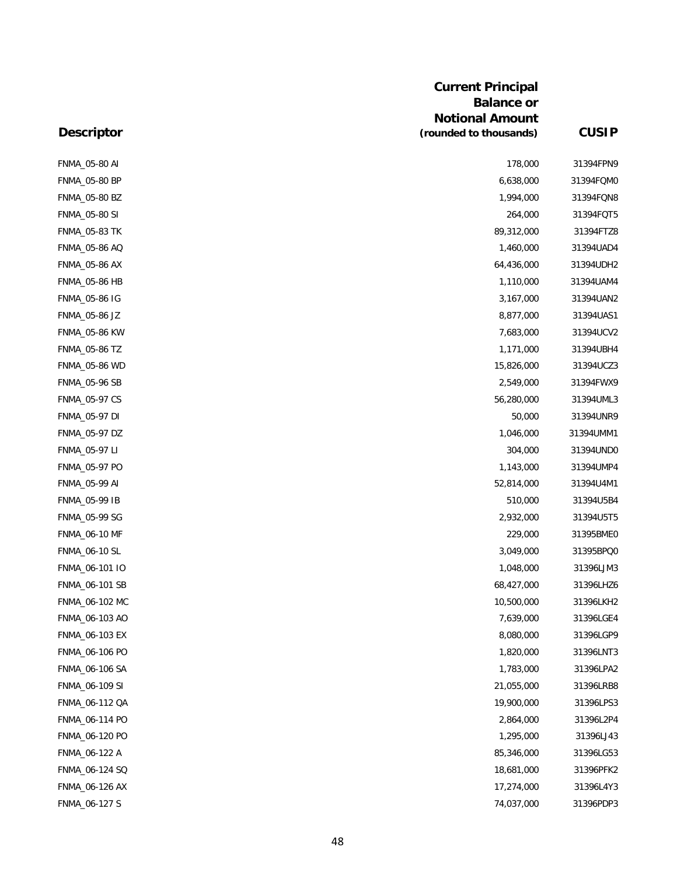|                      | <b>Current Principal</b><br><b>Balance or</b>    |              |
|----------------------|--------------------------------------------------|--------------|
| <b>Descriptor</b>    | <b>Notional Amount</b><br>(rounded to thousands) | <b>CUSIP</b> |
| <b>FNMA_05-80 AI</b> | 178,000                                          | 31394FPN9    |
| <b>FNMA_05-80 BP</b> | 6,638,000                                        | 31394FQMC    |
| FNMA_05-80 BZ        | 1,994,000                                        | 31394FQN8    |
| FNMA_05-80 SI        | 264,000                                          | 31394FQT5    |
| FNMA_05-83 TK        | 89,312,000                                       | 31394FTZ8    |
| FNMA_05-86 AQ        | 1,460,000                                        | 31394UAD4    |
| FNMA_05-86 AX        | 64,436,000                                       | 31394UDH2    |
| <b>FNMA_05-86 HB</b> | 1,110,000                                        | 31394UAM4    |
| FNMA_05-86 IG        | 3,167,000                                        | 31394UAN2    |
| FNMA_05-86 JZ        | 8,877,000                                        | 31394UAS1    |
| <b>FNMA_05-86 KW</b> | 7,683,000                                        | 31394UCV2    |
| FNMA_05-86 TZ        | 1,171,000                                        | 31394UBH4    |
| <b>FNMA_05-86 WD</b> | 15,826,000                                       | 31394UCZ3    |
| <b>FNMA_05-96 SB</b> | 2,549,000                                        | 31394FWX9    |
| <b>FNMA_05-97 CS</b> | 56,280,000                                       | 31394UML3    |
| FNMA_05-97 DI        | 50,000                                           | 31394UNR9    |
| FNMA_05-97 DZ        | 1,046,000                                        | 31394UMM1    |
| FNMA_05-97 LI        | 304,000                                          | 31394UND0    |
| FNMA_05-97 PO        | 1,143,000                                        | 31394UMP4    |
| FNMA_05-99 AI        | 52,814,000                                       | 31394U4M1    |
| FNMA_05-99 IB        | 510,000                                          | 31394U5B4    |
| FNMA_05-99 SG        | 2,932,000                                        | 31394U5T5    |
| <b>FNMA_06-10 MF</b> | 229,000                                          | 31395BMEC    |
| FNMA_06-10 SL        | 3,049,000                                        | 31395BPQ0    |
| FNMA_06-101 IO       | 1,048,000                                        | 31396LJM3    |
| FNMA_06-101 SB       | 68,427,000                                       | 31396LHZ6    |
| FNMA_06-102 MC       | 10,500,000                                       | 31396LKH2    |
| FNMA_06-103 AO       | 7,639,000                                        | 31396LGE4    |
| FNMA_06-103 EX       | 8,080,000                                        | 31396LGP9    |
| FNMA 06-106 PO       | 1,820,000                                        | 31396LNT3    |
| FNMA_06-106 SA       | 1,783,000                                        | 31396LPA2    |
| FNMA_06-109 SI       | 21,055,000                                       | 31396LRB8    |
| FNMA_06-112 QA       | 19,900,000                                       | 31396LPS3    |
| FNMA_06-114 PO       | 2,864,000                                        | 31396L2P4    |
| FNMA_06-120 PO       | 1,295,000                                        | 31396LJ43    |
| FNMA_06-122 A        | 85,346,000                                       | 31396LG53    |
| FNMA_06-124 SQ       | 18,681,000                                       | 31396PFK2    |
| FNMA_06-126 AX       | 17,274,000                                       | 31396L4Y3    |
| FNMA_06-127 S        | 74,037,000                                       | 31396PDP3    |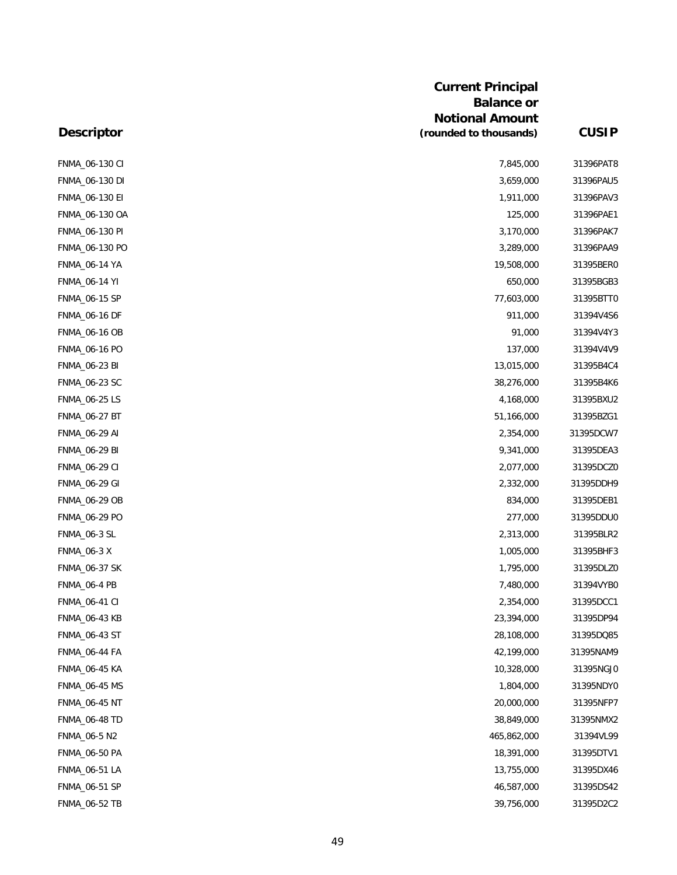|                      | <b>Current Principal</b><br><b>Balance or</b><br><b>Notional Amount</b> |              |
|----------------------|-------------------------------------------------------------------------|--------------|
| <b>Descriptor</b>    | (rounded to thousands)                                                  | <b>CUSIP</b> |
| FNMA_06-130 CI       | 7,845,000                                                               | 31396PAT8    |
| FNMA_06-130 DI       | 3,659,000                                                               | 31396PAU5    |
| FNMA_06-130 EI       | 1,911,000                                                               | 31396PAV3    |
| FNMA 06-130 OA       | 125,000                                                                 | 31396PAE1    |
| FNMA_06-130 PI       | 3,170,000                                                               | 31396PAK7    |
| FNMA_06-130 PO       | 3,289,000                                                               | 31396PAA9    |
| FNMA_06-14 YA        | 19,508,000                                                              | 31395BER0    |
| <b>FNMA_06-14 YI</b> | 650,000                                                                 | 31395BGB3    |
| FNMA_06-15 SP        | 77,603,000                                                              | 31395BTTC    |
| FNMA 06-16 DF        | 911,000                                                                 | 31394V4S6    |
| <b>FNMA_06-16 OB</b> | 91,000                                                                  | 31394V4Y3    |
| FNMA_06-16 PO        | 137,000                                                                 | 31394V4V9    |
| FNMA_06-23 BI        | 13,015,000                                                              | 31395B4C4    |
| FNMA_06-23 SC        | 38,276,000                                                              | 31395B4K6    |
| FNMA_06-25 LS        | 4,168,000                                                               | 31395BXU2    |
| FNMA_06-27 BT        | 51,166,000                                                              | 31395BZG1    |
| FNMA_06-29 AI        | 2,354,000                                                               | 31395DCW7    |
| FNMA_06-29 BI        | 9,341,000                                                               | 31395DEA3    |
| FNMA_06-29 CI        | 2,077,000                                                               | 31395DCZ0    |
| FNMA_06-29 GI        | 2,332,000                                                               | 31395DDH9    |
| FNMA_06-29 OB        | 834,000                                                                 | 31395DEB1    |
| FNMA_06-29 PO        | 277,000                                                                 | 31395DDUC    |
| <b>FNMA_06-3 SL</b>  | 2,313,000                                                               | 31395BLR2    |
| <b>FNMA_06-3 X</b>   | 1,005,000                                                               | 31395BHF3    |
| <b>FNMA_06-37 SK</b> | 1,795,000                                                               | 31395DLZ0    |
| <b>FNMA_06-4 PB</b>  | 7,480,000                                                               | 31394VYBC    |
| <b>FNMA 06-41 CI</b> | 2,354,000                                                               | 31395DCC1    |
| <b>FNMA_06-43 KB</b> | 23,394,000                                                              | 31395DP94    |
| FNMA_06-43 ST        | 28,108,000                                                              | 31395DQ85    |
| <b>FNMA_06-44 FA</b> | 42,199,000                                                              | 31395NAM9    |
| <b>FNMA_06-45 KA</b> | 10,328,000                                                              | 31395NGJ0    |
| <b>FNMA_06-45 MS</b> | 1,804,000                                                               | 31395NDY0    |
| <b>FNMA 06-45 NT</b> | 20,000,000                                                              | 31395NFP7    |
| FNMA_06-48 TD        | 38,849,000                                                              | 31395NMX2    |
| FNMA_06-5 N2         | 465,862,000                                                             | 31394VL99    |
| FNMA_06-50 PA        | 18,391,000                                                              | 31395DTV1    |
| FNMA_06-51 LA        | 13,755,000                                                              | 31395DX46    |
| FNMA_06-51 SP        | 46,587,000                                                              | 31395DS42    |
| FNMA_06-52 TB        | 39,756,000                                                              | 31395D2C2    |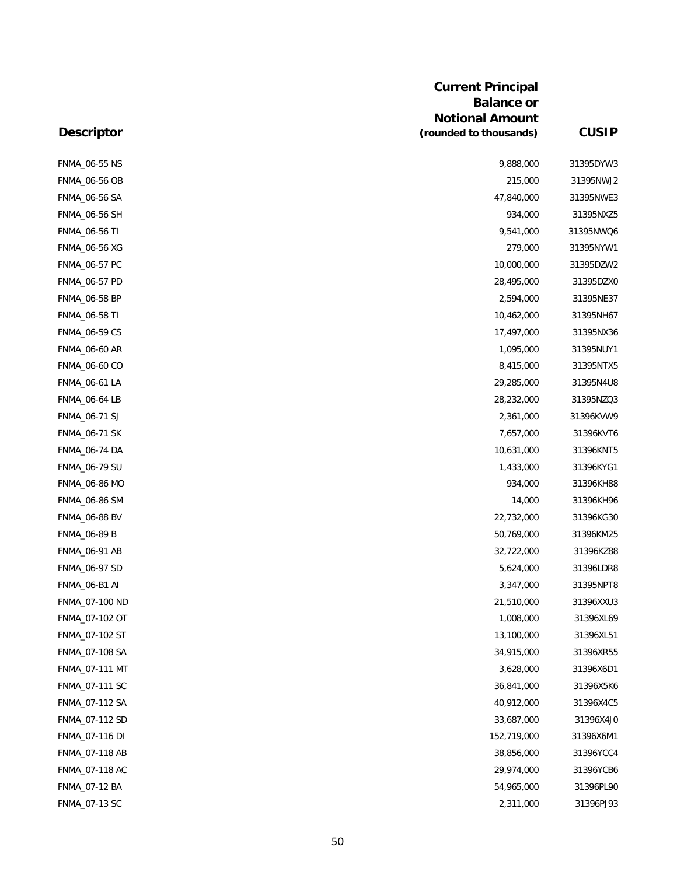|                      | <b>Current Principal</b><br><b>Balance or</b><br><b>Notional Amount</b> |              |
|----------------------|-------------------------------------------------------------------------|--------------|
| <b>Descriptor</b>    | (rounded to thousands)                                                  | <b>CUSIP</b> |
| <b>FNMA_06-55 NS</b> | 9,888,000                                                               | 31395DYW3    |
| <b>FNMA_06-56 OB</b> | 215,000                                                                 | 31395NWJ2    |
| <b>FNMA_06-56 SA</b> | 47,840,000                                                              | 31395NWE3    |
| <b>FNMA_06-56 SH</b> | 934,000                                                                 | 31395NXZ5    |
| <b>FNMA_06-56 TI</b> | 9,541,000                                                               | 31395NWQ6    |
| <b>FNMA_06-56 XG</b> | 279,000                                                                 | 31395NYW1    |
| FNMA_06-57 PC        | 10,000,000                                                              | 31395DZW2    |
| FNMA_06-57 PD        | 28,495,000                                                              | 31395DZX0    |
| FNMA_06-58 BP        | 2,594,000                                                               | 31395NE37    |
| FNMA_06-58 TI        | 10,462,000                                                              | 31395NH67    |
| <b>FNMA_06-59 CS</b> | 17,497,000                                                              | 31395NX36    |
| <b>FNMA_06-60 AR</b> | 1,095,000                                                               | 31395NUY1    |
| FNMA_06-60 CO        | 8,415,000                                                               | 31395NTX5    |
| FNMA_06-61 LA        | 29,285,000                                                              | 31395N4U8    |
| <b>FNMA_06-64 LB</b> | 28,232,000                                                              | 31395NZQ3    |
| FNMA_06-71 SJ        | 2,361,000                                                               | 31396KVW9    |
| <b>FNMA_06-71 SK</b> | 7,657,000                                                               | 31396KVT6    |
| FNMA_06-74 DA        | 10,631,000                                                              | 31396KNT5    |
| FNMA_06-79 SU        | 1,433,000                                                               | 31396KYG1    |
| <b>FNMA_06-86 MO</b> | 934,000                                                                 | 31396KH88    |
| <b>FNMA_06-86 SM</b> | 14,000                                                                  | 31396KH96    |
| <b>FNMA_06-88 BV</b> | 22,732,000                                                              | 31396KG30    |
| <b>FNMA_06-89 B</b>  | 50,769,000                                                              | 31396KM25    |
| FNMA_06-91 AB        | 32,722,000                                                              | 31396KZ88    |
| FNMA_06-97 SD        | 5,624,000                                                               | 31396LDR8    |
| FNMA_06-B1 AI        | 3,347,000                                                               | 31395NPT8    |
| FNMA_07-100 ND       | 21,510,000                                                              | 31396XXU3    |
| FNMA_07-102 OT       | 1,008,000                                                               | 31396XL69    |
| FNMA_07-102 ST       | 13,100,000                                                              | 31396XL51    |
| FNMA_07-108 SA       | 34,915,000                                                              | 31396XR55    |
| FNMA_07-111 MT       | 3,628,000                                                               | 31396X6D1    |
| FNMA_07-111 SC       | 36,841,000                                                              | 31396X5K6    |
| FNMA 07-112 SA       | 40,912,000                                                              | 31396X4C5    |
| FNMA_07-112 SD       | 33,687,000                                                              | 31396X4J0    |
| FNMA_07-116 DI       | 152,719,000                                                             | 31396X6M1    |
| FNMA_07-118 AB       | 38,856,000                                                              | 31396YCC4    |
| FNMA_07-118 AC       | 29,974,000                                                              | 31396YCB6    |
| FNMA_07-12 BA        | 54,965,000                                                              | 31396PL90    |
| FNMA_07-13 SC        | 2,311,000                                                               | 31396PJ93    |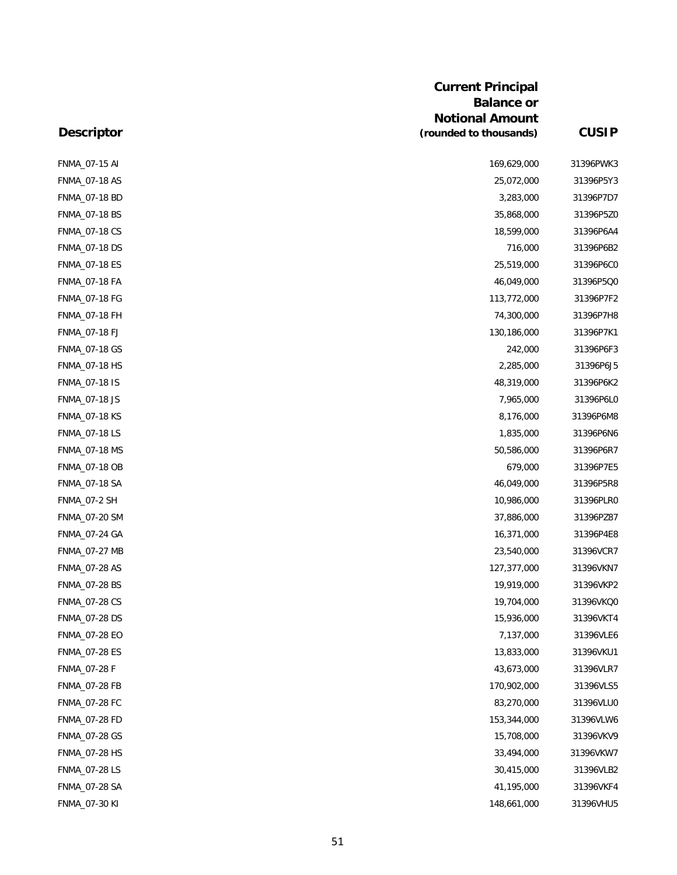|                      | <b>Current Principal</b><br><b>Balance or</b><br><b>Notional Amount</b> |              |
|----------------------|-------------------------------------------------------------------------|--------------|
| <b>Descriptor</b>    | (rounded to thousands)                                                  | <b>CUSIP</b> |
| FNMA_07-15 AI        | 169,629,000                                                             | 31396PWK3    |
| <b>FNMA_07-18 AS</b> | 25,072,000                                                              | 31396P5Y3    |
| FNMA_07-18 BD        | 3,283,000                                                               | 31396P7D7    |
| <b>FNMA_07-18 BS</b> | 35,868,000                                                              | 31396P5ZC    |
| <b>FNMA 07-18 CS</b> | 18,599,000                                                              | 31396P6A4    |
| <b>FNMA_07-18 DS</b> | 716,000                                                                 | 31396P6B2    |
| <b>FNMA_07-18 ES</b> | 25,519,000                                                              | 31396P6CC    |
| FNMA_07-18 FA        | 46,049,000                                                              | 31396P5QC    |
| <b>FNMA_07-18 FG</b> | 113,772,000                                                             | 31396P7F2    |
| FNMA_07-18 FH        | 74,300,000                                                              | 31396P7H8    |
| <b>FNMA_07-18 FJ</b> | 130,186,000                                                             | 31396P7K1    |
| <b>FNMA_07-18 GS</b> | 242,000                                                                 | 31396P6F3    |
| FNMA_07-18 HS        | 2,285,000                                                               | 31396P6J5    |
| FNMA_07-18 IS        | 48,319,000                                                              | 31396P6K2    |
| FNMA_07-18 JS        | 7,965,000                                                               | 31396P6LC    |
| <b>FNMA_07-18 KS</b> | 8,176,000                                                               | 31396P6M8    |
| <b>FNMA_07-18 LS</b> | 1,835,000                                                               | 31396P6N6    |
| <b>FNMA_07-18 MS</b> | 50,586,000                                                              | 31396P6R7    |
| FNMA_07-18 OB        | 679,000                                                                 | 31396P7E5    |
| <b>FNMA_07-18 SA</b> | 46,049,000                                                              | 31396P5R8    |
| <b>FNMA_07-2 SH</b>  | 10,986,000                                                              | 31396PLRC    |
| <b>FNMA_07-20 SM</b> | 37,886,000                                                              | 31396PZ87    |
| FNMA_07-24 GA        | 16,371,000                                                              | 31396P4E8    |
| FNMA_07-27 MB        | 23,540,000                                                              | 31396VCR7    |
| <b>FNMA_07-28 AS</b> | 127,377,000                                                             | 31396VKN7    |
| <b>FNMA_07-28 BS</b> | 19,919,000                                                              | 31396VKP2    |
| <b>FNMA_07-28 CS</b> | 19,704,000                                                              | 31396VKQC    |
| FNMA_07-28 DS        | 15,936,000                                                              | 31396VKT4    |
| <b>FNMA 07-28 EO</b> | 7,137,000                                                               | 31396VLE6    |
| <b>FNMA_07-28 ES</b> | 13,833,000                                                              | 31396VKU1    |
| FNMA_07-28 F         | 43,673,000                                                              | 31396VLR7    |
| <b>FNMA_07-28 FB</b> | 170,902,000                                                             | 31396VLS5    |
| FNMA_07-28 FC        | 83,270,000                                                              | 31396VLUC    |
| FNMA_07-28 FD        | 153,344,000                                                             | 31396VLW6    |
| FNMA_07-28 GS        | 15,708,000                                                              | 31396VKV9    |
| FNMA_07-28 HS        | 33,494,000                                                              | 31396VKW7    |
| <b>FNMA_07-28 LS</b> | 30,415,000                                                              | 31396VLB2    |
| FNMA_07-28 SA        | 41,195,000                                                              | 31396VKF4    |
| FNMA_07-30 KI        | 148,661,000                                                             | 31396VHU5    |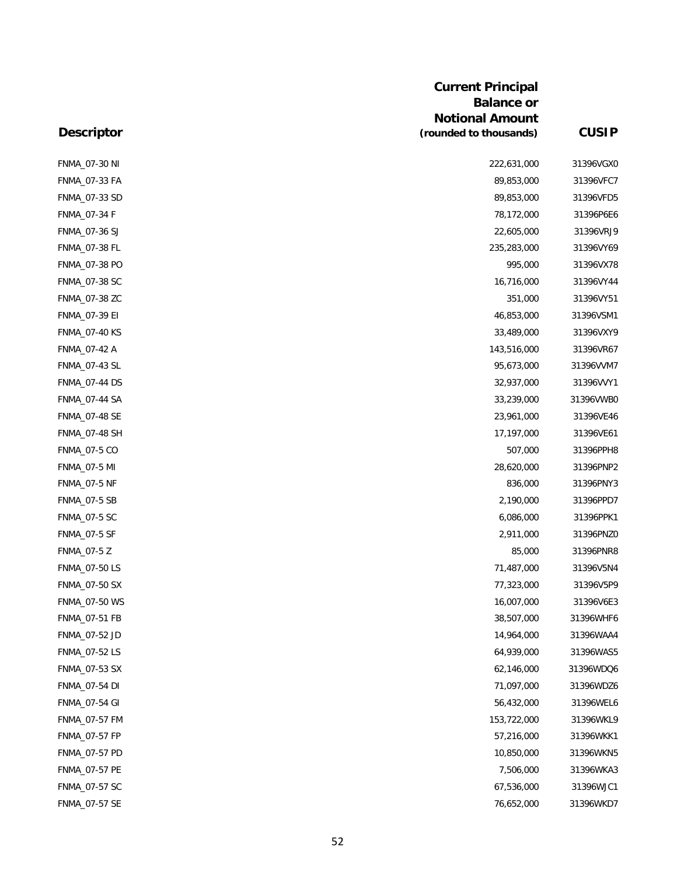|                      | <b>Current Principal</b><br><b>Balance or</b><br><b>Notional Amount</b> |              |
|----------------------|-------------------------------------------------------------------------|--------------|
| <b>Descriptor</b>    | (rounded to thousands)                                                  | <b>CUSIP</b> |
| FNMA_07-30 NI        | 222,631,000                                                             | 31396VGXC    |
| FNMA_07-33 FA        | 89,853,000                                                              | 31396VFC7    |
| FNMA_07-33 SD        | 89,853,000                                                              | 31396VFD5    |
| FNMA_07-34 F         | 78,172,000                                                              | 31396P6E6    |
| FNMA_07-36 SJ        | 22,605,000                                                              | 31396VRJ9    |
| FNMA_07-38 FL        | 235,283,000                                                             | 31396VY69    |
| FNMA_07-38 PO        | 995,000                                                                 | 31396VX78    |
| FNMA_07-38 SC        | 16,716,000                                                              | 31396VY44    |
| FNMA_07-38 ZC        | 351,000                                                                 | 31396VY51    |
| FNMA_07-39 EI        | 46,853,000                                                              | 31396VSM1    |
| <b>FNMA_07-40 KS</b> | 33,489,000                                                              | 31396VXY9    |
| FNMA_07-42 A         | 143,516,000                                                             | 31396VR67    |
| FNMA_07-43 SL        | 95,673,000                                                              | 31396VVM7    |
| FNMA_07-44 DS        | 32,937,000                                                              | 31396VVY1    |
| <b>FNMA_07-44 SA</b> | 33,239,000                                                              | 31396VWBC    |
| <b>FNMA_07-48 SE</b> | 23,961,000                                                              | 31396VE46    |
| FNMA_07-48 SH        | 17,197,000                                                              | 31396VE61    |
| <b>FNMA_07-5 CO</b>  | 507,000                                                                 | 31396PPH8    |
| <b>FNMA_07-5 MI</b>  | 28,620,000                                                              | 31396PNP2    |
| <b>FNMA_07-5 NF</b>  | 836,000                                                                 | 31396PNY3    |
| <b>FNMA_07-5 SB</b>  | 2,190,000                                                               | 31396PPD7    |
| <b>FNMA_07-5 SC</b>  | 6,086,000                                                               | 31396PPK1    |
| <b>FNMA_07-5 SF</b>  | 2,911,000                                                               | 31396PNZC    |
| FNMA_07-5 Z          | 85,000                                                                  | 31396PNR8    |
| <b>FNMA_07-50 LS</b> | 71,487,000                                                              | 31396V5N4    |
| FNMA_07-50 SX        | 77,323,000                                                              | 31396V5P9    |
| FNMA_07-50 WS        | 16,007,000                                                              | 31396V6E3    |
| FNMA_07-51 FB        | 38,507,000                                                              | 31396WHF6    |
| FNMA_07-52 JD        | 14,964,000                                                              | 31396WAA4    |
| FNMA_07-52 LS        | 64,939,000                                                              | 31396WAS5    |
| FNMA_07-53 SX        | 62,146,000                                                              | 31396WDQ6    |
| FNMA_07-54 DI        | 71,097,000                                                              | 31396WDZ6    |
| FNMA_07-54 GI        | 56,432,000                                                              | 31396WEL6    |
| FNMA_07-57 FM        | 153,722,000                                                             | 31396WKL9    |
| FNMA_07-57 FP        | 57,216,000                                                              | 31396WKK1    |
| FNMA_07-57 PD        | 10,850,000                                                              | 31396WKN5    |
| <b>FNMA_07-57 PE</b> | 7,506,000                                                               | 31396WKA3    |
| FNMA_07-57 SC        | 67,536,000                                                              | 31396WJC1    |
| FNMA_07-57 SE        | 76,652,000                                                              | 31396WKD7    |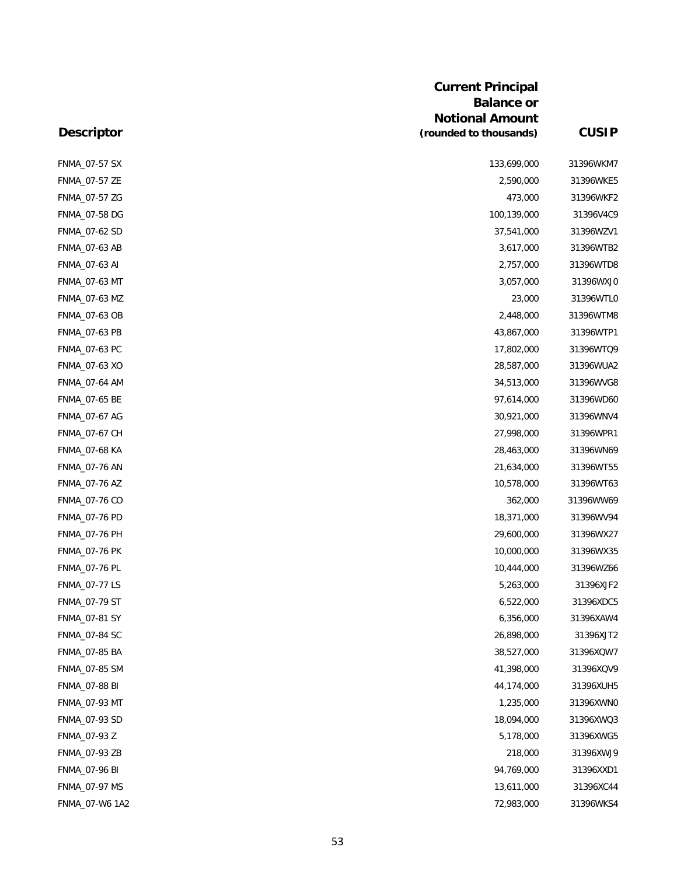|                      | <b>Current Principal</b><br><b>Balance or</b><br><b>Notional Amount</b> |              |
|----------------------|-------------------------------------------------------------------------|--------------|
| <b>Descriptor</b>    | (rounded to thousands)                                                  | <b>CUSIP</b> |
| <b>FNMA_07-57 SX</b> | 133,699,000                                                             | 31396WKM7    |
| FNMA_07-57 ZE        | 2,590,000                                                               | 31396WKE5    |
| FNMA_07-57 ZG        | 473,000                                                                 | 31396WKF2    |
| FNMA_07-58 DG        | 100,139,000                                                             | 31396V4C9    |
| FNMA_07-62 SD        | 37,541,000                                                              | 31396WZV1    |
| FNMA_07-63 AB        | 3,617,000                                                               | 31396WTB2    |
| FNMA_07-63 AI        | 2,757,000                                                               | 31396WTD8    |
| FNMA_07-63 MT        | 3,057,000                                                               | 31396WXJC    |
| FNMA_07-63 MZ        | 23,000                                                                  | 31396WTLC    |
| FNMA_07-63 OB        | 2,448,000                                                               | 31396WTM8    |
| FNMA_07-63 PB        | 43,867,000                                                              | 31396WTP1    |
| FNMA_07-63 PC        | 17,802,000                                                              | 31396WTQ9    |
| FNMA_07-63 XO        | 28,587,000                                                              | 31396WUA2    |
| FNMA_07-64 AM        | 34,513,000                                                              | 31396WVG8    |
| FNMA_07-65 BE        | 97,614,000                                                              | 31396WD60    |
| <b>FNMA_07-67 AG</b> | 30,921,000                                                              | 31396WNV4    |
| FNMA_07-67 CH        | 27,998,000                                                              | 31396WPR1    |
| <b>FNMA_07-68 KA</b> | 28,463,000                                                              | 31396WN69    |
| FNMA_07-76 AN        | 21,634,000                                                              | 31396WT55    |
| FNMA_07-76 AZ        | 10,578,000                                                              | 31396WT63    |
| FNMA_07-76 CO        | 362,000                                                                 | 31396WW69    |
| FNMA_07-76 PD        | 18,371,000                                                              | 31396WV94    |
| FNMA 07-76 PH        | 29,600,000                                                              | 31396WX27    |
| <b>FNMA_07-76 PK</b> | 10,000,000                                                              | 31396WX35    |
| FNMA_07-76 PL        | 10,444,000                                                              | 31396WZ66    |
| FNMA_07-77 LS        | 5,263,000                                                               | 31396XJF2    |
| FNMA_07-79 ST        | 6,522,000                                                               | 31396XDC5    |
| FNMA_07-81 SY        | 6,356,000                                                               | 31396XAW4    |
| <b>FNMA_07-84 SC</b> | 26,898,000                                                              | 31396XJT2    |
| FNMA 07-85 BA        | 38,527,000                                                              | 31396XQW7    |
| FNMA_07-85 SM        | 41,398,000                                                              | 31396XQV9    |
| <b>FNMA_07-88 BI</b> | 44,174,000                                                              | 31396XUH5    |
| FNMA_07-93 MT        | 1,235,000                                                               | 31396XWNO    |
| FNMA_07-93 SD        | 18,094,000                                                              | 31396XWQ3    |
| FNMA_07-93 Z         | 5,178,000                                                               | 31396XWG5    |
| FNMA_07-93 ZB        | 218,000                                                                 | 31396XWJ9    |
| <b>FNMA_07-96 BI</b> | 94,769,000                                                              | 31396XXD1    |
| FNMA_07-97 MS        | 13,611,000                                                              | 31396XC44    |
| FNMA_07-W6 1A2       | 72,983,000                                                              | 31396WKS4    |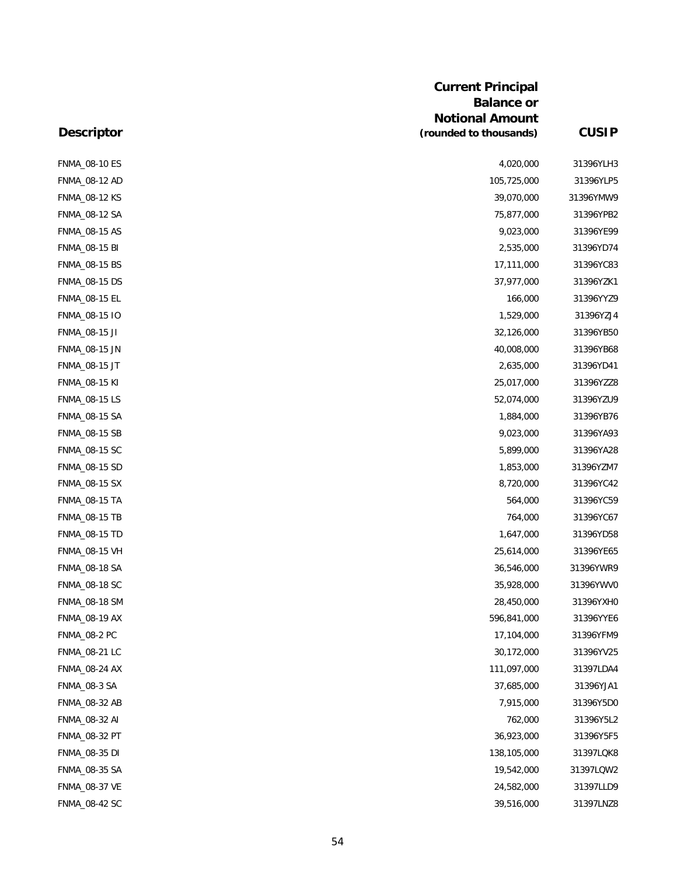| Descriptor           | <b>Current Principal</b><br><b>Balance or</b>    |              |
|----------------------|--------------------------------------------------|--------------|
|                      | <b>Notional Amount</b><br>(rounded to thousands) | <b>CUSIP</b> |
| <b>FNMA_08-10 ES</b> | 4,020,000                                        | 31396YLH3    |
| FNMA_08-12 AD        | 105,725,000                                      | 31396YLP5    |
| <b>FNMA_08-12 KS</b> | 39,070,000                                       | 31396YMW9    |
| FNMA_08-12 SA        | 75,877,000                                       | 31396YPB2    |
| FNMA_08-15 AS        | 9,023,000                                        | 31396YE99    |
| <b>FNMA_08-15 BI</b> | 2,535,000                                        | 31396YD74    |
| FNMA_08-15 BS        | 17,111,000                                       | 31396YC83    |
| <b>FNMA_08-15 DS</b> | 37,977,000                                       | 31396YZK1    |
| FNMA_08-15 EL        | 166,000                                          | 31396YYZ9    |
| FNMA_08-15 IO        | 1,529,000                                        | 31396YZJ4    |
| FNMA_08-15 JI        | 32,126,000                                       | 31396YB50    |
| <b>FNMA_08-15 JN</b> | 40,008,000                                       | 31396YB68    |
| FNMA_08-15 JT        | 2,635,000                                        | 31396YD41    |
| <b>FNMA_08-15 KI</b> | 25,017,000                                       | 31396YZZ8    |
| <b>FNMA_08-15 LS</b> | 52,074,000                                       | 31396YZU9    |
| <b>FNMA_08-15 SA</b> | 1,884,000                                        | 31396YB76    |
| FNMA_08-15 SB        | 9,023,000                                        | 31396YA93    |
| FNMA_08-15 SC        | 5,899,000                                        | 31396YA28    |
| <b>FNMA_08-15 SD</b> | 1,853,000                                        | 31396YZM7    |
| <b>FNMA_08-15 SX</b> | 8,720,000                                        | 31396YC42    |
| <b>FNMA_08-15 TA</b> | 564,000                                          | 31396YC59    |
| <b>FNMA_08-15 TB</b> | 764,000                                          | 31396YC67    |
| <b>FNMA_08-15 TD</b> | 1,647,000                                        | 31396YD58    |
| FNMA_08-15 VH        | 25,614,000                                       | 31396YE65    |
| FNMA_08-18 SA        | 36,546,000                                       | 31396YWR9    |
| <b>FNMA_08-18 SC</b> | 35,928,000                                       | 31396YWVC    |
| <b>FNMA_08-18 SM</b> | 28,450,000                                       | 31396YXHO    |
| <b>FNMA_08-19 AX</b> | 596,841,000                                      | 31396YYE6    |
| <b>FNMA_08-2 PC</b>  | 17,104,000                                       | 31396YFM9    |
| FNMA_08-21 LC        | 30,172,000                                       | 31396YV25    |
| FNMA_08-24 AX        | 111,097,000                                      | 31397LDA4    |
| <b>FNMA_08-3 SA</b>  | 37,685,000                                       | 31396YJA1    |
| FNMA_08-32 AB        | 7,915,000                                        | 31396Y5D0    |
| FNMA_08-32 AI        | 762,000                                          | 31396Y5L2    |
| FNMA_08-32 PT        | 36,923,000                                       | 31396Y5F5    |
| FNMA_08-35 DI        | 138,105,000                                      | 31397LQK8    |
| FNMA_08-35 SA        | 19,542,000                                       | 31397LQW2    |
| FNMA_08-37 VE        | 24,582,000                                       | 31397LLD9    |
| <b>FNMA_08-42 SC</b> | 39,516,000                                       | 31397LNZ8    |
|                      |                                                  |              |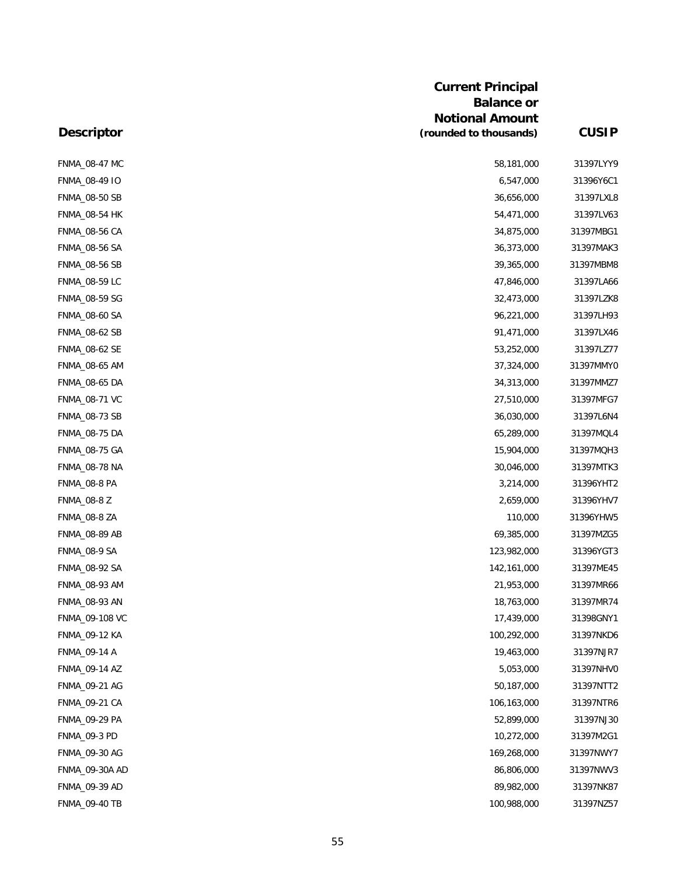|                      | <b>Current Principal</b><br><b>Balance or</b> |              |
|----------------------|-----------------------------------------------|--------------|
|                      | <b>Notional Amount</b>                        |              |
| <b>Descriptor</b>    | (rounded to thousands)                        | <b>CUSIP</b> |
| <b>FNMA_08-47 MC</b> | 58,181,000                                    | 31397LYY9    |
| FNMA_08-49 IO        | 6,547,000                                     | 31396Y6C1    |
| <b>FNMA_08-50 SB</b> | 36,656,000                                    | 31397LXL8    |
| <b>FNMA_08-54 HK</b> | 54,471,000                                    | 31397LV63    |
| <b>FNMA_08-56 CA</b> | 34,875,000                                    | 31397MBG1    |
| FNMA_08-56 SA        | 36,373,000                                    | 31397MAK3    |
| FNMA_08-56 SB        | 39,365,000                                    | 31397MBM8    |
| FNMA_08-59 LC        | 47,846,000                                    | 31397LA66    |
| <b>FNMA_08-59 SG</b> | 32,473,000                                    | 31397LZK8    |
| FNMA_08-60 SA        | 96,221,000                                    | 31397LH93    |
| FNMA_08-62 SB        | 91,471,000                                    | 31397LX46    |
| FNMA_08-62 SE        | 53,252,000                                    | 31397LZ77    |
| <b>FNMA_08-65 AM</b> | 37,324,000                                    | 31397MMYC    |
| FNMA_08-65 DA        | 34,313,000                                    | 31397MMZ7    |
| FNMA_08-71 VC        | 27,510,000                                    | 31397MFG7    |
| FNMA_08-73 SB        | 36,030,000                                    | 31397L6N4    |
| <b>FNMA_08-75 DA</b> | 65,289,000                                    | 31397MQL4    |
| FNMA_08-75 GA        | 15,904,000                                    | 31397MQH3    |
| <b>FNMA_08-78 NA</b> | 30,046,000                                    | 31397MTK3    |
| <b>FNMA_08-8 PA</b>  | 3,214,000                                     | 31396YHT2    |
| <b>FNMA_08-8 Z</b>   | 2,659,000                                     | 31396YHV7    |
| <b>FNMA_08-8 ZA</b>  | 110,000                                       | 31396YHW5    |
| FNMA_08-89 AB        | 69,385,000                                    | 31397MZG5    |
| <b>FNMA_08-9 SA</b>  | 123,982,000                                   | 31396YGT3    |
| FNMA_08-92 SA        | 142, 161, 000                                 | 31397ME45    |
| FNMA_08-93 AM        | 21,953,000                                    | 31397MR66    |
| FNMA_08-93 AN        | 18,763,000                                    | 31397MR74    |
| FNMA_09-108 VC       | 17,439,000                                    | 31398GNY1    |
| <b>FNMA_09-12 KA</b> | 100,292,000                                   | 31397NKD6    |
| FNMA_09-14 A         | 19,463,000                                    | 31397NJR7    |
| FNMA_09-14 AZ        | 5,053,000                                     | 31397NHVC    |
| FNMA_09-21 AG        | 50,187,000                                    | 31397NTT2    |
| FNMA_09-21 CA        | 106,163,000                                   | 31397NTR6    |
| FNMA_09-29 PA        | 52,899,000                                    | 31397NJ30    |
| <b>FNMA_09-3 PD</b>  | 10,272,000                                    | 31397M2G1    |
| FNMA_09-30 AG        | 169,268,000                                   | 31397NWY7    |
| FNMA_09-30A AD       | 86,806,000                                    | 31397NWV3    |
| FNMA_09-39 AD        | 89,982,000                                    | 31397NK87    |
| <b>FNMA_09-40 TB</b> | 100,988,000                                   | 31397NZ57    |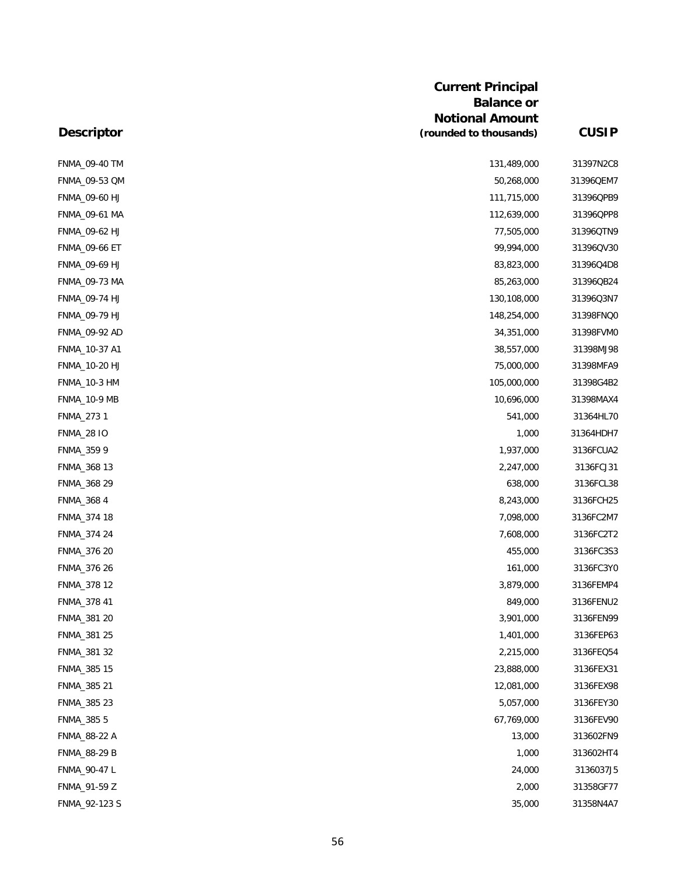| <b>Descriptor</b>   | <b>Current Principal</b><br><b>Balance or</b><br><b>Notional Amount</b><br>(rounded to thousands) | <b>CUSIP</b> |
|---------------------|---------------------------------------------------------------------------------------------------|--------------|
|                     |                                                                                                   |              |
| FNMA_09-40 TM       | 131,489,000                                                                                       | 31397N2C8    |
| FNMA_09-53 QM       | 50,268,000                                                                                        | 31396QEM7    |
| FNMA_09-60 HJ       | 111,715,000                                                                                       | 31396QPB9    |
| FNMA_09-61 MA       | 112,639,000                                                                                       | 31396QPP8    |
| FNMA_09-62 HJ       | 77,505,000                                                                                        | 31396QTN9    |
| FNMA_09-66 ET       | 99,994,000                                                                                        | 31396QV30    |
| FNMA_09-69 HJ       | 83,823,000                                                                                        | 31396Q4D8    |
| FNMA_09-73 MA       | 85,263,000                                                                                        | 31396QB24    |
| FNMA_09-74 HJ       | 130,108,000                                                                                       | 31396Q3N7    |
| FNMA_09-79 HJ       | 148,254,000                                                                                       | 31398FNQ0    |
| FNMA_09-92 AD       | 34,351,000                                                                                        | 31398FVMC    |
| FNMA_10-37 A1       | 38,557,000                                                                                        | 31398MJ98    |
| FNMA_10-20 HJ       | 75,000,000                                                                                        | 31398MFA9    |
| <b>FNMA_10-3 HM</b> | 105,000,000                                                                                       | 31398G4B2    |
| <b>FNMA_10-9 MB</b> | 10,696,000                                                                                        | 31398MAX4    |
| FNMA_273 1          | 541,000                                                                                           | 31364HL70    |
| <b>FNMA_28 IO</b>   | 1,000                                                                                             | 31364HDH7    |
| FNMA_359 9          | 1,937,000                                                                                         | 3136FCUA2    |
| FNMA_368 13         | 2,247,000                                                                                         | 3136FCJ31    |
| FNMA_368 29         | 638,000                                                                                           | 3136FCL38    |
| FNMA_368 4          | 8,243,000                                                                                         | 3136FCH25    |
| FNMA_374 18         | 7,098,000                                                                                         | 3136FC2M7    |
| FNMA_374 24         | 7,608,000                                                                                         | 3136FC2T2    |
| FNMA_376 20         | 455,000                                                                                           | 3136FC3S3    |
| FNMA_376 26         | 161,000                                                                                           | 3136FC3Y0    |
| FNMA_378 12         | 3,879,000                                                                                         | 3136FEMP4    |
| FNMA_378 41         | 849,000                                                                                           | 3136FENU2    |
| FNMA_381 20         | 3,901,000                                                                                         | 3136FEN99    |
| FNMA_381 25         | 1,401,000                                                                                         | 3136FEP63    |
| FNMA_381 32         | 2,215,000                                                                                         | 3136FEQ54    |
| FNMA_385 15         | 23,888,000                                                                                        | 3136FEX31    |
| FNMA_385 21         | 12,081,000                                                                                        | 3136FEX98    |
| FNMA_385 23         | 5,057,000                                                                                         | 3136FEY30    |
| FNMA_385 5          | 67,769,000                                                                                        | 3136FEV90    |
| FNMA_88-22 A        | 13,000                                                                                            | 313602FN9    |
| FNMA_88-29 B        | 1,000                                                                                             | 313602HT4    |
| FNMA_90-47 L        | 24,000                                                                                            | 3136037J5    |
| FNMA_91-59 Z        | 2,000                                                                                             | 31358GF77    |
| FNMA_92-123 S       | 35,000                                                                                            | 31358N4A7    |
|                     |                                                                                                   |              |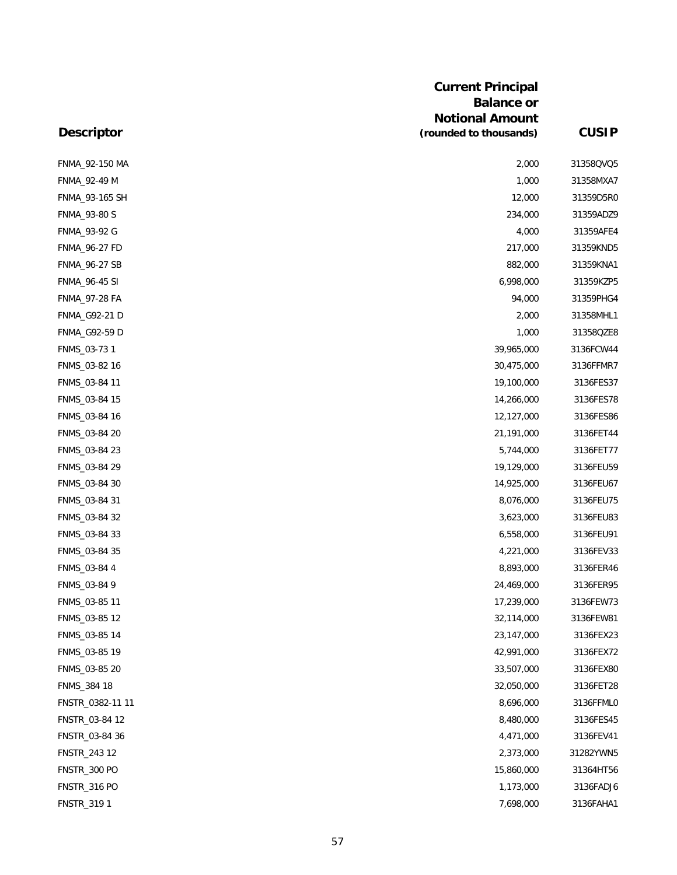|                      | <b>Current Principal</b><br><b>Balance or</b> |              |
|----------------------|-----------------------------------------------|--------------|
|                      | <b>Notional Amount</b>                        |              |
| <b>Descriptor</b>    | (rounded to thousands)                        | <b>CUSIP</b> |
| FNMA_92-150 MA       | 2,000                                         | 31358QVQ5    |
| FNMA_92-49 M         | 1,000                                         | 31358MXA7    |
| FNMA_93-165 SH       | 12,000                                        | 31359D5R0    |
| FNMA_93-80 S         | 234,000                                       | 31359ADZ9    |
| FNMA_93-92 G         | 4,000                                         | 31359AFE4    |
| <b>FNMA_96-27 FD</b> | 217,000                                       | 31359KND5    |
| FNMA_96-27 SB        | 882,000                                       | 31359KNA1    |
| <b>FNMA_96-45 SI</b> | 6,998,000                                     | 31359KZP5    |
| <b>FNMA_97-28 FA</b> | 94,000                                        | 31359PHG4    |
| FNMA_G92-21 D        | 2,000                                         | 31358MHL1    |
| FNMA_G92-59 D        | 1,000                                         | 31358QZE8    |
| FNMS_03-73 1         | 39,965,000                                    | 3136FCW44    |
| FNMS_03-82 16        | 30,475,000                                    | 3136FFMR7    |
| FNMS_03-84 11        | 19,100,000                                    | 3136FES37    |
| FNMS_03-84 15        | 14,266,000                                    | 3136FES78    |
| FNMS_03-84 16        | 12,127,000                                    | 3136FES86    |
| FNMS_03-84 20        | 21,191,000                                    | 3136FET44    |
| FNMS_03-84 23        | 5,744,000                                     | 3136FET77    |
| FNMS_03-84 29        | 19,129,000                                    | 3136FEU59    |
| FNMS_03-84 30        | 14,925,000                                    | 3136FEU67    |
| FNMS_03-84 31        | 8,076,000                                     | 3136FEU75    |
| FNMS_03-84 32        | 3,623,000                                     | 3136FEU83    |
| FNMS_03-84 33        | 6,558,000                                     | 3136FEU91    |
| FNMS_03-84 35        | 4,221,000                                     | 3136FEV33    |
| FNMS_03-84 4         | 8,893,000                                     | 3136FER46    |
| FNMS_03-84 9         | 24,469,000                                    | 3136FER95    |
| FNMS_03-85 11        | 17,239,000                                    | 3136FEW73    |
| FNMS_03-85 12        | 32,114,000                                    | 3136FEW81    |
| FNMS_03-85 14        | 23,147,000                                    | 3136FEX23    |
| FNMS_03-85 19        | 42,991,000                                    | 3136FEX72    |
| FNMS_03-85 20        | 33,507,000                                    | 3136FEX80    |
| FNMS_384 18          | 32,050,000                                    | 3136FET28    |
| FNSTR_0382-11 11     | 8,696,000                                     | 3136FFML0    |
| FNSTR_03-84 12       | 8,480,000                                     | 3136FES45    |
| FNSTR_03-84 36       | 4,471,000                                     | 3136FEV41    |
| FNSTR_243 12         | 2,373,000                                     | 31282YWN5    |
| <b>FNSTR_300 PO</b>  | 15,860,000                                    | 31364HT56    |
| <b>FNSTR_316 PO</b>  | 1,173,000                                     | 3136FADJ6    |
| FNSTR_319 1          | 7,698,000                                     | 3136FAHA1    |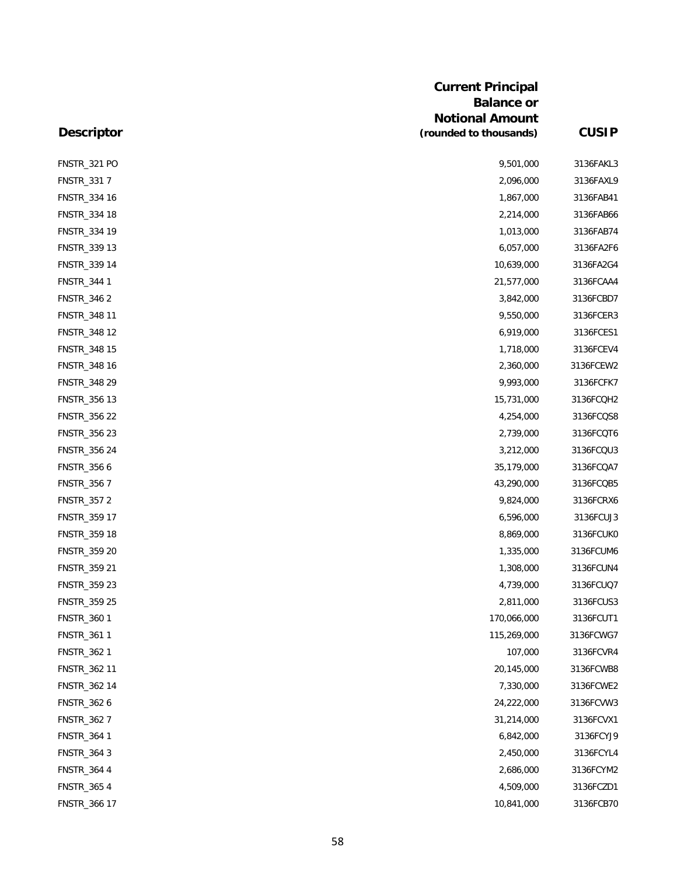| <b>Descriptor</b>   | <b>Current Principal</b><br><b>Balance or</b><br><b>Notional Amount</b> |              |
|---------------------|-------------------------------------------------------------------------|--------------|
|                     | (rounded to thousands)                                                  | <b>CUSIP</b> |
| <b>FNSTR_321 PO</b> | 9,501,000                                                               | 3136FAKL3    |
| FNSTR_331 7         | 2,096,000                                                               | 3136FAXL9    |
| FNSTR_334 16        | 1,867,000                                                               | 3136FAB41    |
| FNSTR_334 18        | 2,214,000                                                               | 3136FAB66    |
| FNSTR_334 19        | 1,013,000                                                               | 3136FAB74    |
| FNSTR_339 13        | 6,057,000                                                               | 3136FA2F6    |
| FNSTR_339 14        | 10,639,000                                                              | 3136FA2G4    |
| FNSTR_344 1         | 21,577,000                                                              | 3136FCAA4    |
| FNSTR_346 2         | 3,842,000                                                               | 3136FCBD7    |
| FNSTR_348 11        | 9,550,000                                                               | 3136FCER3    |
| FNSTR_348 12        | 6,919,000                                                               | 3136FCES1    |
| FNSTR_348 15        | 1,718,000                                                               | 3136FCEV4    |
| FNSTR_348 16        | 2,360,000                                                               | 3136FCEW2    |
| FNSTR_348 29        | 9,993,000                                                               | 3136FCFK7    |
| FNSTR_356 13        | 15,731,000                                                              | 3136FCQH2    |
| FNSTR_356 22        | 4,254,000                                                               | 3136FCQS8    |
| FNSTR_356 23        | 2,739,000                                                               | 3136FCQT6    |
| FNSTR_356 24        | 3,212,000                                                               | 3136FCQU3    |
| FNSTR_356 6         | 35,179,000                                                              | 3136FCQA7    |
| FNSTR_356 7         | 43,290,000                                                              | 3136FCQB5    |
| FNSTR_357 2         | 9,824,000                                                               | 3136FCRX6    |
| FNSTR_359 17        | 6,596,000                                                               | 3136FCUJ3    |
| FNSTR_359 18        | 8,869,000                                                               | 3136FCUK0    |
| FNSTR_359 20        | 1,335,000                                                               | 3136FCUM6    |
| FNSTR_359 21        | 1,308,000                                                               | 3136FCUN4    |
| FNSTR_359 23        | 4,739,000                                                               | 3136FCUQ7    |
| FNSTR_359 25        | 2,811,000                                                               | 3136FCUS3    |
| FNSTR_360 1         | 170,066,000                                                             | 3136FCUT1    |
| FNSTR_361 1         | 115,269,000                                                             | 3136FCWG7    |
| FNSTR_362 1         | 107,000                                                                 | 3136FCVR4    |
| FNSTR_362 11        | 20,145,000                                                              | 3136FCWB8    |
| FNSTR_362 14        | 7,330,000                                                               | 3136FCWE2    |
| FNSTR_362 6         | 24,222,000                                                              | 3136FCVW3    |
| FNSTR_362 7         | 31,214,000                                                              | 3136FCVX1    |
| FNSTR_364 1         | 6,842,000                                                               | 3136FCYJ9    |
| FNSTR_364 3         | 2,450,000                                                               | 3136FCYL4    |
| FNSTR_364 4         | 2,686,000                                                               | 3136FCYM2    |
| FNSTR_365 4         | 4,509,000                                                               | 3136FCZD1    |
| FNSTR_366 17        | 10,841,000                                                              | 3136FCB70    |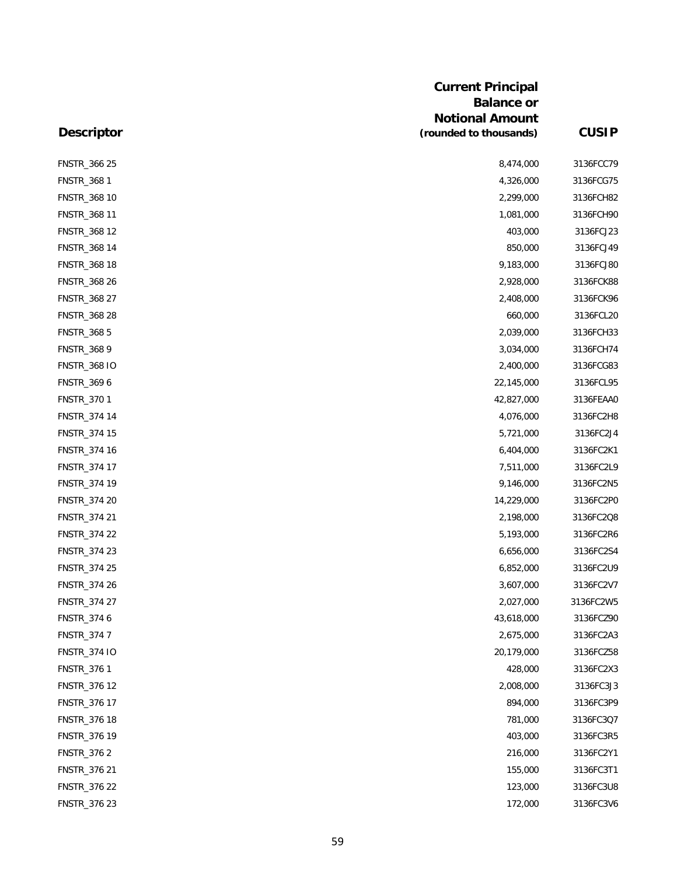|                     | <b>Current Principal</b><br><b>Balance or</b> |              |
|---------------------|-----------------------------------------------|--------------|
|                     | <b>Notional Amount</b>                        |              |
| <b>Descriptor</b>   | (rounded to thousands)                        | <b>CUSIP</b> |
| FNSTR_366 25        | 8,474,000                                     | 3136FCC79    |
| FNSTR_368 1         | 4,326,000                                     | 3136FCG75    |
| FNSTR_368 10        | 2,299,000                                     | 3136FCH82    |
| FNSTR_368 11        | 1,081,000                                     | 3136FCH90    |
| FNSTR_368 12        | 403,000                                       | 3136FCJ23    |
| FNSTR_368 14        | 850,000                                       | 3136FCJ49    |
| FNSTR_368 18        | 9,183,000                                     | 3136FCJ80    |
| FNSTR_368 26        | 2,928,000                                     | 3136FCK88    |
| FNSTR_368 27        | 2,408,000                                     | 3136FCK96    |
| FNSTR_368 28        | 660,000                                       | 3136FCL20    |
| FNSTR_368 5         | 2,039,000                                     | 3136FCH33    |
| FNSTR_368 9         | 3,034,000                                     | 3136FCH74    |
| <b>FNSTR_368 IO</b> | 2,400,000                                     | 3136FCG83    |
| FNSTR_369 6         | 22,145,000                                    | 3136FCL95    |
| FNSTR_370 1         | 42,827,000                                    | 3136FEAA0    |
| FNSTR_374 14        | 4,076,000                                     | 3136FC2H8    |
| FNSTR_374 15        | 5,721,000                                     | 3136FC2J4    |
| FNSTR_374 16        | 6,404,000                                     | 3136FC2K1    |
| FNSTR_374 17        | 7,511,000                                     | 3136FC2L9    |
| FNSTR_374 19        | 9,146,000                                     | 3136FC2N5    |
| FNSTR_374 20        | 14,229,000                                    | 3136FC2P0    |
| FNSTR_374 21        | 2,198,000                                     | 3136FC2Q8    |
| FNSTR_374 22        | 5,193,000                                     | 3136FC2R6    |
| FNSTR_374 23        | 6,656,000                                     | 3136FC2S4    |
| <b>FNSTR 374 25</b> | 6,852,000                                     | 3136FC2U9    |
| FNSTR_374 26        | 3,607,000                                     | 3136FC2V7    |
| FNSTR_374 27        | 2,027,000                                     | 3136FC2W5    |
| FNSTR_374 6         | 43,618,000                                    | 3136FCZ90    |
| FNSTR_374 7         | 2,675,000                                     | 3136FC2A3    |
| <b>FNSTR_374 IO</b> | 20,179,000                                    | 3136FCZ58    |
| FNSTR_376 1         | 428,000                                       | 3136FC2X3    |
| FNSTR_376 12        | 2,008,000                                     | 3136FC3J3    |
| FNSTR_376 17        | 894,000                                       | 3136FC3P9    |
| FNSTR_376 18        | 781,000                                       | 3136FC3Q7    |
| FNSTR_376 19        | 403,000                                       | 3136FC3R5    |
| FNSTR_376 2         | 216,000                                       | 3136FC2Y1    |
| FNSTR_376 21        | 155,000                                       | 3136FC3T1    |
| FNSTR_376 22        | 123,000                                       | 3136FC3U8    |
| FNSTR_376 23        | 172,000                                       | 3136FC3V6    |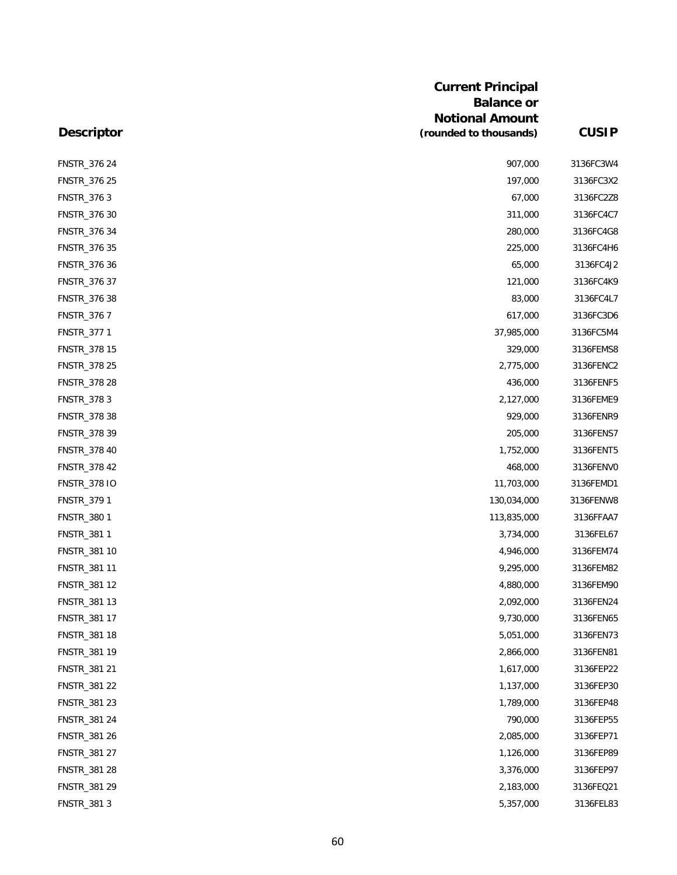| <b>Descriptor</b>   | <b>Current Principal</b><br><b>Balance or</b><br><b>Notional Amount</b><br>(rounded to thousands) | <b>CUSIP</b> |
|---------------------|---------------------------------------------------------------------------------------------------|--------------|
|                     |                                                                                                   |              |
| FNSTR_376 24        | 907,000                                                                                           | 3136FC3W4    |
| FNSTR_376 25        | 197,000                                                                                           | 3136FC3X2    |
| FNSTR_376 3         | 67,000                                                                                            | 3136FC2Z8    |
| FNSTR_376 30        | 311,000                                                                                           | 3136FC4C7    |
| FNSTR_376 34        | 280,000                                                                                           | 3136FC4G8    |
| FNSTR_376 35        | 225,000                                                                                           | 3136FC4H6    |
| FNSTR_376 36        | 65,000                                                                                            | 3136FC4J2    |
| FNSTR_376 37        | 121,000                                                                                           | 3136FC4K9    |
| FNSTR_376 38        | 83,000                                                                                            | 3136FC4L7    |
| FNSTR_376 7         | 617,000                                                                                           | 3136FC3D6    |
| FNSTR_377 1         | 37,985,000                                                                                        | 3136FC5M4    |
| FNSTR_378 15        | 329,000                                                                                           | 3136FEMS8    |
| FNSTR_378 25        | 2,775,000                                                                                         | 3136FENC2    |
| FNSTR_378 28        | 436,000                                                                                           | 3136FENF5    |
| FNSTR_378 3         | 2,127,000                                                                                         | 3136FEME9    |
| FNSTR_378 38        | 929,000                                                                                           | 3136FENR9    |
| FNSTR_378 39        | 205,000                                                                                           | 3136FENS7    |
| FNSTR_378 40        | 1,752,000                                                                                         | 3136FENT5    |
| FNSTR_378 42        | 468,000                                                                                           | 3136FENV0    |
| <b>FNSTR_378 IO</b> | 11,703,000                                                                                        | 3136FEMD1    |
| FNSTR_379 1         | 130,034,000                                                                                       | 3136FENW8    |
| FNSTR_380 1         | 113,835,000                                                                                       | 3136FFAA7    |
| FNSTR_381 1         | 3,734,000                                                                                         | 3136FEL67    |
| FNSTR_381 10        | 4,946,000                                                                                         | 3136FEM74    |
| FNSTR_381 11        | 9,295,000                                                                                         | 3136FEM82    |
| FNSTR_381 12        | 4,880,000                                                                                         | 3136FEM90    |
| FNSTR_381 13        | 2,092,000                                                                                         | 3136FEN24    |
| FNSTR_381 17        | 9,730,000                                                                                         | 3136FEN65    |
| FNSTR_381 18        | 5,051,000                                                                                         | 3136FEN73    |
| FNSTR_381 19        | 2,866,000                                                                                         | 3136FEN81    |
| FNSTR_381 21        | 1,617,000                                                                                         | 3136FEP22    |
| FNSTR_381 22        | 1,137,000                                                                                         | 3136FEP30    |
| FNSTR_381 23        | 1,789,000                                                                                         | 3136FEP48    |
| FNSTR_381 24        | 790,000                                                                                           | 3136FEP55    |
| FNSTR_381 26        | 2,085,000                                                                                         | 3136FEP71    |
| FNSTR_381 27        | 1,126,000                                                                                         | 3136FEP89    |
| FNSTR_381 28        | 3,376,000                                                                                         | 3136FEP97    |
| FNSTR_381 29        | 2,183,000                                                                                         | 3136FEQ21    |
| FNSTR_381 3         | 5,357,000                                                                                         | 3136FEL83    |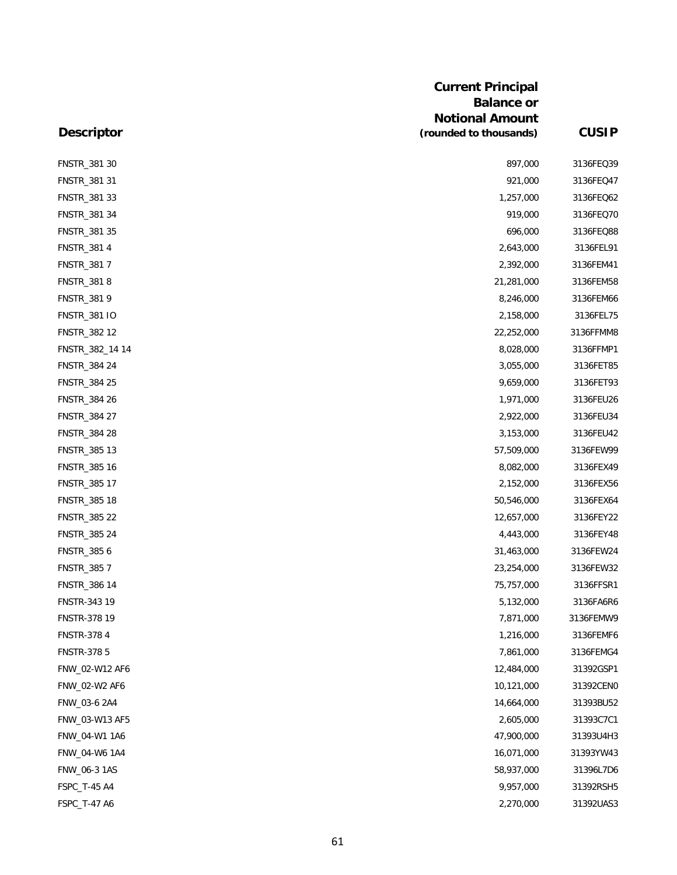|                    | <b>Current Principal</b><br><b>Balance or</b> |              |
|--------------------|-----------------------------------------------|--------------|
|                    | <b>Notional Amount</b>                        |              |
| <b>Descriptor</b>  | (rounded to thousands)                        | <b>CUSIP</b> |
| FNSTR_381 30       | 897,000                                       | 3136FEQ39    |
| FNSTR_381 31       | 921,000                                       | 3136FEQ47    |
| FNSTR_381 33       | 1,257,000                                     | 3136FEQ62    |
| FNSTR_381 34       | 919,000                                       | 3136FEQ70    |
| FNSTR_381 35       | 696,000                                       | 3136FEQ88    |
| FNSTR_381 4        | 2,643,000                                     | 3136FEL91    |
| FNSTR_381 7        | 2,392,000                                     | 3136FEM41    |
| FNSTR_381 8        | 21,281,000                                    | 3136FEM58    |
| FNSTR_381 9        | 8,246,000                                     | 3136FEM66    |
| FNSTR_381 IO       | 2,158,000                                     | 3136FEL75    |
| FNSTR_382 12       | 22,252,000                                    | 3136FFMM8    |
| FNSTR_382_14 14    | 8,028,000                                     | 3136FFMP1    |
| FNSTR_384 24       | 3,055,000                                     | 3136FET85    |
| FNSTR_384 25       | 9,659,000                                     | 3136FET93    |
| FNSTR_384 26       | 1,971,000                                     | 3136FEU26    |
| FNSTR_384 27       | 2,922,000                                     | 3136FEU34    |
| FNSTR_384 28       | 3,153,000                                     | 3136FEU42    |
| FNSTR_385 13       | 57,509,000                                    | 3136FEW99    |
| FNSTR_385 16       | 8,082,000                                     | 3136FEX49    |
| FNSTR_385 17       | 2,152,000                                     | 3136FEX56    |
| FNSTR_385 18       | 50,546,000                                    | 3136FEX64    |
| FNSTR_385 22       | 12,657,000                                    | 3136FEY22    |
| FNSTR_385 24       | 4,443,000                                     | 3136FEY48    |
| FNSTR_385 6        | 31,463,000                                    | 3136FEW24    |
| FNSTR_385 7        | 23,254,000                                    | 3136FEW32    |
| FNSTR_386 14       | 75,757,000                                    | 3136FFSR1    |
| FNSTR-343 19       | 5,132,000                                     | 3136FA6R6    |
| FNSTR-378 19       | 7,871,000                                     | 3136FEMW9    |
| <b>FNSTR-378 4</b> | 1,216,000                                     | 3136FEMF6    |
| <b>FNSTR-378 5</b> | 7,861,000                                     | 3136FEMG4    |
| FNW_02-W12 AF6     | 12,484,000                                    | 31392GSP1    |
| FNW 02-W2 AF6      | 10,121,000                                    | 31392CEN0    |
| FNW 03-6 2A4       | 14,664,000                                    | 31393BU52    |
| FNW_03-W13 AF5     | 2,605,000                                     | 31393C7C1    |
| FNW_04-W1 1A6      | 47,900,000                                    | 31393U4H3    |
| FNW_04-W6 1A4      | 16,071,000                                    | 31393YW43    |
| FNW_06-3 1AS       | 58,937,000                                    | 31396L7D6    |
| FSPC_T-45 A4       | 9,957,000                                     | 31392RSH5    |
| FSPC_T-47 A6       | 2,270,000                                     | 31392UAS3    |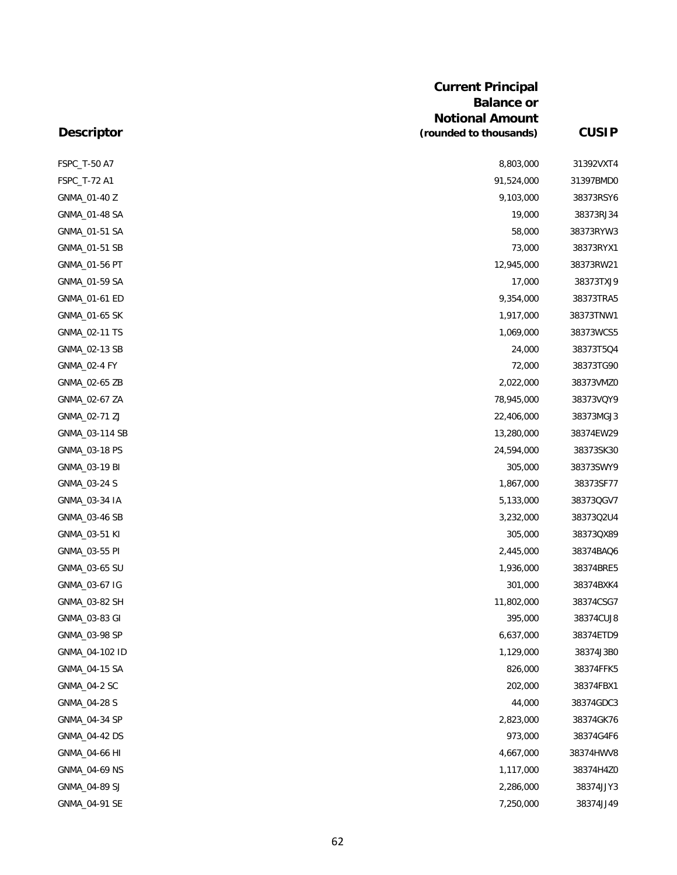| <b>Current Principal</b> |                        |              |  |
|--------------------------|------------------------|--------------|--|
|                          | <b>Balance or</b>      |              |  |
|                          | <b>Notional Amount</b> |              |  |
| <b>Descriptor</b>        | (rounded to thousands) | <b>CUSIP</b> |  |
| FSPC_T-50 A7             | 8,803,000              | 31392VXT4    |  |
| FSPC_T-72 A1             | 91,524,000             | 31397BMD0    |  |
| GNMA_01-40 Z             | 9,103,000              | 38373RSY6    |  |
| GNMA_01-48 SA            | 19,000                 | 38373RJ34    |  |
| GNMA_01-51 SA            | 58,000                 | 38373RYW3    |  |
| GNMA_01-51 SB            | 73,000                 | 38373RYX1    |  |
| GNMA_01-56 PT            | 12,945,000             | 38373RW21    |  |
| GNMA_01-59 SA            | 17,000                 | 38373TXJ9    |  |
| GNMA_01-61 ED            | 9,354,000              | 38373TRA5    |  |
| GNMA_01-65 SK            | 1,917,000              | 38373TNW1    |  |
| GNMA_02-11 TS            | 1,069,000              | 38373WCS5    |  |
| GNMA_02-13 SB            | 24,000                 | 38373T5Q4    |  |
| GNMA_02-4 FY             | 72,000                 | 38373TG90    |  |
| GNMA_02-65 ZB            | 2,022,000              | 38373VMZ0    |  |
| GNMA_02-67 ZA            | 78,945,000             | 38373VQY9    |  |
| GNMA_02-71 ZJ            | 22,406,000             | 38373MGJ3    |  |
| GNMA_03-114 SB           | 13,280,000             | 38374EW29    |  |
| GNMA_03-18 PS            | 24,594,000             | 38373SK30    |  |
| GNMA_03-19 BI            | 305,000                | 38373SWY9    |  |
| GNMA_03-24 S             | 1,867,000              | 38373SF77    |  |
| GNMA_03-34 IA            | 5,133,000              | 38373QGV7    |  |
| GNMA_03-46 SB            | 3,232,000              | 38373Q2U4    |  |
| GNMA_03-51 KI            | 305,000                | 38373QX89    |  |
| GNMA_03-55 PI            | 2,445,000              | 38374BAQ6    |  |
| GNMA_03-65 SU            | 1,936,000              | 38374BRE5    |  |
| GNMA_03-67 IG            | 301,000                | 38374BXK4    |  |
| GNMA_03-82 SH            | 11,802,000             | 38374CSG7    |  |
| GNMA_03-83 GI            | 395,000                | 38374CUJ8    |  |
| GNMA_03-98 SP            | 6,637,000              | 38374ETD9    |  |
| GNMA_04-102 ID           | 1,129,000              | 38374J3B0    |  |
| GNMA_04-15 SA            | 826,000                | 38374FFK5    |  |
| GNMA_04-2 SC             | 202,000                | 38374FBX1    |  |
| GNMA_04-28 S             | 44,000                 | 38374GDC3    |  |
| GNMA_04-34 SP            | 2,823,000              | 38374GK76    |  |
| GNMA_04-42 DS            | 973,000                | 38374G4F6    |  |
| GNMA_04-66 HI            | 4,667,000              | 38374HWV8    |  |
| GNMA_04-69 NS            | 1,117,000              | 38374H4Z0    |  |
| GNMA_04-89 SJ            | 2,286,000              | 38374JJY3    |  |
| GNMA_04-91 SE            | 7,250,000              | 38374JJ49    |  |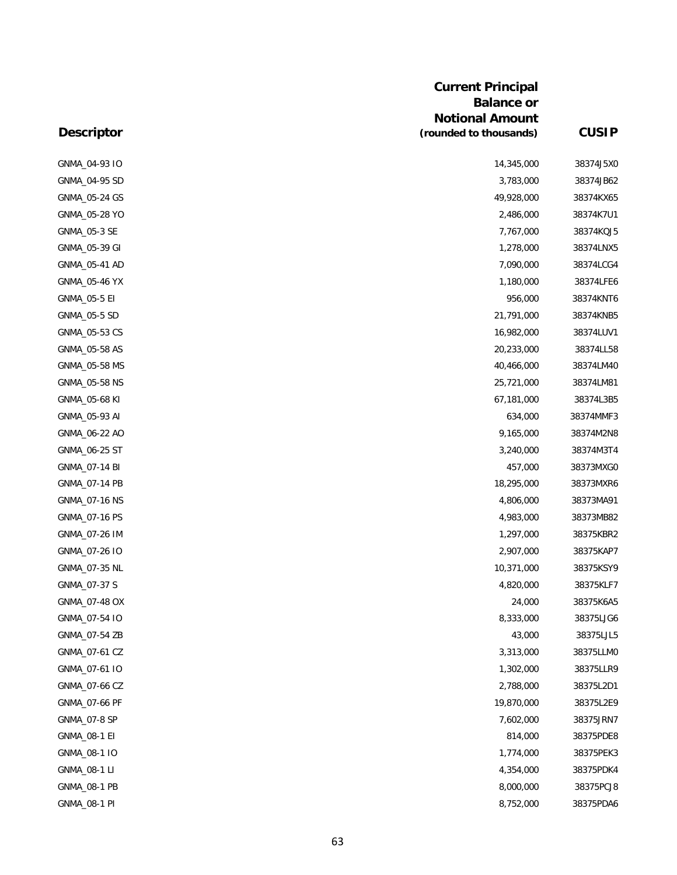| <b>Current Principal</b> |                        |              |  |
|--------------------------|------------------------|--------------|--|
|                          | <b>Balance or</b>      |              |  |
|                          | <b>Notional Amount</b> |              |  |
| <b>Descriptor</b>        | (rounded to thousands) | <b>CUSIP</b> |  |
| GNMA_04-93 IO            | 14,345,000             | 38374J5XC    |  |
| GNMA_04-95 SD            | 3,783,000              | 38374JB62    |  |
| GNMA_05-24 GS            | 49,928,000             | 38374KX65    |  |
| GNMA_05-28 YO            | 2,486,000              | 38374K7U1    |  |
| GNMA_05-3 SE             | 7,767,000              | 38374KQJ5    |  |
| GNMA_05-39 GI            | 1,278,000              | 38374LNX5    |  |
| GNMA_05-41 AD            | 7,090,000              | 38374LCG4    |  |
| GNMA_05-46 YX            | 1,180,000              | 38374LFE6    |  |
| GNMA_05-5 EI             | 956,000                | 38374KNT6    |  |
| GNMA_05-5 SD             | 21,791,000             | 38374KNB5    |  |
| GNMA_05-53 CS            | 16,982,000             | 38374LUV1    |  |
| GNMA_05-58 AS            | 20,233,000             | 38374LL58    |  |
| GNMA_05-58 MS            | 40,466,000             | 38374LM40    |  |
| GNMA_05-58 NS            | 25,721,000             | 38374LM81    |  |
| GNMA_05-68 KI            | 67,181,000             | 38374L3B5    |  |
| GNMA_05-93 AI            | 634,000                | 38374MMF3    |  |
| GNMA_06-22 AO            | 9,165,000              | 38374M2N8    |  |
| GNMA_06-25 ST            | 3,240,000              | 38374M3T4    |  |
| GNMA_07-14 BI            | 457,000                | 38373MXGC    |  |
| GNMA_07-14 PB            | 18,295,000             | 38373MXR6    |  |
| GNMA_07-16 NS            | 4,806,000              | 38373MA91    |  |
| GNMA_07-16 PS            | 4,983,000              | 38373MB82    |  |
| GNMA_07-26 IM            | 1,297,000              | 38375KBR2    |  |
| GNMA_07-26 IO            | 2,907,000              | 38375KAP7    |  |
| GNMA_07-35 NL            | 10,371,000             | 38375KSY9    |  |
| GNMA_07-37 S             | 4,820,000              | 38375KLF7    |  |
| GNMA_07-48 OX            | 24,000                 | 38375K6A5    |  |
| GNMA_07-54 IO            | 8,333,000              | 38375LJG6    |  |
| GNMA_07-54 ZB            | 43,000                 | 38375LJL5    |  |
| GNMA_07-61 CZ            | 3,313,000              | 38375LLMO    |  |
| GNMA_07-61 IO            | 1,302,000              | 38375LLR9    |  |
| GNMA_07-66 CZ            | 2,788,000              | 38375L2D1    |  |
| GNMA_07-66 PF            | 19,870,000             | 38375L2E9    |  |
| GNMA_07-8 SP             | 7,602,000              | 38375JRN7    |  |
| GNMA_08-1 EI             | 814,000                | 38375PDE8    |  |
| GNMA_08-1 IO             | 1,774,000              | 38375PEK3    |  |
| GNMA_08-1 LI             | 4,354,000              | 38375PDK4    |  |
| GNMA_08-1 PB             | 8,000,000              | 38375PCJ8    |  |
| GNMA_08-1 PI             | 8,752,000              | 38375PDA6    |  |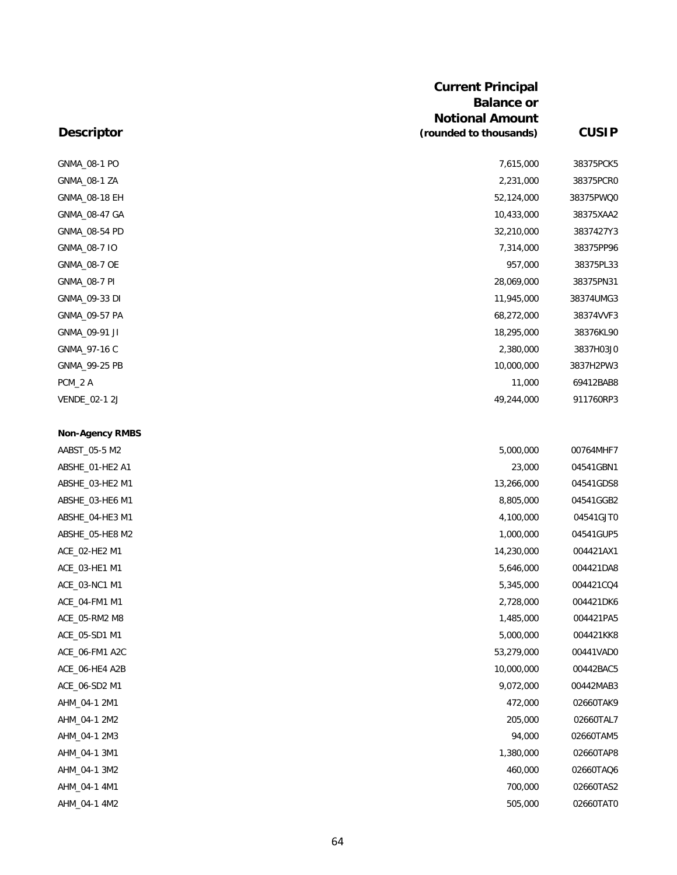|                        | <b>Current Principal</b><br><b>Balance or</b><br><b>Notional Amount</b> |              |
|------------------------|-------------------------------------------------------------------------|--------------|
| <b>Descriptor</b>      | (rounded to thousands)                                                  | <b>CUSIP</b> |
| GNMA_08-1 PO           | 7,615,000                                                               | 38375PCK5    |
| GNMA_08-1 ZA           | 2,231,000                                                               | 38375PCR0    |
| GNMA_08-18 EH          | 52,124,000                                                              | 38375PWQ0    |
| GNMA_08-47 GA          | 10,433,000                                                              | 38375XAA2    |
| GNMA_08-54 PD          | 32,210,000                                                              | 3837427Y3    |
| GNMA_08-7 IO           | 7,314,000                                                               | 38375PP96    |
| GNMA_08-7 OE           | 957,000                                                                 | 38375PL33    |
| GNMA_08-7 PI           | 28,069,000                                                              | 38375PN31    |
| GNMA_09-33 DI          | 11,945,000                                                              | 38374UMG3    |
| GNMA_09-57 PA          | 68,272,000                                                              | 38374VVF3    |
| GNMA_09-91 JI          | 18,295,000                                                              | 38376KL90    |
| GNMA_97-16 C           | 2,380,000                                                               | 3837H03J0    |
| GNMA_99-25 PB          | 10,000,000                                                              | 3837H2PW3    |
| PCM_2 A                | 11,000                                                                  | 69412BAB8    |
| VENDE_02-1 2J          | 49,244,000                                                              | 911760RP3    |
| <b>Non-Agency RMBS</b> |                                                                         |              |
| AABST_05-5 M2          | 5,000,000                                                               | 00764MHF7    |
| ABSHE_01-HE2 A1        | 23,000                                                                  | 04541GBN1    |
| ABSHE_03-HE2 M1        | 13,266,000                                                              | 04541GDS8    |
| ABSHE_03-HE6 M1        | 8,805,000                                                               | 04541GGB2    |
| ABSHE_04-HE3 M1        | 4,100,000                                                               | 04541GJT0    |
| ABSHE_05-HE8 M2        | 1,000,000                                                               | 04541GUP5    |
| ACE_02-HE2 M1          | 14,230,000                                                              | 004421AX1    |
| ACE_03-HE1 M1          | 5,646,000                                                               | 004421DA8    |
| ACE_03-NC1 M1          | 5,345,000                                                               | 004421CQ4    |
| ACE_04-FM1 M1          | 2,728,000                                                               | 004421DK6    |
| ACE_05-RM2 M8          | 1,485,000                                                               | 004421PA5    |
| ACE_05-SD1 M1          | 5,000,000                                                               | 004421KK8    |
| ACE_06-FM1 A2C         | 53,279,000                                                              | 00441VAD0    |
| ACE_06-HE4 A2B         | 10,000,000                                                              | 00442BAC5    |
| ACE_06-SD2 M1          | 9,072,000                                                               | 00442MAB3    |
| AHM_04-1 2M1           | 472,000                                                                 | 02660TAK9    |
| AHM_04-1 2M2           | 205,000                                                                 | 02660TAL7    |
| AHM_04-1 2M3           | 94,000                                                                  | 02660TAM5    |
| AHM_04-1 3M1           | 1,380,000                                                               | 02660TAP8    |
| AHM_04-1 3M2           | 460,000                                                                 | 02660TAQ6    |
| AHM_04-1 4M1           | 700,000                                                                 | 02660TAS2    |
| AHM_04-1 4M2           | 505,000                                                                 | 02660TAT0    |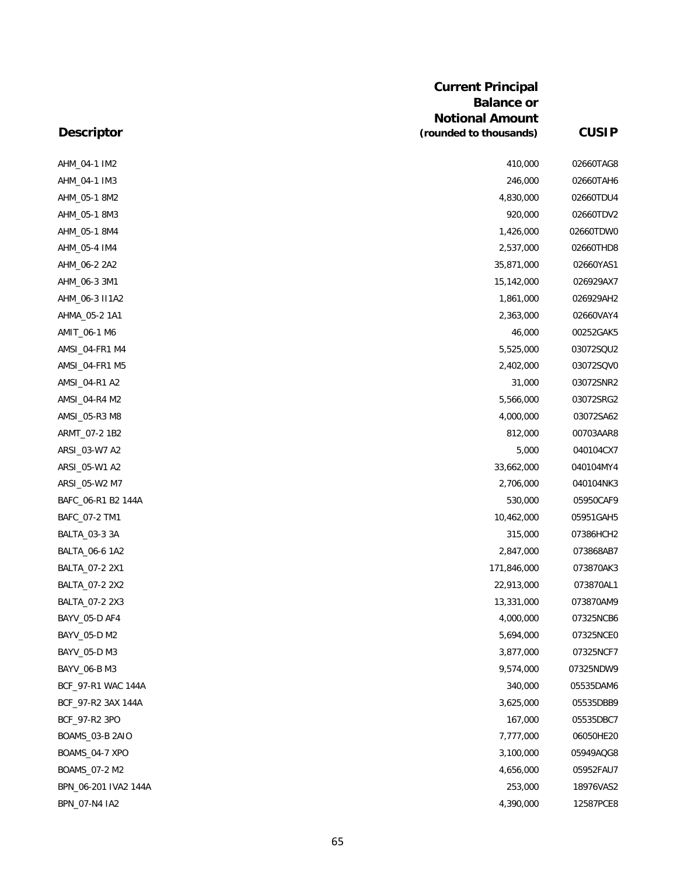|                      | <b>Current Principal</b><br><b>Balance or</b><br><b>Notional Amount</b> |              |
|----------------------|-------------------------------------------------------------------------|--------------|
| <b>Descriptor</b>    | (rounded to thousands)                                                  | <b>CUSIP</b> |
| AHM_04-1 IM2         | 410,000                                                                 | 02660TAG8    |
| AHM_04-1 IM3         | 246,000                                                                 | 02660TAH6    |
| AHM_05-1 8M2         | 4,830,000                                                               | 02660TDU4    |
| AHM_05-1 8M3         | 920,000                                                                 | 02660TDV2    |
| AHM_05-1 8M4         | 1,426,000                                                               | 02660TDW0    |
| AHM_05-4 IM4         | 2,537,000                                                               | 02660THD8    |
| AHM_06-2 2A2         | 35,871,000                                                              | 02660YAS1    |
| AHM_06-3 3M1         | 15,142,000                                                              | 026929AX7    |
| AHM_06-3 II1A2       | 1,861,000                                                               | 026929AH2    |
| AHMA_05-2 1A1        | 2,363,000                                                               | 02660VAY4    |
| AMIT_06-1 M6         | 46,000                                                                  | 00252GAK5    |
| AMSI_04-FR1 M4       | 5,525,000                                                               | 03072SQU2    |
| AMSI_04-FR1 M5       | 2,402,000                                                               | 03072SQV0    |
| AMSI_04-R1 A2        | 31,000                                                                  | 03072SNR2    |
| AMSI_04-R4 M2        | 5,566,000                                                               | 03072SRG2    |
| AMSI_05-R3 M8        | 4,000,000                                                               | 03072SA62    |
| ARMT_07-2 1B2        | 812,000                                                                 | 00703AAR8    |
| ARSI_03-W7 A2        | 5,000                                                                   | 040104CX7    |
| ARSI_05-W1 A2        | 33,662,000                                                              | 040104MY4    |
| ARSI_05-W2 M7        | 2,706,000                                                               | 040104NK3    |
| BAFC_06-R1 B2 144A   | 530,000                                                                 | 05950CAF9    |
| BAFC_07-2 TM1        | 10,462,000                                                              | 05951GAH5    |
| BALTA_03-3 3A        | 315,000                                                                 | 07386HCH2    |
| BALTA_06-6 1A2       | 2,847,000                                                               | 073868AB7    |
| BALTA_07-2 2X1       | 171,846,000                                                             | 073870AK3    |
| BALTA_07-2 2X2       | 22,913,000                                                              | 073870AL1    |
| BALTA_07-2 2X3       | 13,331,000                                                              | 073870AM9    |
| BAYV_05-D AF4        | 4,000,000                                                               | 07325NCB6    |
| BAYV_05-D M2         | 5,694,000                                                               | 07325NCE0    |
| BAYV 05-D M3         | 3,877,000                                                               | 07325NCF7    |
| BAYV_06-B M3         | 9,574,000                                                               | 07325NDW9    |
| BCF_97-R1 WAC 144A   | 340,000                                                                 | 05535DAM6    |
| BCF_97-R2 3AX 144A   | 3,625,000                                                               | 05535DBB9    |
| BCF_97-R2 3PO        | 167,000                                                                 | 05535DBC7    |
| BOAMS_03-B 2AIO      | 7,777,000                                                               | 06050HE20    |
| BOAMS_04-7 XPO       | 3,100,000                                                               | 05949AQG8    |
| BOAMS_07-2 M2        | 4,656,000                                                               | 05952FAU7    |
| BPN_06-201 IVA2 144A | 253,000                                                                 | 18976VAS2    |
| BPN_07-N4 IA2        | 4,390,000                                                               | 12587PCE8    |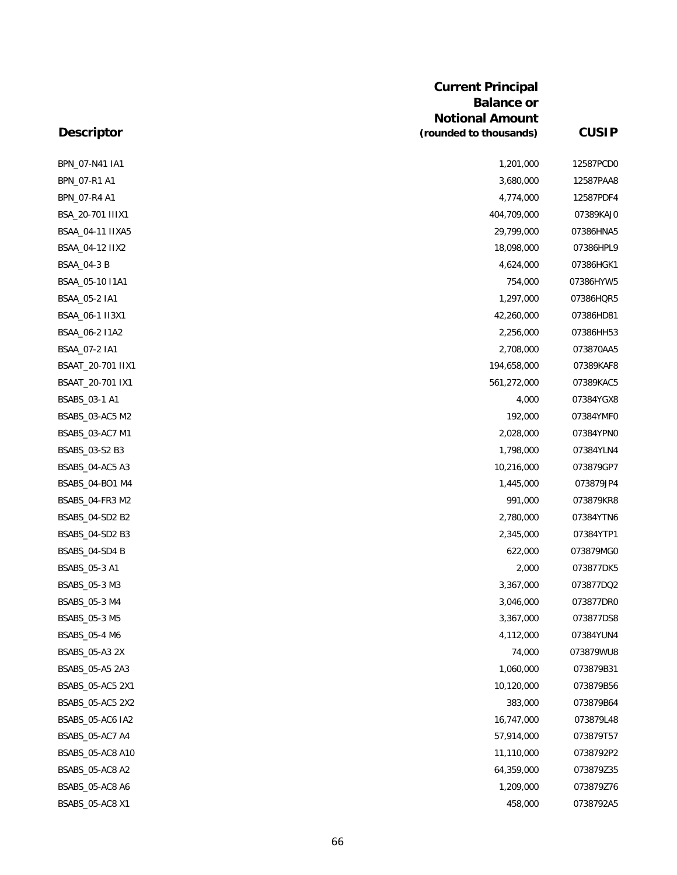| <b>Descriptor</b>  | <b>Balance or</b><br><b>Notional Amount</b><br>(rounded to thousands) | <b>CUSIP</b> |
|--------------------|-----------------------------------------------------------------------|--------------|
| BPN_07-N41 IA1     | 1,201,000                                                             | 12587PCD0    |
| BPN_07-R1 A1       | 3,680,000                                                             | 12587PAA8    |
| BPN_07-R4 A1       | 4,774,000                                                             | 12587PDF4    |
| BSA_20-701 IIIX1   | 404,709,000                                                           | 07389KAJ0    |
| BSAA_04-11 IIXA5   | 29,799,000                                                            | 07386HNA5    |
| BSAA_04-12 IIX2    | 18,098,000                                                            | 07386HPL9    |
| <b>BSAA_04-3 B</b> | 4,624,000                                                             | 07386HGK1    |
| BSAA_05-10 I1A1    | 754,000                                                               | 07386HYW5    |
| BSAA_05-2 IA1      | 1,297,000                                                             | 07386HQR5    |
| BSAA_06-1 II3X1    | 42,260,000                                                            | 07386HD81    |
| BSAA_06-2 I1A2     | 2,256,000                                                             | 07386HH53    |
| BSAA_07-2 IA1      | 2,708,000                                                             | 073870AA5    |
| BSAAT_20-701 IIX1  | 194,658,000                                                           | 07389KAF8    |
| BSAAT_20-701 IX1   | 561,272,000                                                           | 07389KAC5    |
| BSABS_03-1 A1      | 4,000                                                                 | 07384YGX8    |
| BSABS_03-AC5 M2    | 192,000                                                               | 07384YMF0    |
| BSABS_03-AC7 M1    | 2,028,000                                                             | 07384YPN0    |
| BSABS_03-S2 B3     | 1,798,000                                                             | 07384YLN4    |
| BSABS_04-AC5 A3    | 10,216,000                                                            | 073879GP7    |
| BSABS_04-BO1 M4    | 1,445,000                                                             | 073879JP4    |
| BSABS_04-FR3 M2    | 991,000                                                               | 073879KR8    |
| BSABS_04-SD2 B2    | 2,780,000                                                             | 07384YTN6    |
| BSABS_04-SD2 B3    | 2,345,000                                                             | 07384YTP1    |
| BSABS_04-SD4 B     | 622,000                                                               | 073879MG0    |
| BSABS_05-3 A1      | 2,000                                                                 | 073877DK5    |
| BSABS_05-3 M3      | 3,367,000                                                             | 073877DQ2    |
| BSABS_05-3 M4      | 3,046,000                                                             | 073877DR0    |
| BSABS_05-3 M5      | 3,367,000                                                             | 073877DS8    |
| BSABS_05-4 M6      | 4,112,000                                                             | 07384YUN4    |
| BSABS_05-A3 2X     | 74,000                                                                | 073879WU8    |
| BSABS_05-A5 2A3    | 1,060,000                                                             | 073879B31    |
| BSABS_05-AC5 2X1   | 10,120,000                                                            | 073879B56    |
| BSABS_05-AC5 2X2   | 383,000                                                               | 073879B64    |
| BSABS_05-AC6 IA2   | 16,747,000                                                            | 073879L48    |
| BSABS_05-AC7 A4    | 57,914,000                                                            | 073879T57    |
| BSABS_05-AC8 A10   | 11,110,000                                                            | 0738792P2    |
| BSABS_05-AC8 A2    | 64,359,000                                                            | 073879Z35    |
| BSABS_05-AC8 A6    | 1,209,000                                                             | 073879Z76    |
| BSABS_05-AC8 X1    | 458,000                                                               | 0738792A5    |

**Current Principal**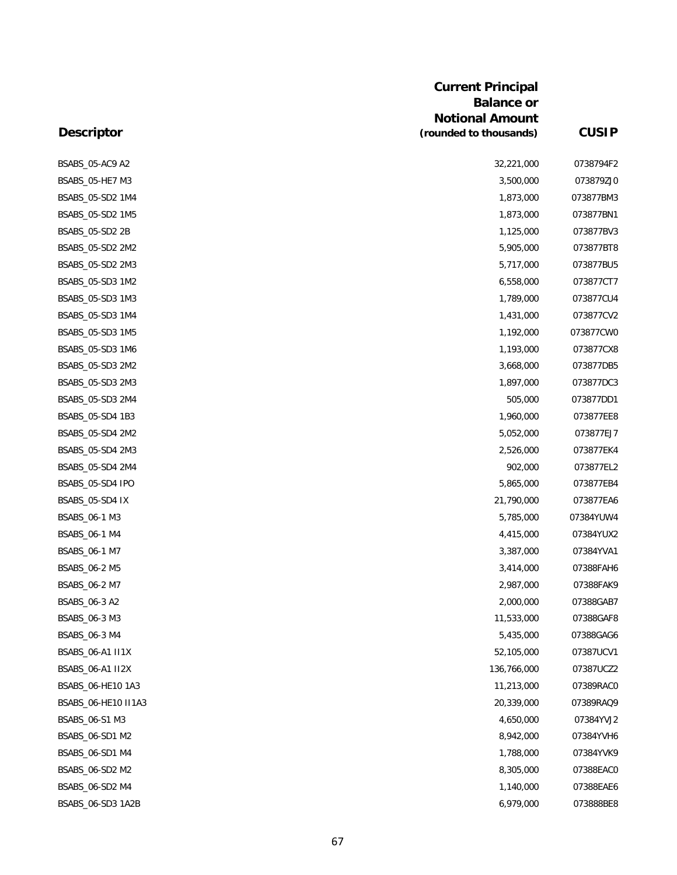|                     | <b>Current Principal</b><br><b>Balance or</b><br><b>Notional Amount</b> |              |
|---------------------|-------------------------------------------------------------------------|--------------|
| <b>Descriptor</b>   | (rounded to thousands)                                                  | <b>CUSIP</b> |
| BSABS_05-AC9 A2     | 32,221,000                                                              | 0738794F2    |
| BSABS_05-HE7 M3     | 3,500,000                                                               | 073879ZJC    |
| BSABS_05-SD2 1M4    | 1,873,000                                                               | 073877BM3    |
| BSABS_05-SD2 1M5    | 1,873,000                                                               | 073877BN1    |
| BSABS_05-SD2 2B     | 1,125,000                                                               | 073877BV3    |
| BSABS_05-SD2 2M2    | 5,905,000                                                               | 073877BT8    |
| BSABS_05-SD2 2M3    | 5,717,000                                                               | 073877BU5    |
| BSABS_05-SD3 1M2    | 6,558,000                                                               | 073877CT7    |
| BSABS_05-SD3 1M3    | 1,789,000                                                               | 073877CU4    |
| BSABS_05-SD3 1M4    | 1,431,000                                                               | 073877CV2    |
| BSABS_05-SD3 1M5    | 1,192,000                                                               | 073877CWC    |
| BSABS_05-SD3 1M6    | 1,193,000                                                               | 073877CX8    |
| BSABS_05-SD3 2M2    | 3,668,000                                                               | 073877DB5    |
| BSABS_05-SD3 2M3    | 1,897,000                                                               | 073877DC3    |
| BSABS_05-SD3 2M4    | 505,000                                                                 | 073877DD1    |
| BSABS_05-SD4 1B3    | 1,960,000                                                               | 073877EE8    |
| BSABS_05-SD4 2M2    | 5,052,000                                                               | 073877EJ7    |
| BSABS_05-SD4 2M3    | 2,526,000                                                               | 073877EK4    |
| BSABS_05-SD4 2M4    | 902,000                                                                 | 073877EL2    |
| BSABS_05-SD4 IPO    | 5,865,000                                                               | 073877EB4    |
| BSABS_05-SD4 IX     | 21,790,000                                                              | 073877EA6    |
| BSABS_06-1 M3       | 5,785,000                                                               | 07384YUW4    |
| BSABS_06-1 M4       | 4,415,000                                                               | 07384YUX2    |
| BSABS_06-1 M7       | 3,387,000                                                               | 07384YVA1    |
| BSABS_06-2 M5       | 3,414,000                                                               | 07388FAH6    |
| BSABS_06-2 M7       | 2,987,000                                                               | 07388FAK9    |
| BSABS_06-3 A2       | 2,000,000                                                               | 07388GAB7    |
| BSABS_06-3 M3       | 11,533,000                                                              | 07388GAF8    |
| BSABS_06-3 M4       | 5,435,000                                                               | 07388GAG6    |
| BSABS_06-A1 II1X    | 52,105,000                                                              | 07387UCV1    |
| BSABS_06-A1 II2X    | 136,766,000                                                             | 07387UCZ2    |
| BSABS_06-HE10 1A3   | 11,213,000                                                              | 07389RAC0    |
| BSABS_06-HE10 II1A3 | 20,339,000                                                              | 07389RAQ9    |
| BSABS_06-S1 M3      | 4,650,000                                                               | 07384YVJ2    |
| BSABS_06-SD1 M2     | 8,942,000                                                               | 07384YVH6    |
| BSABS_06-SD1 M4     | 1,788,000                                                               | 07384YVK9    |
| BSABS_06-SD2 M2     | 8,305,000                                                               | 07388EAC0    |
| BSABS_06-SD2 M4     | 1,140,000                                                               | 07388EAE6    |
| BSABS_06-SD3 1A2B   | 6,979,000                                                               | 073888BE8    |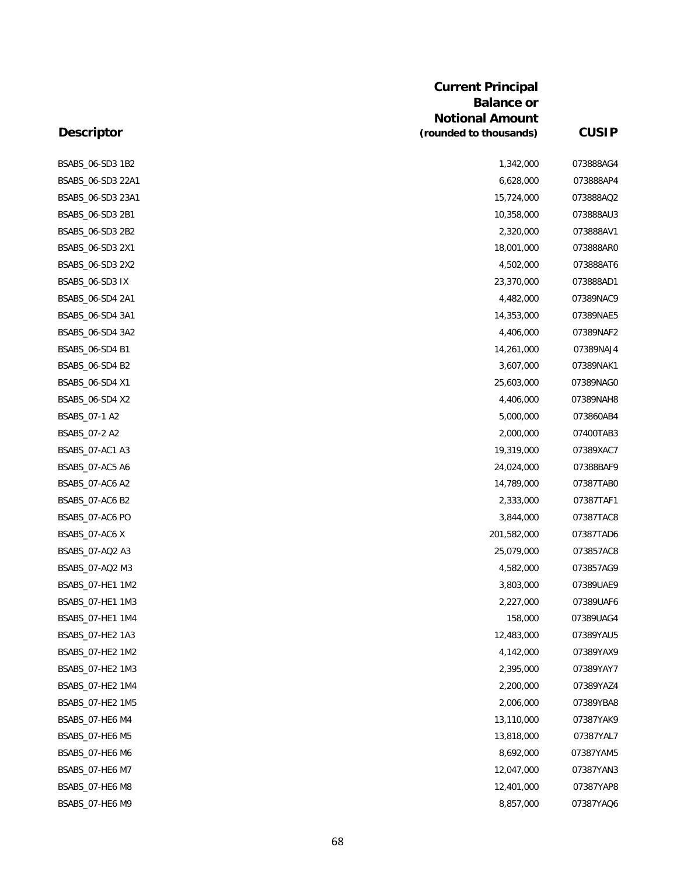### **Current Principal Balance or Notional Amount (rounded to thousands) CUSIP**

## **Descriptor**

| BSABS_06-SD3 1B2  | 1,342,000   | 073888AG4 |
|-------------------|-------------|-----------|
| BSABS_06-SD3 22A1 | 6,628,000   | 073888AP4 |
| BSABS_06-SD3 23A1 | 15,724,000  | 073888AQ2 |
| BSABS_06-SD3 2B1  | 10,358,000  | 073888AU3 |
| BSABS_06-SD3 2B2  | 2,320,000   | 073888AV1 |
| BSABS_06-SD3 2X1  | 18,001,000  | 073888AR0 |
| BSABS_06-SD3 2X2  | 4,502,000   | 073888AT6 |
| BSABS_06-SD3 IX   | 23,370,000  | 073888AD1 |
| BSABS_06-SD4 2A1  | 4,482,000   | 07389NAC9 |
| BSABS_06-SD4 3A1  | 14,353,000  | 07389NAE5 |
| BSABS_06-SD4 3A2  | 4,406,000   | 07389NAF2 |
| BSABS_06-SD4 B1   | 14,261,000  | 07389NAJ4 |
| BSABS_06-SD4 B2   | 3,607,000   | 07389NAK1 |
| BSABS_06-SD4 X1   | 25,603,000  | 07389NAG0 |
| BSABS_06-SD4 X2   | 4,406,000   | 07389NAH8 |
| BSABS_07-1 A2     | 5,000,000   | 073860AB4 |
| BSABS_07-2 A2     | 2,000,000   | 07400TAB3 |
| BSABS_07-AC1 A3   | 19,319,000  | 07389XAC7 |
| BSABS 07-AC5 A6   | 24,024,000  | 07388BAF9 |
| BSABS_07-AC6 A2   | 14,789,000  | 07387TAB0 |
| BSABS_07-AC6 B2   | 2,333,000   | 07387TAF1 |
| BSABS_07-AC6 PO   | 3,844,000   | 07387TAC8 |
| BSABS_07-AC6 X    | 201,582,000 | 07387TAD6 |
| BSABS_07-AQ2 A3   | 25,079,000  | 073857AC8 |
| BSABS_07-AQ2 M3   | 4,582,000   | 073857AG9 |
| BSABS_07-HE1 1M2  | 3,803,000   | 07389UAE9 |
| BSABS_07-HE1 1M3  | 2,227,000   | 07389UAF6 |
| BSABS_07-HE1 1M4  | 158,000     | 07389UAG4 |
| BSABS_07-HE2 1A3  | 12,483,000  | 07389YAU5 |
| BSABS_07-HE2 1M2  | 4,142,000   | 07389YAX9 |
| BSABS_07-HE2 1M3  | 2,395,000   | 07389YAY7 |
| BSABS_07-HE2 1M4  | 2,200,000   | 07389YAZ4 |
| BSABS_07-HE2 1M5  | 2,006,000   | 07389YBA8 |
| BSABS_07-HE6 M4   | 13,110,000  | 07387YAK9 |
| BSABS_07-HE6 M5   | 13,818,000  | 07387YAL7 |
| BSABS_07-HE6 M6   | 8,692,000   | 07387YAM5 |
| BSABS_07-HE6 M7   | 12,047,000  | 07387YAN3 |
| BSABS_07-HE6 M8   | 12,401,000  | 07387YAP8 |
| BSABS_07-HE6 M9   | 8,857,000   | 07387YAQ6 |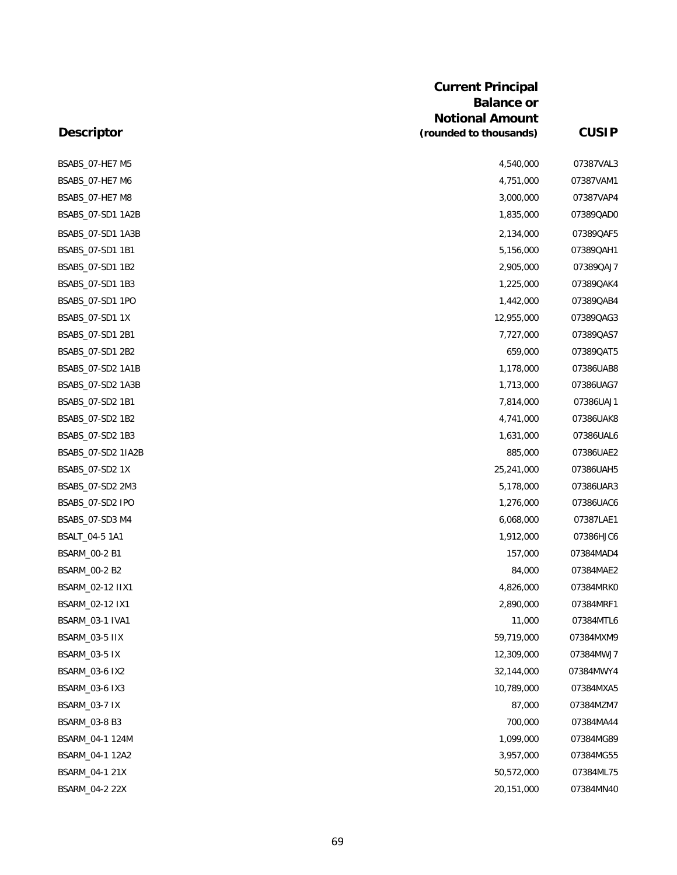| <b>Descriptor</b>      | <b>Current Principal</b><br><b>Balance or</b><br><b>Notional Amount</b><br>(rounded to thousands) | <b>CUSIP</b> |
|------------------------|---------------------------------------------------------------------------------------------------|--------------|
|                        |                                                                                                   |              |
| BSABS_07-HE7 M5        | 4,540,000                                                                                         | 07387VAL3    |
| BSABS_07-HE7 M6        | 4,751,000                                                                                         | 07387VAM1    |
| BSABS_07-HE7 M8        | 3,000,000                                                                                         | 07387VAP4    |
| BSABS_07-SD1 1A2B      | 1,835,000                                                                                         | 07389QADC    |
| BSABS_07-SD1 1A3B      | 2,134,000                                                                                         | 07389QAF5    |
| BSABS_07-SD1 1B1       | 5,156,000                                                                                         | 07389QAH1    |
| BSABS_07-SD1 1B2       | 2,905,000                                                                                         | 07389QAJ7    |
| BSABS_07-SD1 1B3       | 1,225,000                                                                                         | 07389QAK4    |
| BSABS_07-SD1 1PO       | 1,442,000                                                                                         | 07389QAB4    |
| BSABS_07-SD1 1X        | 12,955,000                                                                                        | 07389QAG3    |
| BSABS_07-SD1 2B1       | 7,727,000                                                                                         | 07389QAS7    |
| BSABS_07-SD1 2B2       | 659,000                                                                                           | 07389QAT5    |
| BSABS_07-SD2 1A1B      | 1,178,000                                                                                         | 07386UAB8    |
| BSABS_07-SD2 1A3B      | 1,713,000                                                                                         | 07386UAG7    |
| BSABS_07-SD2 1B1       | 7,814,000                                                                                         | 07386UAJ1    |
| BSABS_07-SD2 1B2       | 4,741,000                                                                                         | 07386UAK8    |
| BSABS_07-SD2 1B3       | 1,631,000                                                                                         | 07386UAL6    |
| BSABS_07-SD2 1IA2B     | 885,000                                                                                           | 07386UAE2    |
| BSABS_07-SD2 1X        | 25,241,000                                                                                        | 07386UAH5    |
| BSABS_07-SD2 2M3       | 5,178,000                                                                                         | 07386UAR3    |
| BSABS_07-SD2 IPO       | 1,276,000                                                                                         | 07386UAC6    |
| BSABS_07-SD3 M4        | 6,068,000                                                                                         | 07387LAE1    |
| BSALT_04-5 1A1         | 1,912,000                                                                                         | 07386HJC6    |
| BSARM_00-2 B1          | 157,000                                                                                           | 07384MAD4    |
| BSARM_00-2 B2          | 84,000                                                                                            | 07384MAE2    |
| BSARM_02-12 IIX1       | 4,826,000                                                                                         | 07384MRKC    |
| BSARM_02-12 IX1        | 2,890,000                                                                                         | 07384MRF1    |
| <b>BSARM_03-1 IVA1</b> | 11,000                                                                                            | 07384MTL6    |
| BSARM_03-5 IIX         | 59,719,000                                                                                        | 07384MXM9    |
| BSARM_03-5 IX          | 12,309,000                                                                                        | 07384MWJ7    |
| <b>BSARM_03-6 IX2</b>  | 32,144,000                                                                                        | 07384MWY4    |
| <b>BSARM_03-6 IX3</b>  | 10,789,000                                                                                        | 07384MXA5    |
| BSARM_03-7 IX          | 87,000                                                                                            | 07384MZM7    |
| BSARM_03-8 B3          | 700,000                                                                                           | 07384MA44    |
| BSARM_04-1 124M        | 1,099,000                                                                                         | 07384MG89    |
| BSARM_04-1 12A2        | 3,957,000                                                                                         | 07384MG55    |
| BSARM_04-1 21X         | 50,572,000                                                                                        | 07384ML75    |
| BSARM_04-2 22X         | 20, 151, 000                                                                                      | 07384MN4C    |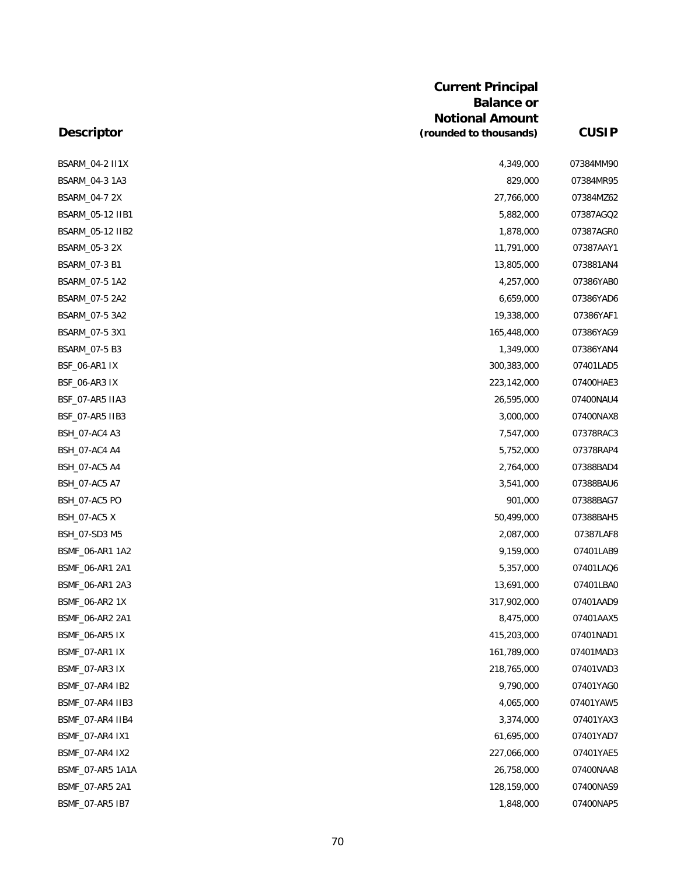| <b>Current Principal</b> |  |
|--------------------------|--|
| <b>Balance or</b>        |  |
| <b>Notional Amount</b>   |  |
| (rounded to thousands)   |  |

**(rounded to thousands) CUSIP**

# **Descriptor**

| BSARM_04-2 II1X      | 4,349,000   | 07384MM90 |
|----------------------|-------------|-----------|
| BSARM_04-3 1A3       | 829,000     | 07384MR95 |
| BSARM_04-7 2X        | 27,766,000  | 07384MZ62 |
| BSARM_05-12 IIB1     | 5,882,000   | 07387AGQ2 |
| BSARM_05-12 IIB2     | 1,878,000   | 07387AGR0 |
| BSARM_05-3 2X        | 11,791,000  | 07387AAY1 |
| BSARM_07-3 B1        | 13,805,000  | 073881AN4 |
| BSARM_07-5 1A2       | 4,257,000   | 07386YAB0 |
| BSARM_07-5 2A2       | 6,659,000   | 07386YAD6 |
| BSARM_07-5 3A2       | 19,338,000  | 07386YAF1 |
| BSARM_07-5 3X1       | 165,448,000 | 07386YAG9 |
| BSARM_07-5 B3        | 1,349,000   | 07386YAN4 |
| <b>BSF_06-AR1 IX</b> | 300,383,000 | 07401LAD5 |
| <b>BSF_06-AR3 IX</b> | 223,142,000 | 07400HAE3 |
| BSF 07-AR5 IIA3      | 26,595,000  | 07400NAU4 |
| BSF_07-AR5 IIB3      | 3,000,000   | 07400NAX8 |
| BSH_07-AC4 A3        | 7,547,000   | 07378RAC3 |
| BSH_07-AC4 A4        | 5,752,000   | 07378RAP4 |
| BSH_07-AC5 A4        | 2,764,000   | 07388BAD4 |
| BSH_07-AC5 A7        | 3,541,000   | 07388BAU6 |
| BSH_07-AC5 PO        | 901,000     | 07388BAG7 |
| BSH_07-AC5 X         | 50,499,000  | 07388BAH5 |
| BSH_07-SD3 M5        | 2,087,000   | 07387LAF8 |
| BSMF_06-AR1 1A2      | 9,159,000   | 07401LAB9 |
| BSMF_06-AR1 2A1      | 5,357,000   | 07401LAQ6 |
| BSMF_06-AR1 2A3      | 13,691,000  | 07401LBA0 |
| BSMF_06-AR2 1X       | 317,902,000 | 07401AAD9 |
| BSMF_06-AR2 2A1      | 8,475,000   | 07401AAX5 |
| BSMF_06-AR5 IX       | 415,203,000 | 07401NAD1 |
| BSMF_07-AR1 IX       | 161,789,000 | 07401MAD3 |
| BSMF_07-AR3 IX       | 218,765,000 | 07401VAD3 |
| BSMF_07-AR4 IB2      | 9,790,000   | 07401YAG0 |
| BSMF_07-AR4 IIB3     | 4,065,000   | 07401YAW5 |
| BSMF_07-AR4 IIB4     | 3,374,000   | 07401YAX3 |
| BSMF_07-AR4 IX1      | 61,695,000  | 07401YAD7 |
| BSMF 07-AR4 IX2      | 227,066,000 | 07401YAE5 |
| BSMF_07-AR5 1A1A     | 26,758,000  | 07400NAA8 |
| BSMF_07-AR5 2A1      | 128,159,000 | 07400NAS9 |
| BSMF_07-AR5 IB7      | 1,848,000   | 07400NAP5 |
|                      |             |           |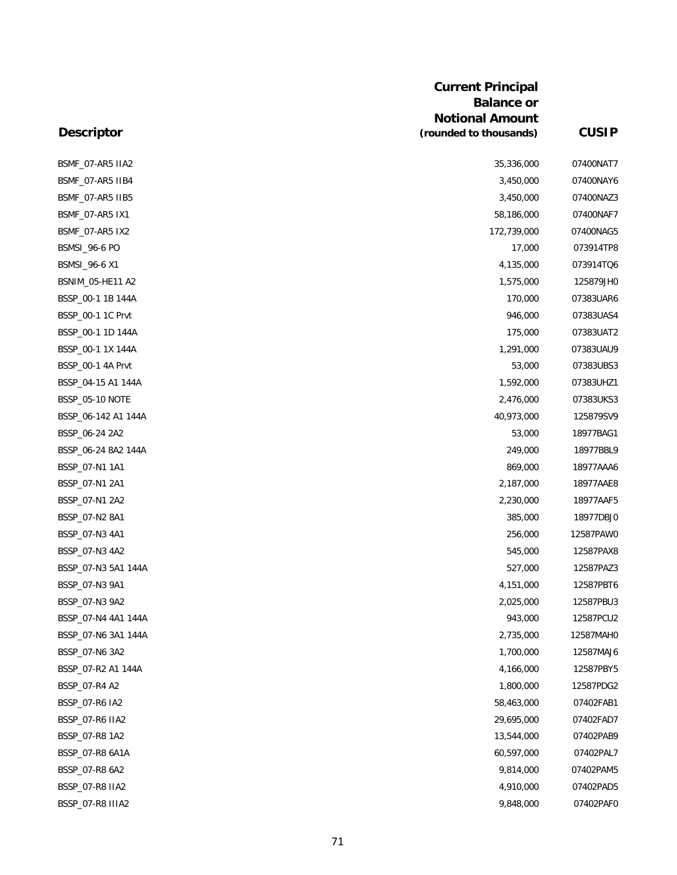|                        | <b>Current Principal</b><br><b>Balance or</b>    |              |
|------------------------|--------------------------------------------------|--------------|
| <b>Descriptor</b>      | <b>Notional Amount</b><br>(rounded to thousands) | <b>CUSIP</b> |
|                        |                                                  |              |
| BSMF_07-AR5 IIA2       | 35,336,000                                       | 07400NAT7    |
| BSMF_07-AR5 IIB4       | 3,450,000                                        | 07400NAY6    |
| BSMF_07-AR5 IIB5       | 3,450,000                                        | 07400NAZ3    |
| BSMF_07-AR5 IX1        | 58,186,000                                       | 07400NAF7    |
| BSMF_07-AR5 IX2        | 172,739,000                                      | 07400NAG5    |
| <b>BSMSI_96-6 PO</b>   | 17,000                                           | 073914TP8    |
| BSMSI_96-6 X1          | 4,135,000                                        | 073914TQ6    |
| BSNIM_05-HE11 A2       | 1,575,000                                        | 125879JH0    |
| BSSP_00-1 1B 144A      | 170,000                                          | 07383UAR6    |
| BSSP_00-1 1C Prvt      | 946,000                                          | 07383UAS4    |
| BSSP_00-1 1D 144A      | 175,000                                          | 07383UAT2    |
| BSSP_00-1 1X 144A      | 1,291,000                                        | 07383UAU9    |
| BSSP_00-1 4A Prvt      | 53,000                                           | 07383UBS3    |
| BSSP_04-15 A1 144A     | 1,592,000                                        | 07383UHZ1    |
| <b>BSSP_05-10 NOTE</b> | 2,476,000                                        | 07383UKS3    |
| BSSP_06-142 A1 144A    | 40,973,000                                       | 125879SV9    |
| BSSP_06-24 2A2         | 53,000                                           | 18977BAG1    |
| BSSP_06-24 8A2 144A    | 249,000                                          | 18977BBL9    |
| BSSP_07-N1 1A1         | 869,000                                          | 18977AAA6    |
| BSSP_07-N1 2A1         | 2,187,000                                        | 18977AAE8    |
| BSSP_07-N1 2A2         | 2,230,000                                        | 18977AAF5    |
| BSSP_07-N2 8A1         | 385,000                                          | 18977DBJ0    |
| BSSP_07-N3 4A1         | 256,000                                          | 12587PAW0    |
| BSSP_07-N3 4A2         | 545,000                                          | 12587PAX8    |
| BSSP_07-N3 5A1 144A    | 527,000                                          | 12587PAZ3    |
| BSSP_07-N3 9A1         | 4,151,000                                        | 12587PBT6    |
| BSSP_07-N3 9A2         | 2,025,000                                        | 12587PBU3    |
| BSSP_07-N4 4A1 144A    | 943,000                                          | 12587PCU2    |
| BSSP_07-N6 3A1 144A    | 2,735,000                                        | 12587MAH0    |
| BSSP_07-N6 3A2         | 1,700,000                                        | 12587MAJ6    |
| BSSP_07-R2 A1 144A     | 4,166,000                                        | 12587PBY5    |
| BSSP_07-R4 A2          | 1,800,000                                        | 12587PDG2    |
| BSSP_07-R6 IA2         | 58,463,000                                       | 07402FAB1    |
| BSSP_07-R6 IIA2        | 29,695,000                                       | 07402FAD7    |
| BSSP_07-R8 1A2         | 13,544,000                                       | 07402PAB9    |
| BSSP_07-R8 6A1A        | 60,597,000                                       | 07402PAL7    |
| BSSP_07-R8 6A2         | 9,814,000                                        | 07402PAM5    |
| BSSP_07-R8 IIA2        | 4,910,000                                        | 07402PAD5    |
| BSSP_07-R8 IIIA2       | 9,848,000                                        | 07402PAF0    |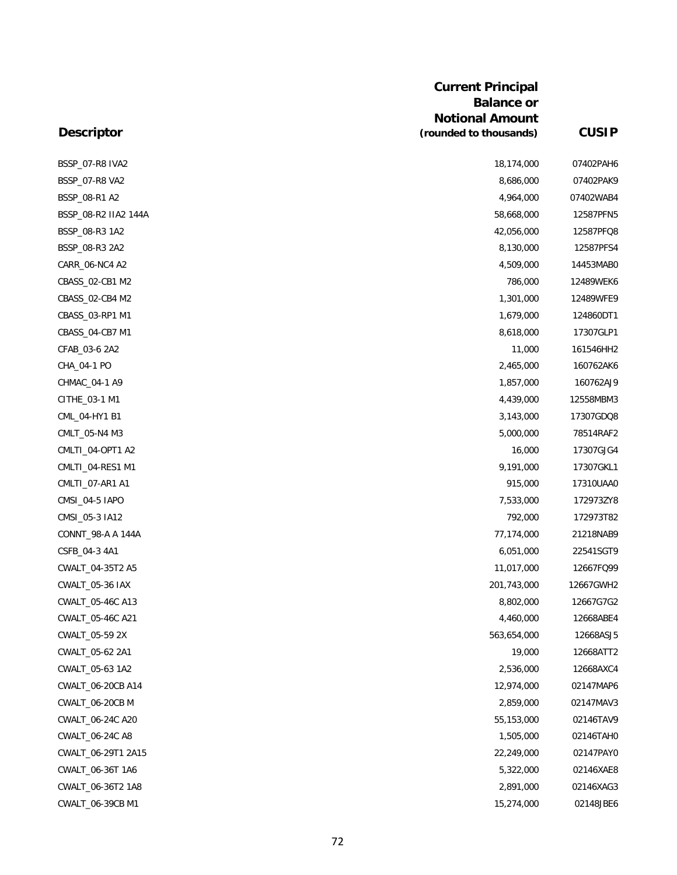| <b>Current Principal</b> |
|--------------------------|
| <b>Balance or</b>        |
| <b>Notional Amount</b>   |
| (rounded to thousands)   |

**(rounded to thousands) CUSIP**

# **Descriptor**

| BSSP_07-R8 IVA2      | 18,174,000  | 07402PAH6 |
|----------------------|-------------|-----------|
| BSSP_07-R8 VA2       | 8,686,000   | 07402PAK9 |
| BSSP_08-R1 A2        | 4,964,000   | 07402WAB4 |
| BSSP_08-R2 IIA2 144A | 58,668,000  | 12587PFN5 |
| BSSP_08-R3 1A2       | 42,056,000  | 12587PFQ8 |
| BSSP_08-R3 2A2       | 8,130,000   | 12587PFS4 |
| CARR_06-NC4 A2       | 4,509,000   | 14453MAB0 |
| CBASS_02-CB1 M2      | 786,000     | 12489WEK6 |
| CBASS_02-CB4 M2      | 1,301,000   | 12489WFE9 |
| CBASS_03-RP1 M1      | 1,679,000   | 124860DT1 |
| CBASS_04-CB7 M1      | 8,618,000   | 17307GLP1 |
| CFAB_03-6 2A2        | 11,000      | 161546HH2 |
| CHA_04-1 PO          | 2,465,000   | 160762AK6 |
| CHMAC_04-1 A9        | 1,857,000   | 160762AJ9 |
| CITHE_03-1 M1        | 4,439,000   | 12558MBM3 |
| CML_04-HY1 B1        | 3,143,000   | 17307GDQ8 |
| CMLT_05-N4 M3        | 5,000,000   | 78514RAF2 |
| CMLTI_04-OPT1 A2     | 16,000      | 17307GJG4 |
| CMLTI 04-RES1 M1     | 9,191,000   | 17307GKL1 |
| CMLTI_07-AR1 A1      | 915,000     | 17310UAA0 |
| CMSI_04-5 IAPO       | 7,533,000   | 172973ZY8 |
| CMSI_05-3 IA12       | 792,000     | 172973T82 |
| CONNT_98-A A 144A    | 77,174,000  | 21218NAB9 |
| CSFB_04-3 4A1        | 6,051,000   | 22541SGT9 |
| CWALT_04-35T2 A5     | 11,017,000  | 12667FQ99 |
| CWALT_05-36 IAX      | 201,743,000 | 12667GWH2 |
| CWALT_05-46C A13     | 8,802,000   | 12667G7G2 |
| CWALT_05-46C A21     | 4,460,000   | 12668ABE4 |
| CWALT_05-59 2X       | 563,654,000 | 12668ASJ5 |
| CWALT_05-62 2A1      | 19,000      | 12668ATT2 |
| CWALT_05-63 1A2      | 2,536,000   | 12668AXC4 |
| CWALT_06-20CB A14    | 12,974,000  | 02147MAP6 |
| CWALT_06-20CB M      | 2,859,000   | 02147MAV3 |
| CWALT_06-24C A20     | 55,153,000  | 02146TAV9 |
| CWALT_06-24C A8      | 1,505,000   | 02146TAH0 |
| CWALT_06-29T1 2A15   | 22,249,000  | 02147PAY0 |
| CWALT_06-36T 1A6     | 5,322,000   | 02146XAE8 |
| CWALT_06-36T2 1A8    | 2,891,000   | 02146XAG3 |
| CWALT_06-39CB M1     | 15,274,000  | 02148JBE6 |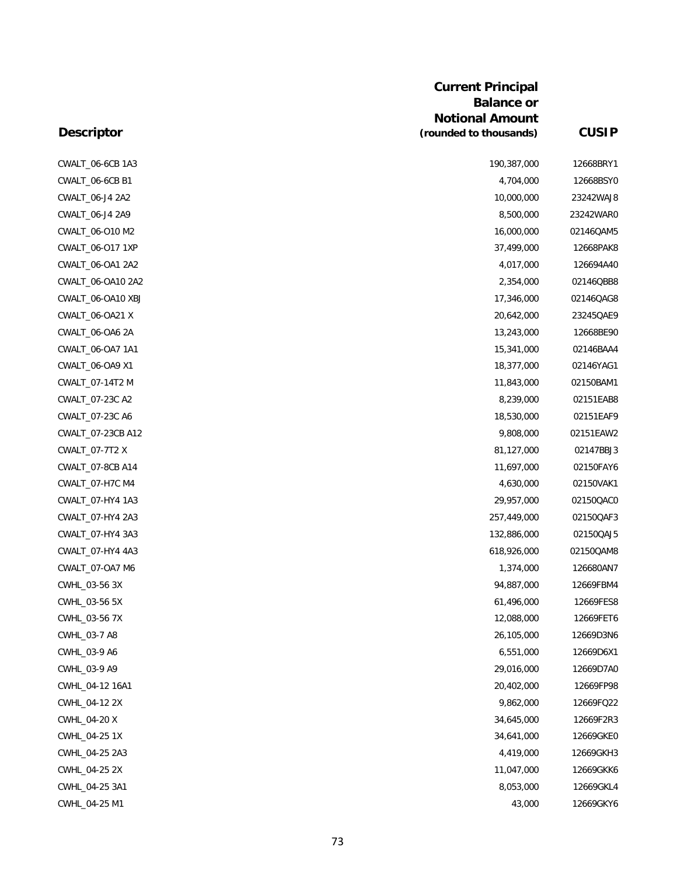| CWALT_06-6CB 1A3  | 190,387,000 | 12668BRY1 |
|-------------------|-------------|-----------|
| CWALT_06-6CB B1   | 4,704,000   | 12668BSY0 |
| CWALT_06-J4 2A2   | 10,000,000  | 23242WAJ8 |
| CWALT_06-J4 2A9   | 8,500,000   | 23242WAR0 |
| CWALT_06-O10 M2   | 16,000,000  | 02146QAM5 |
| CWALT_06-O17 1XP  | 37,499,000  | 12668PAK8 |
| CWALT_06-OA1 2A2  | 4,017,000   | 126694A40 |
| CWALT_06-OA10 2A2 | 2,354,000   | 02146QBB8 |
| CWALT_06-OA10 XBJ | 17,346,000  | 02146QAG8 |
| CWALT_06-OA21 X   | 20,642,000  | 23245QAE9 |
| CWALT_06-OA6 2A   | 13,243,000  | 12668BE90 |
| CWALT_06-OA7 1A1  | 15,341,000  | 02146BAA4 |
| CWALT_06-OA9 X1   | 18,377,000  | 02146YAG1 |
| CWALT_07-14T2 M   | 11,843,000  | 02150BAM1 |
| CWALT_07-23C A2   | 8,239,000   | 02151EAB8 |
| CWALT_07-23C A6   | 18,530,000  | 02151EAF9 |
| CWALT_07-23CB A12 | 9,808,000   | 02151EAW2 |
| CWALT_07-7T2 X    | 81,127,000  | 02147BBJ3 |
| CWALT_07-8CB A14  | 11,697,000  | 02150FAY6 |
| CWALT_07-H7C M4   | 4,630,000   | 02150VAK1 |
| CWALT_07-HY4 1A3  | 29,957,000  | 02150QAC0 |
| CWALT_07-HY4 2A3  | 257,449,000 | 02150QAF3 |
| CWALT_07-HY4 3A3  | 132,886,000 | 02150QAJ5 |
| CWALT_07-HY4 4A3  | 618,926,000 | 02150QAM8 |
| CWALT_07-OA7 M6   | 1,374,000   | 126680AN7 |
| CWHL_03-56 3X     | 94,887,000  | 12669FBM4 |
| CWHL_03-56 5X     | 61,496,000  | 12669FES8 |
| CWHL_03-56 7X     | 12,088,000  | 12669FET6 |
| CWHL_03-7 A8      | 26,105,000  | 12669D3N6 |
| CWHL_03-9 A6      | 6,551,000   | 12669D6X1 |
| CWHL_03-9 A9      | 29,016,000  | 12669D7A0 |
| CWHL_04-12 16A1   | 20,402,000  | 12669FP98 |
| CWHL_04-12 2X     | 9,862,000   | 12669FQ22 |
| CWHL_04-20 X      | 34,645,000  | 12669F2R3 |
| CWHL_04-25 1X     | 34,641,000  | 12669GKE0 |
| CWHL_04-25 2A3    | 4,419,000   | 12669GKH3 |
| CWHL_04-25 2X     | 11,047,000  | 12669GKK6 |
| CWHL_04-25 3A1    | 8,053,000   | 12669GKL4 |
| CWHL_04-25 M1     | 43,000      | 12669GKY6 |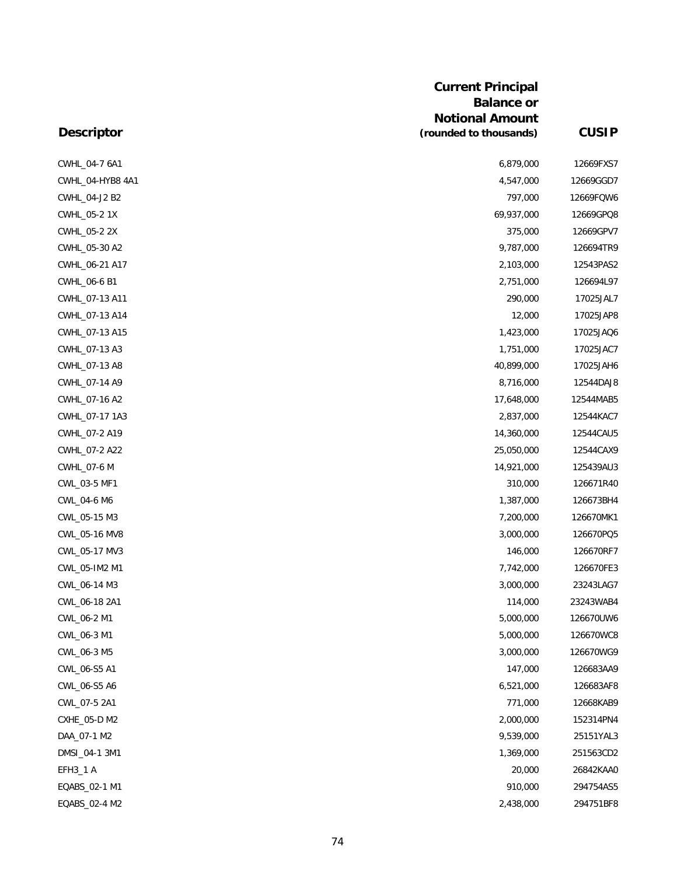| <b>Descriptor</b> | <b>Current Principal</b><br><b>Balance or</b><br><b>Notional Amount</b><br>(rounded to thousands) | <b>CUSIP</b> |
|-------------------|---------------------------------------------------------------------------------------------------|--------------|
|                   |                                                                                                   |              |
| CWHL_04-7 6A1     | 6,879,000                                                                                         | 12669FXS7    |
| CWHL_04-HYB8 4A1  | 4,547,000                                                                                         | 12669GGD7    |
| CWHL_04-J2 B2     | 797,000                                                                                           | 12669FQW6    |
| CWHL_05-2 1X      | 69,937,000                                                                                        | 12669GPQ8    |
| CWHL_05-2 2X      | 375,000                                                                                           | 12669GPV7    |
| CWHL_05-30 A2     | 9,787,000                                                                                         | 126694TR9    |
| CWHL_06-21 A17    | 2,103,000                                                                                         | 12543PAS2    |
| CWHL_06-6 B1      | 2,751,000                                                                                         | 126694L97    |
| CWHL_07-13 A11    | 290,000                                                                                           | 17025JAL7    |
| CWHL_07-13 A14    | 12,000                                                                                            | 17025JAP8    |
| CWHL_07-13 A15    | 1,423,000                                                                                         | 17025JAQ6    |
| CWHL_07-13 A3     | 1,751,000                                                                                         | 17025JAC7    |
| CWHL_07-13 A8     | 40,899,000                                                                                        | 17025JAH6    |
| CWHL_07-14 A9     | 8,716,000                                                                                         | 12544DAJ8    |
| CWHL_07-16 A2     | 17,648,000                                                                                        | 12544MAB5    |
| CWHL_07-17 1A3    | 2,837,000                                                                                         | 12544KAC7    |
| CWHL_07-2 A19     | 14,360,000                                                                                        | 12544CAU5    |
| CWHL_07-2 A22     | 25,050,000                                                                                        | 12544CAX9    |
| CWHL_07-6 M       | 14,921,000                                                                                        | 125439AU3    |
| CWL_03-5 MF1      | 310,000                                                                                           | 126671R40    |
| CWL_04-6 M6       | 1,387,000                                                                                         | 126673BH4    |
| CWL_05-15 M3      | 7,200,000                                                                                         | 126670MK1    |
| CWL_05-16 MV8     | 3,000,000                                                                                         | 126670PQ5    |
| CWL_05-17 MV3     | 146,000                                                                                           | 126670RF7    |
| CWL_05-IM2 M1     | 7,742,000                                                                                         | 126670FE3    |
| CWL_06-14 M3      | 3,000,000                                                                                         | 23243LAG7    |
| CWL_06-18 2A1     | 114,000                                                                                           | 23243WAB4    |
| CWL_06-2 M1       | 5,000,000                                                                                         | 126670UW6    |
| CWL_06-3 M1       | 5,000,000                                                                                         | 126670WC8    |
| CWL_06-3 M5       | 3,000,000                                                                                         | 126670WG9    |
| CWL_06-S5 A1      | 147,000                                                                                           | 126683AA9    |
| CWL_06-S5 A6      | 6,521,000                                                                                         | 126683AF8    |
| CWL_07-5 2A1      | 771,000                                                                                           | 12668KAB9    |
| CXHE_05-D M2      | 2,000,000                                                                                         | 152314PN4    |
| DAA_07-1 M2       | 9,539,000                                                                                         | 25151YAL3    |
| DMSI_04-1 3M1     | 1,369,000                                                                                         | 251563CD2    |
| EFH3_1 A          | 20,000                                                                                            | 26842KAA0    |
| EQABS_02-1 M1     | 910,000                                                                                           | 294754AS5    |
| EQABS_02-4 M2     | 2,438,000                                                                                         | 294751BF8    |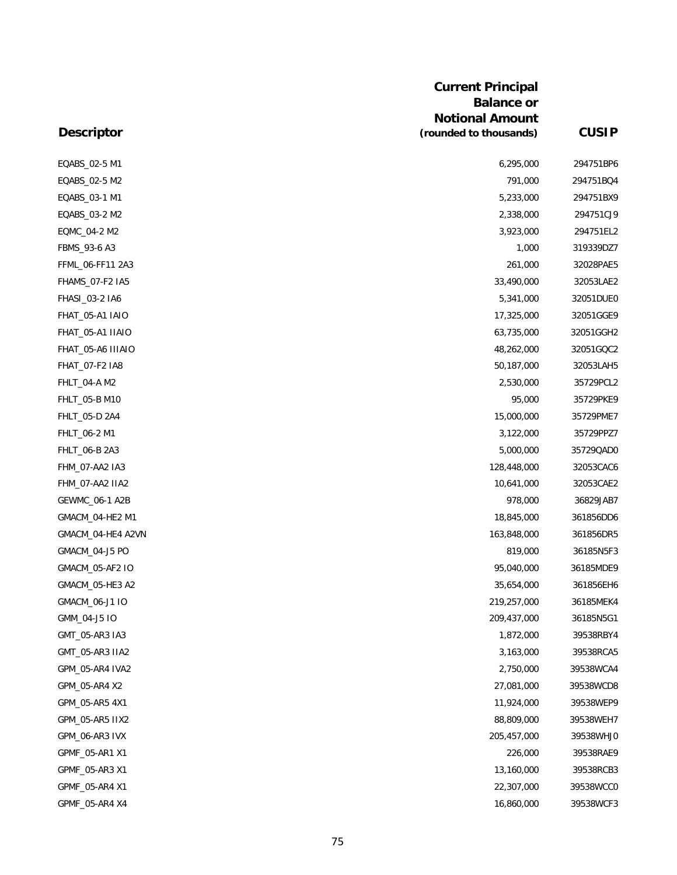|                   | <b>Current Principal</b><br><b>Balance or</b><br><b>Notional Amount</b> |              |
|-------------------|-------------------------------------------------------------------------|--------------|
| <b>Descriptor</b> | (rounded to thousands)                                                  | <b>CUSIP</b> |
| EQABS_02-5 M1     | 6,295,000                                                               | 294751BP6    |
| EQABS_02-5 M2     | 791,000                                                                 | 294751BQ4    |
| EQABS_03-1 M1     | 5,233,000                                                               | 294751BX9    |
| EQABS_03-2 M2     | 2,338,000                                                               | 294751CJ9    |
| EQMC_04-2 M2      | 3,923,000                                                               | 294751EL2    |
| FBMS_93-6 A3      | 1,000                                                                   | 319339DZ7    |
| FFML_06-FF11 2A3  | 261,000                                                                 | 32028PAE5    |
| FHAMS_07-F2 IA5   | 33,490,000                                                              | 32053LAE2    |
| FHASI_03-2 IA6    | 5,341,000                                                               | 32051DUE0    |
| FHAT_05-A1 IAIO   | 17,325,000                                                              | 32051GGE9    |
| FHAT_05-A1 IIAIO  | 63,735,000                                                              | 32051GGH2    |
| FHAT_05-A6 IIIAIO | 48,262,000                                                              | 32051GQC2    |
| FHAT_07-F2 IA8    | 50,187,000                                                              | 32053LAH5    |
| FHLT_04-A M2      | 2,530,000                                                               | 35729PCL2    |
| FHLT_05-B M10     | 95,000                                                                  | 35729PKE9    |
| FHLT_05-D 2A4     | 15,000,000                                                              | 35729PME7    |
| FHLT_06-2 M1      | 3,122,000                                                               | 35729PPZ7    |
| FHLT_06-B 2A3     | 5,000,000                                                               | 35729QAD0    |
| FHM_07-AA2 IA3    | 128,448,000                                                             | 32053CAC6    |
| FHM_07-AA2 IIA2   | 10,641,000                                                              | 32053CAE2    |
| GEWMC_06-1 A2B    | 978,000                                                                 | 36829JAB7    |
| GMACM_04-HE2 M1   | 18,845,000                                                              | 361856DD6    |
| GMACM_04-HE4 A2VN | 163,848,000                                                             | 361856DR5    |
| GMACM_04-J5 PO    | 819,000                                                                 | 36185N5F3    |
| GMACM_05-AF2 IO   | 95,040,000                                                              | 36185MDE9    |
| GMACM_05-HE3 A2   | 35,654,000                                                              | 361856EH6    |
| GMACM_06-J1 IO    | 219,257,000                                                             | 36185MEK4    |
| GMM_04-J5 IO      | 209,437,000                                                             | 36185N5G1    |
| GMT_05-AR3 IA3    | 1,872,000                                                               | 39538RBY4    |
| GMT_05-AR3 IIA2   | 3,163,000                                                               | 39538RCA5    |
| GPM_05-AR4 IVA2   | 2,750,000                                                               | 39538WCA4    |
| GPM_05-AR4 X2     | 27,081,000                                                              | 39538WCD8    |
| GPM_05-AR5 4X1    | 11,924,000                                                              | 39538WEP9    |
| GPM_05-AR5 IIX2   | 88,809,000                                                              | 39538WEH7    |
| GPM_06-AR3 IVX    | 205,457,000                                                             | 39538WHJ0    |
| GPMF_05-AR1 X1    | 226,000                                                                 | 39538RAE9    |
| GPMF_05-AR3 X1    | 13,160,000                                                              | 39538RCB3    |
| GPMF_05-AR4 X1    | 22,307,000                                                              | 39538WCC0    |
| GPMF_05-AR4 X4    | 16,860,000                                                              | 39538WCF3    |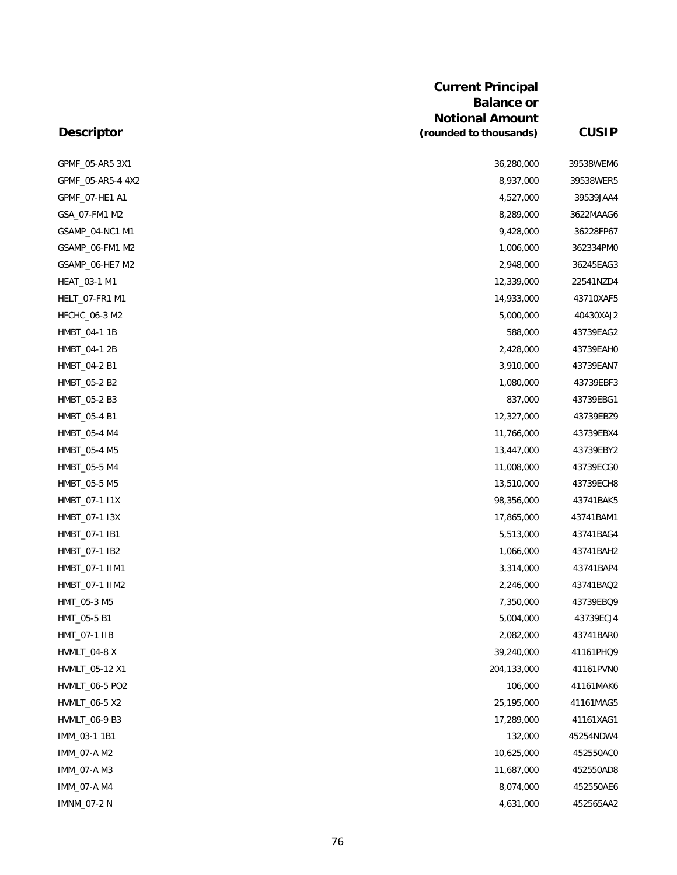|                   | <b>Current Principal</b><br><b>Balance or</b> |              |
|-------------------|-----------------------------------------------|--------------|
|                   | <b>Notional Amount</b>                        |              |
| <b>Descriptor</b> | (rounded to thousands)                        | <b>CUSIP</b> |
| GPMF_05-AR5 3X1   | 36,280,000                                    | 39538WEM6    |
| GPMF_05-AR5-4 4X2 | 8,937,000                                     | 39538WER5    |
| GPMF_07-HE1 A1    | 4,527,000                                     | 39539JAA4    |
| GSA 07-FM1 M2     | 8,289,000                                     | 3622MAAG6    |
| GSAMP_04-NC1 M1   | 9,428,000                                     | 36228FP67    |
| GSAMP_06-FM1 M2   | 1,006,000                                     | 362334PM0    |
| GSAMP_06-HE7 M2   | 2,948,000                                     | 36245EAG3    |
| HEAT_03-1 M1      | 12,339,000                                    | 22541NZD4    |
| HELT_07-FR1 M1    | 14,933,000                                    | 43710XAF5    |
| HFCHC_06-3 M2     | 5,000,000                                     | 40430XAJ2    |
| HMBT_04-1 1B      | 588,000                                       | 43739EAG2    |
| HMBT_04-1 2B      | 2,428,000                                     | 43739EAH0    |
| HMBT_04-2 B1      | 3,910,000                                     | 43739EAN7    |
| HMBT_05-2 B2      | 1,080,000                                     | 43739EBF3    |
| HMBT_05-2 B3      | 837,000                                       | 43739EBG1    |
| HMBT_05-4 B1      | 12,327,000                                    | 43739EBZ9    |
| HMBT_05-4 M4      | 11,766,000                                    | 43739EBX4    |
| HMBT_05-4 M5      | 13,447,000                                    | 43739EBY2    |
| HMBT_05-5 M4      | 11,008,000                                    | 43739ECG0    |
| HMBT_05-5 M5      | 13,510,000                                    | 43739ECH8    |
| HMBT_07-1 I1X     | 98,356,000                                    | 43741BAK5    |
| HMBT_07-1 I3X     | 17,865,000                                    | 43741BAM1    |
| HMBT_07-1 IB1     | 5,513,000                                     | 43741BAG4    |
| HMBT_07-1 IB2     | 1,066,000                                     | 43741BAH2    |
| HMBT_07-1 IIM1    | 3,314,000                                     | 43741BAP4    |
| HMBT_07-1 IIM2    | 2,246,000                                     | 43741BAQ2    |
| HMT_05-3 M5       | 7,350,000                                     | 43739EBQ9    |
| HMT_05-5 B1       | 5,004,000                                     | 43739ECJ4    |
| HMT_07-1 IIB      | 2,082,000                                     | 43741BAR0    |
| HVMLT_04-8 X      | 39,240,000                                    | 41161PHQ9    |
| HVMLT_05-12 X1    | 204,133,000                                   | 41161PVN0    |
| HVMLT_06-5 PO2    | 106,000                                       | 41161MAK6    |
| HVMLT_06-5 X2     | 25,195,000                                    | 41161MAG5    |
| HVMLT_06-9 B3     | 17,289,000                                    | 41161XAG1    |
| IMM_03-1 1B1      | 132,000                                       | 45254NDW4    |
| IMM_07-A M2       | 10,625,000                                    | 452550AC0    |
| IMM_07-A M3       | 11,687,000                                    | 452550AD8    |
| IMM_07-A M4       | 8,074,000                                     | 452550AE6    |
| IMNM_07-2 N       | 4,631,000                                     | 452565AA2    |

## 76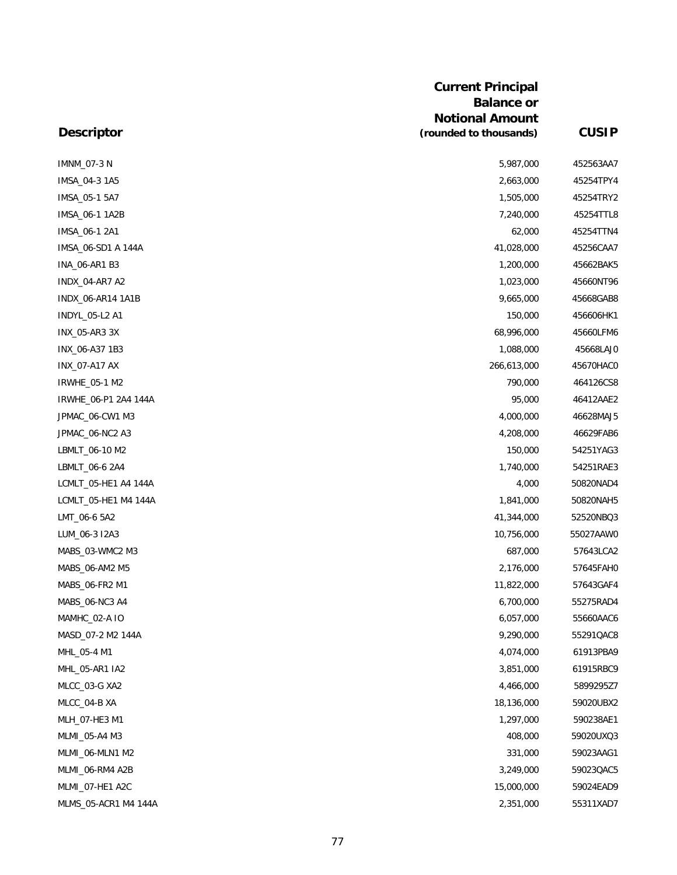| <b>Descriptor</b>    | <b>Current Principal</b><br><b>Balance or</b><br><b>Notional Amount</b><br>(rounded to thousands) | <b>CUSIP</b> |
|----------------------|---------------------------------------------------------------------------------------------------|--------------|
|                      |                                                                                                   |              |
| <b>IMNM_07-3 N</b>   | 5,987,000                                                                                         | 452563AA7    |
| IMSA_04-3 1A5        | 2,663,000                                                                                         | 45254TPY4    |
| IMSA_05-1 5A7        | 1,505,000                                                                                         | 45254TRY2    |
| IMSA_06-1 1A2B       | 7,240,000                                                                                         | 45254TTL8    |
| IMSA_06-1 2A1        | 62,000                                                                                            | 45254TTN4    |
| IMSA_06-SD1 A 144A   | 41,028,000                                                                                        | 45256CAA7    |
| INA_06-AR1 B3        | 1,200,000                                                                                         | 45662BAK5    |
| INDX_04-AR7 A2       | 1,023,000                                                                                         | 45660NT96    |
| INDX_06-AR14 1A1B    | 9,665,000                                                                                         | 45668GAB8    |
| INDYL_05-L2 A1       | 150,000                                                                                           | 456606HK1    |
| INX_05-AR3 3X        | 68,996,000                                                                                        | 45660LFM6    |
| INX_06-A37 1B3       | 1,088,000                                                                                         | 45668LAJ0    |
| INX_07-A17 AX        | 266,613,000                                                                                       | 45670HAC0    |
| IRWHE_05-1 M2        | 790,000                                                                                           | 464126CS8    |
| IRWHE_06-P1 2A4 144A | 95,000                                                                                            | 46412AAE2    |
| JPMAC_06-CW1 M3      | 4,000,000                                                                                         | 46628MAJ5    |
| JPMAC_06-NC2 A3      | 4,208,000                                                                                         | 46629FAB6    |
| LBMLT_06-10 M2       | 150,000                                                                                           | 54251YAG3    |
| LBMLT_06-6 2A4       | 1,740,000                                                                                         | 54251RAE3    |
| LCMLT_05-HE1 A4 144A | 4,000                                                                                             | 50820NAD4    |
| LCMLT_05-HE1 M4 144A | 1,841,000                                                                                         | 50820NAH5    |
| LMT_06-6 5A2         | 41,344,000                                                                                        | 52520NBQ3    |
| LUM_06-3 I2A3        | 10,756,000                                                                                        | 55027AAW0    |
| MABS_03-WMC2 M3      | 687,000                                                                                           | 57643LCA2    |
| MABS_06-AM2 M5       | 2,176,000                                                                                         | 57645FAH0    |
| MABS_06-FR2 M1       | 11,822,000                                                                                        | 57643GAF4    |
| MABS_06-NC3 A4       | 6,700,000                                                                                         | 55275RAD4    |
| MAMHC_02-A IO        | 6,057,000                                                                                         | 55660AAC6    |
| MASD_07-2 M2 144A    | 9,290,000                                                                                         | 55291QAC8    |
| MHL_05-4 M1          | 4,074,000                                                                                         | 61913PBA9    |
| MHL_05-AR1 IA2       | 3,851,000                                                                                         | 61915RBC9    |
| MLCC_03-G XA2        | 4,466,000                                                                                         | 5899295Z7    |
| MLCC 04-B XA         | 18,136,000                                                                                        | 59020UBX2    |
| MLH_07-HE3 M1        | 1,297,000                                                                                         | 590238AE1    |
| MLMI_05-A4 M3        | 408,000                                                                                           | 59020UXQ3    |
| MLMI_06-MLN1 M2      | 331,000                                                                                           | 59023AAG1    |
| MLMI_06-RM4 A2B      | 3,249,000                                                                                         | 59023QAC5    |
| MLMI_07-HE1 A2C      | 15,000,000                                                                                        | 59024EAD9    |
| MLMS_05-ACR1 M4 144A | 2,351,000                                                                                         | 55311XAD7    |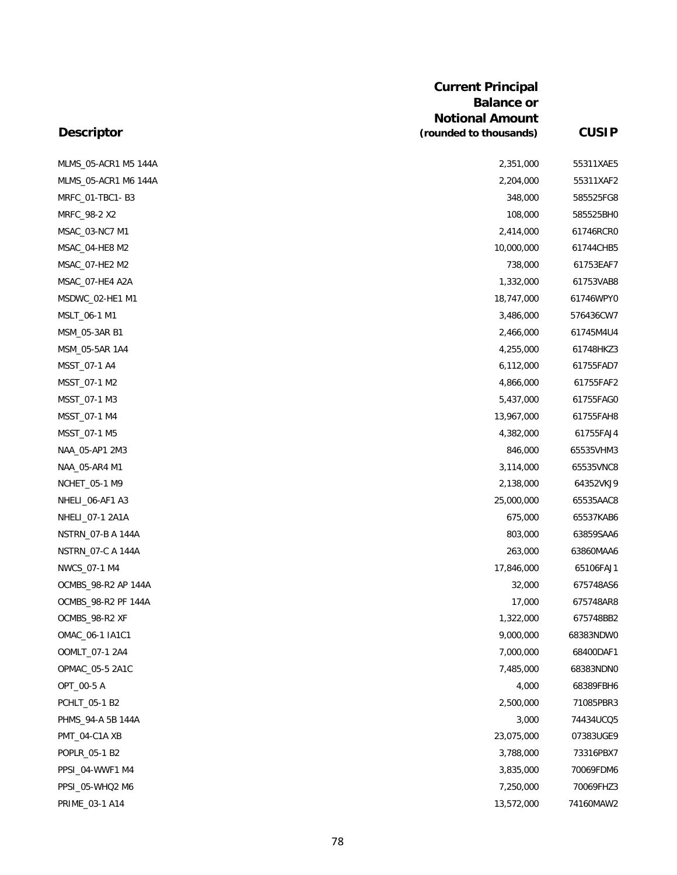| <b>Descriptor</b>        | <b>Current Principal</b><br><b>Balance or</b><br><b>Notional Amount</b><br>(rounded to thousands) | <b>CUSIP</b> |
|--------------------------|---------------------------------------------------------------------------------------------------|--------------|
| MLMS_05-ACR1 M5 144A     | 2,351,000                                                                                         | 55311XAE5    |
| MLMS_05-ACR1 M6 144A     | 2,204,000                                                                                         | 55311XAF2    |
| MRFC_01-TBC1-B3          | 348,000                                                                                           | 585525FG8    |
| MRFC 98-2 X2             | 108,000                                                                                           | 585525BH0    |
| MSAC_03-NC7 M1           | 2,414,000                                                                                         | 61746RCR0    |
| MSAC_04-HE8 M2           | 10,000,000                                                                                        | 61744CHB5    |
| MSAC_07-HE2 M2           | 738,000                                                                                           | 61753EAF7    |
| MSAC_07-HE4 A2A          | 1,332,000                                                                                         | 61753VAB8    |
| MSDWC_02-HE1 M1          | 18,747,000                                                                                        | 61746WPY0    |
| MSLT_06-1 M1             | 3,486,000                                                                                         | 576436CW7    |
| MSM_05-3AR B1            | 2,466,000                                                                                         | 61745M4U4    |
| MSM_05-5AR 1A4           | 4,255,000                                                                                         | 61748HKZ3    |
| MSST_07-1 A4             | 6,112,000                                                                                         | 61755FAD7    |
| MSST_07-1 M2             | 4,866,000                                                                                         | 61755FAF2    |
| MSST_07-1 M3             | 5,437,000                                                                                         | 61755FAG0    |
| MSST_07-1 M4             | 13,967,000                                                                                        | 61755FAH8    |
| MSST_07-1 M5             | 4,382,000                                                                                         | 61755FAJ4    |
| NAA_05-AP1 2M3           | 846,000                                                                                           | 65535VHM3    |
| NAA_05-AR4 M1            | 3,114,000                                                                                         | 65535VNC8    |
| NCHET_05-1 M9            | 2,138,000                                                                                         | 64352VKJ9    |
| NHELI_06-AF1 A3          | 25,000,000                                                                                        | 65535AAC8    |
| NHELI_07-1 2A1A          | 675,000                                                                                           | 65537KAB6    |
| <b>NSTRN_07-B A 144A</b> | 803,000                                                                                           | 63859SAA6    |
| NSTRN_07-C A 144A        | 263,000                                                                                           | 63860MAA6    |
| NWCS_07-1 M4             | 17,846,000                                                                                        | 65106FAJ1    |
| OCMBS_98-R2 AP 144A      | 32,000                                                                                            | 675748AS6    |
| OCMBS_98-R2 PF 144A      | 17,000                                                                                            | 675748AR8    |
| OCMBS_98-R2 XF           | 1,322,000                                                                                         | 675748BB2    |
| OMAC_06-1 IA1C1          | 9,000,000                                                                                         | 68383NDW0    |
| OOMLT_07-1 2A4           | 7,000,000                                                                                         | 68400DAF1    |
| OPMAC_05-5 2A1C          | 7,485,000                                                                                         | 68383NDN0    |
| OPT_00-5 A               | 4,000                                                                                             | 68389FBH6    |
| PCHLT_05-1 B2            | 2,500,000                                                                                         | 71085PBR3    |
| PHMS_94-A 5B 144A        | 3,000                                                                                             | 74434UCQ5    |
| PMT_04-C1A XB            | 23,075,000                                                                                        | 07383UGE9    |
| POPLR_05-1 B2            | 3,788,000                                                                                         | 73316PBX7    |
| PPSI_04-WWF1 M4          | 3,835,000                                                                                         | 70069FDM6    |
| PPSI_05-WHQ2 M6          | 7,250,000                                                                                         | 70069FHZ3    |
| PRIME_03-1 A14           | 13,572,000                                                                                        | 74160MAW2    |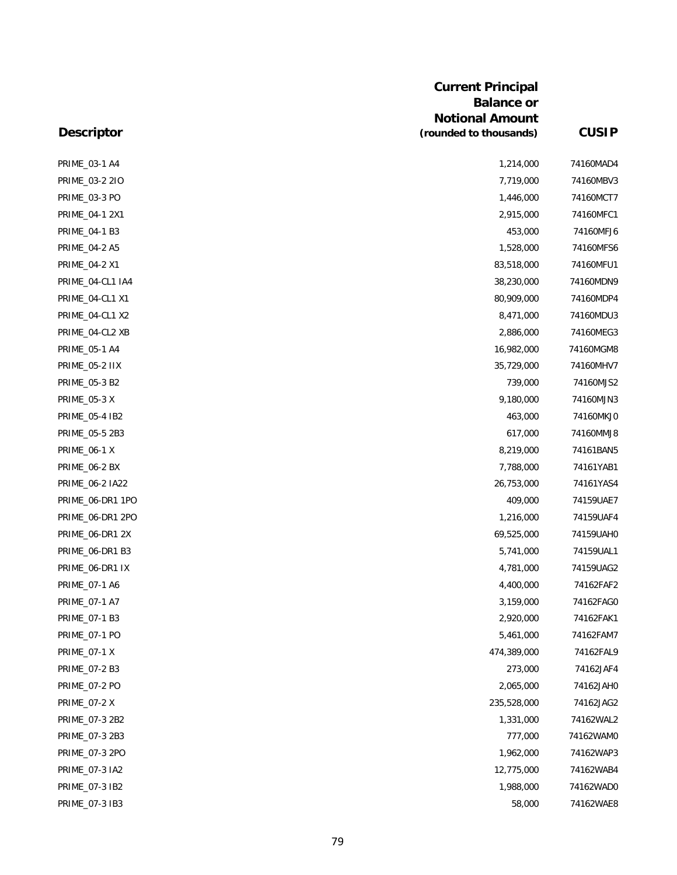| <b>Descriptor</b>     | <b>Current Principal</b><br><b>Balance or</b><br><b>Notional Amount</b><br>(rounded to thousands) | <b>CUSIP</b> |
|-----------------------|---------------------------------------------------------------------------------------------------|--------------|
| PRIME_03-1 A4         | 1,214,000                                                                                         | 74160MAD4    |
| PRIME_03-2 2IO        | 7,719,000                                                                                         | 74160MBV3    |
| PRIME_03-3 PO         | 1,446,000                                                                                         | 74160MCT7    |
| PRIME_04-1 2X1        | 2,915,000                                                                                         | 74160MFC1    |
| PRIME_04-1 B3         | 453,000                                                                                           | 74160MFJ6    |
| PRIME_04-2 A5         | 1,528,000                                                                                         | 74160MFS6    |
| PRIME_04-2 X1         | 83,518,000                                                                                        | 74160MFU1    |
| PRIME_04-CL1 IA4      | 38,230,000                                                                                        | 74160MDN9    |
| PRIME_04-CL1 X1       | 80,909,000                                                                                        | 74160MDP4    |
| PRIME_04-CL1 X2       | 8,471,000                                                                                         | 74160MDU3    |
| PRIME_04-CL2 XB       | 2,886,000                                                                                         | 74160MEG3    |
| PRIME_05-1 A4         | 16,982,000                                                                                        | 74160MGM8    |
| <b>PRIME_05-2 IIX</b> | 35,729,000                                                                                        | 74160MHV7    |
| PRIME_05-3 B2         | 739,000                                                                                           | 74160MJS2    |
| <b>PRIME_05-3 X</b>   | 9,180,000                                                                                         | 74160MJN3    |
| PRIME_05-4 IB2        | 463,000                                                                                           | 74160MKJ0    |
| PRIME_05-5 2B3        | 617,000                                                                                           | 74160MMJ8    |
| <b>PRIME_06-1 X</b>   | 8,219,000                                                                                         | 74161BAN5    |
| PRIME_06-2 BX         | 7,788,000                                                                                         | 74161YAB1    |
| PRIME_06-2 IA22       | 26,753,000                                                                                        | 74161YAS4    |
| PRIME_06-DR1 1PO      | 409,000                                                                                           | 74159UAE7    |
| PRIME_06-DR1 2PO      | 1,216,000                                                                                         | 74159UAF4    |
| PRIME_06-DR1 2X       | 69,525,000                                                                                        | 74159UAH0    |
| PRIME_06-DR1 B3       | 5,741,000                                                                                         | 74159UAL1    |
| PRIME_06-DR1 IX       | 4,781,000                                                                                         | 74159UAG2    |
| PRIME_07-1 A6         | 4,400,000                                                                                         | 74162FAF2    |
| PRIME_07-1 A7         | 3,159,000                                                                                         | 74162FAG0    |
| PRIME_07-1 B3         | 2,920,000                                                                                         | 74162FAK1    |
| PRIME_07-1 PO         | 5,461,000                                                                                         | 74162FAM7    |
| <b>PRIME_07-1 X</b>   | 474,389,000                                                                                       | 74162FAL9    |
| PRIME_07-2 B3         | 273,000                                                                                           | 74162JAF4    |
| <b>PRIME_07-2 PO</b>  | 2,065,000                                                                                         | 74162JAH0    |
| <b>PRIME_07-2 X</b>   | 235,528,000                                                                                       | 74162JAG2    |
| PRIME_07-3 2B2        | 1,331,000                                                                                         | 74162WAL2    |
| PRIME_07-3 2B3        | 777,000                                                                                           | 74162WAM0    |
| PRIME_07-3 2PO        | 1,962,000                                                                                         | 74162WAP3    |
| PRIME_07-3 IA2        | 12,775,000                                                                                        | 74162WAB4    |
| PRIME_07-3 IB2        | 1,988,000                                                                                         | 74162WAD0    |
| PRIME_07-3 IB3        | 58,000                                                                                            | 74162WAE8    |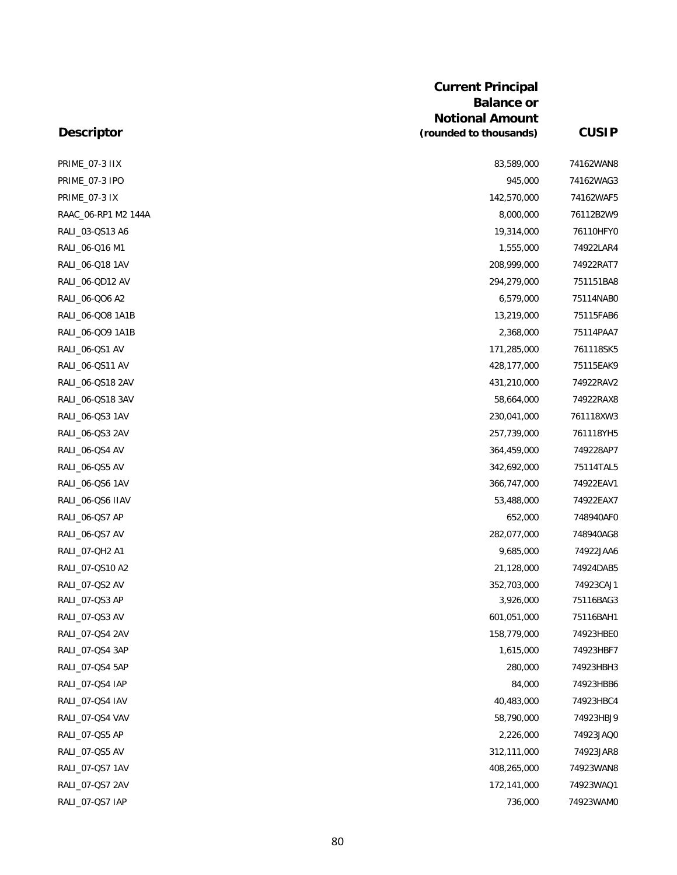| PRIME_07-3 IIX       | 83,589,000  | 74162WAN8 |
|----------------------|-------------|-----------|
| PRIME_07-3 IPO       | 945,000     | 74162WAG3 |
| <b>PRIME_07-3 IX</b> | 142,570,000 | 74162WAF5 |
| RAAC 06-RP1 M2 144A  | 8,000,000   | 76112B2W9 |
| RALI_03-QS13 A6      | 19,314,000  | 76110HFY0 |
| RALI_06-Q16 M1       | 1,555,000   | 74922LAR4 |
| RALI_06-Q18 1AV      | 208,999,000 | 74922RAT7 |
| RALI_06-QD12 AV      | 294,279,000 | 751151BA8 |
| RALI_06-QO6 A2       | 6,579,000   | 75114NAB0 |
| RALI_06-QO8 1A1B     | 13,219,000  | 75115FAB6 |
| RALI_06-QO9 1A1B     | 2,368,000   | 75114PAA7 |
| RALI_06-QS1 AV       | 171,285,000 | 761118SK5 |
| RALI_06-QS11 AV      | 428,177,000 | 75115EAK9 |
| RALI_06-QS18 2AV     | 431,210,000 | 74922RAV2 |
| RALI_06-QS18 3AV     | 58,664,000  | 74922RAX8 |
| RALI_06-QS3 1AV      | 230,041,000 | 761118XW3 |
| RALI_06-QS3 2AV      | 257,739,000 | 761118YH5 |
| RALI_06-QS4 AV       | 364,459,000 | 749228AP7 |
| RALI_06-QS5 AV       | 342,692,000 | 75114TAL5 |
| RALI_06-QS6 1AV      | 366,747,000 | 74922EAV1 |
| RALI_06-QS6 IIAV     | 53,488,000  | 74922EAX7 |
| RALI_06-QS7 AP       | 652,000     | 748940AF0 |
| RALI_06-QS7 AV       | 282,077,000 | 748940AG8 |
| RALI_07-QH2 A1       | 9,685,000   | 74922JAA6 |
| RALI_07-QS10 A2      | 21,128,000  | 74924DAB5 |
| RALI_07-QS2 AV       | 352,703,000 | 74923CAJ1 |
| RALI_07-QS3 AP       | 3,926,000   | 75116BAG3 |
| RALI_07-QS3 AV       | 601,051,000 | 75116BAH1 |
| RALI_07-QS4 2AV      | 158,779,000 | 74923HBE0 |
| RALI_07-QS4 3AP      | 1,615,000   | 74923HBF7 |
| RALI_07-QS4 5AP      | 280,000     | 74923HBH3 |
| RALI_07-QS4 IAP      | 84,000      | 74923HBB6 |
| RALI_07-QS4 IAV      | 40,483,000  | 74923HBC4 |
| RALI_07-QS4 VAV      | 58,790,000  | 74923HBJ9 |
| RALI_07-QS5 AP       | 2,226,000   | 74923JAQ0 |
| RALI_07-QS5 AV       | 312,111,000 | 74923JAR8 |
| RALI_07-QS7 1AV      | 408,265,000 | 74923WAN8 |
| RALI_07-QS7 2AV      | 172,141,000 | 74923WAQ1 |
| RALI_07-QS7 IAP      | 736,000     | 74923WAM0 |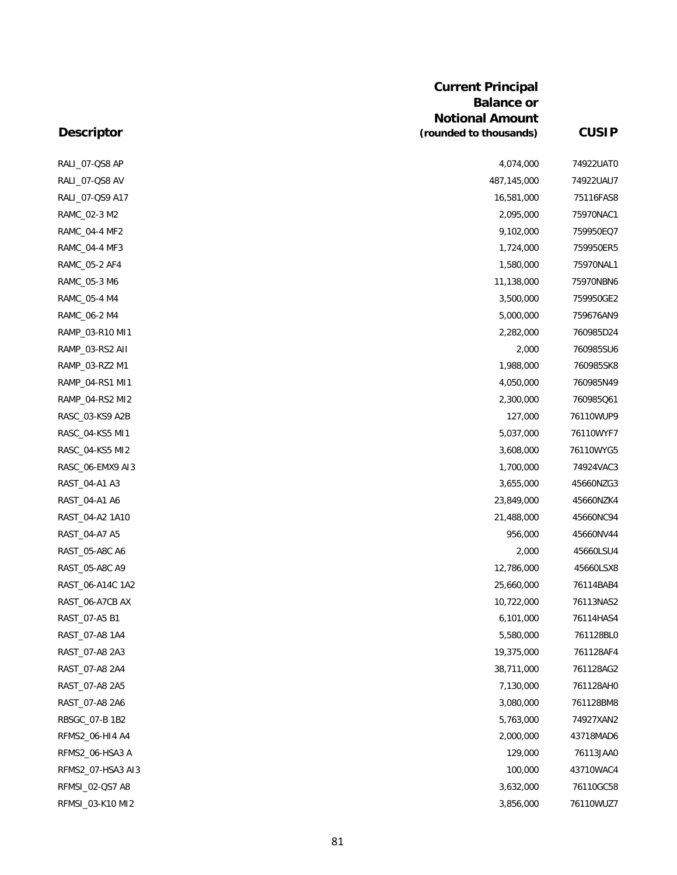|              | <b>Current Principal</b>                         |
|--------------|--------------------------------------------------|
|              | <b>Balance or</b>                                |
| <b>CUSIP</b> | <b>Notional Amount</b><br>(rounded to thousands) |
| 74922UAT0    | 4.074.000                                        |

| RALI_07-QS8 AP    | 4,074,000   | 74922UAT0 |
|-------------------|-------------|-----------|
| RALI_07-QS8 AV    | 487,145,000 | 74922UAU7 |
| RALI_07-QS9 A17   | 16,581,000  | 75116FAS8 |
| RAMC_02-3 M2      | 2,095,000   | 75970NAC1 |
| RAMC_04-4 MF2     | 9,102,000   | 759950EQ7 |
| RAMC_04-4 MF3     | 1,724,000   | 759950ER5 |
| RAMC_05-2 AF4     | 1,580,000   | 75970NAL1 |
| RAMC_05-3 M6      | 11,138,000  | 75970NBN6 |
| RAMC_05-4 M4      | 3,500,000   | 759950GE2 |
| RAMC_06-2 M4      | 5,000,000   | 759676AN9 |
| RAMP_03-R10 MI1   | 2,282,000   | 760985D24 |
| RAMP_03-RS2 AII   | 2,000       | 760985SU6 |
| RAMP_03-RZ2 M1    | 1,988,000   | 760985SK8 |
| RAMP_04-RS1 MI1   | 4,050,000   | 760985N49 |
| RAMP 04-RS2 MI2   | 2,300,000   | 760985Q61 |
| RASC_03-KS9 A2B   | 127,000     | 76110WUP9 |
| RASC_04-KS5 MI1   | 5,037,000   | 76110WYF7 |
| RASC_04-KS5 MI2   | 3,608,000   | 76110WYG5 |
| RASC_06-EMX9 AI3  | 1,700,000   | 74924VAC3 |
| RAST_04-A1 A3     | 3,655,000   | 45660NZG3 |
| RAST_04-A1 A6     | 23,849,000  | 45660NZK4 |
| RAST_04-A2 1A10   | 21,488,000  | 45660NC94 |
| RAST_04-A7 A5     | 956,000     | 45660NV44 |
| RAST_05-A8C A6    | 2,000       | 45660LSU4 |
| RAST_05-A8C A9    | 12,786,000  | 45660LSX8 |
| RAST_06-A14C 1A2  | 25,660,000  | 76114BAB4 |
| RAST_06-A7CB AX   | 10,722,000  | 76113NAS2 |
| RAST_07-A5 B1     | 6,101,000   | 76114HAS4 |
| RAST_07-A8 1A4    | 5,580,000   | 761128BL0 |
| RAST_07-A8 2A3    | 19,375,000  | 761128AF4 |
| RAST_07-A8 2A4    | 38,711,000  | 761128AG2 |
| RAST_07-A8 2A5    | 7,130,000   | 761128AH0 |
| RAST_07-A8 2A6    | 3,080,000   | 761128BM8 |
| RBSGC_07-B 1B2    | 5,763,000   | 74927XAN2 |
| RFMS2_06-HI4 A4   | 2,000,000   | 43718MAD6 |
| RFMS2_06-HSA3 A   | 129,000     | 76113JAA0 |
| RFMS2_07-HSA3 AI3 | 100,000     | 43710WAC4 |
| RFMSI_02-QS7 A8   | 3,632,000   | 76110GC58 |
| RFMSI_03-K10 MI2  | 3,856,000   | 76110WUZ7 |
|                   |             |           |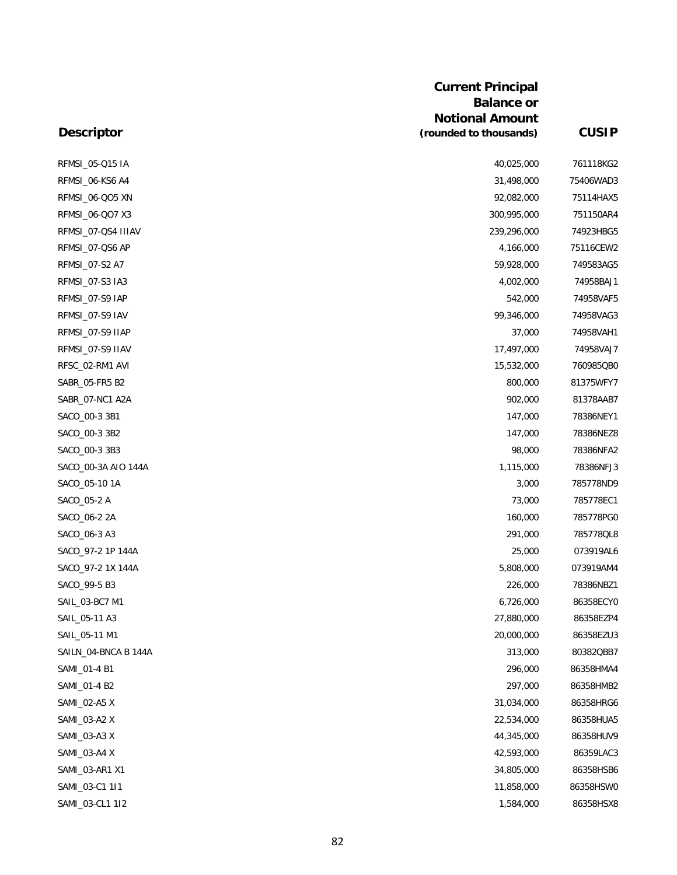| <b>Descriptor</b>    | <b>Balance or</b><br><b>Notional Amount</b><br>(rounded to thousands) | <b>CUSIP</b> |
|----------------------|-----------------------------------------------------------------------|--------------|
|                      |                                                                       |              |
| RFMSI_05-Q15 IA      | 40,025,000                                                            | 761118KG2    |
| RFMSI_06-KS6 A4      | 31,498,000                                                            | 75406WAD3    |
| RFMSI_06-QO5 XN      | 92,082,000                                                            | 75114HAX5    |
| RFMSI_06-QO7 X3      | 300,995,000                                                           | 751150AR4    |
| RFMSI_07-QS4 IIIAV   | 239,296,000                                                           | 74923HBG5    |
| RFMSI_07-QS6 AP      | 4,166,000                                                             | 75116CEW2    |
| RFMSI_07-S2 A7       | 59,928,000                                                            | 749583AG5    |
| RFMSI_07-S3 IA3      | 4,002,000                                                             | 74958BAJ1    |
| RFMSI_07-S9 IAP      | 542,000                                                               | 74958VAF5    |
| RFMSI_07-S9 IAV      | 99,346,000                                                            | 74958VAG3    |
| RFMSI_07-S9 IIAP     | 37,000                                                                | 74958VAH1    |
| RFMSI_07-S9 IIAV     | 17,497,000                                                            | 74958VAJ7    |
| RFSC_02-RM1 AVI      | 15,532,000                                                            | 760985QB0    |
| SABR_05-FR5 B2       | 800,000                                                               | 81375WFY7    |
| SABR_07-NC1 A2A      | 902,000                                                               | 81378AAB7    |
| SACO_00-3 3B1        | 147,000                                                               | 78386NEY1    |
| SACO_00-3 3B2        | 147,000                                                               | 78386NEZ8    |
| SACO_00-3 3B3        | 98,000                                                                | 78386NFA2    |
| SACO_00-3A AIO 144A  | 1,115,000                                                             | 78386NFJ3    |
| SACO_05-10 1A        | 3,000                                                                 | 785778ND9    |
| SACO_05-2 A          | 73,000                                                                | 785778EC1    |
| SACO_06-2 2A         | 160,000                                                               | 785778PG0    |
| SACO_06-3 A3         | 291,000                                                               | 785778QL8    |
| SACO_97-2 1P 144A    | 25,000                                                                | 073919AL6    |
| SACO_97-2 1X 144A    | 5,808,000                                                             | 073919AM4    |
| SACO_99-5 B3         | 226,000                                                               | 78386NBZ1    |
| SAIL_03-BC7 M1       | 6,726,000                                                             | 86358ECY0    |
| SAIL_05-11 A3        | 27,880,000                                                            | 86358EZP4    |
| SAIL_05-11 M1        | 20,000,000                                                            | 86358EZU3    |
| SAILN_04-BNCA B 144A | 313,000                                                               | 80382QBB7    |
| SAMI_01-4 B1         | 296,000                                                               | 86358HMA4    |
| SAMI_01-4 B2         | 297,000                                                               | 86358HMB2    |
| SAMI_02-A5 X         | 31,034,000                                                            | 86358HRG6    |
| SAMI_03-A2 X         | 22,534,000                                                            | 86358HUA5    |
| SAMI_03-A3 X         | 44,345,000                                                            | 86358HUV9    |
| SAMI_03-A4 X         | 42,593,000                                                            | 86359LAC3    |
| SAMI_03-AR1 X1       | 34,805,000                                                            | 86358HSB6    |
| SAMI_03-C1 1I1       | 11,858,000                                                            | 86358HSW0    |
| SAMI_03-CL1 1I2      | 1,584,000                                                             | 86358HSX8    |

**Current Principal**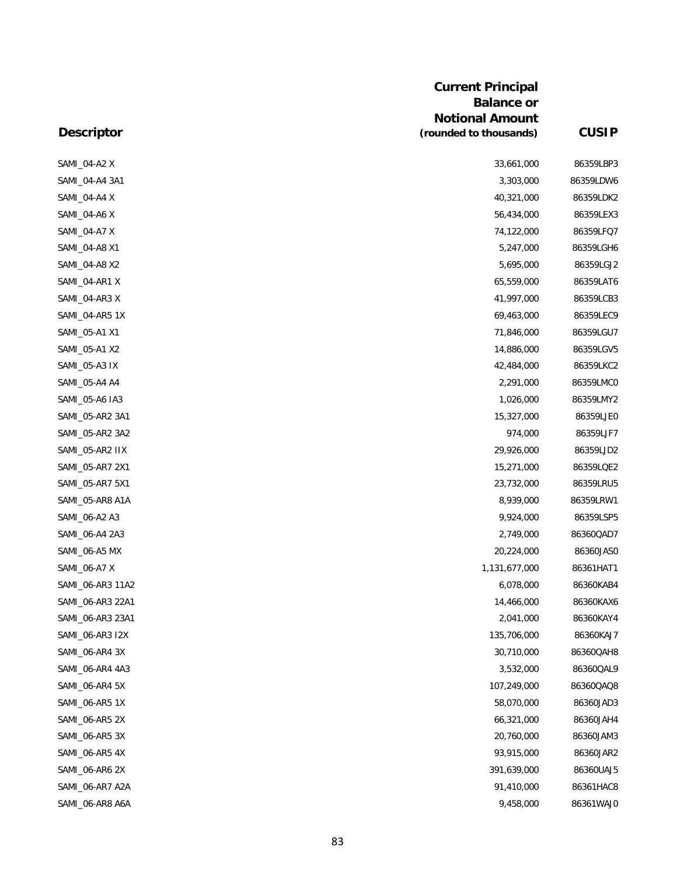|                   | <b>Current Principal</b><br><b>Balance or</b><br><b>Notional Amount</b> |              |
|-------------------|-------------------------------------------------------------------------|--------------|
| <b>Descriptor</b> | (rounded to thousands)                                                  | <b>CUSIP</b> |
| SAMI_04-A2 X      | 33,661,000                                                              | 86359LBP3    |
| SAMI_04-A4 3A1    | 3,303,000                                                               | 86359LDW6    |
| SAMI_04-A4 X      | 40,321,000                                                              | 86359LDK2    |
| SAMI_04-A6 X      | 56,434,000                                                              | 86359LEX3    |
| SAMI_04-A7 X      | 74,122,000                                                              | 86359LFQ7    |
| SAMI_04-A8 X1     | 5,247,000                                                               | 86359LGH6    |
| SAMI_04-A8 X2     | 5,695,000                                                               | 86359LGJ2    |
| SAMI_04-AR1 X     | 65,559,000                                                              | 86359LAT6    |
| SAMI_04-AR3 X     | 41,997,000                                                              | 86359LCB3    |
| SAMI_04-AR5 1X    | 69,463,000                                                              | 86359LEC9    |
| SAMI_05-A1 X1     | 71,846,000                                                              | 86359LGU7    |
| SAMI_05-A1 X2     | 14,886,000                                                              | 86359LGV5    |
| SAMI_05-A3 IX     | 42,484,000                                                              | 86359LKC2    |
| SAMI_05-A4 A4     | 2,291,000                                                               | 86359LMC0    |
| SAMI_05-A6 IA3    | 1,026,000                                                               | 86359LMY2    |
| SAMI_05-AR2 3A1   | 15,327,000                                                              | 86359LJE0    |
| SAMI_05-AR2 3A2   | 974,000                                                                 | 86359LJF7    |
| SAMI_05-AR2 IIX   | 29,926,000                                                              | 86359LJD2    |
| SAMI_05-AR7 2X1   | 15,271,000                                                              | 86359LQE2    |
| SAMI_05-AR7 5X1   | 23,732,000                                                              | 86359LRU5    |
| SAMI_05-AR8 A1A   | 8,939,000                                                               | 86359LRW1    |
| SAMI_06-A2 A3     | 9,924,000                                                               | 86359LSP5    |
| SAMI_06-A4 2A3    | 2,749,000                                                               | 86360QAD7    |
| SAMI_06-A5 MX     | 20,224,000                                                              | 86360JAS0    |
| SAMI_06-A7 X      | 1,131,677,000                                                           | 86361HAT1    |
| SAMI_06-AR3 11A2  | 6,078,000                                                               | 86360KAB4    |
| SAMI_06-AR3 22A1  | 14,466,000                                                              | 86360KAX6    |
| SAMI_06-AR3 23A1  | 2,041,000                                                               | 86360KAY4    |
| SAMI_06-AR3 I2X   | 135,706,000                                                             | 86360KAJ7    |
| SAMI_06-AR4 3X    | 30,710,000                                                              | 86360QAH8    |
| SAMI_06-AR4 4A3   | 3,532,000                                                               | 86360QAL9    |
| SAMI_06-AR4 5X    | 107,249,000                                                             | 86360QAQ8    |
| SAMI_06-AR5 1X    | 58,070,000                                                              | 86360JAD3    |
| SAMI_06-AR5 2X    | 66,321,000                                                              | 86360JAH4    |
| SAMI_06-AR5 3X    | 20,760,000                                                              | 86360JAM3    |
| SAMI_06-AR5 4X    | 93,915,000                                                              | 86360JAR2    |
| SAMI_06-AR6 2X    | 391,639,000                                                             | 86360UAJ5    |
| SAMI_06-AR7 A2A   | 91,410,000                                                              | 86361HAC8    |
| SAMI_06-AR8 A6A   | 9,458,000                                                               | 86361WAJ0    |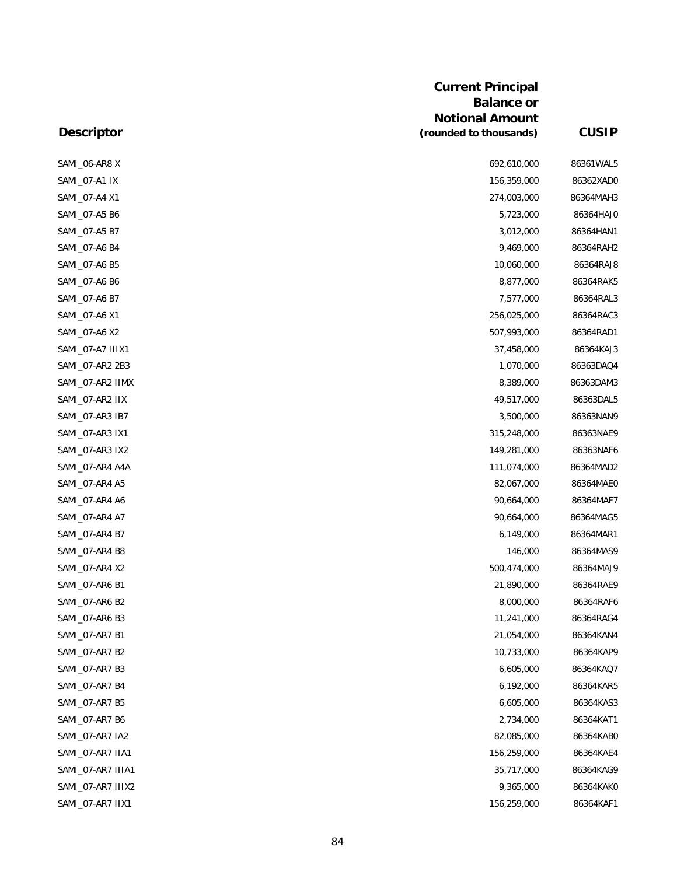|                   | an van aan muuluu<br><b>Balance or</b> |              |  |
|-------------------|----------------------------------------|--------------|--|
|                   | <b>Notional Amount</b>                 |              |  |
| <b>Descriptor</b> | (rounded to thousands)                 | <b>CUSIP</b> |  |
| SAMI 06-AR8 X     | 692,610,000                            | 86361WAL5    |  |
| SAMI_07-A1 IX     | 156,359,000                            | 86362XAD0    |  |
| SAMI_07-A4 X1     | 274,003,000                            | 86364MAH3    |  |
| SAMI_07-A5 B6     | 5,723,000                              | 86364HAJ0    |  |
| SAMI_07-A5 B7     | 3,012,000                              | 86364HAN1    |  |
| SAMI_07-A6 B4     | 9,469,000                              | 86364RAH2    |  |
| SAMI_07-A6 B5     | 10,060,000                             | 86364RAJ8    |  |
| SAMI_07-A6 B6     | 8,877,000                              | 86364RAK5    |  |
| SAMI_07-A6 B7     | 7,577,000                              | 86364RAL3    |  |
| SAMI_07-A6 X1     | 256,025,000                            | 86364RAC3    |  |
| SAMI_07-A6 X2     | 507,993,000                            | 86364RAD1    |  |
| SAMI_07-A7 IIIX1  | 37,458,000                             | 86364KAJ3    |  |
| SAMI_07-AR2 2B3   | 1,070,000                              | 86363DAQ4    |  |
| SAMI_07-AR2 IIMX  | 8,389,000                              | 86363DAM3    |  |
| SAMI_07-AR2 IIX   | 49,517,000                             | 86363DAL5    |  |
| SAMI_07-AR3 IB7   | 3,500,000                              | 86363NAN9    |  |
| SAMI_07-AR3 IX1   | 315,248,000                            | 86363NAE9    |  |
| SAMI_07-AR3 IX2   | 149,281,000                            | 86363NAF6    |  |
| SAMI_07-AR4 A4A   | 111,074,000                            | 86364MAD2    |  |
| SAMI_07-AR4 A5    | 82,067,000                             | 86364MAE0    |  |
| SAMI_07-AR4 A6    | 90,664,000                             | 86364MAF7    |  |
| SAMI_07-AR4 A7    | 90,664,000                             | 86364MAG5    |  |
| SAMI_07-AR4 B7    | 6,149,000                              | 86364MAR1    |  |
| SAMI 07-AR4 B8    | 146,000                                | 86364MAS9    |  |
| SAMI_07-AR4 X2    | 500,474,000                            | 86364MAJ9    |  |
| SAMI_07-AR6 B1    | 21,890,000                             | 86364RAE9    |  |
| SAMI 07-AR6 B2    | 8,000,000                              | 86364RAF6    |  |
| SAMI 07-AR6 B3    | 11,241,000                             | 86364RAG4    |  |
| SAMI_07-AR7 B1    | 21,054,000                             | 86364KAN4    |  |
| SAMI 07-AR7 B2    | 10,733,000                             | 86364KAP9    |  |
| SAMI_07-AR7 B3    | 6,605,000                              | 86364KAQ7    |  |
| SAMI 07-AR7 B4    | 6,192,000                              | 86364KAR5    |  |
| SAMI 07-AR7 B5    | 6,605,000                              | 86364KAS3    |  |
| SAMI_07-AR7 B6    | 2,734,000                              | 86364KAT1    |  |
| SAMI_07-AR7 IA2   | 82,085,000                             | 86364KAB0    |  |
| SAMI_07-AR7 IIA1  | 156,259,000                            | 86364KAE4    |  |
| SAMI_07-AR7 IIIA1 | 35,717,000                             | 86364KAG9    |  |
| SAMI_07-AR7 IIIX2 | 9,365,000                              | 86364KAK0    |  |

**Current Principal** 

### **Descriptor**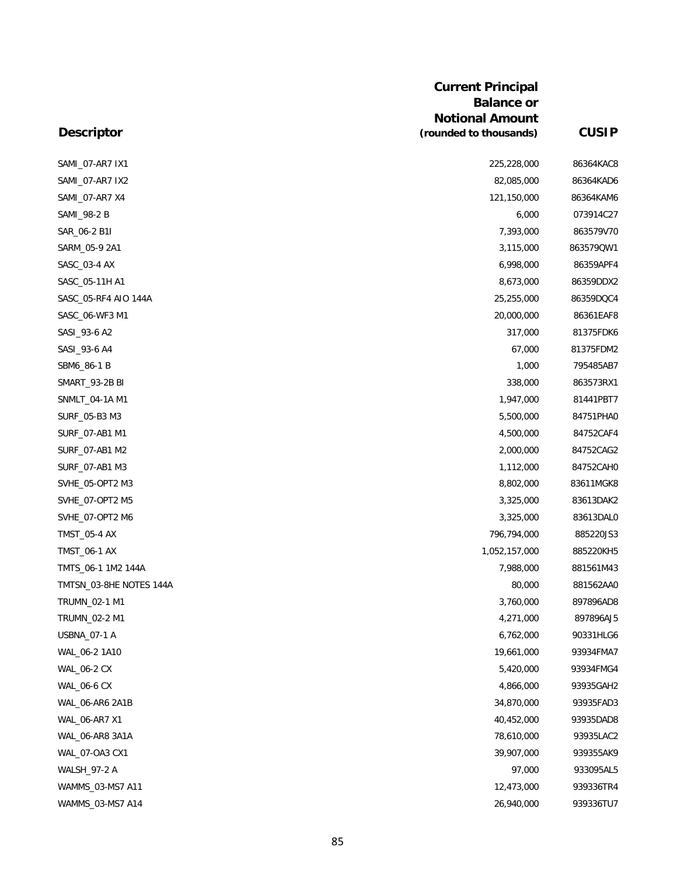| <b>Current Principal</b>                    |              |
|---------------------------------------------|--------------|
| <b>Balance or</b>                           |              |
| <b>Notional Amount</b>                      |              |
| (rounded to thousands)<br><b>Descriptor</b> | <b>CUSIP</b> |
| SAMI_07-AR7 IX1<br>225,228,000              | 86364KAC8    |
| SAMI_07-AR7 IX2<br>82,085,000               | 86364KAD6    |
| 121,150,000<br>SAMI_07-AR7 X4               | 86364KAM6    |
| SAMI_98-2 B<br>6,000                        | 073914C27    |
| SAR_06-2 B1I<br>7,393,000                   | 863579V70    |
| 3,115,000<br>SARM_05-9 2A1                  | 863579QW1    |
| SASC_03-4 AX<br>6,998,000                   | 86359APF4    |
| SASC_05-11H A1<br>8,673,000                 | 86359DDX2    |
| SASC_05-RF4 AIO 144A<br>25,255,000          | 86359DQC4    |
| 20,000,000<br>SASC 06-WF3 M1                | 86361EAF8    |
| SASI_93-6 A2<br>317,000                     | 81375FDK6    |
| SASI_93-6 A4<br>67,000                      | 81375FDM2    |
| SBM6_86-1 B<br>1,000                        | 795485AB7    |
| <b>SMART_93-2B BI</b><br>338,000            | 863573RX1    |
| 1,947,000<br>SNMLT_04-1A M1                 | 81441PBT7    |
| SURF_05-B3 M3<br>5,500,000                  | 84751PHA0    |
| 4,500,000<br>SURF_07-AB1 M1                 | 84752CAF4    |
| SURF_07-AB1 M2<br>2,000,000                 | 84752CAG2    |
| SURF_07-AB1 M3<br>1,112,000                 | 84752CAH0    |
| SVHE_05-OPT2 M3<br>8,802,000                | 83611MGK8    |
| SVHE_07-OPT2 M5<br>3,325,000                | 83613DAK2    |
| SVHE_07-OPT2 M6<br>3,325,000                | 83613DAL0    |
| 796,794,000<br><b>TMST_05-4 AX</b>          | 885220JS3    |
| TMST_06-1 AX<br>1,052,157,000               | 885220KH5    |
| TMTS_06-1 1M2 144A<br>7,988,000             | 881561M43    |
| TMTSN_03-8HE NOTES 144A<br>80,000           | 881562AA0    |
| TRUMN_02-1 M1<br>3,760,000                  | 897896AD8    |
| TRUMN_02-2 M1<br>4,271,000                  | 897896AJ5    |
| USBNA_07-1 A<br>6,762,000                   | 90331HLG6    |
| WAL_06-2 1A10<br>19,661,000                 | 93934FMA7    |
| <b>WAL_06-2 CX</b><br>5,420,000             | 93934FMG4    |
| WAL_06-6 CX<br>4,866,000                    | 93935GAH2    |
| WAL_06-AR6 2A1B<br>34,870,000               | 93935FAD3    |
| WAL_06-AR7 X1<br>40,452,000                 | 93935DAD8    |
| 78,610,000<br>WAL_06-AR8 3A1A               | 93935LAC2    |
| WAL_07-OA3 CX1<br>39,907,000                | 939355AK9    |
| 97,000<br><b>WALSH_97-2 A</b>               | 933095AL5    |
| WAMMS_03-MS7 A11<br>12,473,000              | 939336TR4    |
| WAMMS_03-MS7 A14<br>26,940,000              | 939336TU7    |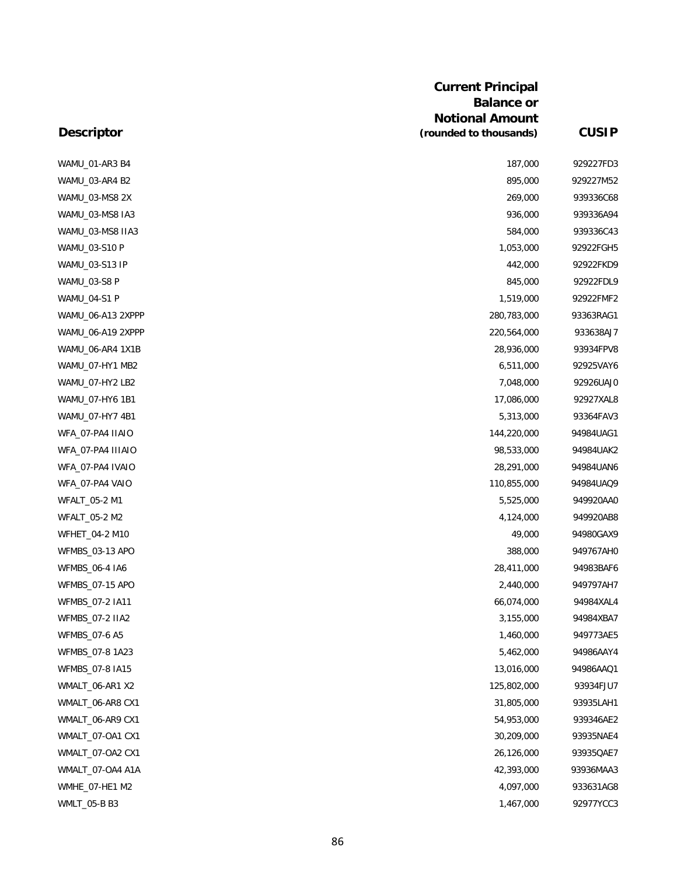|                     | <b>Current Principal</b> |              |
|---------------------|--------------------------|--------------|
|                     | <b>Balance or</b>        |              |
|                     | <b>Notional Amount</b>   |              |
| <b>Descriptor</b>   | (rounded to thousands)   | <b>CUSIP</b> |
| WAMU_01-AR3 B4      | 187,000                  | 929227FD3    |
| WAMU_03-AR4 B2      | 895,000                  | 929227M52    |
| WAMU_03-MS8 2X      | 269,000                  | 939336C68    |
| WAMU_03-MS8 IA3     | 936,000                  | 939336A94    |
| WAMU_03-MS8 IIA3    | 584,000                  | 939336C43    |
| WAMU_03-S10 P       | 1,053,000                | 92922FGH5    |
| WAMU_03-S13 IP      | 442,000                  | 92922FKD9    |
| WAMU_03-S8 P        | 845,000                  | 92922FDL9    |
| <b>WAMU 04-S1 P</b> | 1,519,000                | 92922FMF2    |
| WAMU_06-A13 2XPPP   | 280,783,000              | 93363RAG1    |
| WAMU_06-A19 2XPPP   | 220,564,000              | 933638AJ7    |
| WAMU_06-AR4 1X1B    | 28,936,000               | 93934FPV8    |
| WAMU_07-HY1 MB2     | 6,511,000                | 92925VAY6    |
| WAMU_07-HY2 LB2     | 7,048,000                | 92926UAJ0    |
| WAMU_07-HY6 1B1     | 17,086,000               | 92927XAL8    |
| WAMU_07-HY7 4B1     | 5,313,000                | 93364FAV3    |
| WFA_07-PA4 IIAIO    | 144,220,000              | 94984UAG1    |
| WFA_07-PA4 IIIAIO   | 98,533,000               | 94984UAK2    |
| WFA_07-PA4 IVAIO    | 28,291,000               | 94984UAN6    |
| WFA_07-PA4 VAIO     | 110,855,000              | 94984UAQ9    |
| WFALT_05-2 M1       | 5,525,000                | 949920AA0    |
| WFALT_05-2 M2       | 4,124,000                | 949920AB8    |
| WFHET_04-2 M10      | 49,000                   | 94980GAX9    |
| WFMBS_03-13 APO     | 388,000                  | 949767AHC    |
| WFMBS_06-4 IA6      | 28,411,000               | 94983BAF6    |
| WFMBS_07-15 APO     | 2,440,000                | 949797AH7    |
| WFMBS_07-2 IA11     | 66,074,000               | 94984XAL4    |
| WFMBS_07-2 IIA2     | 3,155,000                | 94984XBA7    |
| WFMBS_07-6 A5       | 1,460,000                | 949773AE5    |
| WFMBS_07-8 1A23     | 5,462,000                | 94986AAY4    |
| WFMBS_07-8 IA15     | 13,016,000               | 94986AAQ1    |
| WMALT_06-AR1 X2     | 125,802,000              | 93934FJU7    |
| WMALT_06-AR8 CX1    | 31,805,000               | 93935LAH1    |
| WMALT_06-AR9 CX1    | 54,953,000               | 939346AE2    |
| WMALT_07-OA1 CX1    | 30,209,000               | 93935NAE4    |
| WMALT_07-OA2 CX1    | 26,126,000               | 93935QAE7    |
| WMALT_07-OA4 A1A    | 42,393,000               | 93936MAA3    |
| WMHE_07-HE1 M2      | 4,097,000                | 933631AG8    |
| WMLT_05-B B3        | 1,467,000                | 92977YCC3    |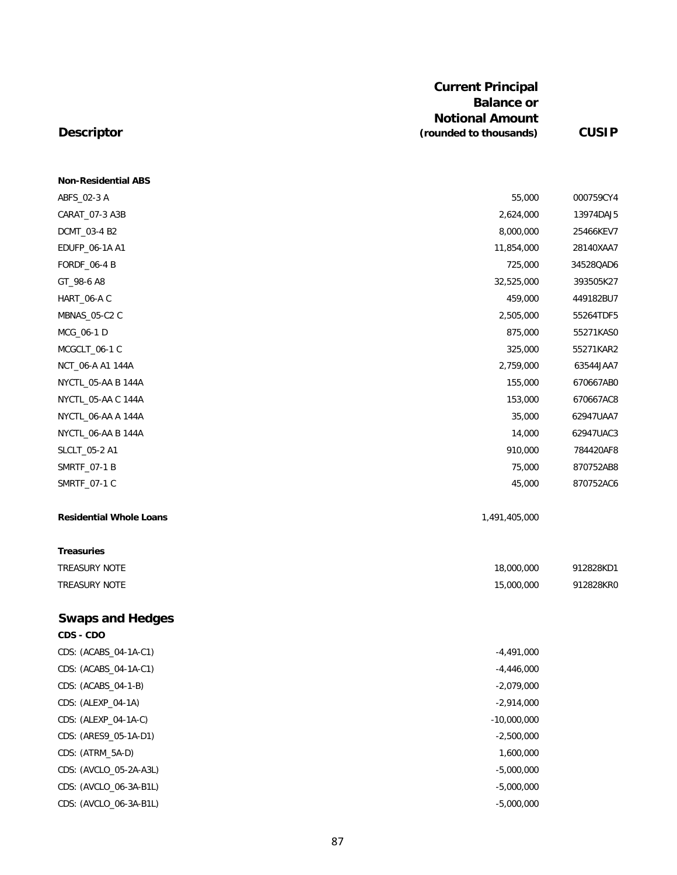# **Descriptor**

| <b>Non-Residential ABS</b>     |               |           |
|--------------------------------|---------------|-----------|
| ABFS_02-3 A                    | 55,000        | 000759CY4 |
| CARAT_07-3 A3B                 | 2,624,000     | 13974DAJ5 |
| DCMT_03-4 B2                   | 8,000,000     | 25466KEV7 |
| EDUFP_06-1A A1                 | 11,854,000    | 28140XAA7 |
| <b>FORDF_06-4 B</b>            | 725,000       | 34528QAD6 |
| GT_98-6 A8                     | 32,525,000    | 393505K27 |
| HART_06-A C                    | 459,000       | 449182BU7 |
| MBNAS_05-C2 C                  | 2,505,000     | 55264TDF5 |
| MCG_06-1 D                     | 875,000       | 55271KAS0 |
| MCGCLT_06-1 C                  | 325,000       | 55271KAR2 |
| NCT_06-A A1 144A               | 2,759,000     | 63544JAA7 |
| NYCTL_05-AA B 144A             | 155,000       | 670667AB0 |
| NYCTL_05-AA C 144A             | 153,000       | 670667AC8 |
| NYCTL_06-AA A 144A             | 35,000        | 62947UAA7 |
| NYCTL_06-AA B 144A             | 14,000        | 62947UAC3 |
| SLCLT_05-2 A1                  | 910,000       | 784420AF8 |
| SMRTF_07-1 B                   | 75,000        | 870752AB8 |
| SMRTF_07-1 C                   | 45,000        | 870752AC6 |
| <b>Residential Whole Loans</b> | 1,491,405,000 |           |
| <b>Treasuries</b>              |               |           |
| TREASURY NOTE                  | 18,000,000    | 912828KD1 |
| TREASURY NOTE                  | 15,000,000    | 912828KR0 |
| <b>Swaps and Hedges</b>        |               |           |
| CDS - CDO                      |               |           |
| CDS: (ACABS_04-1A-C1)          | $-4,491,000$  |           |
| CDS: (ACABS_04-1A-C1)          | -4,446,000    |           |
| CDS: (ACABS_04-1-B)            | $-2,079,000$  |           |
| CDS: (ALEXP_04-1A)             | $-2,914,000$  |           |
| CDS: (ALEXP_04-1A-C)           | $-10,000,000$ |           |
| CDS: (ARES9_05-1A-D1)          | $-2,500,000$  |           |
| CDS: (ATRM_5A-D)               | 1,600,000     |           |
| CDS: (AVCLO_05-2A-A3L)         | $-5,000,000$  |           |
| CDS: (AVCLO_06-3A-B1L)         | $-5,000,000$  |           |

CDS: (AVCLO\_06-3A-B1L) -5,000,000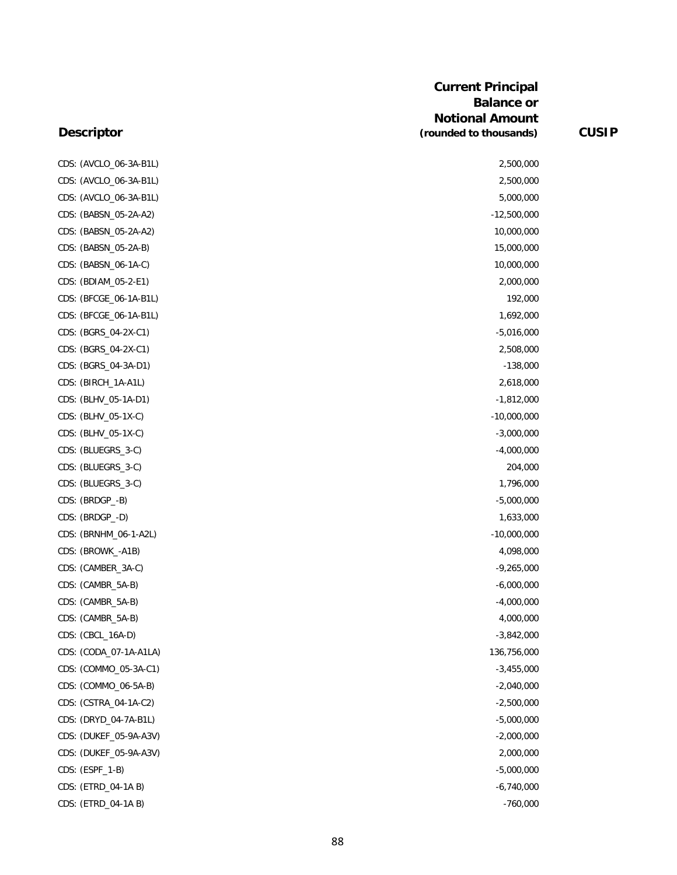#### **Descriptor**

CDS: (AVCLO\_06-3A-B1L) 2,500,000 CDS: (AVCLO\_06-3A-B1L) 2,500,000 CDS: (AVCLO\_06-3A-B1L) 5,000,000 CDS: (BABSN\_05-2A-A2) -12,500,000 CDS: (BABSN\_05-2A-A2) 10,000,000 CDS: (BABSN\_05-2A-B) 15,000,000 CDS: (BABSN\_06-1A-C) 10,000,000 CDS: (BDIAM\_05-2-E1) 2,000,000 CDS: (BFCGE\_06-1A-B1L) 192,000 CDS: (BFCGE\_06-1A-B1L) 1,692,000 CDS: (BGRS\_04-2X-C1) -5,016,000 CDS: (BGRS\_04-2X-C1) 2,508,000 CDS: (BGRS\_04-3A-D1) -138,000 CDS: (BIRCH\_1A-A1L) 2,618,000 CDS: (BLHV\_05-1A-D1) -1,812,000 CDS: (BLHV\_05-1X-C) -10,000,000 -10,000,000 -10,000,000 -10,000,000 -10,000,000 -10,000,000 -10,000,000 -10,000 CDS: (BLHV\_05-1X-C) -3,000,000 CDS: (BLUEGRS\_3-C) -4,000,000 CDS: (BLUEGRS\_3-C) 204,000 CDS: (BLUEGRS\_3-C) 1,796,000 CDS: (BRDGP\_-B) -5,000,000 CDS: (BRDGP\_-D) 1,633,000 CDS: (BRNHM\_06-1-A2L) -10,000,000 -10,000,000 -10,000,000 -10,000,000 -10,000,000 -10,000,000 -10,000,000 -10 CDS: (BROWK\_-A1B) 4,098,000 CDS: (CAMBER\_3A-C) -9,265,000 CDS: (CAMBR\_5A-B) -6,000,000 CDS: (CAMBR\_5A-B) -4,000,000 CDS: (CAMBR\_5A-B) 4,000,000 CDS: (CBCL\_16A-D) -3,842,000 CDS: (CODA\_07-1A-A1LA) 136,756,000 CDS: (COMMO\_05-3A-C1) -3,455,000 CDS: (COMMO\_06-5A-B) -2,040,000 CDS: (CSTRA\_04-1A-C2) -2,500,000 CDS: (DRYD\_04-7A-B1L) -5,000,000 CDS: (DUKEF\_05-9A-A3V) -2,000,000 CDS: (DUKEF\_05-9A-A3V) 2,000,000 CDS: (ESPF\_1-B) -5,000,000 CDS: (ETRD\_04-1A B) -6,740,000 CDS: (ETRD\_04-1A B) -760,000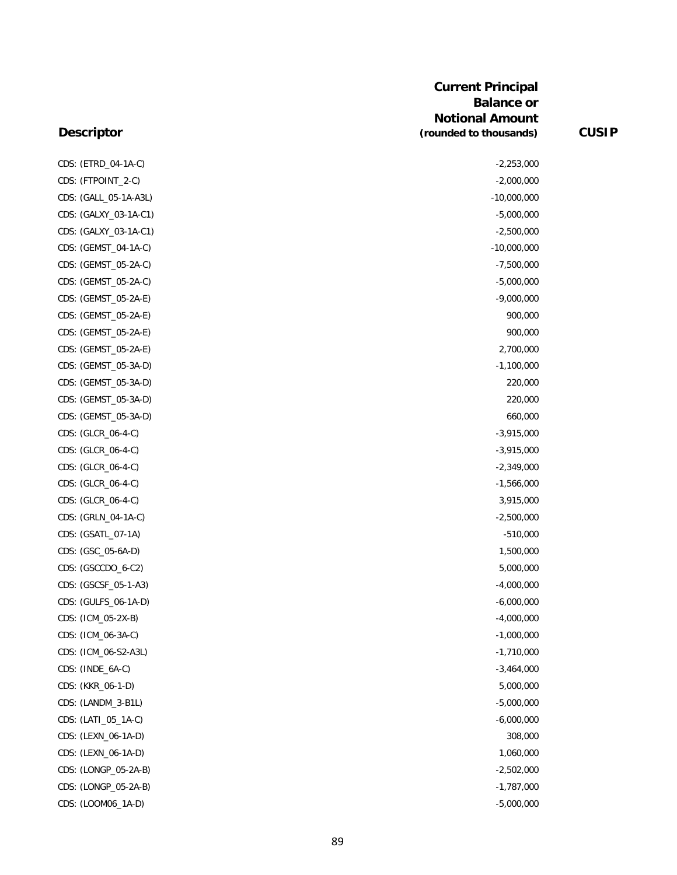|      | CDS: (ETRD_04-1A-C)   |
|------|-----------------------|
|      | CDS: (FTPOINT_2-C)    |
|      | CDS: (GALL_05-1A-A3L) |
|      | CDS: (GALXY_03-1A-C1) |
|      | CDS: (GALXY_03-1A-C1) |
|      | CDS: (GEMST_04-1A-C)  |
| CDS: | (GEMST_05-2A-C)       |
|      | CDS: (GEMST_05-2A-C)  |
|      | CDS: (GEMST_05-2A-E)  |
|      | CDS: (GEMST_05-2A-E)  |
|      | CDS: (GEMST_05-2A-E)  |
|      | CDS: (GEMST_05-2A-E)  |
|      | CDS: (GEMST_05-3A-D)  |
|      | CDS: (GEMST_05-3A-D)  |
|      | CDS: (GEMST_05-3A-D)  |
| CDS: | (GEMST_05-3A-D)       |
| CDS: | (GLCR_06-4-C)         |
| CDS: | (GLCR_06-4-C)         |
| CDS: | (GLCR_06-4-C)         |
|      | CDS: (GLCR_06-4-C)    |
|      | CDS: (GLCR_06-4-C)    |
|      | CDS: (GRLN_04-1A-C)   |
|      | CDS: (GSATL_07-1A)    |
|      | CDS: (GSC_05-6A-D)    |
|      | CDS: (GSCCDO_6-C2)    |
|      | CDS: (GSCSF_05-1-A3)  |
|      | CDS: (GULFS_06-1A-D)  |
|      | CDS: (ICM_05-2X-B)    |
|      | CDS: (ICM_06-3A-C)    |
|      | CDS: (ICM_06-S2-A3L)  |
|      | CDS: (INDE_6A-C)      |
|      | CDS: (KKR_06-1-D)     |
|      | CDS: (LANDM_3-B1L)    |
|      | CDS: (LATI_05_1A-C)   |
|      | CDS: (LEXN_06-1A-D)   |
|      | CDS: (LEXN_06-1A-D)   |
|      | CDS: (LONGP_05-2A-B)  |
|      | CDS: (LONGP_05-2A-B)  |
|      | CDS: (LOOM06_1A-D)    |

| CDS: (ETRD_04-1A-C)   | $-2,253,000$  |
|-----------------------|---------------|
| CDS: (FTPOINT_2-C)    | $-2,000,000$  |
| CDS: (GALL_05-1A-A3L) | $-10,000,000$ |
| CDS: (GALXY_03-1A-C1) | $-5,000,000$  |
| CDS: (GALXY_03-1A-C1) | $-2,500,000$  |
| CDS: (GEMST_04-1A-C)  | $-10,000,000$ |
| CDS: (GEMST_05-2A-C)  | $-7,500,000$  |
| CDS: (GEMST_05-2A-C)  | $-5,000,000$  |
| CDS: (GEMST_05-2A-E)  | $-9,000,000$  |
| CDS: (GEMST_05-2A-E)  | 900,000       |
| CDS: (GEMST_05-2A-E)  | 900,000       |
| CDS: (GEMST_05-2A-E)  | 2,700,000     |
| CDS: (GEMST_05-3A-D)  | $-1,100,000$  |
| CDS: (GEMST_05-3A-D)  | 220,000       |
| CDS: (GEMST_05-3A-D)  | 220,000       |
| CDS: (GEMST_05-3A-D)  | 660,000       |
| CDS: (GLCR_06-4-C)    | $-3,915,000$  |
| CDS: (GLCR_06-4-C)    | $-3,915,000$  |
| CDS: (GLCR_06-4-C)    | $-2,349,000$  |
| CDS: (GLCR_06-4-C)    | $-1,566,000$  |
| CDS: (GLCR_06-4-C)    | 3,915,000     |
| CDS: (GRLN_04-1A-C)   | $-2,500,000$  |
| CDS: (GSATL_07-1A)    | $-510,000$    |
| CDS: (GSC_05-6A-D)    | 1,500,000     |
| CDS: (GSCCDO_6-C2)    | 5,000,000     |
| CDS: (GSCSF_05-1-A3)  | $-4,000,000$  |
| CDS: (GULFS_06-1A-D)  | $-6,000,000$  |
| CDS: (ICM_05-2X-B)    | $-4,000,000$  |
| CDS: (ICM_06-3A-C)    | $-1,000,000$  |
| CDS: (ICM_06-S2-A3L)  | $-1,710,000$  |
| CDS: (INDE_6A-C)      | $-3,464,000$  |
| CDS: (KKR_06-1-D)     | 5,000,000     |
| CDS: (LANDM_3-B1L)    | $-5,000,000$  |
| CDS: (LATI_05_1A-C)   | $-6,000,000$  |
| CDS: (LEXN_06-1A-D)   | 308,000       |
| CDS: (LEXN_06-1A-D)   | 1,060,000     |
| CDS: (LONGP_05-2A-B)  | $-2,502,000$  |
| CDS: (LONGP_05-2A-B)  | $-1,787,000$  |
| CDS: (LOOM06_1A-D)    | $-5,000,000$  |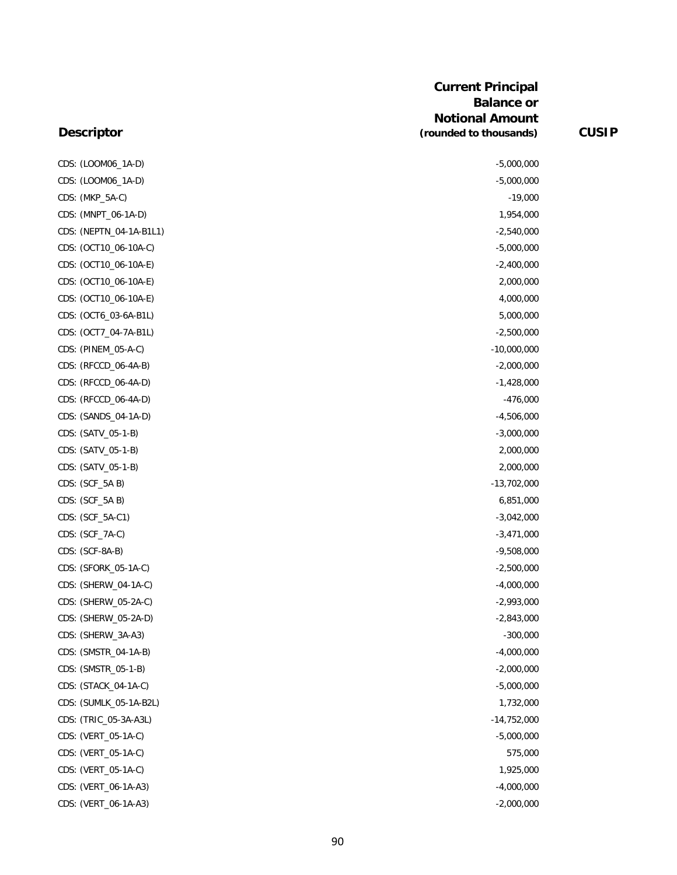| CDS: (LOOM06_1A-D)      | $-5,000,000$  |
|-------------------------|---------------|
| CDS: (LOOM06_1A-D)      | $-5,000,000$  |
| CDS: (MKP_5A-C)         | $-19,000$     |
| CDS: (MNPT_06-1A-D)     | 1,954,000     |
| CDS: (NEPTN_04-1A-B1L1) | $-2,540,000$  |
| CDS: (OCT10_06-10A-C)   | $-5,000,000$  |
| CDS: (OCT10_06-10A-E)   | $-2,400,000$  |
| CDS: (OCT10_06-10A-E)   | 2,000,000     |
| CDS: (OCT10_06-10A-E)   | 4,000,000     |
| CDS: (OCT6_03-6A-B1L)   | 5,000,000     |
| CDS: (OCT7_04-7A-B1L)   | $-2,500,000$  |
| CDS: (PINEM_05-A-C)     | $-10,000,000$ |
| CDS: (RFCCD_06-4A-B)    | $-2,000,000$  |
| CDS: (RFCCD_06-4A-D)    | $-1,428,000$  |
| CDS: (RFCCD_06-4A-D)    | $-476,000$    |
| CDS: (SANDS_04-1A-D)    | $-4,506,000$  |
| CDS: (SATV_05-1-B)      | $-3,000,000$  |
| CDS: (SATV_05-1-B)      | 2,000,000     |
| CDS: (SATV_05-1-B)      | 2,000,000     |
| CDS: (SCF_5A B)         | $-13,702,000$ |
| CDS: (SCF_5A B)         | 6,851,000     |
| CDS: (SCF_5A-C1)        | $-3,042,000$  |
| CDS: (SCF_7A-C)         | $-3,471,000$  |
| CDS: (SCF-8A-B)         | $-9,508,000$  |
| CDS: (SFORK_05-1A-C)    | $-2,500,000$  |
| CDS: (SHERW_04-1A-C)    | $-4,000,000$  |
| CDS: (SHERW_05-2A-C)    | $-2,993,000$  |
| CDS: (SHERW_05-2A-D)    | $-2,843,000$  |
| CDS: (SHERW_3A-A3)      | $-300,000$    |
| CDS: (SMSTR_04-1A-B)    | -4,000,000    |
| CDS: (SMSTR_05-1-B)     | $-2,000,000$  |
| CDS: (STACK_04-1A-C)    | $-5,000,000$  |
| CDS: (SUMLK_05-1A-B2L)  | 1,732,000     |
| CDS: (TRIC_05-3A-A3L)   | $-14,752,000$ |
| CDS: (VERT_05-1A-C)     | $-5,000,000$  |
| CDS: (VERT_05-1A-C)     | 575,000       |
| CDS: (VERT_05-1A-C)     | 1,925,000     |
| CDS: (VERT_06-1A-A3)    | $-4,000,000$  |
| CDS: (VERT_06-1A-A3)    | $-2,000,000$  |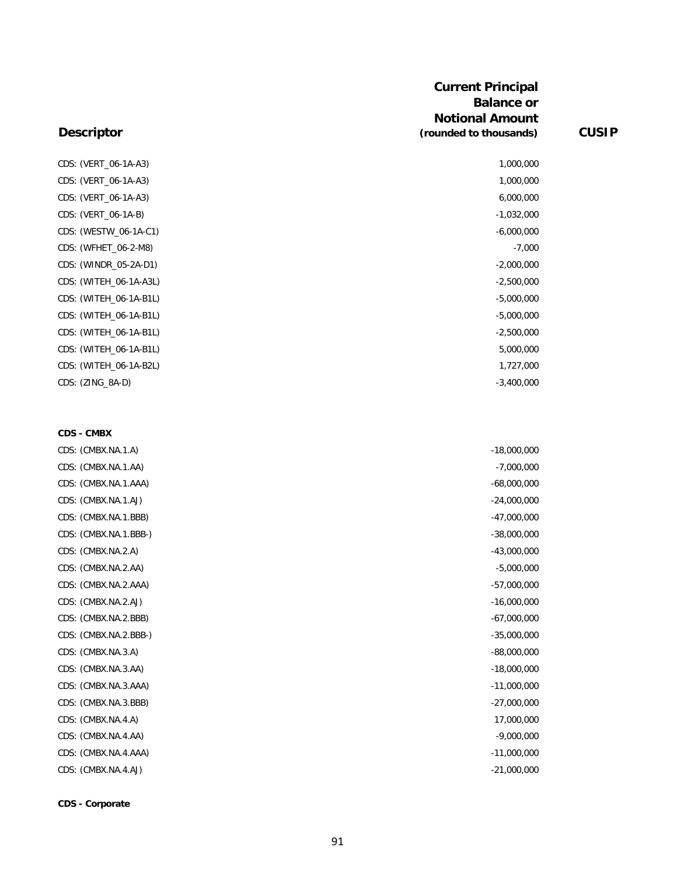#### **Descriptor**

CDS: (VERT\_06-1A-A3) 1,000,000 CDS: (VERT\_06-1A-A3) 1,000,000 CDS: (VERT\_06-1A-A3) 6,000,000 CDS: (VERT\_06-1A-B) -1,032,000 CDS: (WESTW\_06-1A-C1) -6,000,000 CDS: (WFHET\_06-2-M8) -7,000 CDS: (WINDR\_05-2A-D1) -2,000,000 CDS: (WITEH\_06-1A-A3L) -2,500,000 CDS: (WITEH\_06-1A-B1L) -5,000,000 CDS: (WITEH\_06-1A-B1L) -5,000,000 CDS: (WITEH\_06-1A-B1L) -2,500,000 CDS: (WITEH\_06-1A-B1L) 5,000,000 CDS: (WITEH\_06-1A-B2L) 1,727,000 CDS: (ZING\_8A-D) -3,400,000

#### **CDS - CMBX**

| CDS: (CMBX.NA.1.A)    | $-18,000,000$ |
|-----------------------|---------------|
| CDS: (CMBX.NA.1.AA)   | $-7,000,000$  |
| CDS: (CMBX.NA.1.AAA)  | $-68,000,000$ |
| CDS: (CMBX.NA.1.AJ)   | $-24,000,000$ |
| CDS: (CMBX.NA.1.BBB)  | $-47,000,000$ |
| CDS: (CMBX.NA.1.BBB-) | $-38,000,000$ |
| CDS: (CMBX.NA.2.A)    | $-43,000,000$ |
| CDS: (CMBX.NA.2.AA)   | $-5,000,000$  |
| CDS: (CMBX.NA.2.AAA)  | $-57,000,000$ |
| CDS: (CMBX.NA.2.AJ)   | $-16,000,000$ |
| CDS: (CMBX.NA.2.BBB)  | $-67,000,000$ |
| CDS: (CMBX.NA.2.BBB-) | $-35,000,000$ |
| CDS: (CMBX.NA.3.A)    | $-88,000,000$ |
| CDS: (CMBX.NA.3.AA)   | $-18,000,000$ |
| CDS: (CMBX.NA.3.AAA)  | $-11,000,000$ |
| CDS: (CMBX.NA.3.BBB)  | $-27,000,000$ |
| CDS: (CMBX.NA.4.A)    | 17,000,000    |
| CDS: (CMBX.NA.4.AA)   | $-9,000,000$  |
| CDS: (CMBX.NA.4.AAA)  | $-11,000,000$ |
| CDS: (CMBX.NA.4.AJ)   | $-21,000,000$ |

**CDS - Corporate**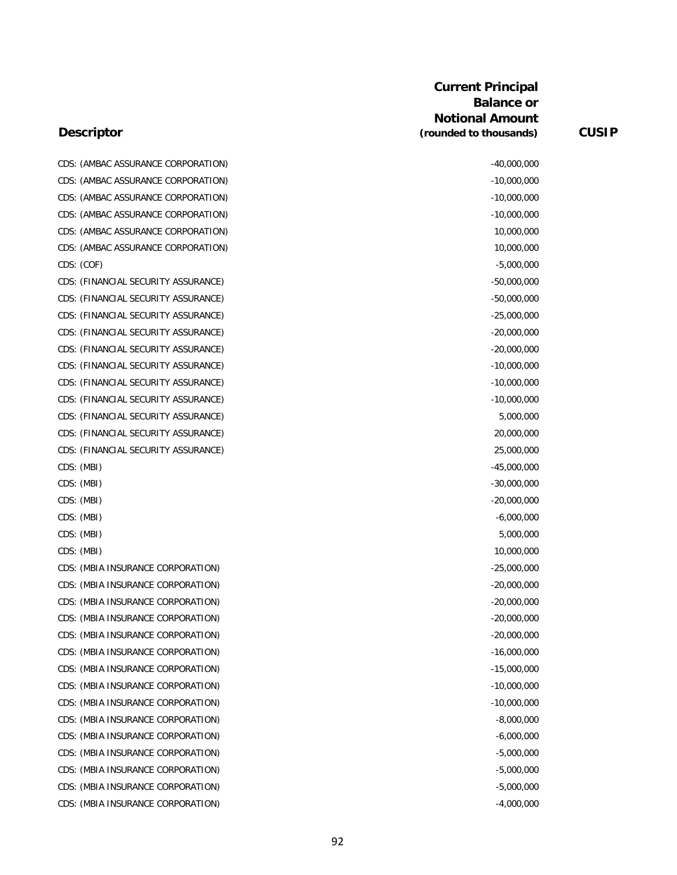| CDS: (AMBAC ASSURANCE CORPORATION)  |               |
|-------------------------------------|---------------|
|                                     | $-40,000,000$ |
| CDS: (AMBAC ASSURANCE CORPORATION)  | $-10,000,000$ |
| CDS: (AMBAC ASSURANCE CORPORATION)  | $-10,000,000$ |
| CDS: (AMBAC ASSURANCE CORPORATION)  | $-10,000,000$ |
| CDS: (AMBAC ASSURANCE CORPORATION)  | 10,000,000    |
| CDS: (AMBAC ASSURANCE CORPORATION)  | 10,000,000    |
| CDS: (COF)                          | $-5,000,000$  |
| CDS: (FINANCIAL SECURITY ASSURANCE) | $-50,000,000$ |
| CDS: (FINANCIAL SECURITY ASSURANCE) | $-50,000,000$ |
| CDS: (FINANCIAL SECURITY ASSURANCE) | $-25,000,000$ |
| CDS: (FINANCIAL SECURITY ASSURANCE) | $-20,000,000$ |
| CDS: (FINANCIAL SECURITY ASSURANCE) | $-20,000,000$ |
| CDS: (FINANCIAL SECURITY ASSURANCE) | $-10,000,000$ |
| CDS: (FINANCIAL SECURITY ASSURANCE) | $-10,000,000$ |
| CDS: (FINANCIAL SECURITY ASSURANCE) | $-10,000,000$ |
| CDS: (FINANCIAL SECURITY ASSURANCE) | 5,000,000     |
| CDS: (FINANCIAL SECURITY ASSURANCE) | 20,000,000    |
| CDS: (FINANCIAL SECURITY ASSURANCE) | 25,000,000    |
| CDS: (MBI)                          | $-45,000,000$ |
| CDS: (MBI)                          | $-30,000,000$ |
| CDS: (MBI)                          | $-20,000,000$ |
| CDS: (MBI)                          | $-6,000,000$  |
| CDS: (MBI)                          | 5,000,000     |
| CDS: (MBI)                          | 10,000,000    |
| CDS: (MBIA INSURANCE CORPORATION)   | $-25,000,000$ |
| CDS: (MBIA INSURANCE CORPORATION)   | $-20,000,000$ |
| CDS: (MBIA INSURANCE CORPORATION)   | $-20,000,000$ |
| CDS: (MBIA INSURANCE CORPORATION)   | $-20,000,000$ |
| CDS: (MBIA INSURANCE CORPORATION)   | $-20,000,000$ |
| CDS: (MBIA INSURANCE CORPORATION)   | $-16,000,000$ |
| CDS: (MBIA INSURANCE CORPORATION)   | $-15,000,000$ |
| CDS: (MBIA INSURANCE CORPORATION)   | $-10,000,000$ |
| CDS: (MBIA INSURANCE CORPORATION)   | $-10,000,000$ |
| CDS: (MBIA INSURANCE CORPORATION)   | $-8,000,000$  |
| CDS: (MBIA INSURANCE CORPORATION)   | $-6,000,000$  |
| CDS: (MBIA INSURANCE CORPORATION)   | $-5,000,000$  |
| CDS: (MBIA INSURANCE CORPORATION)   | $-5,000,000$  |
| CDS: (MBIA INSURANCE CORPORATION)   | $-5,000,000$  |
| CDS: (MBIA INSURANCE CORPORATION)   | $-4,000,000$  |
|                                     |               |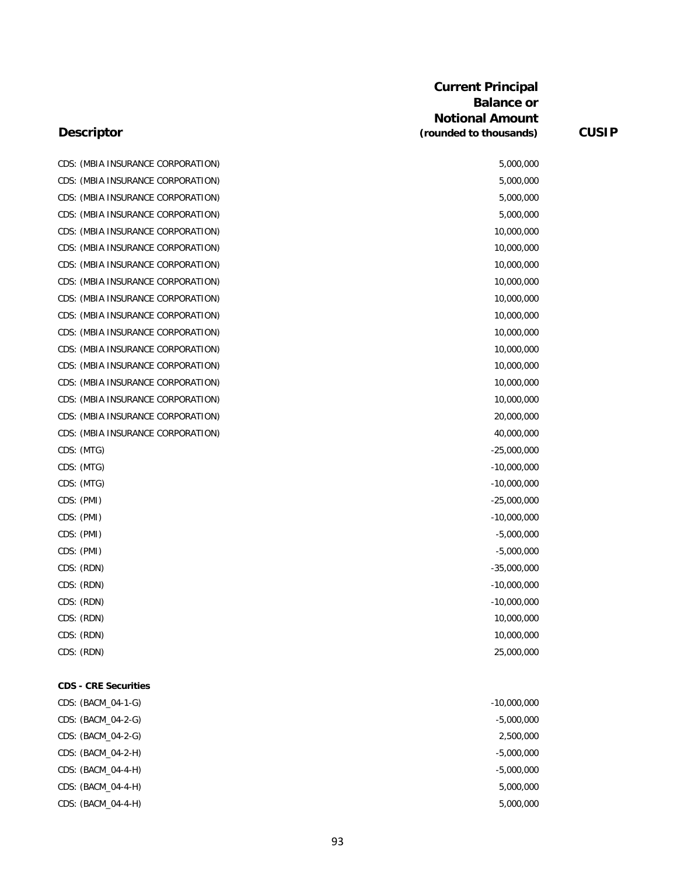| CDS: (MBIA INSURANCE CORPORATION) | 5,000,000     |
|-----------------------------------|---------------|
| CDS: (MBIA INSURANCE CORPORATION) | 5,000,000     |
| CDS: (MBIA INSURANCE CORPORATION) | 5,000,000     |
| CDS: (MBIA INSURANCE CORPORATION) | 5,000,000     |
| CDS: (MBIA INSURANCE CORPORATION) | 10,000,000    |
| CDS: (MBIA INSURANCE CORPORATION) | 10,000,000    |
| CDS: (MBIA INSURANCE CORPORATION) | 10,000,000    |
| CDS: (MBIA INSURANCE CORPORATION) | 10,000,000    |
| CDS: (MBIA INSURANCE CORPORATION) | 10,000,000    |
| CDS: (MBIA INSURANCE CORPORATION) | 10,000,000    |
| CDS: (MBIA INSURANCE CORPORATION) | 10,000,000    |
| CDS: (MBIA INSURANCE CORPORATION) | 10,000,000    |
| CDS: (MBIA INSURANCE CORPORATION) | 10,000,000    |
| CDS: (MBIA INSURANCE CORPORATION) | 10,000,000    |
| CDS: (MBIA INSURANCE CORPORATION) | 10,000,000    |
| CDS: (MBIA INSURANCE CORPORATION) | 20,000,000    |
| CDS: (MBIA INSURANCE CORPORATION) | 40,000,000    |
| CDS: (MTG)                        | $-25,000,000$ |
| CDS: (MTG)                        | $-10,000,000$ |
| CDS: (MTG)                        | $-10,000,000$ |
| CDS: (PMI)                        | $-25,000,000$ |
| CDS: (PMI)                        | $-10,000,000$ |
| CDS: (PMI)                        | $-5,000,000$  |
| CDS: (PMI)                        | $-5,000,000$  |
| CDS: (RDN)                        | $-35,000,000$ |
| CDS: (RDN)                        | $-10,000,000$ |
| CDS: (RDN)                        | $-10,000,000$ |
| CDS: (RDN)                        | 10,000,000    |
| CDS: (RDN)                        | 10,000,000    |
| CDS: (RDN)                        | 25,000,000    |
| <b>CDS - CRE Securities</b>       |               |
| CDS: (BACM_04-1-G)                | $-10,000,000$ |
| CDS: (BACM_04-2-G)                | $-5,000,000$  |
| CDS: (BACM_04-2-G)                | 2,500,000     |
| CDS: (BACM_04-2-H)                | $-5,000,000$  |
| CDS: (BACM_04-4-H)                | $-5,000,000$  |

# **Descriptor**

CDS: (BACM\_04-4-H) 5,000,000 CDS: (BACM\_04-4-H) 5,000,000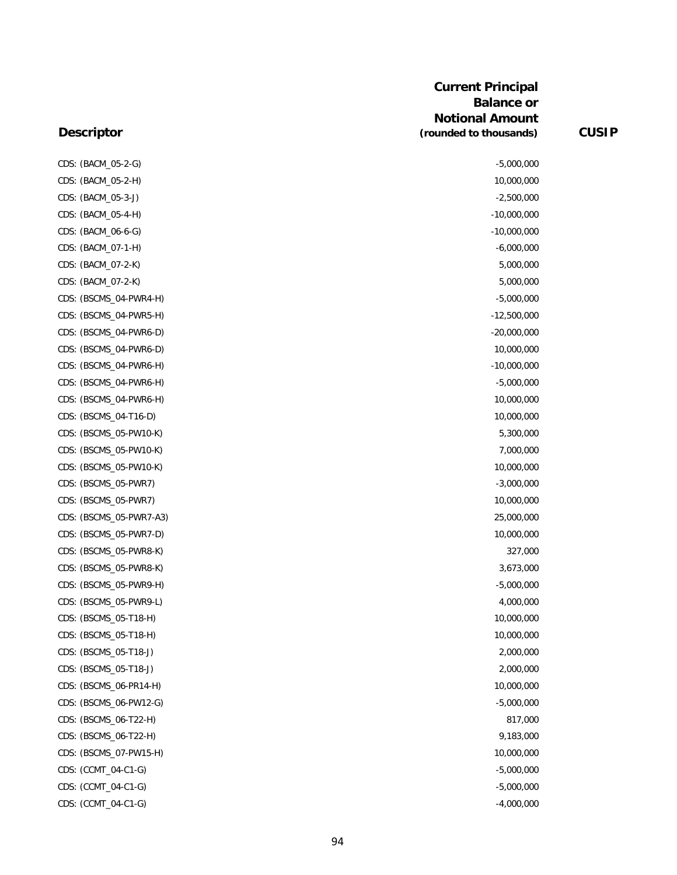#### **Descriptor**

CDS: (BACM\_05-2-G) CDS: (BACM\_05-2-H) CDS: (BACM\_05-3-J) CDS: (BACM\_05-4-H) CDS: (BACM\_06-6-G) CDS: (BACM\_07-1-H) CDS: (BACM\_07-2-K) CDS: (BACM\_07-2-K) CDS: (BSCMS\_04-PWR4-H) CDS: (BSCMS\_04-PWR5-H) CDS: (BSCMS\_04-PWR6-D) CDS: (BSCMS\_04-PWR6-D) CDS: (BSCMS\_04-PWR6-H) CDS: (BSCMS\_04-PWR6-H) CDS: (BSCMS\_04-PWR6-H) CDS: (BSCMS\_04-T16-D) CDS: (BSCMS\_05-PW10-K) CDS: (BSCMS\_05-PW10-K) CDS: (BSCMS\_05-PW10-K) CDS: (BSCMS\_05-PWR7) CDS: (BSCMS\_05-PWR7) CDS: (BSCMS\_05-PWR7-A3) CDS: (BSCMS\_05-PWR7-D) CDS: (BSCMS\_05-PWR8-K) CDS: (BSCMS\_05-PWR8-K) CDS: (BSCMS\_05-PWR9-H) CDS: (BSCMS\_05-PWR9-L) CDS: (BSCMS\_05-T18-H) CDS: (BSCMS\_05-T18-H) CDS: (BSCMS\_05-T18-J) CDS: (BSCMS\_05-T18-J) CDS: (BSCMS\_06-PR14-H) CDS: (BSCMS\_06-PW12-G) CDS: (BSCMS\_06-T22-H) CDS: (BSCMS\_06-T22-H) CDS: (BSCMS\_07-PW15-H) CDS: (CCMT\_04-C1-G) CDS: (CCMT\_04-C1-G) CDS: (CCMT\_04-C1-G)

| $-5,000,000$  |
|---------------|
| 10,000,000    |
| -2,500,000    |
| -10,000,000   |
| -10,000,000   |
| $-6,000,000$  |
| 5,000,000     |
| 5,000,000     |
| $-5,000,000$  |
| $-12,500,000$ |
| $-20,000,000$ |
| 10,000,000    |
| -10,000,000   |
| -5,000,000    |
| 10,000,000    |
| 10,000,000    |
| 5,300,000     |
| 7,000,000     |
| 10,000,000    |
| -3,000,000    |
| 10,000,000    |
| 25,000,000    |
| 10,000,000    |
| 327,000       |
| 3,673,000     |
| $-5,000,000$  |
| 4,000,000     |
| 10,000,000    |
| 10,000,000    |
| 2,000,000     |
| 2,000,000     |
| 10,000,000    |
| $-5,000,000$  |
| 817,000       |
| 9,183,000     |
| 10,000,000    |
| $-5,000,000$  |
| $-5,000,000$  |
| $-4,000,000$  |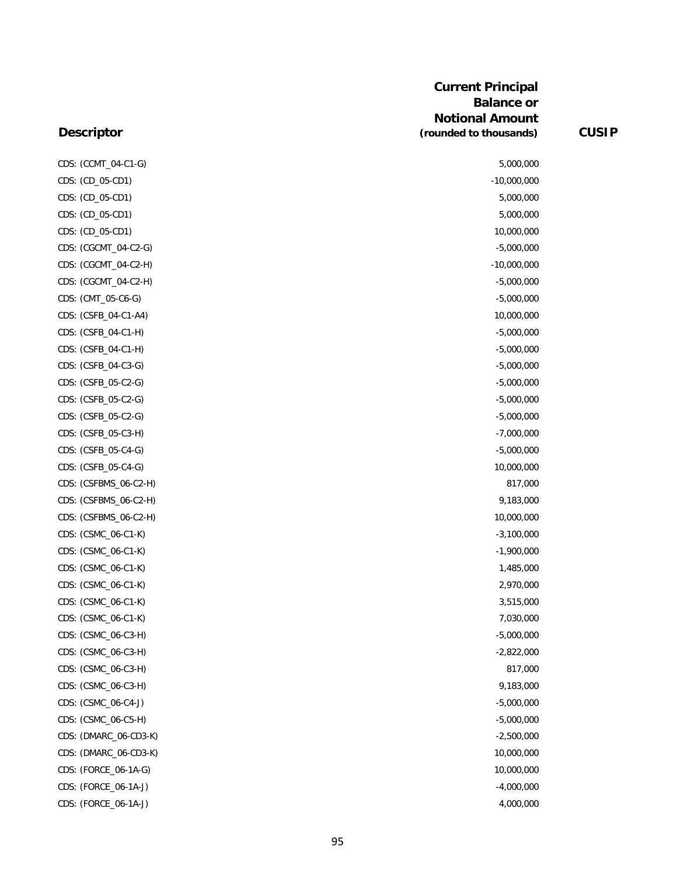| CDS: (CCMT_04-C1-G)   | 5,000,000     |
|-----------------------|---------------|
| CDS: (CD_05-CD1)      | $-10,000,000$ |
| CDS: (CD_05-CD1)      | 5,000,000     |
| CDS: (CD_05-CD1)      | 5,000,000     |
| CDS: (CD_05-CD1)      | 10,000,000    |
| CDS: (CGCMT_04-C2-G)  | $-5,000,000$  |
| CDS: (CGCMT_04-C2-H)  | $-10,000,000$ |
| CDS: (CGCMT_04-C2-H)  | $-5,000,000$  |
| CDS: (CMT_05-C6-G)    | $-5,000,000$  |
| CDS: (CSFB_04-C1-A4)  | 10,000,000    |
| CDS: (CSFB_04-C1-H)   | $-5,000,000$  |
| CDS: (CSFB_04-C1-H)   | $-5,000,000$  |
| CDS: (CSFB_04-C3-G)   | $-5,000,000$  |
| CDS: (CSFB_05-C2-G)   | $-5,000,000$  |
| CDS: (CSFB_05-C2-G)   | $-5,000,000$  |
| CDS: (CSFB_05-C2-G)   | $-5,000,000$  |
| CDS: (CSFB_05-C3-H)   | $-7,000,000$  |
| CDS: (CSFB_05-C4-G)   | $-5,000,000$  |
| CDS: (CSFB_05-C4-G)   | 10,000,000    |
| CDS: (CSFBMS_06-C2-H) | 817,000       |
| CDS: (CSFBMS_06-C2-H) | 9,183,000     |
| CDS: (CSFBMS_06-C2-H) | 10,000,000    |
| CDS: (CSMC_06-C1-K)   | $-3,100,000$  |
| CDS: (CSMC_06-C1-K)   | $-1,900,000$  |
| CDS: (CSMC_06-C1-K)   | 1,485,000     |
| CDS: (CSMC_06-C1-K)   | 2,970,000     |
| CDS: (CSMC_06-C1-K)   | 3,515,000     |
| CDS: (CSMC_06-C1-K)   | 7,030,000     |
| CDS: (CSMC_06-C3-H)   | $-5,000,000$  |
| CDS: (CSMC_06-C3-H)   | $-2,822,000$  |
| CDS: (CSMC_06-C3-H)   | 817,000       |
| CDS: (CSMC_06-C3-H)   | 9,183,000     |
| CDS: (CSMC_06-C4-J)   | $-5,000,000$  |
| CDS: (CSMC_06-C5-H)   | $-5,000,000$  |
| CDS: (DMARC_06-CD3-K) | $-2,500,000$  |
| CDS: (DMARC_06-CD3-K) | 10,000,000    |
| CDS: (FORCE_06-1A-G)  | 10,000,000    |
| CDS: (FORCE_06-1A-J)  | $-4,000,000$  |
| CDS: (FORCE_06-1A-J)  | 4,000,000     |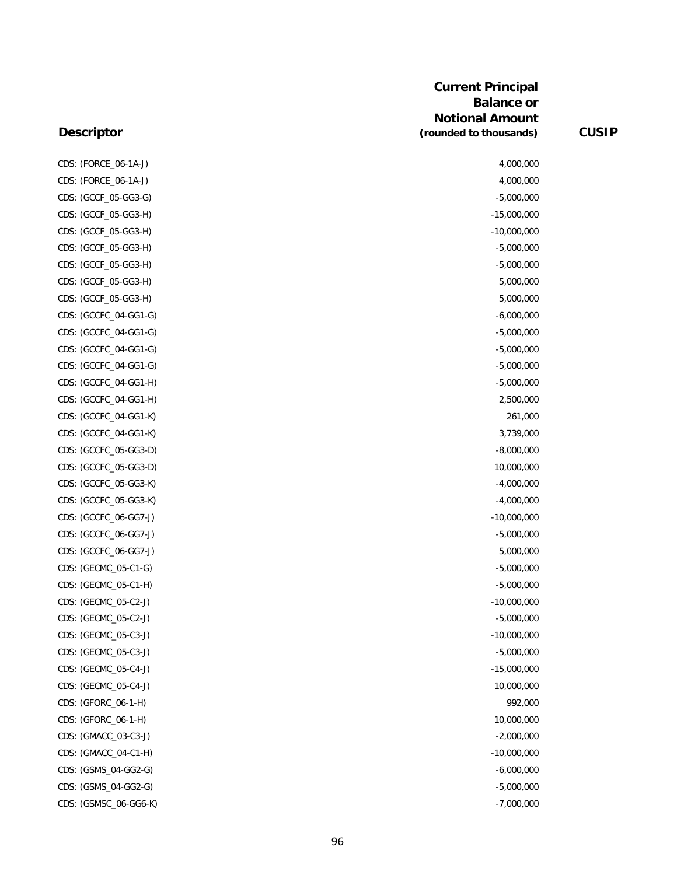#### **Descriptor**

CDS: (FORCE\_06-1A-J) CDS: (FORCE\_06-1A-J) CDS: (GCCF\_05-GG3-G) CDS: (GCCF\_05-GG3-H) CDS: (GCCF\_05-GG3-H) CDS: (GCCF\_05-GG3-H) CDS: (GCCF\_05-GG3-H) CDS: (GCCF\_05-GG3-H) CDS: (GCCF\_05-GG3-H) CDS: (GCCFC\_04-GG1-G) CDS: (GCCFC\_04-GG1-G) CDS: (GCCFC\_04-GG1-G) CDS: (GCCFC\_04-GG1-G) CDS: (GCCFC\_04-GG1-H) CDS: (GCCFC\_04-GG1-H) CDS: (GCCFC\_04-GG1-K) CDS: (GCCFC\_04-GG1-K) CDS: (GCCFC\_05-GG3-D) CDS: (GCCFC\_05-GG3-D) CDS: (GCCFC\_05-GG3-K) CDS: (GCCFC\_05-GG3-K) CDS: (GCCFC\_06-GG7-J) CDS: (GCCFC\_06-GG7-J) CDS: (GCCFC\_06-GG7-J) CDS: (GECMC\_05-C1-G) CDS: (GECMC\_05-C1-H) CDS: (GECMC\_05-C2-J) CDS: (GECMC\_05-C2-J) CDS: (GECMC\_05-C3-J) CDS: (GECMC\_05-C3-J) CDS: (GECMC\_05-C4-J) CDS: (GECMC\_05-C4-J) CDS: (GFORC\_06-1-H) CDS: (GFORC\_06-1-H) CDS: (GMACC\_03-C3-J) CDS: (GMACC\_04-C1-H) CDS: (GSMS\_04-GG2-G) CDS: (GSMS\_04-GG2-G) CDS: (GSMSC\_06-GG6-K)

| 4,000,000     |  |
|---------------|--|
| 4,000,000     |  |
| $-5,000,000$  |  |
| $-15,000,000$ |  |
| $-10,000,000$ |  |
| $-5,000,000$  |  |
| $-5,000,000$  |  |
| 5,000,000     |  |
| 5,000,000     |  |
| $-6,000,000$  |  |
| $-5,000,000$  |  |
| $-5,000,000$  |  |
| $-5,000,000$  |  |
| $-5,000,000$  |  |
| 2,500,000     |  |
| 261,000       |  |
| 3,739,000     |  |
| $-8,000,000$  |  |
| 10,000,000    |  |
| $-4,000,000$  |  |
| $-4,000,000$  |  |
| $-10,000,000$ |  |
| $-5,000,000$  |  |
| 5,000,000     |  |
| $-5,000,000$  |  |
| $-5,000,000$  |  |
| $-10,000,000$ |  |
| $-5,000,000$  |  |
| $-10,000,000$ |  |
| $-5,000,000$  |  |
| $-15,000,000$ |  |
| 10,000,000    |  |
| 992,000       |  |
| 10,000,000    |  |
| $-2,000,000$  |  |
| $-10,000,000$ |  |
| $-6,000,000$  |  |
| $-5,000,000$  |  |
| $-7,000,000$  |  |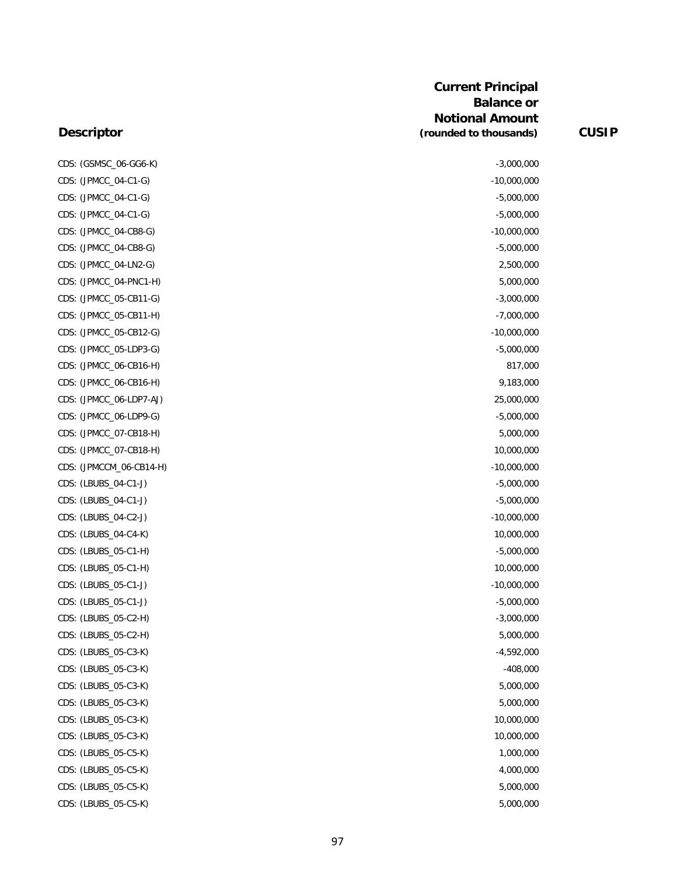#### **Descriptor**

CDS: (GSMSC\_06-GG6-K) -3,000,000 CDS: (JPMCC\_04-C1-G) -10,000,000 CDS: (JPMCC\_04-C1-G) -5,000,000 CDS: (JPMCC\_04-C1-G) -5,000,000 CDS: (JPMCC\_04-CB8-G) -10,000,000 CDS: (JPMCC\_04-CB8-G) -5,000,000 CDS: (JPMCC\_04-LN2-G) 2,500,000 CDS: (JPMCC\_04-PNC1-H) 5,000,000 CDS: (JPMCC\_05-CB11-G) -3,000,000 CDS: (JPMCC\_05-CB11-H) -7,000,000 CDS: (JPMCC\_05-CB12-G) -10,000,000 CDS: (JPMCC\_05-LDP3-G) -5,000,000 CDS: (JPMCC\_06-CB16-H) 817,000 CDS: (JPMCC\_06-CB16-H) 9,183,000 CDS: (JPMCC\_06-LDP7-AJ) 25,000,000 CDS: (JPMCC\_06-LDP9-G) -5,000,000 CDS: (JPMCC\_07-CB18-H) 5,000,000 CDS: (JPMCC\_07-CB18-H) 10,000,000 CDS: (JPMCCM\_06-CB14-H) -10,000,000 CDS: (LBUBS\_04-C1-J) -5,000,000 CDS: (LBUBS\_04-C1-J) -5,000,000 CDS: (LBUBS\_04-C2-J) -10,000,000 CDS: (LBUBS\_04-C4-K) 10,000,000 CDS: (LBUBS\_05-C1-H) -5,000,000 CDS: (LBUBS\_05-C1-H) 10,000,000 CDS: (LBUBS\_05-C1-J) -10,000,000 CDS: (LBUBS\_05-C1-J) -5,000,000 CDS: (LBUBS\_05-C2-H) -3,000,000 CDS: (LBUBS\_05-C2-H) 5,000,000 CDS: (LBUBS\_05-C3-K) -4,592,000 CDS: (LBUBS\_05-C3-K) -408,000 CDS: (LBUBS\_05-C3-K) 5,000,000 CDS: (LBUBS\_05-C3-K) 5,000,000 CDS: (LBUBS\_05-C3-K) 10,000,000 CDS: (LBUBS\_05-C3-K) 10,000,000 CDS: (LBUBS\_05-C5-K) 1,000,000 CDS: (LBUBS\_05-C5-K) 4,000,000 CDS: (LBUBS\_05-C5-K) 5,000,000

CDS: (LBUBS\_05-C5-K) 5,000,000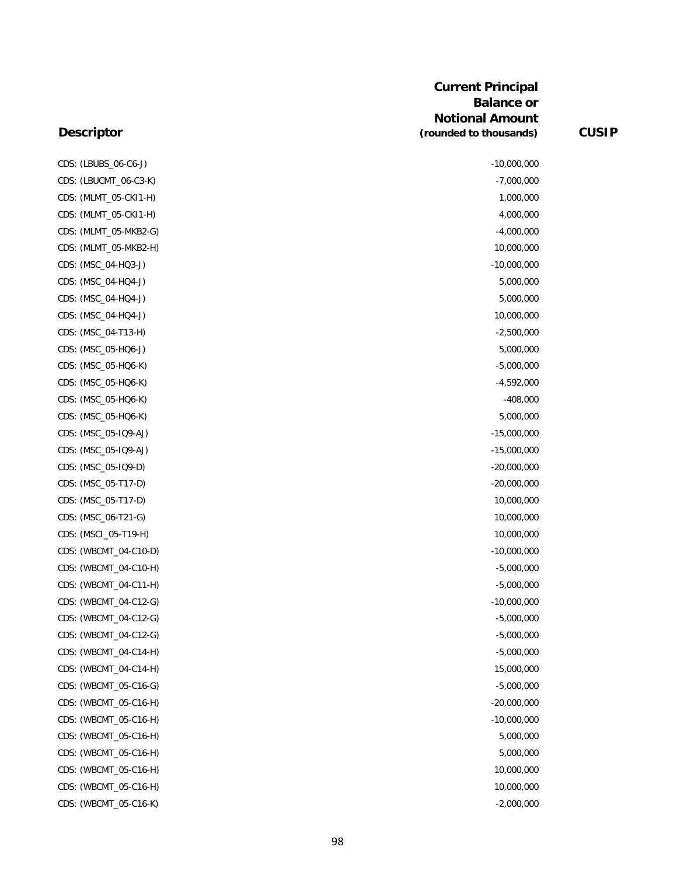#### **Descriptor**

CDS: (LBUBS\_06-C6-J) -10,000,000 CDS: (LBUCMT\_06-C3-K) -7,000,000 CDS: (MLMT\_05-CKI1-H) 1,000,000 CDS: (MLMT\_05-CKI1-H) 4,000,000 CDS: (MLMT\_05-MKB2-G) -4,000,000 CDS: (MLMT\_05-MKB2-H) 10,000,000 CDS: (MSC\_04-HQ3-J) -10,000,000 CDS: (MSC\_04-HQ4-J) 5,000,000 CDS: (MSC\_04-HQ4-J) 5,000,000 CDS: (MSC\_04-HQ4-J) 10,000,000 CDS: (MSC\_04-T13-H) -2,500,000 CDS: (MSC\_05-HQ6-J) 5,000,000 CDS: (MSC\_05-HQ6-K) -5,000,000 CDS: (MSC\_05-HQ6-K) -4,592,000 CDS: (MSC\_05-HQ6-K) -408,000 CDS: (MSC\_05-HQ6-K) 5,000,000 CDS: (MSC\_05-IQ9-AJ) -15,000,000 CDS: (MSC\_05-IQ9-AJ) -15,000,000 CDS: (MSC\_05-IQ9-D) -20,000,000 CDS: (MSC\_05-T17-D) -20,000,000 CDS: (MSC\_05-T17-D) 10,000,000 CDS: (MSC\_06-T21-G) 10,000,000 CDS: (MSCI\_05-T19-H) 10,000,000 CDS: (WBCMT\_04-C10-D) -10,000,000 CDS: (WBCMT\_04-C10-H) -5,000,000 CDS: (WBCMT\_04-C11-H) -5,000,000 CDS: (WBCMT\_04-C12-G) -10,000,000 -10,000,000 -10,000,000 -10,000,000 -10,000,000 -10,000,000 -10,000,000 -10 CDS: (WBCMT\_04-C12-G) -5,000,000 CDS: (WBCMT\_04-C12-G) -5,000,000 CDS: (WBCMT\_04-C14-H) -5,000,000 CDS: (WBCMT\_04-C14-H) 15,000,000 CDS: (WBCMT\_05-C16-G) -5,000,000 CDS: (WBCMT\_05-C16-H) -20,000,000 -20,000,000 -20,000,000 -20,000,000 -20,000,000 -20,000,000 -20,000,000 -20,000,000 -20,000,000 -20,000 -20,000 -20,000 -20,000 -20,000 -20,000 -20,000 -20,000 -20,000 -20,000 -20,000 -20, CDS: (WBCMT\_05-C16-H) -10,000,000 -10,000,000 -10,000,000 -10,000,000 -10,000,000 -10,000,000 -10,000,000 -10 CDS: (WBCMT\_05-C16-H) 5,000,000 CDS: (WBCMT\_05-C16-H) 5,000,000 CDS: (WBCMT\_05-C16-H) 10,000,000 CDS: (WBCMT\_05-C16-H) 10,000,000

CDS: (WBCMT\_05-C16-K) -2,000,000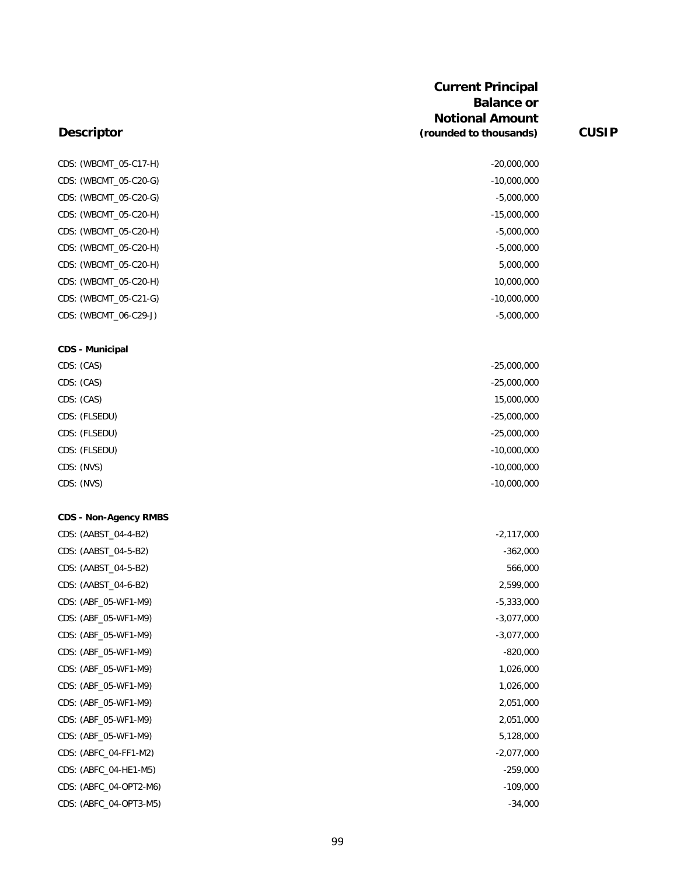|                              | <b>Current Principal</b><br><b>Balance or</b><br><b>Notional Amount</b> |              |
|------------------------------|-------------------------------------------------------------------------|--------------|
| <b>Descriptor</b>            | (rounded to thousands)                                                  | <b>CUSIP</b> |
| CDS: (WBCMT_05-C17-H)        | $-20,000,000$                                                           |              |
| CDS: (WBCMT_05-C20-G)        | $-10,000,000$                                                           |              |
| CDS: (WBCMT_05-C20-G)        | $-5,000,000$                                                            |              |
| CDS: (WBCMT_05-C20-H)        | $-15,000,000$                                                           |              |
| CDS: (WBCMT_05-C20-H)        | $-5,000,000$                                                            |              |
| CDS: (WBCMT_05-C20-H)        | $-5,000,000$                                                            |              |
| CDS: (WBCMT_05-C20-H)        | 5,000,000                                                               |              |
| CDS: (WBCMT_05-C20-H)        | 10,000,000                                                              |              |
| CDS: (WBCMT_05-C21-G)        | $-10,000,000$                                                           |              |
| CDS: (WBCMT_06-C29-J)        | $-5,000,000$                                                            |              |
| <b>CDS - Municipal</b>       |                                                                         |              |
| CDS: (CAS)                   | $-25,000,000$                                                           |              |
| CDS: (CAS)                   | $-25,000,000$                                                           |              |
| CDS: (CAS)                   | 15,000,000                                                              |              |
| CDS: (FLSEDU)                | $-25,000,000$                                                           |              |
| CDS: (FLSEDU)                | $-25,000,000$                                                           |              |
| CDS: (FLSEDU)                | $-10,000,000$                                                           |              |
| CDS: (NVS)                   | $-10,000,000$                                                           |              |
| CDS: (NVS)                   | $-10,000,000$                                                           |              |
| <b>CDS - Non-Agency RMBS</b> |                                                                         |              |
| CDS: (AABST_04-4-B2)         | $-2,117,000$                                                            |              |
| CDS: (AABST_04-5-B2)         | $-362,000$                                                              |              |
| CDS: (AABST_04-5-B2)         | 566,000                                                                 |              |
| CDS: (AABST_04-6-B2)         | 2,599,000                                                               |              |
| CDS: (ABF_05-WF1-M9)         | $-5,333,000$                                                            |              |
| CDS: (ABF_05-WF1-M9)         | $-3,077,000$                                                            |              |
| CDS: (ABF_05-WF1-M9)         | $-3,077,000$                                                            |              |
| CDS: (ABF_05-WF1-M9)         | $-820,000$                                                              |              |
| CDS: (ABF_05-WF1-M9)         | 1,026,000                                                               |              |
| CDS: (ABF_05-WF1-M9)         | 1,026,000                                                               |              |
| CDS: (ABF_05-WF1-M9)         | 2,051,000                                                               |              |
| CDS: (ABF_05-WF1-M9)         | 2,051,000                                                               |              |
| CDS: (ABF_05-WF1-M9)         | 5,128,000                                                               |              |
| CDS: (ABFC_04-FF1-M2)        | $-2,077,000$                                                            |              |
| CDS: (ABFC_04-HE1-M5)        | $-259,000$                                                              |              |
| CDS: (ABFC_04-OPT2-M6)       | $-109,000$                                                              |              |
| CDS: (ABFC_04-OPT3-M5)       | $-34,000$                                                               |              |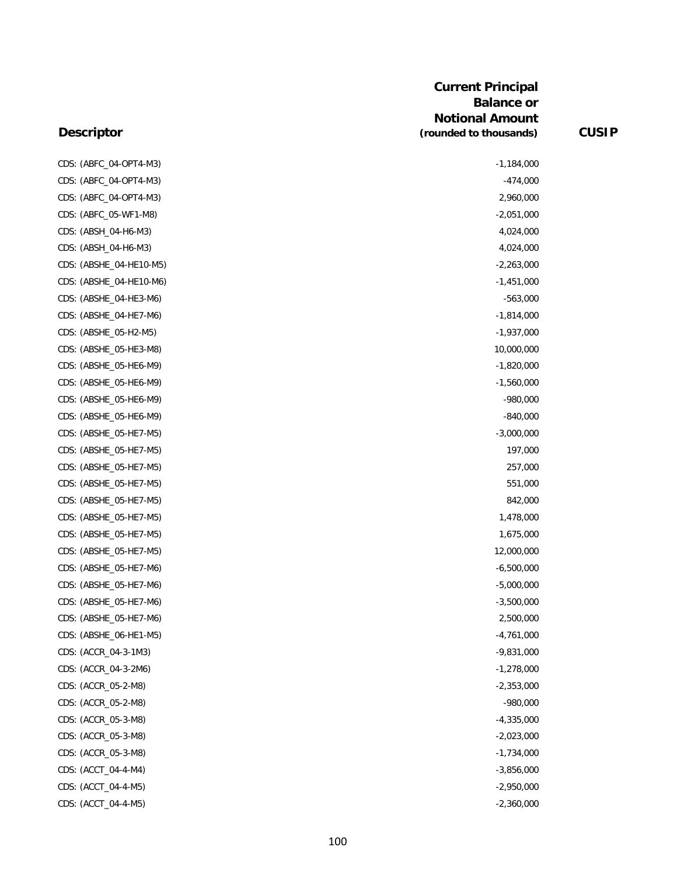| CDS: (ABFC_04-OPT4-M3)  | $-1,184,000$ |
|-------------------------|--------------|
| CDS: (ABFC_04-OPT4-M3)  | $-474,000$   |
| CDS: (ABFC_04-OPT4-M3)  | 2,960,000    |
| CDS: (ABFC_05-WF1-M8)   | $-2,051,000$ |
| CDS: (ABSH_04-H6-M3)    | 4,024,000    |
| CDS: (ABSH_04-H6-M3)    | 4,024,000    |
| CDS: (ABSHE_04-HE10-M5) | $-2,263,000$ |
| CDS: (ABSHE_04-HE10-M6) | $-1,451,000$ |
| CDS: (ABSHE_04-HE3-M6)  | $-563,000$   |
| CDS: (ABSHE_04-HE7-M6)  | $-1,814,000$ |
| CDS: (ABSHE_05-H2-M5)   | $-1,937,000$ |
| CDS: (ABSHE_05-HE3-M8)  | 10,000,000   |
| CDS: (ABSHE_05-HE6-M9)  | $-1,820,000$ |
| CDS: (ABSHE_05-HE6-M9)  | $-1,560,000$ |
| CDS: (ABSHE_05-HE6-M9)  | $-980,000$   |
| CDS: (ABSHE_05-HE6-M9)  | $-840,000$   |
| CDS: (ABSHE_05-HE7-M5)  | $-3,000,000$ |
| CDS: (ABSHE_05-HE7-M5)  | 197,000      |
| CDS: (ABSHE_05-HE7-M5)  | 257,000      |
| CDS: (ABSHE_05-HE7-M5)  | 551,000      |
| CDS: (ABSHE_05-HE7-M5)  | 842,000      |
| CDS: (ABSHE_05-HE7-M5)  | 1,478,000    |
| CDS: (ABSHE_05-HE7-M5)  | 1,675,000    |
| CDS: (ABSHE_05-HE7-M5)  | 12,000,000   |
| CDS: (ABSHE_05-HE7-M6)  | $-6,500,000$ |
| CDS: (ABSHE_05-HE7-M6)  | $-5,000,000$ |
| CDS: (ABSHE_05-HE7-M6)  | $-3,500,000$ |
| CDS: (ABSHE_05-HE7-M6)  | 2,500,000    |
| CDS: (ABSHE_06-HE1-M5)  | $-4,761,000$ |
| CDS: (ACCR_04-3-1M3)    | $-9,831,000$ |
| CDS: (ACCR_04-3-2M6)    | $-1,278,000$ |
| CDS: (ACCR_05-2-M8)     | $-2,353,000$ |
| CDS: (ACCR_05-2-M8)     | $-980,000$   |
| CDS: (ACCR_05-3-M8)     | $-4,335,000$ |
| CDS: (ACCR_05-3-M8)     | $-2,023,000$ |
| CDS: (ACCR_05-3-M8)     | $-1,734,000$ |
| CDS: (ACCT_04-4-M4)     | $-3,856,000$ |
| CDS: (ACCT_04-4-M5)     | $-2,950,000$ |
| CDS: (ACCT_04-4-M5)     | $-2,360,000$ |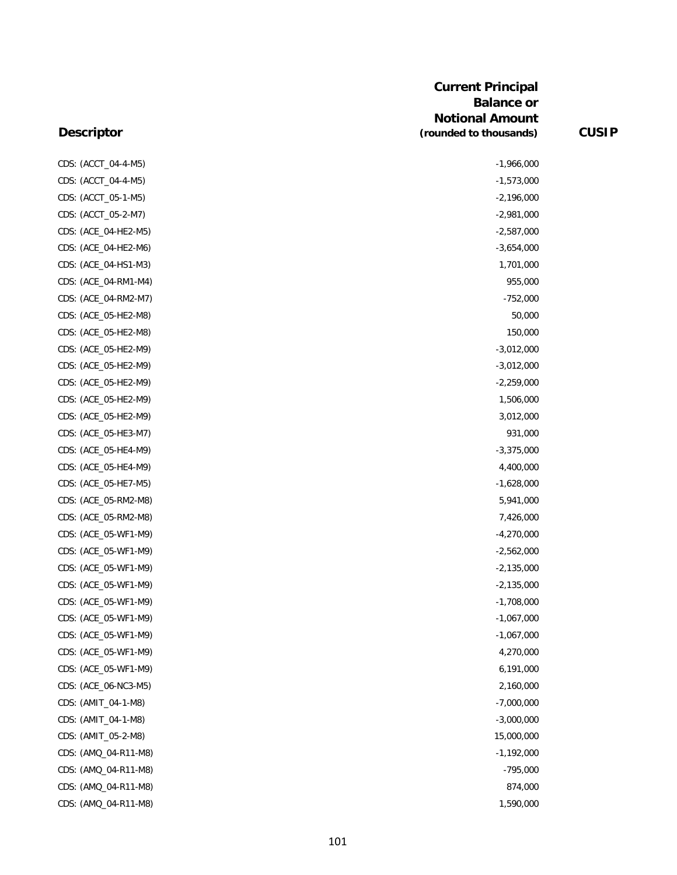| CDS: (ACCT_04-4-M5)  | $-1,966,000$ |
|----------------------|--------------|
| CDS: (ACCT_04-4-M5)  | $-1,573,000$ |
| CDS: (ACCT_05-1-M5)  | $-2,196,000$ |
| CDS: (ACCT_05-2-M7)  | $-2,981,000$ |
| CDS: (ACE_04-HE2-M5) | $-2,587,000$ |
| CDS: (ACE_04-HE2-M6) | $-3,654,000$ |
| CDS: (ACE_04-HS1-M3) | 1,701,000    |
| CDS: (ACE_04-RM1-M4) | 955,000      |
| CDS: (ACE_04-RM2-M7) | $-752,000$   |
| CDS: (ACE_05-HE2-M8) | 50,000       |
| CDS: (ACE_05-HE2-M8) | 150,000      |
| CDS: (ACE_05-HE2-M9) | $-3,012,000$ |
| CDS: (ACE_05-HE2-M9) | $-3,012,000$ |
| CDS: (ACE_05-HE2-M9) | $-2,259,000$ |
| CDS: (ACE_05-HE2-M9) | 1,506,000    |
| CDS: (ACE_05-HE2-M9) | 3,012,000    |
| CDS: (ACE_05-HE3-M7) | 931,000      |
| CDS: (ACE_05-HE4-M9) | $-3,375,000$ |
| CDS: (ACE_05-HE4-M9) | 4,400,000    |
| CDS: (ACE_05-HE7-M5) | $-1,628,000$ |
| CDS: (ACE_05-RM2-M8) | 5,941,000    |
| CDS: (ACE_05-RM2-M8) | 7,426,000    |
| CDS: (ACE_05-WF1-M9) | $-4,270,000$ |
| CDS: (ACE_05-WF1-M9) | $-2,562,000$ |
| CDS: (ACE_05-WF1-M9) | $-2,135,000$ |
| CDS: (ACE_05-WF1-M9) | $-2,135,000$ |
| CDS: (ACE_05-WF1-M9) | $-1,708,000$ |
| CDS: (ACE_05-WF1-M9) | $-1,067,000$ |
| CDS: (ACE_05-WF1-M9) | $-1,067,000$ |
| CDS: (ACE 05-WF1-M9) | 4,270,000    |
| CDS: (ACE_05-WF1-M9) | 6,191,000    |
| CDS: (ACE_06-NC3-M5) | 2,160,000    |
| CDS: (AMIT_04-1-M8)  | $-7,000,000$ |
| CDS: (AMIT_04-1-M8)  | $-3,000,000$ |
| CDS: (AMIT_05-2-M8)  | 15,000,000   |
| CDS: (AMQ_04-R11-M8) | $-1,192,000$ |
| CDS: (AMQ_04-R11-M8) | $-795,000$   |
| CDS: (AMQ_04-R11-M8) | 874,000      |
| CDS: (AMQ_04-R11-M8) | 1,590,000    |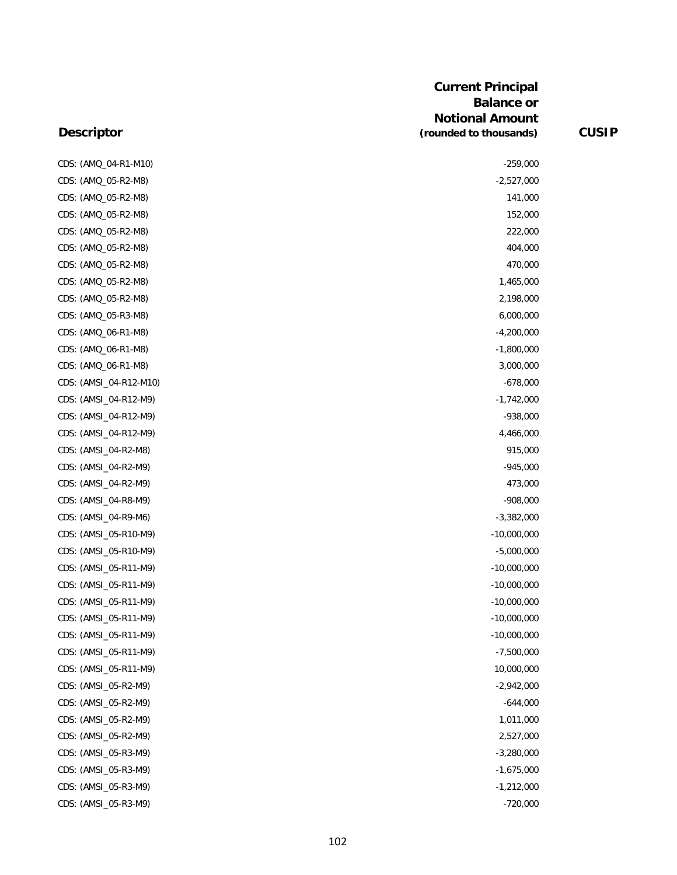| CDS: (AMQ_04-R1-M10)   | $-259,000$    |
|------------------------|---------------|
| CDS: (AMQ_05-R2-M8)    | $-2,527,000$  |
| CDS: (AMQ_05-R2-M8)    | 141,000       |
| CDS: (AMQ_05-R2-M8)    | 152,000       |
| CDS: (AMQ_05-R2-M8)    | 222,000       |
| CDS: (AMQ_05-R2-M8)    | 404,000       |
| CDS: (AMQ_05-R2-M8)    | 470,000       |
| CDS: (AMQ_05-R2-M8)    | 1,465,000     |
| CDS: (AMQ_05-R2-M8)    | 2,198,000     |
| CDS: (AMQ_05-R3-M8)    | 6,000,000     |
| CDS: (AMQ_06-R1-M8)    | $-4,200,000$  |
| CDS: (AMQ_06-R1-M8)    | $-1,800,000$  |
| CDS: (AMQ_06-R1-M8)    | 3,000,000     |
| CDS: (AMSI_04-R12-M10) | $-678,000$    |
| CDS: (AMSI_04-R12-M9)  | $-1,742,000$  |
| CDS: (AMSI_04-R12-M9)  | $-938,000$    |
| CDS: (AMSI_04-R12-M9)  | 4,466,000     |
| CDS: (AMSI_04-R2-M8)   | 915,000       |
| CDS: (AMSI_04-R2-M9)   | $-945,000$    |
| CDS: (AMSI_04-R2-M9)   | 473,000       |
| CDS: (AMSI_04-R8-M9)   | $-908,000$    |
| CDS: (AMSI_04-R9-M6)   | $-3,382,000$  |
| CDS: (AMSI_05-R10-M9)  | $-10,000,000$ |
| CDS: (AMSI_05-R10-M9)  | $-5,000,000$  |
| CDS: (AMSI_05-R11-M9)  | $-10,000,000$ |
| CDS: (AMSI_05-R11-M9)  | $-10,000,000$ |
| CDS: (AMSI_05-R11-M9)  | $-10,000,000$ |
| CDS: (AMSI_05-R11-M9)  | $-10,000,000$ |
| CDS: (AMSI_05-R11-M9)  | $-10,000,000$ |
| CDS: (AMSI_05-R11-M9)  | $-7,500,000$  |
| CDS: (AMSI_05-R11-M9)  | 10,000,000    |
| CDS: (AMSI_05-R2-M9)   | $-2,942,000$  |
| CDS: (AMSI_05-R2-M9)   | $-644,000$    |
| CDS: (AMSI_05-R2-M9)   | 1,011,000     |
| CDS: (AMSI_05-R2-M9)   | 2,527,000     |
| CDS: (AMSI_05-R3-M9)   | $-3,280,000$  |
| CDS: (AMSI_05-R3-M9)   | $-1,675,000$  |
| CDS: (AMSI_05-R3-M9)   | $-1,212,000$  |
| CDS: (AMSI_05-R3-M9)   | $-720,000$    |
|                        |               |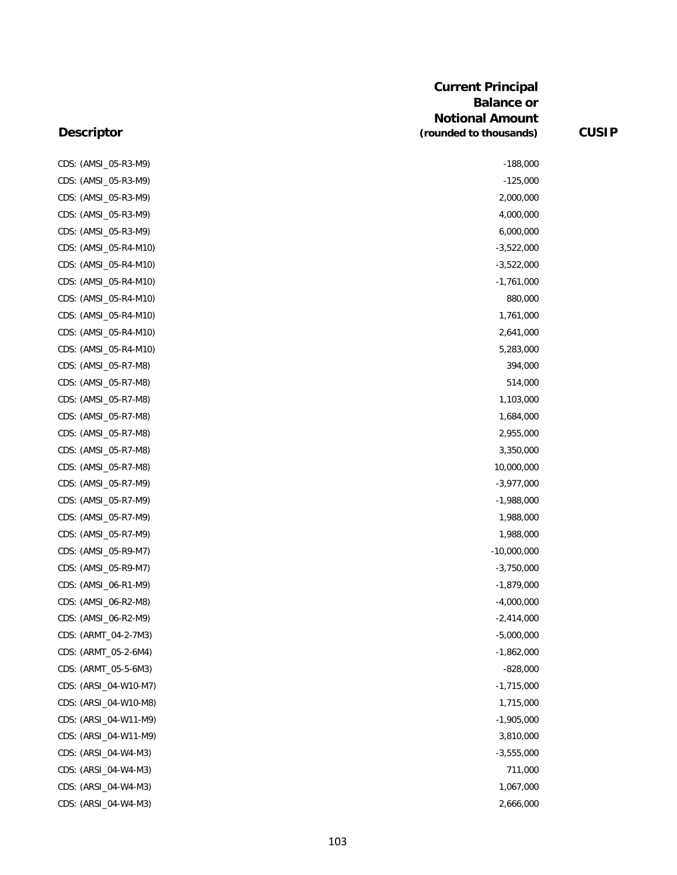| CDS: (AMSI_05-R3-M9)  | $-188,000$    |
|-----------------------|---------------|
| CDS: (AMSI_05-R3-M9)  | $-125,000$    |
| CDS: (AMSI_05-R3-M9)  | 2,000,000     |
| CDS: (AMSI_05-R3-M9)  | 4,000,000     |
| CDS: (AMSI_05-R3-M9)  | 6,000,000     |
| CDS: (AMSI_05-R4-M10) | $-3,522,000$  |
| CDS: (AMSI_05-R4-M10) | $-3,522,000$  |
| CDS: (AMSI_05-R4-M10) | $-1,761,000$  |
| CDS: (AMSI_05-R4-M10) | 880,000       |
| CDS: (AMSI_05-R4-M10) | 1,761,000     |
| CDS: (AMSI_05-R4-M10) | 2,641,000     |
| CDS: (AMSI_05-R4-M10) | 5,283,000     |
| CDS: (AMSI_05-R7-M8)  | 394,000       |
| CDS: (AMSI_05-R7-M8)  | 514,000       |
| CDS: (AMSI_05-R7-M8)  | 1,103,000     |
| CDS: (AMSI_05-R7-M8)  | 1,684,000     |
| CDS: (AMSI_05-R7-M8)  | 2,955,000     |
| CDS: (AMSI_05-R7-M8)  | 3,350,000     |
| CDS: (AMSI_05-R7-M8)  | 10,000,000    |
| CDS: (AMSI_05-R7-M9)  | $-3,977,000$  |
| CDS: (AMSI_05-R7-M9)  | $-1,988,000$  |
| CDS: (AMSI_05-R7-M9)  | 1,988,000     |
| CDS: (AMSI_05-R7-M9)  | 1,988,000     |
| CDS: (AMSI_05-R9-M7)  | $-10,000,000$ |
| CDS: (AMSI_05-R9-M7)  | $-3,750,000$  |
| CDS: (AMSI_06-R1-M9)  | $-1,879,000$  |
| CDS: (AMSI_06-R2-M8)  | $-4,000,000$  |
| CDS: (AMSI_06-R2-M9)  | $-2,414,000$  |
| CDS: (ARMT_04-2-7M3)  | $-5,000,000$  |
| CDS: (ARMT_05-2-6M4)  | $-1,862,000$  |
| CDS: (ARMT_05-5-6M3)  | $-828,000$    |
| CDS: (ARSI_04-W10-M7) | $-1,715,000$  |
| CDS: (ARSI_04-W10-M8) | 1,715,000     |
| CDS: (ARSI_04-W11-M9) | $-1,905,000$  |
| CDS: (ARSI_04-W11-M9) | 3,810,000     |
| CDS: (ARSI_04-W4-M3)  | $-3,555,000$  |
| CDS: (ARSI_04-W4-M3)  | 711,000       |
| CDS: (ARSI_04-W4-M3)  | 1,067,000     |
| CDS: (ARSI_04-W4-M3)  | 2,666,000     |

| CDS: (AMSI_05-R3-M9)  | $-188,000$    |
|-----------------------|---------------|
| CDS: (AMSI_05-R3-M9)  | $-125,000$    |
| CDS: (AMSI_05-R3-M9)  | 2,000,000     |
| CDS: (AMSI_05-R3-M9)  | 4,000,000     |
| CDS: (AMSI_05-R3-M9)  | 6,000,000     |
| CDS: (AMSI_05-R4-M10) | $-3,522,000$  |
| CDS: (AMSI_05-R4-M10) | $-3,522,000$  |
| CDS: (AMSI_05-R4-M10) | $-1,761,000$  |
| CDS: (AMSI_05-R4-M10) | 880,000       |
| CDS: (AMSI_05-R4-M10) | 1,761,000     |
| CDS: (AMSI_05-R4-M10) | 2,641,000     |
| CDS: (AMSI_05-R4-M10) | 5,283,000     |
| CDS: (AMSI_05-R7-M8)  | 394,000       |
| CDS: (AMSI_05-R7-M8)  | 514,000       |
| CDS: (AMSI_05-R7-M8)  | 1,103,000     |
| CDS: (AMSI_05-R7-M8)  | 1,684,000     |
| CDS: (AMSI_05-R7-M8)  | 2,955,000     |
| CDS: (AMSI_05-R7-M8)  | 3,350,000     |
| CDS: (AMSI_05-R7-M8)  | 10,000,000    |
| CDS: (AMSI_05-R7-M9)  | $-3,977,000$  |
| CDS: (AMSI_05-R7-M9)  | $-1,988,000$  |
| CDS: (AMSI_05-R7-M9)  | 1,988,000     |
| CDS: (AMSI_05-R7-M9)  | 1,988,000     |
| CDS: (AMSI_05-R9-M7)  | $-10,000,000$ |
| CDS: (AMSI_05-R9-M7)  | $-3,750,000$  |
| CDS: (AMSI_06-R1-M9)  | $-1,879,000$  |
| CDS: (AMSI_06-R2-M8)  | $-4,000,000$  |
| CDS: (AMSI_06-R2-M9)  | $-2,414,000$  |
| CDS: (ARMT_04-2-7M3)  | $-5,000,000$  |
| CDS: (ARMT_05-2-6M4)  | $-1,862,000$  |
| CDS: (ARMT_05-5-6M3)  | $-828,000$    |
| CDS: (ARSI_04-W10-M7) | $-1,715,000$  |
| CDS: (ARSI_04-W10-M8) | 1,715,000     |
| CDS: (ARSI_04-W11-M9) | $-1,905,000$  |
| CDS: (ARSI_04-W11-M9) | 3,810,000     |
| CDS: (ARSI_04-W4-M3)  | $-3,555,000$  |
| CDS: (ARSI_04-W4-M3)  | 711,000       |
| CDS: (ARSI_04-W4-M3)  | 1,067,000     |
|                       |               |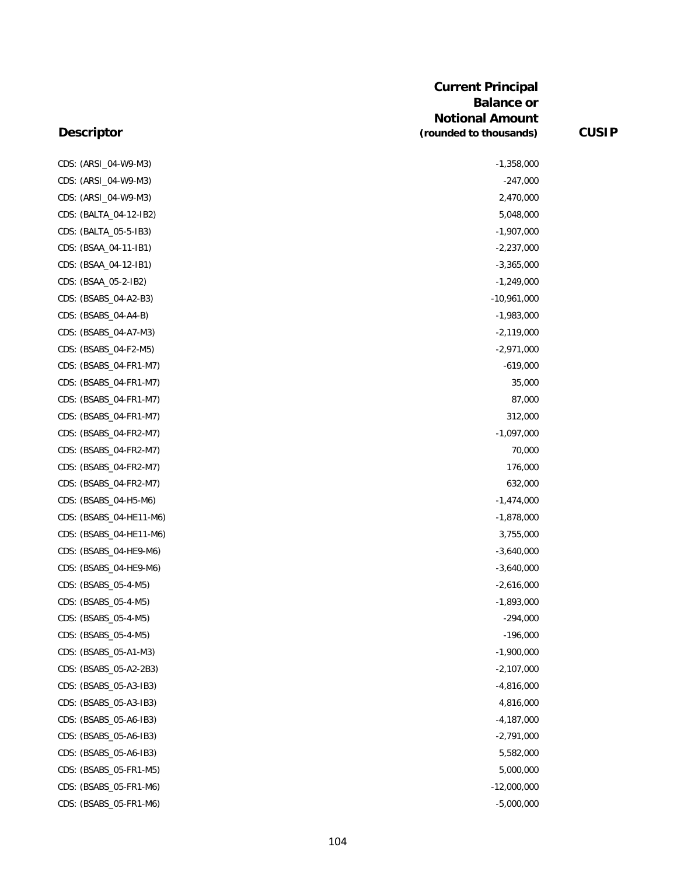| CDS: (ARSI_04-W9-M3)    | $-1,358,000$  |
|-------------------------|---------------|
| CDS: (ARSI_04-W9-M3)    | $-247,000$    |
| CDS: (ARSI_04-W9-M3)    | 2,470,000     |
| CDS: (BALTA_04-12-IB2)  | 5,048,000     |
| CDS: (BALTA_05-5-IB3)   | $-1,907,000$  |
| CDS: (BSAA_04-11-IB1)   | $-2,237,000$  |
| CDS: (BSAA_04-12-IB1)   | $-3,365,000$  |
| CDS: (BSAA_05-2-IB2)    | $-1,249,000$  |
| CDS: (BSABS_04-A2-B3)   | $-10,961,000$ |
| CDS: (BSABS_04-A4-B)    | $-1,983,000$  |
| CDS: (BSABS_04-A7-M3)   | $-2,119,000$  |
| CDS: (BSABS_04-F2-M5)   | $-2,971,000$  |
| CDS: (BSABS_04-FR1-M7)  | $-619,000$    |
| CDS: (BSABS_04-FR1-M7)  | 35,000        |
| CDS: (BSABS_04-FR1-M7)  | 87,000        |
| CDS: (BSABS_04-FR1-M7)  | 312,000       |
| CDS: (BSABS_04-FR2-M7)  | $-1,097,000$  |
| CDS: (BSABS_04-FR2-M7)  | 70,000        |
| CDS: (BSABS_04-FR2-M7)  | 176,000       |
| CDS: (BSABS_04-FR2-M7)  | 632,000       |
| CDS: (BSABS_04-H5-M6)   | $-1,474,000$  |
| CDS: (BSABS_04-HE11-M6) | $-1,878,000$  |
| CDS: (BSABS_04-HE11-M6) | 3,755,000     |
| CDS: (BSABS_04-HE9-M6)  | $-3,640,000$  |
| CDS: (BSABS_04-HE9-M6)  | $-3,640,000$  |
| CDS: (BSABS_05-4-M5)    | $-2,616,000$  |
| CDS: (BSABS_05-4-M5)    | $-1,893,000$  |
| CDS: (BSABS_05-4-M5)    | $-294,000$    |
| CDS: (BSABS_05-4-M5)    | $-196,000$    |
| CDS: (BSABS_05-A1-M3)   | $-1,900,000$  |
| CDS: (BSABS_05-A2-2B3)  | $-2,107,000$  |
| CDS: (BSABS_05-A3-IB3)  | $-4,816,000$  |
| CDS: (BSABS_05-A3-IB3)  | 4,816,000     |
| CDS: (BSABS_05-A6-IB3)  | $-4,187,000$  |
| CDS: (BSABS_05-A6-IB3)  | $-2,791,000$  |
| CDS: (BSABS_05-A6-IB3)  | 5,582,000     |
| CDS: (BSABS_05-FR1-M5)  | 5,000,000     |
| CDS: (BSABS_05-FR1-M6)  | $-12,000,000$ |
| CDS: (BSABS_05-FR1-M6)  | $-5,000,000$  |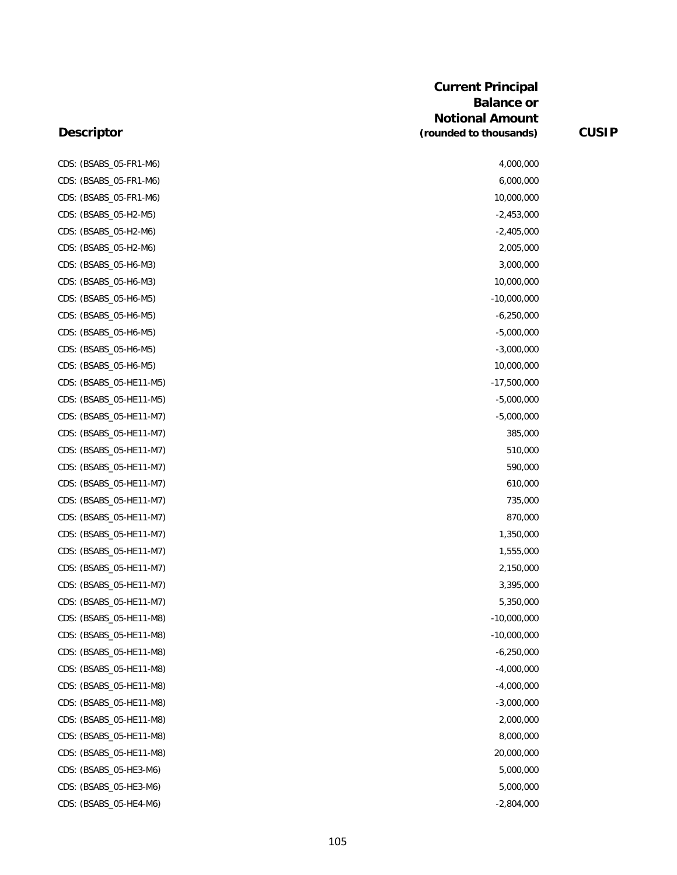#### **Descriptor**

CDS: (BSABS\_05-FR1-M6) CDS: (BSABS\_05-FR1-M6) CDS: (BSABS\_05-FR1-M6) CDS: (BSABS\_05-H2-M5) CDS: (BSABS\_05-H2-M6) CDS: (BSABS\_05-H2-M6) CDS: (BSABS 05-H6-M3) CDS: (BSABS\_05-H6-M3) CDS: (BSABS\_05-H6-M5) CDS: (BSABS 05-H6-M5) CDS: (BSABS\_05-H6-M5) CDS: (BSABS\_05-H6-M5) CDS: (BSABS\_05-H6-M5) CDS: (BSABS\_05-HE11-M5) CDS: (BSABS\_05-HE11-M5) CDS: (BSABS\_05-HE11-M7) CDS: (BSABS\_05-HE11-M7) CDS: (BSABS\_05-HE11-M7) CDS: (BSABS\_05-HE11-M7) CDS: (BSABS\_05-HE11-M7) CDS: (BSABS\_05-HE11-M7) CDS: (BSABS\_05-HE11-M7) CDS: (BSABS\_05-HE11-M7) CDS: (BSABS\_05-HE11-M7) CDS: (BSABS\_05-HE11-M7) CDS: (BSABS\_05-HE11-M7) CDS: (BSABS\_05-HE11-M7) CDS: (BSABS\_05-HE11-M8) CDS: (BSABS\_05-HE11-M8) CDS: (BSABS\_05-HE11-M8) CDS: (BSABS\_05-HE11-M8) CDS: (BSABS\_05-HE11-M8) CDS: (BSABS\_05-HE11-M8) CDS: (BSABS\_05-HE11-M8) CDS: (BSABS\_05-HE11-M8) CDS: (BSABS\_05-HE11-M8) CDS: (BSABS\_05-HE3-M6) CDS: (BSABS\_05-HE3-M6) CDS: (BSABS\_05-HE4-M6)

| 4,000,000     |  |
|---------------|--|
| 6,000,000     |  |
| 10,000,000    |  |
| $-2,453,000$  |  |
| $-2,405,000$  |  |
| 2,005,000     |  |
| 3,000,000     |  |
| 10,000,000    |  |
| $-10,000,000$ |  |
| $-6,250,000$  |  |
| $-5,000,000$  |  |
| $-3,000,000$  |  |
| 10,000,000    |  |
| $-17,500,000$ |  |
| $-5,000,000$  |  |
| $-5,000,000$  |  |
| 385,000       |  |
| 510,000       |  |
| 590,000       |  |
| 610,000       |  |
| 735,000       |  |
| 870,000       |  |
| 1,350,000     |  |
| 1,555,000     |  |
| 2,150,000     |  |
| 3,395,000     |  |
| 5,350,000     |  |
| $-10,000,000$ |  |
| $-10,000,000$ |  |
| $-6,250,000$  |  |
| $-4,000,000$  |  |
| $-4,000,000$  |  |
| $-3,000,000$  |  |
| 2,000,000     |  |
| 8,000,000     |  |
| 20,000,000    |  |
| 5,000,000     |  |
| 5,000,000     |  |
| $-2,804,000$  |  |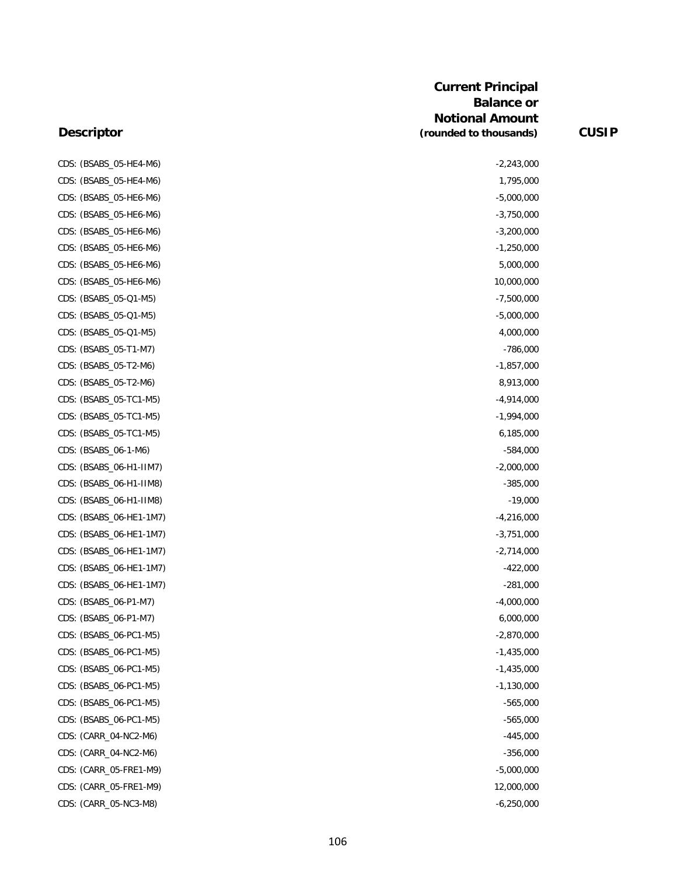#### **Descriptor**

CDS: (BSABS\_05-HE4-M6) -2,243,000 CDS: (BSABS\_05-HE4-M6) 1,795,000 CDS: (BSABS\_05-HE6-M6) -5,000,000 CDS: (BSABS\_05-HE6-M6) -3,750,000 CDS: (BSABS\_05-HE6-M6) -3,200,000 -3,200,000 -3,200,000 -3,200,000 -3,200,000 -3,200,000 -3,200,000 -3,200,000 CDS: (BSABS\_05-HE6-M6) -1,250,000 CDS: (BSABS\_05-HE6-M6) 5,000,000 CDS: (BSABS\_05-HE6-M6) 10,000,000 CDS: (BSABS\_05-Q1-M5) -7,500,000 CDS: (BSABS\_05-Q1-M5) -5,000,000 CDS: (BSABS\_05-Q1-M5) 4,000,000 CDS: (BSABS\_05-T1-M7) -786,000 CDS: (BSABS\_05-T2-M6) -1,857,000 CDS: (BSABS\_05-T2-M6) 8,913,000 CDS: (BSABS\_05-TC1-M5) -4,914,000 CDS: (BSABS\_05-TC1-M5) -1,994,000 CDS: (BSABS\_05-TC1-M5) 6,185,000 CDS: (BSABS\_06-1-M6) -584,000 CDS: (BSABS\_06-H1-IIM7) -2,000,000 CDS: (BSABS\_06-H1-IIM8) -385,000 CDS: (BSABS\_06-H1-IIM8) -19,000 CDS: (BSABS\_06-HE1-1M7) -4,216,000 CDS: (BSABS\_06-HE1-1M7) -3,751,000 CDS: (BSABS\_06-HE1-1M7) -2,714,000 CDS: (BSABS\_06-HE1-1M7) -422,000 CDS: (BSABS\_06-HE1-1M7) -281,000 CDS: (BSABS\_06-P1-M7) -4,000,000 CDS: (BSABS\_06-P1-M7) 6,000,000 CDS: (BSABS\_06-PC1-M5) -2,870,000 CDS: (BSABS\_06-PC1-M5) -1,435,000 CDS: (BSABS\_06-PC1-M5) -1,435,000 CDS: (BSABS\_06-PC1-M5) -1,130,000 CDS: (BSABS\_06-PC1-M5) -565,000 CDS: (BSABS\_06-PC1-M5) -565,000 CDS: (CARR\_04-NC2-M6) -445,000 CDS: (CARR\_04-NC2-M6) -356,000 CDS: (CARR\_05-FRE1-M9) -5,000,000 CDS: (CARR\_05-FRE1-M9) 12,000,000 CDS: (CARR\_05-NC3-M8) -6,250,000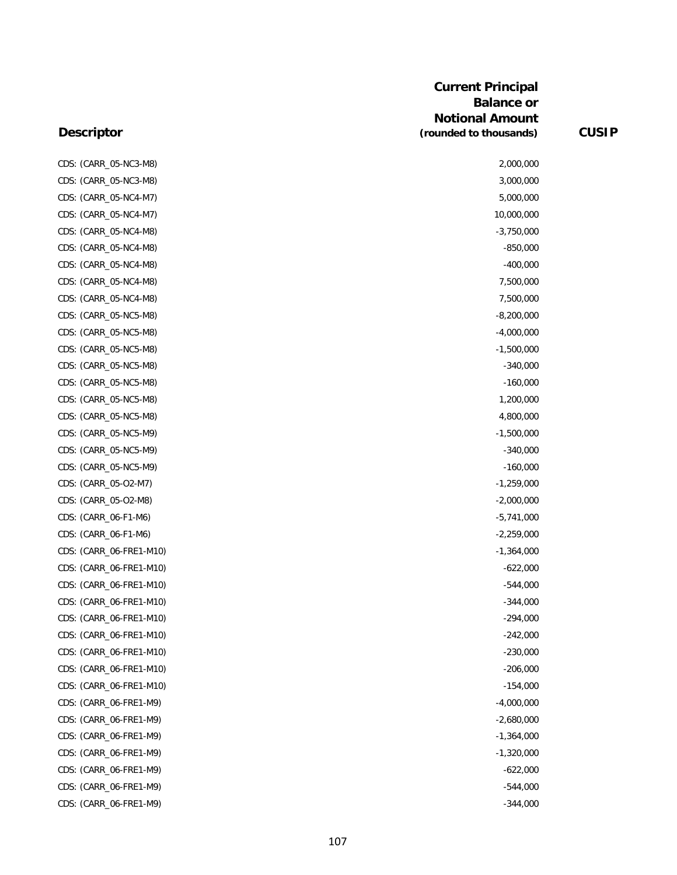#### **Descriptor**

CDS: (CARR\_05-NC3-M8) CDS: (CARR\_05-NC3-M8) CDS: (CARR\_05-NC4-M7) CDS: (CARR\_05-NC4-M7) CDS: (CARR\_05-NC4-M8) CDS: (CARR\_05-NC4-M8) CDS: (CARR\_05-NC4-M8) CDS: (CARR\_05-NC4-M8) CDS: (CARR\_05-NC4-M8) CDS: (CARR\_05-NC5-M8) CDS: (CARR\_05-NC5-M8) CDS: (CARR\_05-NC5-M8) CDS: (CARR\_05-NC5-M8) CDS: (CARR\_05-NC5-M8) CDS: (CARR\_05-NC5-M8) CDS: (CARR\_05-NC5-M8) CDS: (CARR\_05-NC5-M9) CDS: (CARR\_05-NC5-M9) CDS: (CARR\_05-NC5-M9) CDS: (CARR\_05-O2-M7) CDS: (CARR\_05-O2-M8) CDS: (CARR\_06-F1-M6) CDS: (CARR\_06-F1-M6) CDS: (CARR\_06-FRE1-M10) CDS: (CARR\_06-FRE1-M10) CDS: (CARR\_06-FRE1-M10) CDS: (CARR\_06-FRE1-M10) CDS: (CARR\_06-FRE1-M10) CDS: (CARR\_06-FRE1-M10) CDS: (CARR\_06-FRE1-M10) CDS: (CARR\_06-FRE1-M10) CDS: (CARR\_06-FRE1-M10) CDS: (CARR\_06-FRE1-M9) CDS: (CARR\_06-FRE1-M9) CDS: (CARR\_06-FRE1-M9) CDS: (CARR\_06-FRE1-M9) CDS: (CARR\_06-FRE1-M9) CDS: (CARR\_06-FRE1-M9) CDS: (CARR\_06-FRE1-M9)

|              | 2,000,000  |
|--------------|------------|
|              | 3,000,000  |
|              | 5,000,000  |
| 10,000,000   |            |
| $-3,750,000$ |            |
|              | $-850,000$ |
|              | $-400,000$ |
|              | 7,500,000  |
|              | 7,500,000  |
| $-8,200,000$ |            |
| $-4,000,000$ |            |
| $-1,500,000$ |            |
|              | $-340,000$ |
|              | $-160,000$ |
|              | 1,200,000  |
|              | 4,800,000  |
| $-1,500,000$ |            |
|              | $-340,000$ |
|              | $-160,000$ |
| $-1,259,000$ |            |
| $-2,000,000$ |            |
| $-5,741,000$ |            |
| $-2,259,000$ |            |
| $-1,364,000$ |            |
|              | $-622,000$ |
|              | $-544,000$ |
|              | $-344,000$ |
|              | $-294,000$ |
|              | $-242,000$ |
|              | $-230,000$ |
|              | $-206,000$ |
|              | $-154,000$ |
| $-4,000,000$ |            |
| $-2,680,000$ |            |
| $-1,364,000$ |            |
| $-1,320,000$ |            |
|              | $-622,000$ |
|              | $-544,000$ |
|              | $-344,000$ |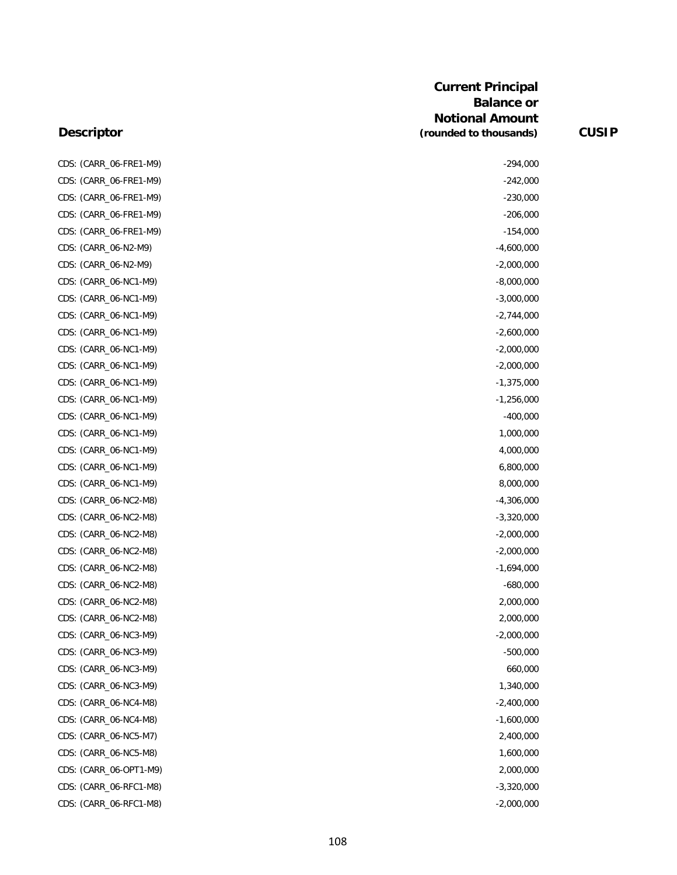#### **Descriptor**

| CDS: (CARR_06-FRE1-M9) | $-294,000$   |
|------------------------|--------------|
| CDS: (CARR_06-FRE1-M9) | $-242,000$   |
| CDS: (CARR_06-FRE1-M9) | $-230,000$   |
| CDS: (CARR_06-FRE1-M9) | $-206,000$   |
| CDS: (CARR_06-FRE1-M9) | $-154,000$   |
| CDS: (CARR_06-N2-M9)   | $-4,600,000$ |
| CDS: (CARR_06-N2-M9)   | $-2,000,000$ |
| CDS: (CARR_06-NC1-M9)  | $-8,000,000$ |
| CDS: (CARR_06-NC1-M9)  | $-3,000,000$ |
| CDS: (CARR_06-NC1-M9)  | $-2,744,000$ |
| CDS: (CARR_06-NC1-M9)  | $-2,600,000$ |
| CDS: (CARR_06-NC1-M9)  | $-2,000,000$ |
| CDS: (CARR_06-NC1-M9)  | $-2,000,000$ |
| CDS: (CARR_06-NC1-M9)  | $-1,375,000$ |
| CDS: (CARR_06-NC1-M9)  | $-1,256,000$ |
| CDS: (CARR_06-NC1-M9)  | $-400,000$   |
| CDS: (CARR_06-NC1-M9)  | 1,000,000    |
| CDS: (CARR_06-NC1-M9)  | 4,000,000    |
| CDS: (CARR_06-NC1-M9)  | 6,800,000    |
| CDS: (CARR_06-NC1-M9)  | 8,000,000    |
| CDS: (CARR_06-NC2-M8)  | $-4,306,000$ |
| CDS: (CARR_06-NC2-M8)  | $-3,320,000$ |
| CDS: (CARR_06-NC2-M8)  | $-2,000,000$ |
| CDS: (CARR_06-NC2-M8)  | $-2,000,000$ |
| CDS: (CARR_06-NC2-M8)  | $-1,694,000$ |
| CDS: (CARR_06-NC2-M8)  | $-680,000$   |
| CDS: (CARR_06-NC2-M8)  | 2,000,000    |
| CDS: (CARR_06-NC2-M8)  | 2,000,000    |
| CDS: (CARR_06-NC3-M9)  | $-2,000,000$ |
| CDS: (CARR_06-NC3-M9)  | $-500,000$   |
| CDS: (CARR_06-NC3-M9)  | 660,000      |
| CDS: (CARR_06-NC3-M9)  | 1,340,000    |
| CDS: (CARR 06-NC4-M8)  | $-2,400,000$ |
| CDS: (CARR_06-NC4-M8)  | $-1,600,000$ |
| CDS: (CARR_06-NC5-M7)  | 2,400,000    |
| CDS: (CARR_06-NC5-M8)  | 1,600,000    |
| CDS: (CARR_06-OPT1-M9) | 2,000,000    |
| CDS: (CARR_06-RFC1-M8) | $-3,320,000$ |
| CDS: (CARR_06-RFC1-M8) | $-2,000,000$ |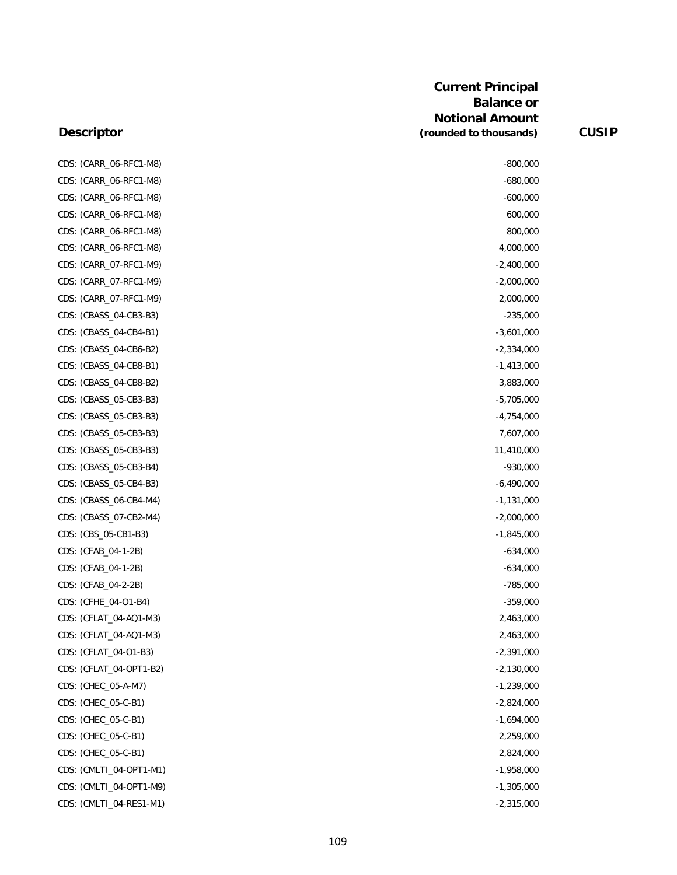### **Descriptor**

CDS: (CARR\_06-RFC1-M8) -800,000 CDS: (CARR\_06-RFC1-M8) -680,000 CDS: (CARR\_06-RFC1-M8) -600,000 CDS: (CARR\_06-RFC1-M8) 600,000 600,000 600,000 600,000 600,000 600,000 600,000 600,000 600,000 600,000 600,000 CDS: (CARR\_06-RFC1-M8) 800,000 CDS: (CARR\_06-RFC1-M8) 4,000,000 CDS: (CARR\_07-RFC1-M9) -2,400,000 CDS: (CARR\_07-RFC1-M9) -2,000,000 CDS: (CARR\_07-RFC1-M9) 2,000,000 CDS: (CBASS\_04-CB3-B3) -235,000 CDS: (CBASS\_04-CB4-B1) -3,601,000 CDS: (CBASS\_04-CB6-B2) -2,334,000 CDS: (CBASS\_04-CB8-B1) -1,413,000 CDS: (CBASS\_04-CB8-B2) 3,883,000 CDS: (CBASS\_05-CB3-B3) -5,705,000 -5,705,000 -5,705,000 -5,705,000 -5,705,000 -5,705,000 -5,705,000 -5,705,000 CDS: (CBASS\_05-CB3-B3) -4,754,000 CDS: (CBASS\_05-CB3-B3) 7,607,000 CDS: (CBASS\_05-CB3-B3) 11,410,000 CDS: (CBASS\_05-CB3-B4) -930,000 CDS: (CBASS\_05-CB4-B3) -6,490,000 CDS: (CBASS\_06-CB4-M4) -1,131,000 CDS: (CBASS\_07-CB2-M4) -2,000,000 CDS: (CBS\_05-CB1-B3) -1,845,000 CDS: (CFAB\_04-1-2B) -634,000 CDS: (CFAB\_04-1-2B) -634,000 CDS: (CFAB\_04-2-2B) -785,000 CDS: (CFHE\_04-O1-B4) -359,000 CDS: (CFLAT\_04-AQ1-M3) 2,463,000 CDS: (CFLAT\_04-AQ1-M3) 2,463,000 CDS: (CFLAT\_04-01-B3) -2,391,000 CDS: (CFLAT\_04-OPT1-B2) -2,130,000 CDS: (CHEC\_05-A-M7) -1,239,000 CDS: (CHEC\_05-C-B1) -2,824,000 CDS: (CHEC\_05-C-B1) -1,694,000 CDS: (CHEC\_05-C-B1) 2,259,000 CDS: (CHEC\_05-C-B1) 2,824,000 CDS: (CMLTI\_04-OPT1-M1) -1,958,000 CDS: (CMLTI\_04-OPT1-M9) -1,305,000

CDS: (CMLTI\_04-RES1-M1) -2,315,000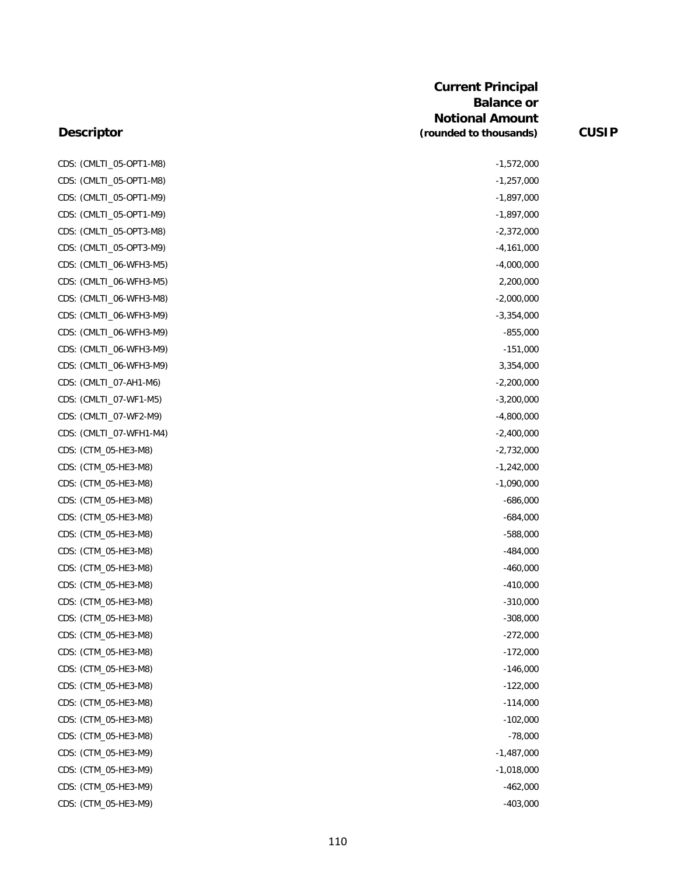| CDS: (CMLTI_05-OPT1-M8) | $-1,572,000$ |
|-------------------------|--------------|
| CDS: (CMLTI_05-OPT1-M8) | $-1,257,000$ |
| CDS: (CMLTI_05-OPT1-M9) | $-1,897,000$ |
| CDS: (CMLTI 05-OPT1-M9) | $-1,897,000$ |
| CDS: (CMLTI_05-OPT3-M8) | $-2,372,000$ |
| CDS: (CMLTI_05-OPT3-M9) | $-4,161,000$ |
| CDS: (CMLTI_06-WFH3-M5) | $-4,000,000$ |
| CDS: (CMLTI_06-WFH3-M5) | 2,200,000    |
| CDS: (CMLTI_06-WFH3-M8) | $-2,000,000$ |
| CDS: (CMLTI_06-WFH3-M9) | $-3,354,000$ |
| CDS: (CMLTI_06-WFH3-M9) | $-855,000$   |
| CDS: (CMLTI_06-WFH3-M9) | $-151,000$   |
| CDS: (CMLTI_06-WFH3-M9) | 3,354,000    |
| CDS: (CMLTI_07-AH1-M6)  | $-2,200,000$ |
| CDS: (CMLTI_07-WF1-M5)  | $-3,200,000$ |
| CDS: (CMLTI_07-WF2-M9)  | $-4,800,000$ |
| CDS: (CMLTI_07-WFH1-M4) | $-2,400,000$ |
| CDS: (CTM_05-HE3-M8)    | $-2,732,000$ |
| CDS: (CTM_05-HE3-M8)    | $-1,242,000$ |
| CDS: (CTM_05-HE3-M8)    | $-1,090,000$ |
| CDS: (CTM_05-HE3-M8)    | -686,000     |
| CDS: (CTM_05-HE3-M8)    | $-684,000$   |
| CDS: (CTM_05-HE3-M8)    | $-588,000$   |
| CDS: (CTM_05-HE3-M8)    | $-484,000$   |
| CDS: (CTM_05-HE3-M8)    | $-460,000$   |
| CDS: (CTM_05-HE3-M8)    | $-410,000$   |
| CDS: (CTM_05-HE3-M8)    | $-310,000$   |
| CDS: (CTM_05-HE3-M8)    | $-308,000$   |
| CDS: (CTM_05-HE3-M8)    | $-272,000$   |
| CDS: (CTM_05-HE3-M8)    | $-172,000$   |
| CDS: (CTM_05-HE3-M8)    | $-146,000$   |
| CDS: (CTM_05-HE3-M8)    | $-122,000$   |
| CDS: (CTM_05-HE3-M8)    | $-114,000$   |
| CDS: (CTM_05-HE3-M8)    | $-102,000$   |
| CDS: (CTM_05-HE3-M8)    | $-78,000$    |
| CDS: (CTM_05-HE3-M9)    | $-1,487,000$ |
| CDS: (CTM_05-HE3-M9)    | $-1,018,000$ |
| CDS: (CTM_05-HE3-M9)    | $-462,000$   |
| CDS: (CTM_05-HE3-M9)    | $-403,000$   |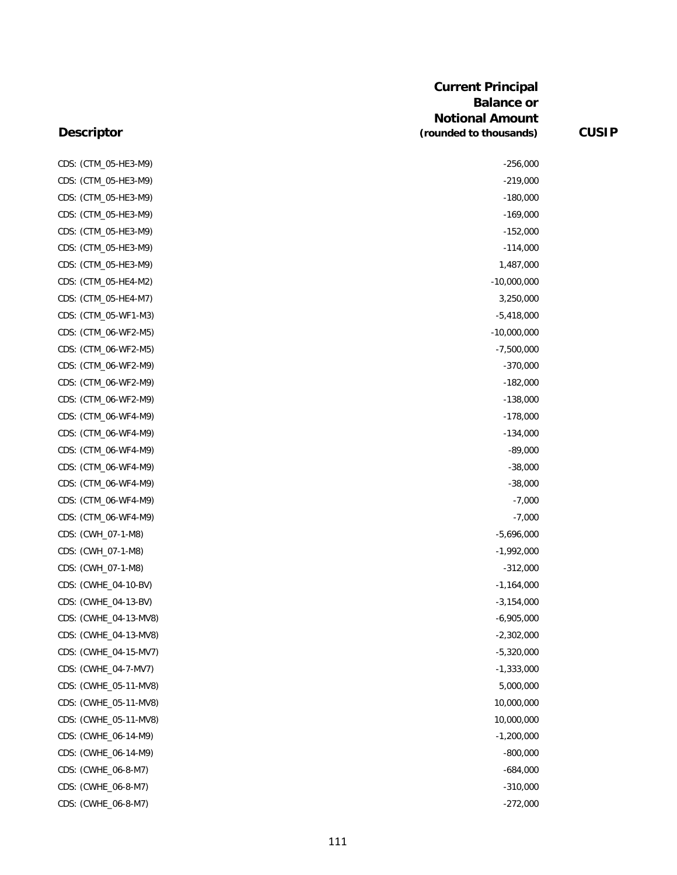| CDS: (CTM_05-HE3-M9)  | $-256,000$    |
|-----------------------|---------------|
| CDS: (CTM_05-HE3-M9)  | $-219,000$    |
| CDS: (CTM_05-HE3-M9)  | $-180,000$    |
| CDS: (CTM_05-HE3-M9)  | $-169,000$    |
| CDS: (CTM_05-HE3-M9)  | $-152,000$    |
| CDS: (CTM_05-HE3-M9)  | $-114,000$    |
| CDS: (CTM_05-HE3-M9)  | 1,487,000     |
| CDS: (CTM_05-HE4-M2)  | $-10,000,000$ |
| CDS: (CTM_05-HE4-M7)  | 3,250,000     |
| CDS: (CTM_05-WF1-M3)  | $-5,418,000$  |
| CDS: (CTM_06-WF2-M5)  | $-10,000,000$ |
| CDS: (CTM_06-WF2-M5)  | $-7,500,000$  |
| CDS: (CTM_06-WF2-M9)  | $-370,000$    |
| CDS: (CTM_06-WF2-M9)  | $-182,000$    |
| CDS: (CTM_06-WF2-M9)  | $-138,000$    |
| CDS: (CTM_06-WF4-M9)  | $-178,000$    |
| CDS: (CTM_06-WF4-M9)  | $-134,000$    |
| CDS: (CTM_06-WF4-M9)  | -89,000       |
| CDS: (CTM_06-WF4-M9)  | $-38,000$     |
| CDS: (CTM_06-WF4-M9)  | $-38,000$     |
| CDS: (CTM_06-WF4-M9)  | $-7,000$      |
| CDS: (CTM_06-WF4-M9)  | $-7,000$      |
| CDS: (CWH_07-1-M8)    | $-5,696,000$  |
| CDS: (CWH_07-1-M8)    | $-1,992,000$  |
| CDS: (CWH_07-1-M8)    | $-312,000$    |
| CDS: (CWHE_04-10-BV)  | $-1,164,000$  |
| CDS: (CWHE_04-13-BV)  | $-3,154,000$  |
| CDS: (CWHE_04-13-MV8) | $-6,905,000$  |
| CDS: (CWHE_04-13-MV8) | $-2,302,000$  |
| CDS: (CWHE_04-15-MV7) | $-5,320,000$  |
| CDS: (CWHE_04-7-MV7)  | $-1,333,000$  |
| CDS: (CWHE_05-11-MV8) | 5,000,000     |
| CDS: (CWHE_05-11-MV8) | 10,000,000    |
| CDS: (CWHE_05-11-MV8) | 10,000,000    |
| CDS: (CWHE_06-14-M9)  | $-1,200,000$  |
| CDS: (CWHE_06-14-M9)  | $-800,000$    |
| CDS: (CWHE_06-8-M7)   | $-684,000$    |
| CDS: (CWHE_06-8-M7)   | $-310,000$    |
| CDS: (CWHE_06-8-M7)   | $-272,000$    |

| $-256,000$     |
|----------------|
| -219,000       |
| $-180,000$     |
| $-169,000$     |
| $-152,000$     |
| $-114,000$     |
| 1,487,000      |
| $-10,000,000$  |
| 3,250,000      |
| $-5,418,000$   |
| $-10,000,000$  |
| $-7,500,000$   |
| $-370,000$     |
| $-182,000$     |
| $-138,000$     |
| $-178,000$     |
| $-134,000$     |
| $-89,000$      |
| $-38,000$      |
| $-38,000$      |
| -7,000         |
| $-7,000$       |
| $-5,696,000$   |
| $-1,992,000$   |
| $-312,000$     |
| $-1,164,000$   |
| $-3, 154, 000$ |
| $-6,905,000$   |
| $-2,302,000$   |
| $-5,320,000$   |
| $-1,333,000$   |
| 5,000,000      |
| 10,000,000     |
| 10,000,000     |
| $-1,200,000$   |
| $-800,000$     |
| -684,000       |
| $-310,000$     |
| -272,000       |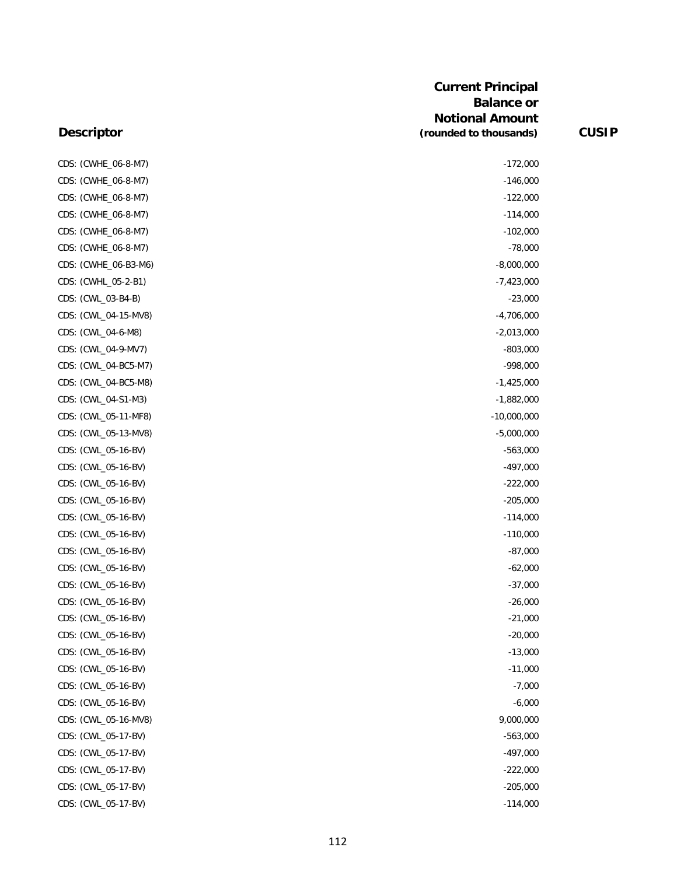| CDS: (CWHE_06-8-M7)  | $-172,000$    |
|----------------------|---------------|
| CDS: (CWHE_06-8-M7)  | $-146,000$    |
| CDS: (CWHE_06-8-M7)  | $-122,000$    |
| CDS: (CWHE_06-8-M7)  | $-114,000$    |
| CDS: (CWHE_06-8-M7)  | $-102,000$    |
| CDS: (CWHE_06-8-M7)  | $-78,000$     |
| CDS: (CWHE_06-B3-M6) | $-8,000,000$  |
| CDS: (CWHL_05-2-B1)  | $-7,423,000$  |
| CDS: (CWL_03-B4-B)   | $-23,000$     |
| CDS: (CWL_04-15-MV8) | $-4,706,000$  |
| CDS: (CWL_04-6-M8)   | $-2,013,000$  |
| CDS: (CWL_04-9-MV7)  | $-803,000$    |
| CDS: (CWL_04-BC5-M7) | $-998,000$    |
| CDS: (CWL_04-BC5-M8) | $-1,425,000$  |
| CDS: (CWL_04-S1-M3)  | $-1,882,000$  |
| CDS: (CWL_05-11-MF8) | $-10,000,000$ |
| CDS: (CWL_05-13-MV8) | $-5,000,000$  |
| CDS: (CWL_05-16-BV)  | $-563,000$    |
| CDS: (CWL_05-16-BV)  | $-497,000$    |
| CDS: (CWL_05-16-BV)  | $-222,000$    |
| CDS: (CWL_05-16-BV)  | $-205,000$    |
| CDS: (CWL_05-16-BV)  | $-114,000$    |
| CDS: (CWL_05-16-BV)  | $-110,000$    |
| CDS: (CWL_05-16-BV)  | $-87,000$     |
| CDS: (CWL_05-16-BV)  | $-62,000$     |
| CDS: (CWL_05-16-BV)  | $-37,000$     |
| CDS: (CWL_05-16-BV)  | $-26,000$     |
| CDS: (CWL_05-16-BV)  | $-21,000$     |
| CDS: (CWL_05-16-BV)  | $-20,000$     |
| CDS: (CWL_05-16-BV)  | $-13,000$     |
| CDS: (CWL_05-16-BV)  | $-11,000$     |
| CDS: (CWL_05-16-BV)  | $-7,000$      |
| CDS: (CWL_05-16-BV)  | $-6,000$      |
| CDS: (CWL_05-16-MV8) | 9,000,000     |
| CDS: (CWL_05-17-BV)  | $-563,000$    |
| CDS: (CWL_05-17-BV)  | $-497,000$    |
| CDS: (CWL_05-17-BV)  | $-222,000$    |
| CDS: (CWL_05-17-BV)  | $-205,000$    |
| CDS: (CWL_05-17-BV)  | $-114,000$    |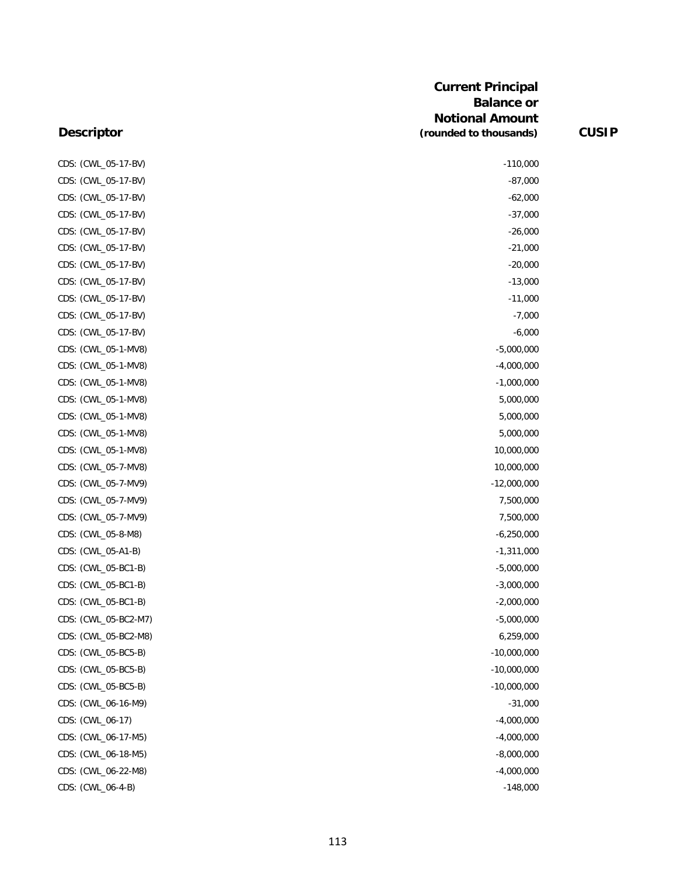| CDS: (CWL_05-17-BV)  | $-110,000$    |
|----------------------|---------------|
| CDS: (CWL_05-17-BV)  | $-87,000$     |
| CDS: (CWL_05-17-BV)  | $-62,000$     |
| CDS: (CWL_05-17-BV)  | $-37,000$     |
| CDS: (CWL_05-17-BV)  | $-26,000$     |
| CDS: (CWL_05-17-BV)  | $-21,000$     |
| CDS: (CWL_05-17-BV)  | $-20,000$     |
| CDS: (CWL_05-17-BV)  | $-13,000$     |
| CDS: (CWL_05-17-BV)  | $-11,000$     |
| CDS: (CWL_05-17-BV)  | $-7,000$      |
| CDS: (CWL_05-17-BV)  | $-6,000$      |
| CDS: (CWL_05-1-MV8)  | $-5,000,000$  |
| CDS: (CWL_05-1-MV8)  | $-4,000,000$  |
| CDS: (CWL_05-1-MV8)  | $-1,000,000$  |
| CDS: (CWL_05-1-MV8)  | 5,000,000     |
| CDS: (CWL_05-1-MV8)  | 5,000,000     |
| CDS: (CWL_05-1-MV8)  | 5,000,000     |
| CDS: (CWL_05-1-MV8)  | 10,000,000    |
| CDS: (CWL_05-7-MV8)  | 10,000,000    |
| CDS: (CWL_05-7-MV9)  | $-12,000,000$ |
| CDS: (CWL_05-7-MV9)  | 7,500,000     |
| CDS: (CWL_05-7-MV9)  | 7,500,000     |
| CDS: (CWL_05-8-M8)   | $-6,250,000$  |
| CDS: (CWL_05-A1-B)   | $-1,311,000$  |
| CDS: (CWL_05-BC1-B)  | $-5,000,000$  |
| CDS: (CWL_05-BC1-B)  | $-3,000,000$  |
| CDS: (CWL_05-BC1-B)  | $-2,000,000$  |
| CDS: (CWL_05-BC2-M7) | $-5,000,000$  |
| CDS: (CWL_05-BC2-M8) | 6,259,000     |
| CDS: (CWL_05-BC5-B)  | $-10,000,000$ |
| CDS: (CWL_05-BC5-B)  | $-10,000,000$ |
| CDS: (CWL_05-BC5-B)  | $-10,000,000$ |
| CDS: (CWL_06-16-M9)  | $-31,000$     |
| CDS: (CWL_06-17)     | $-4,000,000$  |
| CDS: (CWL_06-17-M5)  | $-4,000,000$  |
| CDS: (CWL_06-18-M5)  | $-8,000,000$  |
| CDS: (CWL_06-22-M8)  | $-4,000,000$  |
| CDS: (CWL_06-4-B)    | $-148,000$    |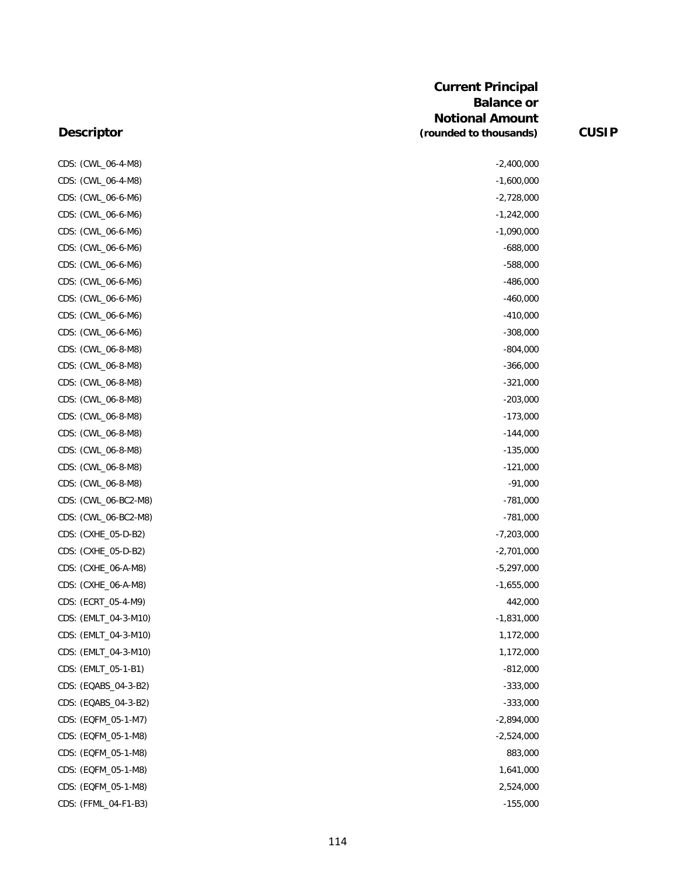| CDS: (CWL_06-4-M8)   | $-2,400,000$ |
|----------------------|--------------|
| CDS: (CWL_06-4-M8)   | $-1,600,000$ |
| CDS: (CWL_06-6-M6)   | $-2,728,000$ |
| CDS: (CWL_06-6-M6)   | $-1,242,000$ |
| CDS: (CWL_06-6-M6)   | $-1,090,000$ |
| CDS: (CWL_06-6-M6)   | $-688,000$   |
| CDS: (CWL_06-6-M6)   | $-588,000$   |
| CDS: (CWL_06-6-M6)   | $-486,000$   |
| CDS: (CWL_06-6-M6)   | $-460,000$   |
| CDS: (CWL_06-6-M6)   | $-410,000$   |
| CDS: (CWL_06-6-M6)   | $-308,000$   |
| CDS: (CWL_06-8-M8)   | $-804,000$   |
| CDS: (CWL_06-8-M8)   | $-366,000$   |
| CDS: (CWL_06-8-M8)   | $-321,000$   |
| CDS: (CWL_06-8-M8)   | $-203,000$   |
| CDS: (CWL_06-8-M8)   | $-173,000$   |
| CDS: (CWL_06-8-M8)   | $-144,000$   |
| CDS: (CWL_06-8-M8)   | $-135,000$   |
| CDS: (CWL_06-8-M8)   | $-121,000$   |
| CDS: (CWL_06-8-M8)   | $-91,000$    |
| CDS: (CWL_06-BC2-M8) | $-781,000$   |
| CDS: (CWL_06-BC2-M8) | $-781,000$   |
| CDS: (CXHE_05-D-B2)  | $-7,203,000$ |
| CDS: (CXHE_05-D-B2)  | $-2,701,000$ |
| CDS: (CXHE_06-A-M8)  | $-5,297,000$ |
| CDS: (CXHE_06-A-M8)  | $-1,655,000$ |
| CDS: (ECRT_05-4-M9)  | 442,000      |
| CDS: (EMLT_04-3-M10) | $-1,831,000$ |
| CDS: (EMLT_04-3-M10) | 1,172,000    |
| CDS: (EMLT_04-3-M10) | 1,172,000    |
| CDS: (EMLT_05-1-B1)  | $-812,000$   |
| CDS: (EQABS_04-3-B2) | $-333,000$   |
| CDS: (EQABS_04-3-B2) | $-333,000$   |
| CDS: (EQFM_05-1-M7)  | $-2,894,000$ |
| CDS: (EQFM_05-1-M8)  | $-2,524,000$ |
| CDS: (EQFM_05-1-M8)  | 883,000      |
| CDS: (EQFM_05-1-M8)  | 1,641,000    |
| CDS: (EQFM_05-1-M8)  | 2,524,000    |
| CDS: (FFML_04-F1-B3) | $-155,000$   |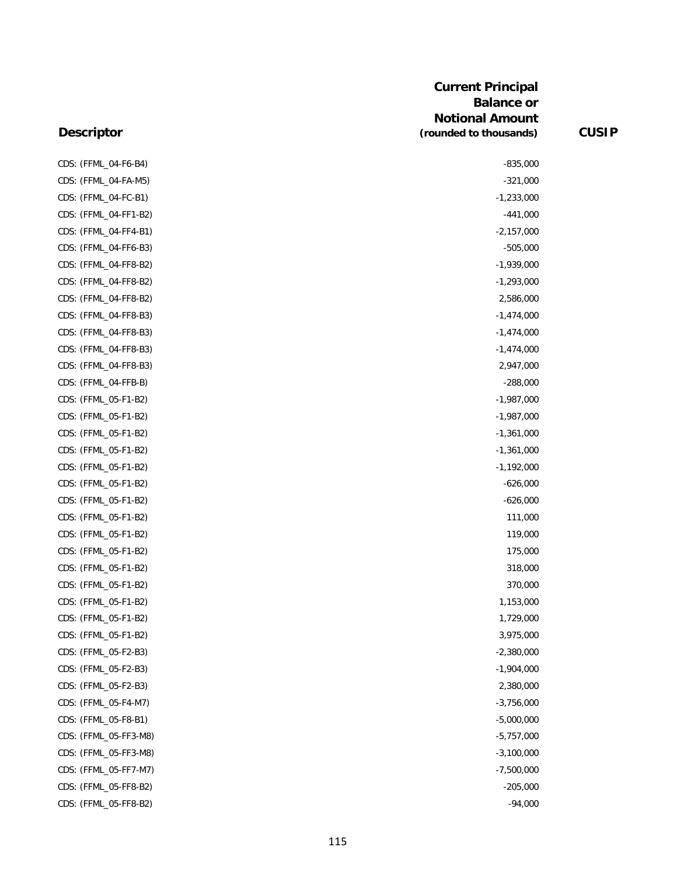| CDS: (FFML_04-F6-B4)  | $-835,000$   |
|-----------------------|--------------|
| CDS: (FFML_04-FA-M5)  | $-321,000$   |
| CDS: (FFML_04-FC-B1)  | $-1,233,000$ |
| CDS: (FFML_04-FF1-B2) | $-441,000$   |
| CDS: (FFML_04-FF4-B1) | $-2,157,000$ |
| CDS: (FFML_04-FF6-B3) | $-505,000$   |
| CDS: (FFML_04-FF8-B2) | $-1,939,000$ |
| CDS: (FFML_04-FF8-B2) | $-1,293,000$ |
| CDS: (FFML_04-FF8-B2) | 2,586,000    |
| CDS: (FFML_04-FF8-B3) | $-1,474,000$ |
| CDS: (FFML_04-FF8-B3) | $-1,474,000$ |
| CDS: (FFML_04-FF8-B3) | $-1,474,000$ |
| CDS: (FFML_04-FF8-B3) | 2,947,000    |
| CDS: (FFML_04-FFB-B)  | $-288,000$   |
| CDS: (FFML_05-F1-B2)  | $-1,987,000$ |
| CDS: (FFML_05-F1-B2)  | $-1,987,000$ |
| CDS: (FFML_05-F1-B2)  | $-1,361,000$ |
| CDS: (FFML_05-F1-B2)  | $-1,361,000$ |
| CDS: (FFML_05-F1-B2)  | $-1,192,000$ |
| CDS: (FFML_05-F1-B2)  | $-626,000$   |
| CDS: (FFML_05-F1-B2)  | $-626,000$   |
| CDS: (FFML_05-F1-B2)  | 111,000      |
| CDS: (FFML_05-F1-B2)  | 119,000      |
| CDS: (FFML_05-F1-B2)  | 175,000      |
| CDS: (FFML_05-F1-B2)  | 318,000      |
| CDS: (FFML_05-F1-B2)  | 370,000      |
| CDS: (FFML_05-F1-B2)  | 1,153,000    |
| CDS: (FFML_05-F1-B2)  | 1,729,000    |
| CDS: (FFML_05-F1-B2)  | 3,975,000    |
| CDS: (FFML_05-F2-B3)  | $-2,380,000$ |
| CDS: (FFML_05-F2-B3)  | $-1,904,000$ |
| CDS: (FFML_05-F2-B3)  | 2,380,000    |
| CDS: (FFML_05-F4-M7)  | $-3,756,000$ |
| CDS: (FFML_05-F8-B1)  | $-5,000,000$ |
| CDS: (FFML_05-FF3-M8) | $-5,757,000$ |
| CDS: (FFML_05-FF3-M8) | $-3,100,000$ |
| CDS: (FFML_05-FF7-M7) | $-7,500,000$ |
| CDS: (FFML_05-FF8-B2) | $-205,000$   |
| CDS: (FFML_05-FF8-B2) | $-94,000$    |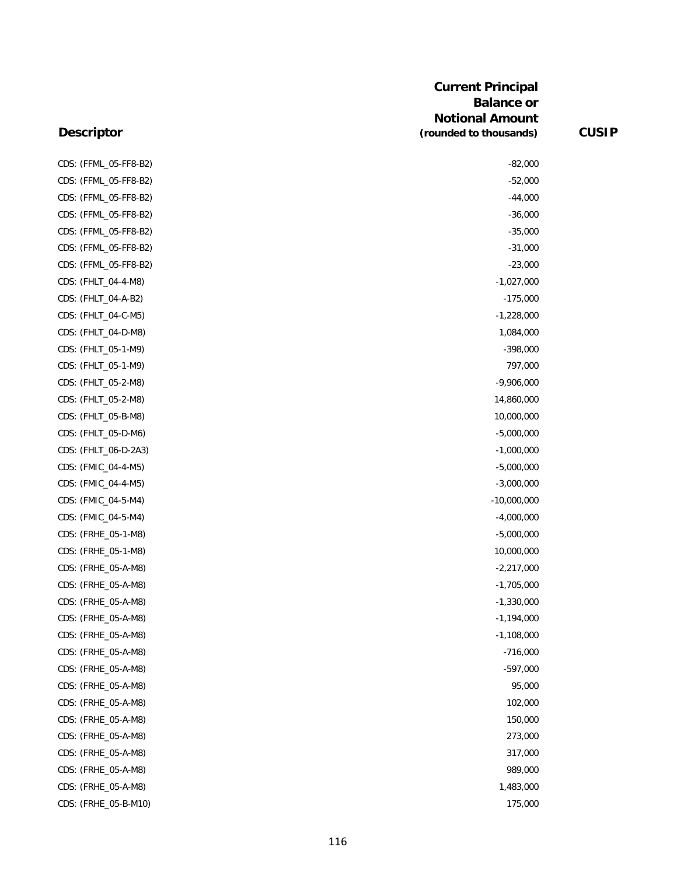| CDS: (FFML_05-FF8-B2) | $-82,000$     |
|-----------------------|---------------|
| CDS: (FFML_05-FF8-B2) | $-52,000$     |
| CDS: (FFML_05-FF8-B2) | $-44,000$     |
| CDS: (FFML_05-FF8-B2) | $-36,000$     |
| CDS: (FFML_05-FF8-B2) | $-35,000$     |
| CDS: (FFML_05-FF8-B2) | $-31,000$     |
| CDS: (FFML_05-FF8-B2) | $-23,000$     |
| CDS: (FHLT_04-4-M8)   | $-1,027,000$  |
| CDS: (FHLT_04-A-B2)   | $-175,000$    |
| CDS: (FHLT_04-C-M5)   | $-1,228,000$  |
| CDS: (FHLT_04-D-M8)   | 1,084,000     |
| CDS: (FHLT_05-1-M9)   | $-398,000$    |
| CDS: (FHLT_05-1-M9)   | 797,000       |
| CDS: (FHLT_05-2-M8)   | $-9,906,000$  |
| CDS: (FHLT_05-2-M8)   | 14,860,000    |
| CDS: (FHLT_05-B-M8)   | 10,000,000    |
| CDS: (FHLT_05-D-M6)   | $-5,000,000$  |
| CDS: (FHLT_06-D-2A3)  | $-1,000,000$  |
| CDS: (FMIC_04-4-M5)   | $-5,000,000$  |
| CDS: (FMIC_04-4-M5)   | $-3,000,000$  |
| CDS: (FMIC_04-5-M4)   | $-10,000,000$ |
| CDS: (FMIC_04-5-M4)   | $-4,000,000$  |
| CDS: (FRHE_05-1-M8)   | $-5,000,000$  |
| CDS: (FRHE_05-1-M8)   | 10,000,000    |
| CDS: (FRHE_05-A-M8)   | $-2,217,000$  |
| CDS: (FRHE_05-A-M8)   | $-1,705,000$  |
| CDS: (FRHE_05-A-M8)   | $-1,330,000$  |
| CDS: (FRHE_05-A-M8)   | $-1,194,000$  |
| CDS: (FRHE_05-A-M8)   | $-1,108,000$  |
| CDS: (FRHE_05-A-M8)   | $-716,000$    |
| CDS: (FRHE_05-A-M8)   | $-597,000$    |
| CDS: (FRHE_05-A-M8)   | 95,000        |
| CDS: (FRHE_05-A-M8)   | 102,000       |
| CDS: (FRHE_05-A-M8)   | 150,000       |
| CDS: (FRHE_05-A-M8)   | 273,000       |
| CDS: (FRHE_05-A-M8)   | 317,000       |
| CDS: (FRHE_05-A-M8)   | 989,000       |
| CDS: (FRHE_05-A-M8)   | 1,483,000     |
| CDS: (FRHE_05-B-M10)  | 175,000       |
|                       |               |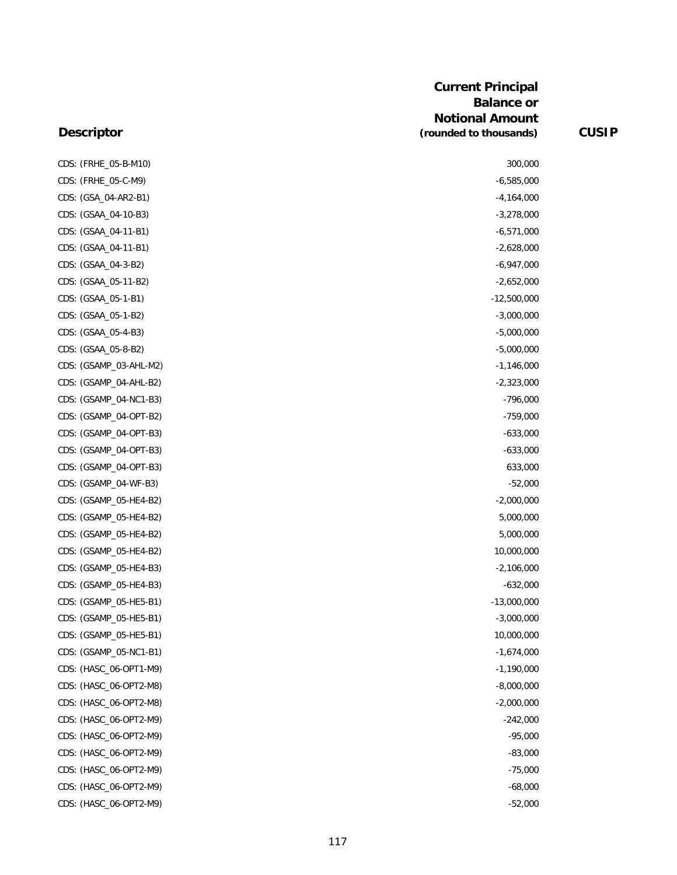| CDS: (FRHE_05-B-M10)   | 300,000       |
|------------------------|---------------|
| CDS: (FRHE_05-C-M9)    | $-6,585,000$  |
| CDS: (GSA_04-AR2-B1)   | -4,164,000    |
| CDS: (GSAA_04-10-B3)   | $-3,278,000$  |
| CDS: (GSAA_04-11-B1)   | $-6,571,000$  |
| CDS: (GSAA_04-11-B1)   | $-2,628,000$  |
| CDS: (GSAA_04-3-B2)    | $-6,947,000$  |
| CDS: (GSAA_05-11-B2)   | $-2,652,000$  |
| CDS: (GSAA_05-1-B1)    | $-12,500,000$ |
| CDS: (GSAA_05-1-B2)    | $-3,000,000$  |
| CDS: (GSAA_05-4-B3)    | $-5,000,000$  |
| CDS: (GSAA_05-8-B2)    | $-5,000,000$  |
| CDS: (GSAMP_03-AHL-M2) | $-1,146,000$  |
| CDS: (GSAMP_04-AHL-B2) | $-2,323,000$  |
| CDS: (GSAMP_04-NC1-B3) | $-796,000$    |
| CDS: (GSAMP_04-OPT-B2) | $-759,000$    |
| CDS: (GSAMP_04-OPT-B3) | $-633,000$    |
| CDS: (GSAMP_04-OPT-B3) | $-633,000$    |
| CDS: (GSAMP_04-OPT-B3) | 633,000       |
| CDS: (GSAMP_04-WF-B3)  | $-52,000$     |
| CDS: (GSAMP_05-HE4-B2) | $-2,000,000$  |
| CDS: (GSAMP_05-HE4-B2) | 5,000,000     |
| CDS: (GSAMP_05-HE4-B2) | 5,000,000     |
| CDS: (GSAMP_05-HE4-B2) | 10,000,000    |
| CDS: (GSAMP_05-HE4-B3) | $-2,106,000$  |
| CDS: (GSAMP_05-HE4-B3) | $-632,000$    |
| CDS: (GSAMP_05-HE5-B1) | $-13,000,000$ |
| CDS: (GSAMP_05-HE5-B1) | $-3,000,000$  |
| CDS: (GSAMP_05-HE5-B1) | 10,000,000    |
| CDS: (GSAMP_05-NC1-B1) | $-1,674,000$  |
| CDS: (HASC_06-OPT1-M9) | $-1,190,000$  |
| CDS: (HASC_06-OPT2-M8) | $-8,000,000$  |
| CDS: (HASC_06-OPT2-M8) | $-2,000,000$  |
| CDS: (HASC_06-OPT2-M9) | $-242,000$    |
| CDS: (HASC_06-OPT2-M9) | $-95,000$     |
| CDS: (HASC_06-OPT2-M9) | $-83,000$     |
| CDS: (HASC_06-OPT2-M9) | $-75,000$     |
| CDS: (HASC_06-OPT2-M9) | $-68,000$     |
| CDS: (HASC_06-OPT2-M9) | $-52,000$     |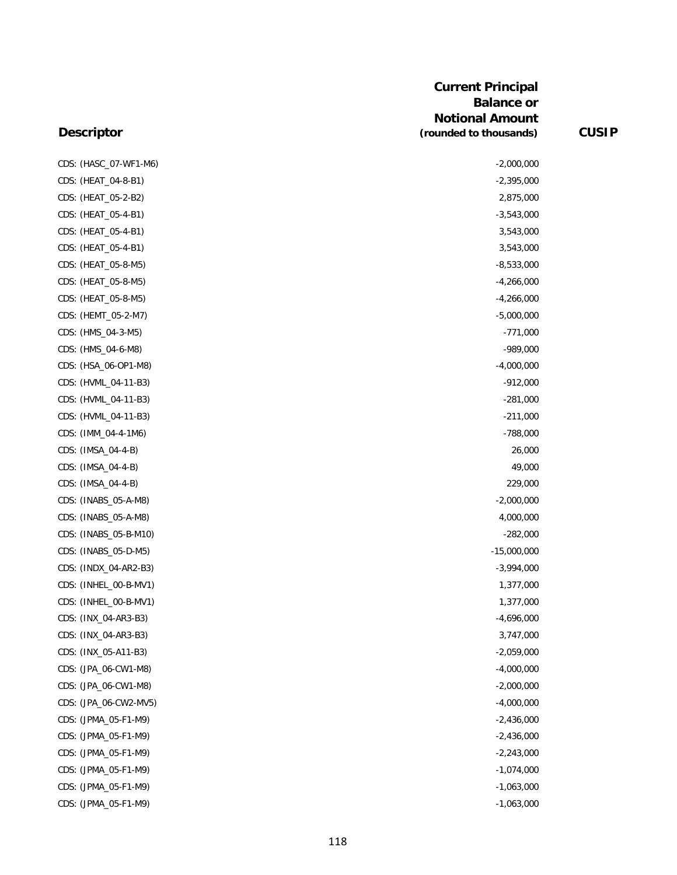| <b>Descriptor</b>     | <b>Current Principal</b><br><b>Balance or</b><br><b>Notional Amount</b><br>(rounded to thousands) | <b>CUSIP</b> |
|-----------------------|---------------------------------------------------------------------------------------------------|--------------|
|                       |                                                                                                   |              |
| CDS: (HASC_07-WF1-M6) | $-2,000,000$                                                                                      |              |
| CDS: (HEAT_04-8-B1)   | $-2,395,000$                                                                                      |              |
| CDS: (HEAT_05-2-B2)   | 2,875,000                                                                                         |              |
| CDS: (HEAT_05-4-B1)   | $-3,543,000$                                                                                      |              |
| CDS: (HEAT_05-4-B1)   | 3,543,000                                                                                         |              |
| CDS: (HEAT_05-4-B1)   | 3,543,000                                                                                         |              |
| CDS: (HEAT_05-8-M5)   | $-8,533,000$                                                                                      |              |
| CDS: (HEAT_05-8-M5)   | $-4,266,000$                                                                                      |              |
| CDS: (HEAT_05-8-M5)   | $-4,266,000$                                                                                      |              |
| CDS: (HEMT_05-2-M7)   | $-5,000,000$                                                                                      |              |
| CDS: (HMS_04-3-M5)    | $-771,000$                                                                                        |              |
| CDS: (HMS_04-6-M8)    | $-989,000$                                                                                        |              |
| CDS: (HSA_06-OP1-M8)  | $-4,000,000$                                                                                      |              |
| CDS: (HVML_04-11-B3)  | $-912,000$                                                                                        |              |
| CDS: (HVML_04-11-B3)  | $-281,000$                                                                                        |              |
| CDS: (HVML_04-11-B3)  | $-211,000$                                                                                        |              |
| CDS: (IMM_04-4-1M6)   | $-788,000$                                                                                        |              |
| CDS: (IMSA_04-4-B)    | 26,000                                                                                            |              |
| CDS: (IMSA_04-4-B)    | 49,000                                                                                            |              |
| CDS: (IMSA_04-4-B)    | 229,000                                                                                           |              |
| CDS: (INABS_05-A-M8)  | $-2,000,000$                                                                                      |              |
| CDS: (INABS_05-A-M8)  | 4,000,000                                                                                         |              |
| CDS: (INABS_05-B-M10) | $-282,000$                                                                                        |              |
| CDS: (INABS_05-D-M5)  | $-15,000,000$                                                                                     |              |
| CDS: (INDX_04-AR2-B3) | $-3,994,000$                                                                                      |              |
| CDS: (INHEL_00-B-MV1) | 1,377,000                                                                                         |              |
| CDS: (INHEL_00-B-MV1) | 1,377,000                                                                                         |              |
| CDS: (INX_04-AR3-B3)  | $-4,696,000$                                                                                      |              |
| CDS: (INX_04-AR3-B3)  | 3,747,000                                                                                         |              |
| CDS: (INX_05-A11-B3)  | $-2,059,000$                                                                                      |              |
| CDS: (JPA_06-CW1-M8)  | $-4,000,000$                                                                                      |              |
| CDS: (JPA_06-CW1-M8)  | $-2,000,000$                                                                                      |              |
| CDS: (JPA_06-CW2-MV5) | $-4,000,000$                                                                                      |              |
| CDS: (JPMA_05-F1-M9)  | $-2,436,000$                                                                                      |              |
| CDS: (JPMA_05-F1-M9)  | $-2,436,000$                                                                                      |              |

118

CDS: (JPMA\_05-F1-M9) -2,243,000 CDS: (JPMA\_05-F1-M9) -1,074,000 CDS: (JPMA\_05-F1-M9) -1,063,000 CDS: (JPMA\_05-F1-M9) -1,063,000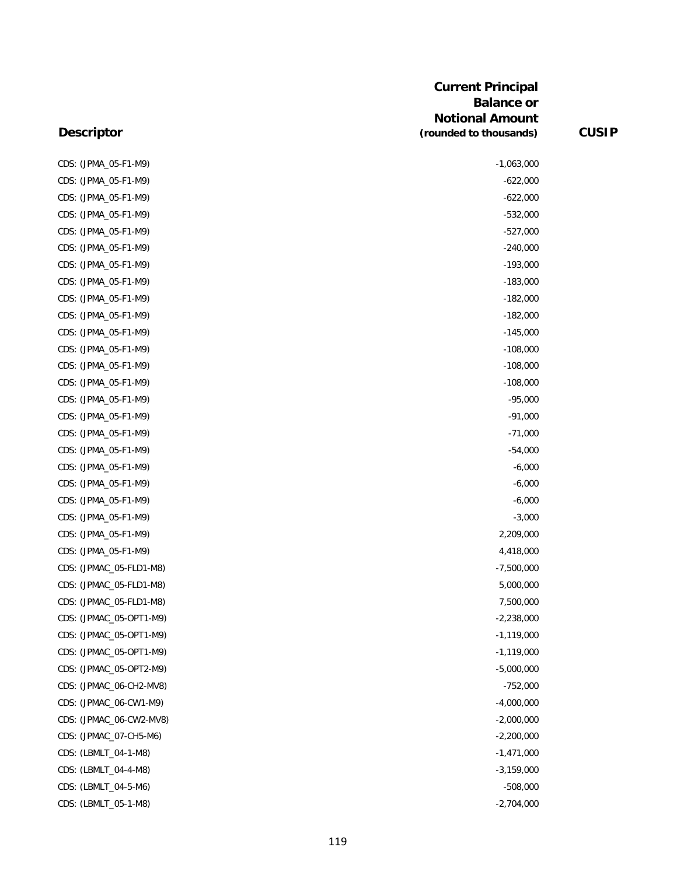| $-622,000$<br>CDS: (JPMA_05-F1-M9)<br>$-622,000$<br>CDS: (JPMA_05-F1-M9)<br>CDS: (JPMA_05-F1-M9)<br>$-532,000$<br>CDS: (JPMA_05-F1-M9)<br>$-527,000$<br>CDS: (JPMA_05-F1-M9)<br>$-240,000$<br>CDS: (JPMA_05-F1-M9)<br>$-193,000$<br>CDS: (JPMA_05-F1-M9)<br>$-183,000$<br>CDS: (JPMA_05-F1-M9)<br>$-182,000$<br>CDS: (JPMA_05-F1-M9)<br>$-182,000$<br>CDS: (JPMA_05-F1-M9)<br>$-145,000$<br>$-108,000$<br>CDS: (JPMA_05-F1-M9)<br>CDS: (JPMA_05-F1-M9)<br>$-108,000$<br>$-108,000$<br>CDS: (JPMA_05-F1-M9)<br>CDS: (JPMA_05-F1-M9)<br>$-95,000$<br>CDS: (JPMA 05-F1-M9)<br>$-91,000$<br>$-71,000$<br>CDS: (JPMA_05-F1-M9)<br>CDS: (JPMA_05-F1-M9)<br>$-54,000$<br>CDS: (JPMA_05-F1-M9)<br>$-6,000$<br>CDS: (JPMA_05-F1-M9)<br>$-6,000$<br>CDS: (JPMA_05-F1-M9)<br>$-6,000$<br>CDS: (JPMA_05-F1-M9)<br>$-3,000$<br>2,209,000<br>CDS: (JPMA_05-F1-M9)<br>CDS: (JPMA_05-F1-M9)<br>4,418,000<br>CDS: (JPMAC_05-FLD1-M8)<br>$-7,500,000$<br>CDS: (JPMAC_05-FLD1-M8)<br>5,000,000<br>CDS: (JPMAC_05-FLD1-M8)<br>7,500,000<br>CDS: (JPMAC_05-OPT1-M9)<br>$-2,238,000$<br>$-1,119,000$<br>CDS: (JPMAC_05-OPT1-M9)<br>CDS: (JPMAC_05-OPT1-M9)<br>$-1,119,000$<br>CDS: (JPMAC_05-OPT2-M9)<br>$-5,000,000$<br>CDS: (JPMAC_06-CH2-MV8)<br>$-752,000$<br>CDS: (JPMAC_06-CW1-M9)<br>$-4,000,000$<br>CDS: (JPMAC_06-CW2-MV8)<br>$-2,000,000$<br>CDS: (JPMAC_07-CH5-M6)<br>$-2,200,000$<br>CDS: (LBMLT_04-1-M8)<br>$-1,471,000$<br>CDS: (LBMLT_04-4-M8)<br>$-3,159,000$ | CDS: (JPMA_05-F1-M9) | $-1,063,000$ |
|---------------------------------------------------------------------------------------------------------------------------------------------------------------------------------------------------------------------------------------------------------------------------------------------------------------------------------------------------------------------------------------------------------------------------------------------------------------------------------------------------------------------------------------------------------------------------------------------------------------------------------------------------------------------------------------------------------------------------------------------------------------------------------------------------------------------------------------------------------------------------------------------------------------------------------------------------------------------------------------------------------------------------------------------------------------------------------------------------------------------------------------------------------------------------------------------------------------------------------------------------------------------------------------------------------------------------------------------------------------------------------------------------------------------------------------------------------|----------------------|--------------|
|                                                                                                                                                                                                                                                                                                                                                                                                                                                                                                                                                                                                                                                                                                                                                                                                                                                                                                                                                                                                                                                                                                                                                                                                                                                                                                                                                                                                                                                         |                      |              |
|                                                                                                                                                                                                                                                                                                                                                                                                                                                                                                                                                                                                                                                                                                                                                                                                                                                                                                                                                                                                                                                                                                                                                                                                                                                                                                                                                                                                                                                         |                      |              |
|                                                                                                                                                                                                                                                                                                                                                                                                                                                                                                                                                                                                                                                                                                                                                                                                                                                                                                                                                                                                                                                                                                                                                                                                                                                                                                                                                                                                                                                         |                      |              |
|                                                                                                                                                                                                                                                                                                                                                                                                                                                                                                                                                                                                                                                                                                                                                                                                                                                                                                                                                                                                                                                                                                                                                                                                                                                                                                                                                                                                                                                         |                      |              |
|                                                                                                                                                                                                                                                                                                                                                                                                                                                                                                                                                                                                                                                                                                                                                                                                                                                                                                                                                                                                                                                                                                                                                                                                                                                                                                                                                                                                                                                         |                      |              |
|                                                                                                                                                                                                                                                                                                                                                                                                                                                                                                                                                                                                                                                                                                                                                                                                                                                                                                                                                                                                                                                                                                                                                                                                                                                                                                                                                                                                                                                         |                      |              |
|                                                                                                                                                                                                                                                                                                                                                                                                                                                                                                                                                                                                                                                                                                                                                                                                                                                                                                                                                                                                                                                                                                                                                                                                                                                                                                                                                                                                                                                         |                      |              |
|                                                                                                                                                                                                                                                                                                                                                                                                                                                                                                                                                                                                                                                                                                                                                                                                                                                                                                                                                                                                                                                                                                                                                                                                                                                                                                                                                                                                                                                         |                      |              |
|                                                                                                                                                                                                                                                                                                                                                                                                                                                                                                                                                                                                                                                                                                                                                                                                                                                                                                                                                                                                                                                                                                                                                                                                                                                                                                                                                                                                                                                         |                      |              |
|                                                                                                                                                                                                                                                                                                                                                                                                                                                                                                                                                                                                                                                                                                                                                                                                                                                                                                                                                                                                                                                                                                                                                                                                                                                                                                                                                                                                                                                         |                      |              |
|                                                                                                                                                                                                                                                                                                                                                                                                                                                                                                                                                                                                                                                                                                                                                                                                                                                                                                                                                                                                                                                                                                                                                                                                                                                                                                                                                                                                                                                         |                      |              |
|                                                                                                                                                                                                                                                                                                                                                                                                                                                                                                                                                                                                                                                                                                                                                                                                                                                                                                                                                                                                                                                                                                                                                                                                                                                                                                                                                                                                                                                         |                      |              |
|                                                                                                                                                                                                                                                                                                                                                                                                                                                                                                                                                                                                                                                                                                                                                                                                                                                                                                                                                                                                                                                                                                                                                                                                                                                                                                                                                                                                                                                         |                      |              |
|                                                                                                                                                                                                                                                                                                                                                                                                                                                                                                                                                                                                                                                                                                                                                                                                                                                                                                                                                                                                                                                                                                                                                                                                                                                                                                                                                                                                                                                         |                      |              |
|                                                                                                                                                                                                                                                                                                                                                                                                                                                                                                                                                                                                                                                                                                                                                                                                                                                                                                                                                                                                                                                                                                                                                                                                                                                                                                                                                                                                                                                         |                      |              |
|                                                                                                                                                                                                                                                                                                                                                                                                                                                                                                                                                                                                                                                                                                                                                                                                                                                                                                                                                                                                                                                                                                                                                                                                                                                                                                                                                                                                                                                         |                      |              |
|                                                                                                                                                                                                                                                                                                                                                                                                                                                                                                                                                                                                                                                                                                                                                                                                                                                                                                                                                                                                                                                                                                                                                                                                                                                                                                                                                                                                                                                         |                      |              |
|                                                                                                                                                                                                                                                                                                                                                                                                                                                                                                                                                                                                                                                                                                                                                                                                                                                                                                                                                                                                                                                                                                                                                                                                                                                                                                                                                                                                                                                         |                      |              |
|                                                                                                                                                                                                                                                                                                                                                                                                                                                                                                                                                                                                                                                                                                                                                                                                                                                                                                                                                                                                                                                                                                                                                                                                                                                                                                                                                                                                                                                         |                      |              |
|                                                                                                                                                                                                                                                                                                                                                                                                                                                                                                                                                                                                                                                                                                                                                                                                                                                                                                                                                                                                                                                                                                                                                                                                                                                                                                                                                                                                                                                         |                      |              |
|                                                                                                                                                                                                                                                                                                                                                                                                                                                                                                                                                                                                                                                                                                                                                                                                                                                                                                                                                                                                                                                                                                                                                                                                                                                                                                                                                                                                                                                         |                      |              |
|                                                                                                                                                                                                                                                                                                                                                                                                                                                                                                                                                                                                                                                                                                                                                                                                                                                                                                                                                                                                                                                                                                                                                                                                                                                                                                                                                                                                                                                         |                      |              |
|                                                                                                                                                                                                                                                                                                                                                                                                                                                                                                                                                                                                                                                                                                                                                                                                                                                                                                                                                                                                                                                                                                                                                                                                                                                                                                                                                                                                                                                         |                      |              |
|                                                                                                                                                                                                                                                                                                                                                                                                                                                                                                                                                                                                                                                                                                                                                                                                                                                                                                                                                                                                                                                                                                                                                                                                                                                                                                                                                                                                                                                         |                      |              |
|                                                                                                                                                                                                                                                                                                                                                                                                                                                                                                                                                                                                                                                                                                                                                                                                                                                                                                                                                                                                                                                                                                                                                                                                                                                                                                                                                                                                                                                         |                      |              |
|                                                                                                                                                                                                                                                                                                                                                                                                                                                                                                                                                                                                                                                                                                                                                                                                                                                                                                                                                                                                                                                                                                                                                                                                                                                                                                                                                                                                                                                         |                      |              |
|                                                                                                                                                                                                                                                                                                                                                                                                                                                                                                                                                                                                                                                                                                                                                                                                                                                                                                                                                                                                                                                                                                                                                                                                                                                                                                                                                                                                                                                         |                      |              |
|                                                                                                                                                                                                                                                                                                                                                                                                                                                                                                                                                                                                                                                                                                                                                                                                                                                                                                                                                                                                                                                                                                                                                                                                                                                                                                                                                                                                                                                         |                      |              |
|                                                                                                                                                                                                                                                                                                                                                                                                                                                                                                                                                                                                                                                                                                                                                                                                                                                                                                                                                                                                                                                                                                                                                                                                                                                                                                                                                                                                                                                         |                      |              |
|                                                                                                                                                                                                                                                                                                                                                                                                                                                                                                                                                                                                                                                                                                                                                                                                                                                                                                                                                                                                                                                                                                                                                                                                                                                                                                                                                                                                                                                         |                      |              |
|                                                                                                                                                                                                                                                                                                                                                                                                                                                                                                                                                                                                                                                                                                                                                                                                                                                                                                                                                                                                                                                                                                                                                                                                                                                                                                                                                                                                                                                         |                      |              |
|                                                                                                                                                                                                                                                                                                                                                                                                                                                                                                                                                                                                                                                                                                                                                                                                                                                                                                                                                                                                                                                                                                                                                                                                                                                                                                                                                                                                                                                         |                      |              |
|                                                                                                                                                                                                                                                                                                                                                                                                                                                                                                                                                                                                                                                                                                                                                                                                                                                                                                                                                                                                                                                                                                                                                                                                                                                                                                                                                                                                                                                         |                      |              |
|                                                                                                                                                                                                                                                                                                                                                                                                                                                                                                                                                                                                                                                                                                                                                                                                                                                                                                                                                                                                                                                                                                                                                                                                                                                                                                                                                                                                                                                         |                      |              |
|                                                                                                                                                                                                                                                                                                                                                                                                                                                                                                                                                                                                                                                                                                                                                                                                                                                                                                                                                                                                                                                                                                                                                                                                                                                                                                                                                                                                                                                         |                      |              |
|                                                                                                                                                                                                                                                                                                                                                                                                                                                                                                                                                                                                                                                                                                                                                                                                                                                                                                                                                                                                                                                                                                                                                                                                                                                                                                                                                                                                                                                         |                      |              |
|                                                                                                                                                                                                                                                                                                                                                                                                                                                                                                                                                                                                                                                                                                                                                                                                                                                                                                                                                                                                                                                                                                                                                                                                                                                                                                                                                                                                                                                         | CDS: (LBMLT_04-5-M6) | $-508,000$   |
| CDS: (LBMLT_05-1-M8)<br>$-2,704,000$                                                                                                                                                                                                                                                                                                                                                                                                                                                                                                                                                                                                                                                                                                                                                                                                                                                                                                                                                                                                                                                                                                                                                                                                                                                                                                                                                                                                                    |                      |              |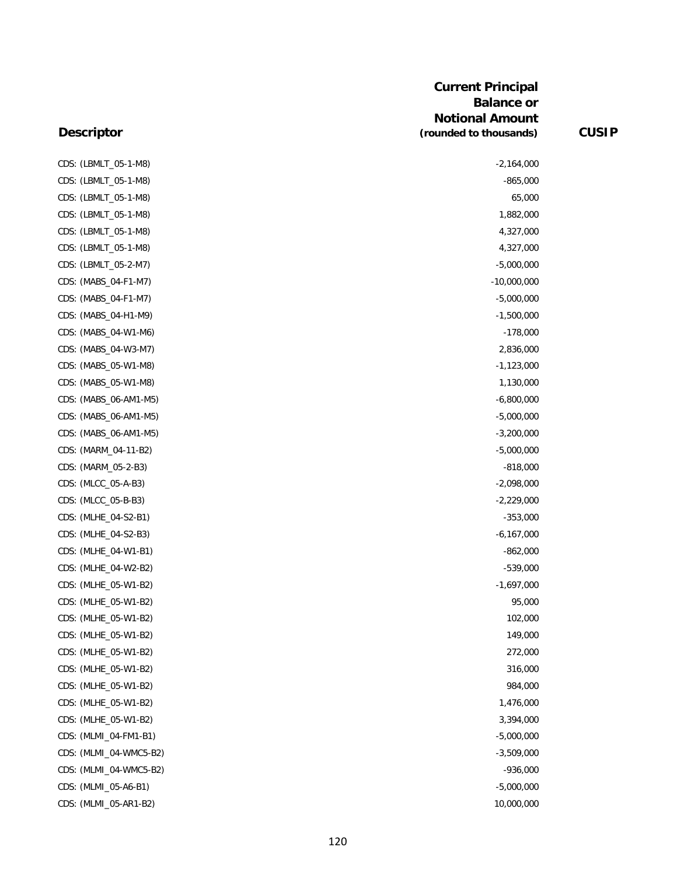CDS: (LBMLT\_05-1-M8) -2,164,000 CDS: (LBMLT 05-1-M8) -865,000 CDS: (LBMLT\_05-1-M8) 65,000 CDS: (LBMLT\_05-1-M8) 1,882,000 CDS: (LBMLT\_05-1-M8) 4,327,000 CDS: (LBMLT\_05-1-M8) 4,327,000 CDS: (LBMLT\_05-2-M7) -5,000,000 CDS: (MABS\_04-F1-M7) -10,000,000 -10,000,000 -10,000,000 -10,000,000 -10,000,000 -CDS: (MABS\_04-F1-M7) -5,000,000 CDS: (MABS\_04-H1-M9) -1,500,000 CDS: (MABS\_04-W1-M6) -178,000 CDS: (MABS\_04-W3-M7) 2,836,000 CDS: (MABS\_05-W1-M8) -1,123,000 CDS: (MABS\_05-W1-M8) 1,130,000 CDS: (MABS\_06-AM1-M5) -6,800,000 CDS: (MABS\_06-AM1-M5) -5,000,000 CDS: (MABS\_06-AM1-M5) -3,200,000 CDS: (MARM\_04-11-B2) -5,000,000 CDS: (MARM\_05-2-B3) -818,000 CDS: (MLCC\_05-A-B3) -2,098,000 CDS: (MLCC\_05-B-B3) -2,229,000 CDS: (MLHE\_04-S2-B1) -353,000 CDS: (MLHE\_04-S2-B3) -6,167,000

CDS: (MLHE\_04-W1-B1) -862,000 CDS: (MLHE\_04-W2-B2) -539,000 CDS: (MLHE\_05-W1-B2) -1,697,000 CDS: (MLHE\_05-W1-B2) 95,000 CDS: (MLHE\_05-W1-B2) 102,000 CDS: (MLHE\_05-W1-B2) 149,000 CDS: (MLHE\_05-W1-B2) 272,000 CDS: (MLHE\_05-W1-B2) 316,000 CDS: (MLHE\_05-W1-B2) 984,000 CDS: (MLHE\_05-W1-B2) 1,476,000 CDS: (MLHE\_05-W1-B2) 3,394,000 CDS: (MLMI\_04-FM1-B1) -5,000,000 CDS: (MLMI\_04-WMC5-B2) -3,509,000 CDS: (MLMI\_04-WMC5-B2) -936,000 CDS: (MLMI\_05-A6-B1) -5,000,000

CDS: (MLMI\_05-AR1-B2) 10,000,000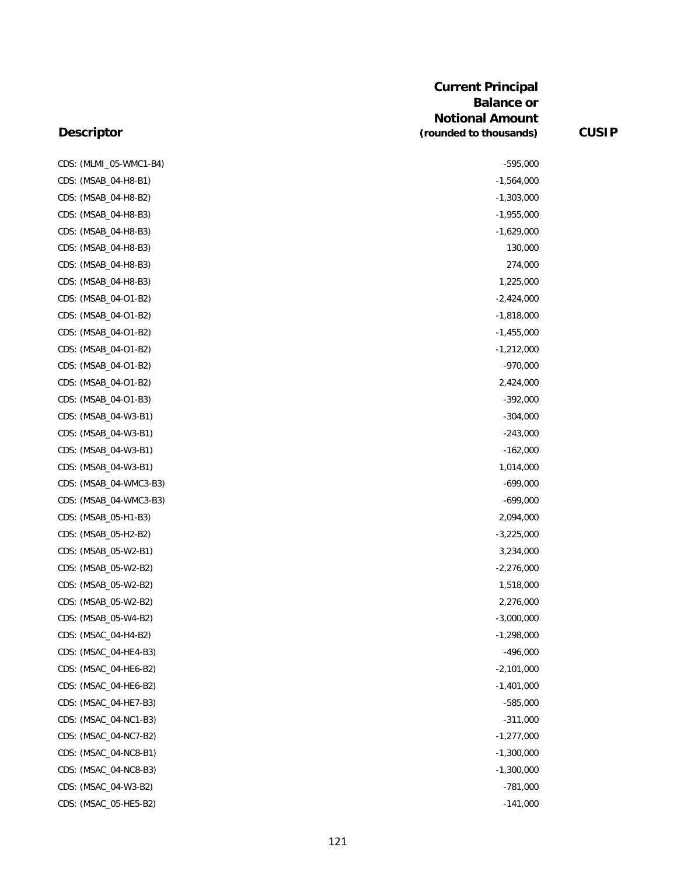|      | CDS: (MLMI_05-WMC1-B4) |
|------|------------------------|
|      | CDS: (MSAB_04-H8-B1)   |
|      | CDS: (MSAB_04-H8-B2)   |
|      | CDS: (MSAB_04-H8-B3)   |
|      | CDS: (MSAB_04-H8-B3)   |
|      | CDS: (MSAB_04-H8-B3)   |
|      | CDS: (MSAB_04-H8-B3)   |
|      | CDS: (MSAB_04-H8-B3)   |
|      | CDS: (MSAB_04-O1-B2)   |
|      | CDS: (MSAB_04-O1-B2)   |
|      | CDS: (MSAB_04-O1-B2)   |
|      | CDS: (MSAB_04-O1-B2)   |
|      | CDS: (MSAB_04-O1-B2)   |
|      | CDS: (MSAB_04-O1-B2)   |
|      | CDS: (MSAB_04-O1-B3)   |
|      | CDS: (MSAB_04-W3-B1)   |
|      | CDS: (MSAB_04-W3-B1)   |
|      | CDS: (MSAB_04-W3-B1)   |
|      | CDS: (MSAB_04-W3-B1)   |
| CDS: | (MSAB_04-WMC3-B3)      |
|      | CDS: (MSAB_04-WMC3-B3) |
|      | CDS: (MSAB_05-H1-B3)   |
| CDS: | (MSAB_05-H2-B2)        |
|      | CDS: (MSAB_05-W2-B1)   |
|      | CDS: (MSAB_05-W2-B2)   |
|      | CDS: (MSAB_05-W2-B2)   |
|      | CDS: (MSAB_05-W2-B2)   |
|      | CDS: (MSAB_05-W4-B2)   |
|      | CDS: (MSAC_04-H4-B2)   |
|      | CDS: (MSAC_04-HE4-B3)  |
|      | CDS: (MSAC_04-HE6-B2)  |
|      | CDS: (MSAC_04-HE6-B2)  |
|      | CDS: (MSAC_04-HE7-B3)  |
|      | CDS: (MSAC_04-NC1-B3)  |
|      | CDS: (MSAC_04-NC7-B2)  |
|      | CDS: (MSAC_04-NC8-B1)  |
|      | CDS: (MSAC_04-NC8-B3)  |
|      | CDS: (MSAC_04-W3-B2)   |
|      | CDS: (MSAC_05-HE5-B2)  |

| CDS: (MLMI 05-WMC1-B4) | $-595,000$   |  |
|------------------------|--------------|--|
| CDS: (MSAB_04-H8-B1)   | $-1,564,000$ |  |
| CDS: (MSAB_04-H8-B2)   | $-1,303,000$ |  |
| CDS: (MSAB_04-H8-B3)   | $-1,955,000$ |  |
| CDS: (MSAB_04-H8-B3)   | $-1,629,000$ |  |
| CDS: (MSAB_04-H8-B3)   | 130,000      |  |
| CDS: (MSAB_04-H8-B3)   | 274,000      |  |
| CDS: (MSAB_04-H8-B3)   | 1,225,000    |  |
| CDS: (MSAB_04-O1-B2)   | $-2,424,000$ |  |
| CDS: (MSAB 04-O1-B2)   | $-1,818,000$ |  |
| CDS: (MSAB_04-O1-B2)   | $-1,455,000$ |  |
| CDS: (MSAB_04-O1-B2)   | $-1,212,000$ |  |
| CDS: (MSAB_04-O1-B2)   | $-970,000$   |  |
| CDS: (MSAB_04-O1-B2)   | 2,424,000    |  |
| CDS: (MSAB_04-O1-B3)   | $-392,000$   |  |
| CDS: (MSAB_04-W3-B1)   | $-304,000$   |  |
| CDS: (MSAB_04-W3-B1)   | $-243,000$   |  |
| CDS: (MSAB_04-W3-B1)   | $-162,000$   |  |
| CDS: (MSAB_04-W3-B1)   | 1,014,000    |  |
| CDS: (MSAB_04-WMC3-B3) | $-699,000$   |  |
| CDS: (MSAB_04-WMC3-B3) | $-699,000$   |  |
| CDS: (MSAB_05-H1-B3)   | 2,094,000    |  |
| CDS: (MSAB_05-H2-B2)   | $-3,225,000$ |  |
| CDS: (MSAB_05-W2-B1)   | 3,234,000    |  |
| CDS: (MSAB_05-W2-B2)   | $-2,276,000$ |  |
| CDS: (MSAB_05-W2-B2)   | 1,518,000    |  |
| CDS: (MSAB_05-W2-B2)   | 2,276,000    |  |
| CDS: (MSAB_05-W4-B2)   | $-3,000,000$ |  |
| CDS: (MSAC_04-H4-B2)   | $-1,298,000$ |  |
|                        |              |  |
| CDS: (MSAC_04-HE4-B3)  | $-496,000$   |  |
| CDS: (MSAC_04-HE6-B2)  | $-2,101,000$ |  |
| CDS: (MSAC_04-HE6-B2)  | $-1,401,000$ |  |
| CDS: (MSAC_04-HE7-B3)  | $-585,000$   |  |
| CDS: (MSAC_04-NC1-B3)  | $-311,000$   |  |
| CDS: (MSAC_04-NC7-B2)  | $-1,277,000$ |  |
| CDS: (MSAC_04-NC8-B1)  | $-1,300,000$ |  |
| CDS: (MSAC_04-NC8-B3)  | $-1,300,000$ |  |
| CDS: (MSAC_04-W3-B2)   | $-781,000$   |  |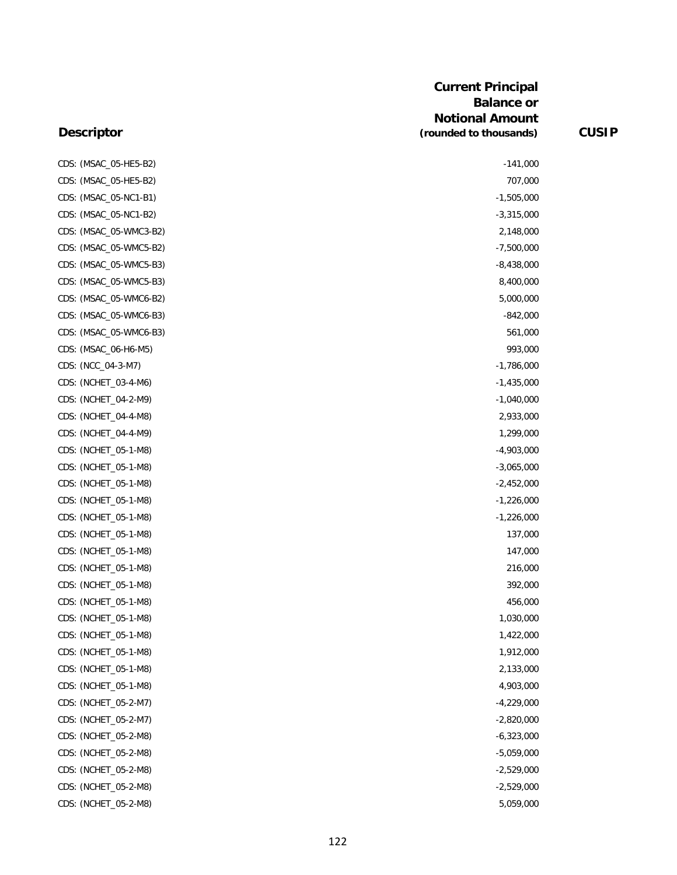| CDS: (MSAC_05-HE5-B2)  | $-141,000$   |
|------------------------|--------------|
| CDS: (MSAC_05-HE5-B2)  | 707,000      |
| CDS: (MSAC_05-NC1-B1)  | $-1,505,000$ |
| CDS: (MSAC_05-NC1-B2)  | $-3,315,000$ |
| CDS: (MSAC_05-WMC3-B2) | 2,148,000    |
| CDS: (MSAC_05-WMC5-B2) | $-7,500,000$ |
| CDS: (MSAC_05-WMC5-B3) | $-8,438,000$ |
| CDS: (MSAC_05-WMC5-B3) | 8,400,000    |
| CDS: (MSAC_05-WMC6-B2) | 5,000,000    |
| CDS: (MSAC_05-WMC6-B3) | $-842,000$   |
| CDS: (MSAC_05-WMC6-B3) | 561,000      |
| CDS: (MSAC_06-H6-M5)   | 993,000      |
| CDS: (NCC_04-3-M7)     | $-1,786,000$ |
| CDS: (NCHET_03-4-M6)   | $-1,435,000$ |
| CDS: (NCHET_04-2-M9)   | $-1,040,000$ |
| CDS: (NCHET_04-4-M8)   | 2,933,000    |
| CDS: (NCHET_04-4-M9)   | 1,299,000    |
| CDS: (NCHET_05-1-M8)   | $-4,903,000$ |
| CDS: (NCHET_05-1-M8)   | $-3,065,000$ |
| CDS: (NCHET_05-1-M8)   | $-2,452,000$ |
| CDS: (NCHET_05-1-M8)   | $-1,226,000$ |
| CDS: (NCHET_05-1-M8)   | $-1,226,000$ |
| CDS: (NCHET_05-1-M8)   | 137,000      |
| CDS: (NCHET_05-1-M8)   | 147,000      |
| CDS: (NCHET_05-1-M8)   | 216,000      |
| CDS: (NCHET_05-1-M8)   | 392,000      |
| CDS: (NCHET_05-1-M8)   | 456,000      |
| CDS: (NCHET_05-1-M8)   | 1,030,000    |
| CDS: (NCHET_05-1-M8)   | 1,422,000    |
| CDS: (NCHET_05-1-M8)   | 1,912,000    |
| CDS: (NCHET_05-1-M8)   | 2,133,000    |
| CDS: (NCHET_05-1-M8)   | 4,903,000    |
| CDS: (NCHET_05-2-M7)   | $-4,229,000$ |
| CDS: (NCHET_05-2-M7)   | $-2,820,000$ |
| CDS: (NCHET_05-2-M8)   | $-6,323,000$ |
| CDS: (NCHET_05-2-M8)   | $-5,059,000$ |
| CDS: (NCHET_05-2-M8)   | $-2,529,000$ |
| CDS: (NCHET_05-2-M8)   | $-2,529,000$ |
| CDS: (NCHET_05-2-M8)   | 5,059,000    |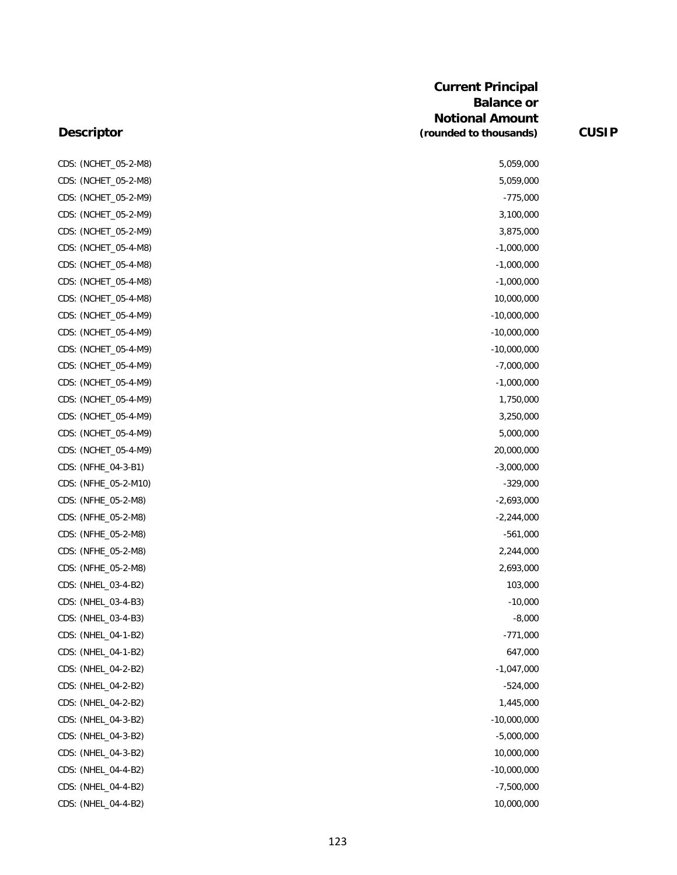### **Descriptor**

CDS: (NCHET\_05-2-M8) CDS: (NCHET\_05-2-M8) CDS: (NCHET\_05-2-M9) CDS: (NCHET\_05-2-M9) CDS: (NCHET\_05-2-M9) CDS: (NCHET\_05-4-M8) CDS: (NCHET\_05-4-M8) CDS: (NCHET\_05-4-M8) CDS: (NCHET\_05-4-M8) CDS: (NCHET\_05-4-M9) CDS: (NCHET\_05-4-M9) CDS: (NCHET\_05-4-M9) CDS: (NCHET\_05-4-M9) CDS: (NCHET\_05-4-M9) CDS: (NCHET\_05-4-M9) CDS: (NCHET\_05-4-M9) CDS: (NCHET\_05-4-M9) CDS: (NCHET\_05-4-M9) CDS: (NFHE\_04-3-B1) CDS: (NFHE\_05-2-M10) CDS: (NFHE\_05-2-M8) CDS: (NFHE\_05-2-M8) CDS: (NFHE\_05-2-M8) CDS: (NFHE\_05-2-M8) CDS: (NFHE\_05-2-M8) CDS: (NHEL\_03-4-B2) CDS: (NHEL\_03-4-B3) CDS: (NHEL\_03-4-B3) CDS: (NHEL\_04-1-B2) CDS: (NHEL\_04-1-B2) CDS: (NHEL\_04-2-B2) CDS: (NHEL\_04-2-B2) CDS: (NHEL\_04-2-B2) CDS: (NHEL\_04-3-B2) CDS: (NHEL\_04-3-B2) CDS: (NHEL\_04-3-B2) CDS: (NHEL\_04-4-B2) CDS: (NHEL\_04-4-B2) CDS: (NHEL\_04-4-B2)

| 5,059,000     |  |
|---------------|--|
| 5,059,000     |  |
| $-775,000$    |  |
| 3,100,000     |  |
| 3,875,000     |  |
| $-1,000,000$  |  |
| $-1,000,000$  |  |
| $-1,000,000$  |  |
| 10,000,000    |  |
| $-10,000,000$ |  |
| $-10,000,000$ |  |
| $-10,000,000$ |  |
| $-7,000,000$  |  |
| $-1,000,000$  |  |
| 1,750,000     |  |
| 3,250,000     |  |
| 5,000,000     |  |
| 20,000,000    |  |
| $-3,000,000$  |  |
| $-329,000$    |  |
| $-2,693,000$  |  |
| $-2,244,000$  |  |
| $-561,000$    |  |
| 2,244,000     |  |
| 2,693,000     |  |
| 103,000       |  |
| $-10,000$     |  |
| $-8,000$      |  |
| $-771,000$    |  |
| 647,000       |  |
| $-1,047,000$  |  |
| $-524,000$    |  |
| 1,445,000     |  |
| $-10,000,000$ |  |
| $-5,000,000$  |  |
| 10,000,000    |  |
| $-10,000,000$ |  |
| $-7,500,000$  |  |
| 10,000,000    |  |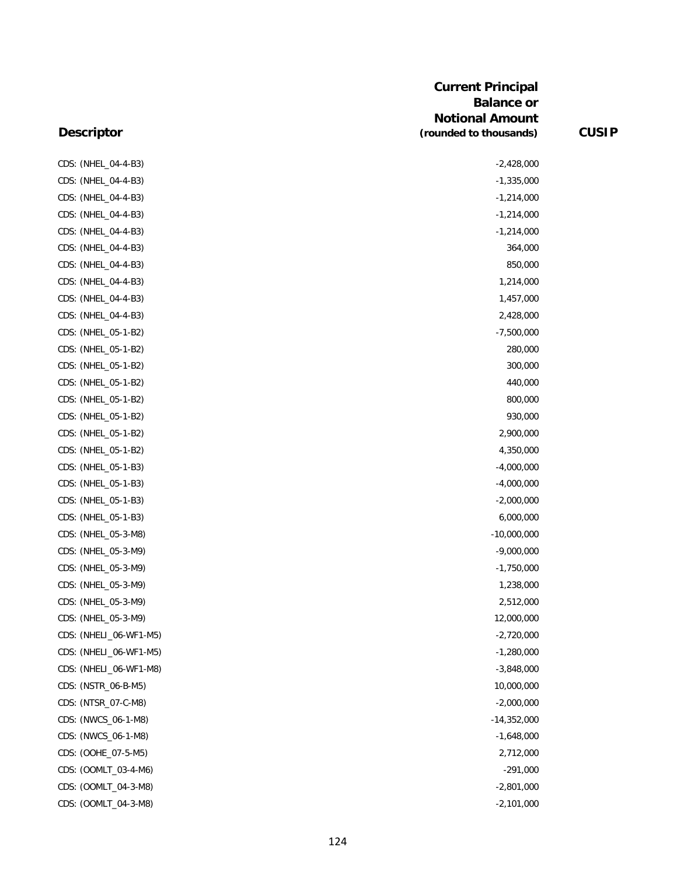|                        | <b>Current Principal</b><br><b>Balance or</b><br><b>Notional Amount</b> |              |
|------------------------|-------------------------------------------------------------------------|--------------|
| <b>Descriptor</b>      | (rounded to thousands)                                                  | <b>CUSIP</b> |
| CDS: (NHEL_04-4-B3)    | $-2,428,000$                                                            |              |
| CDS: (NHEL_04-4-B3)    | $-1,335,000$                                                            |              |
| CDS: (NHEL_04-4-B3)    | $-1,214,000$                                                            |              |
| CDS: (NHEL_04-4-B3)    | $-1,214,000$                                                            |              |
| CDS: (NHEL_04-4-B3)    | $-1,214,000$                                                            |              |
| CDS: (NHEL_04-4-B3)    | 364,000                                                                 |              |
| CDS: (NHEL_04-4-B3)    | 850,000                                                                 |              |
| CDS: (NHEL_04-4-B3)    | 1,214,000                                                               |              |
| CDS: (NHEL_04-4-B3)    | 1,457,000                                                               |              |
| CDS: (NHEL_04-4-B3)    | 2,428,000                                                               |              |
| CDS: (NHEL_05-1-B2)    | $-7,500,000$                                                            |              |
| CDS: (NHEL_05-1-B2)    | 280,000                                                                 |              |
| CDS: (NHEL_05-1-B2)    | 300,000                                                                 |              |
| CDS: (NHEL_05-1-B2)    | 440,000                                                                 |              |
| CDS: (NHEL_05-1-B2)    | 800,000                                                                 |              |
| CDS: (NHEL_05-1-B2)    | 930,000                                                                 |              |
| CDS: (NHEL_05-1-B2)    | 2,900,000                                                               |              |
| CDS: (NHEL_05-1-B2)    | 4,350,000                                                               |              |
| CDS: (NHEL_05-1-B3)    | $-4,000,000$                                                            |              |
| CDS: (NHEL_05-1-B3)    | $-4,000,000$                                                            |              |
| CDS: (NHEL_05-1-B3)    | $-2,000,000$                                                            |              |
| CDS: (NHEL_05-1-B3)    | 6,000,000                                                               |              |
| CDS: (NHEL_05-3-M8)    | $-10,000,000$                                                           |              |
| CDS: (NHEL_05-3-M9)    | $-9,000,000$                                                            |              |
| CDS: (NHEL_05-3-M9)    | $-1,750,000$                                                            |              |
| CDS: (NHEL_05-3-M9)    | 1,238,000                                                               |              |
| CDS: (NHEL_05-3-M9)    | 2,512,000                                                               |              |
| CDS: (NHEL_05-3-M9)    | 12,000,000                                                              |              |
| CDS: (NHELI_06-WF1-M5) | $-2,720,000$                                                            |              |
| CDS: (NHELI_06-WF1-M5) | $-1,280,000$                                                            |              |
| CDS: (NHELI_06-WF1-M8) | $-3,848,000$                                                            |              |
| CDS: (NSTR_06-B-M5)    | 10,000,000                                                              |              |
| CDS: (NTSR_07-C-M8)    | $-2,000,000$                                                            |              |
| CDS: (NWCS_06-1-M8)    | $-14,352,000$                                                           |              |
| CDS: (NWCS_06-1-M8)    | $-1,648,000$                                                            |              |
| CDS: (OOHE_07-5-M5)    | 2,712,000                                                               |              |
| CDS: (OOMLT_03-4-M6)   | $-291,000$                                                              |              |
| CDS: (OOMLT_04-3-M8)   | $-2,801,000$                                                            |              |
| CDS: (OOMLT_04-3-M8)   | $-2,101,000$                                                            |              |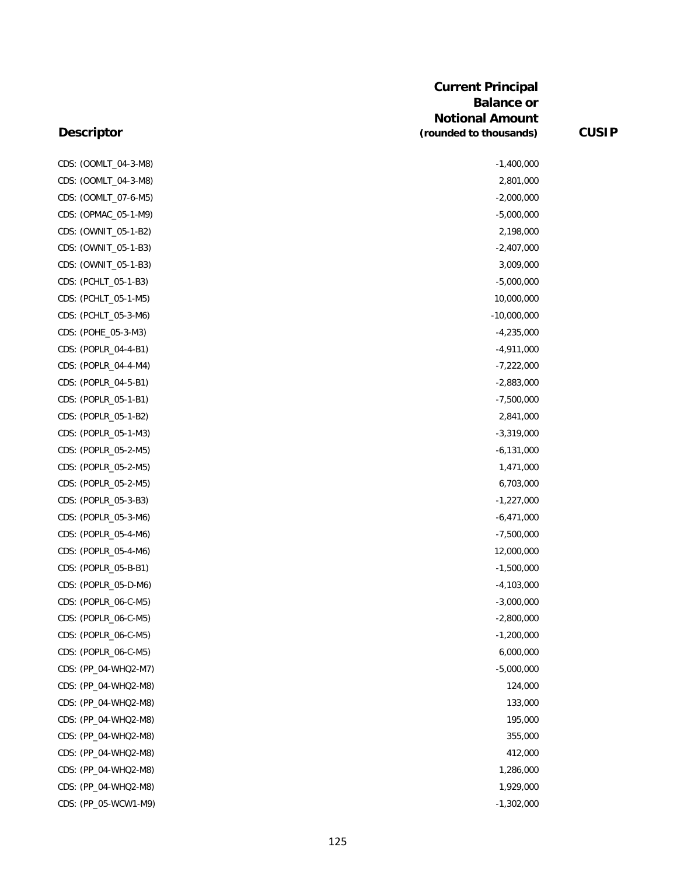### **Descriptor**

| CDS: (OOMLT_04-3-M8) | $-1,400,000$  |
|----------------------|---------------|
| CDS: (OOMLT_04-3-M8) | 2,801,000     |
| CDS: (OOMLT_07-6-M5) | $-2,000,000$  |
| CDS: (OPMAC_05-1-M9) | $-5,000,000$  |
| CDS: (OWNIT_05-1-B2) | 2,198,000     |
| CDS: (OWNIT_05-1-B3) | $-2,407,000$  |
| CDS: (OWNIT_05-1-B3) | 3,009,000     |
| CDS: (PCHLT_05-1-B3) | $-5,000,000$  |
| CDS: (PCHLT_05-1-M5) | 10,000,000    |
| CDS: (PCHLT_05-3-M6) | $-10,000,000$ |
| CDS: (POHE_05-3-M3)  | $-4,235,000$  |
| CDS: (POPLR_04-4-B1) | $-4,911,000$  |
| CDS: (POPLR_04-4-M4) | $-7,222,000$  |
| CDS: (POPLR_04-5-B1) | $-2,883,000$  |
| CDS: (POPLR_05-1-B1) | $-7,500,000$  |
| CDS: (POPLR_05-1-B2) | 2,841,000     |
| CDS: (POPLR_05-1-M3) | $-3,319,000$  |
| CDS: (POPLR_05-2-M5) | $-6,131,000$  |
| CDS: (POPLR_05-2-M5) | 1,471,000     |
| CDS: (POPLR_05-2-M5) | 6,703,000     |
| CDS: (POPLR_05-3-B3) | $-1,227,000$  |
| CDS: (POPLR_05-3-M6) | $-6,471,000$  |
| CDS: (POPLR_05-4-M6) | $-7,500,000$  |
| CDS: (POPLR_05-4-M6) | 12,000,000    |
| CDS: (POPLR_05-B-B1) | $-1,500,000$  |
| CDS: (POPLR_05-D-M6) | $-4,103,000$  |
| CDS: (POPLR_06-C-M5) | $-3,000,000$  |
| CDS: (POPLR_06-C-M5) | $-2,800,000$  |
| CDS: (POPLR_06-C-M5) | $-1,200,000$  |
| CDS: (POPLR_06-C-M5) | 6,000,000     |
| CDS: (PP_04-WHQ2-M7) | $-5,000,000$  |
| CDS: (PP_04-WHQ2-M8) | 124,000       |
| CDS: (PP_04-WHQ2-M8) | 133,000       |
| CDS: (PP_04-WHQ2-M8) | 195,000       |
| CDS: (PP_04-WHQ2-M8) | 355,000       |
| CDS: (PP_04-WHQ2-M8) | 412,000       |
| CDS: (PP_04-WHQ2-M8) | 1,286,000     |
| CDS: (PP_04-WHQ2-M8) | 1,929,000     |
| CDS: (PP_05-WCW1-M9) | $-1,302,000$  |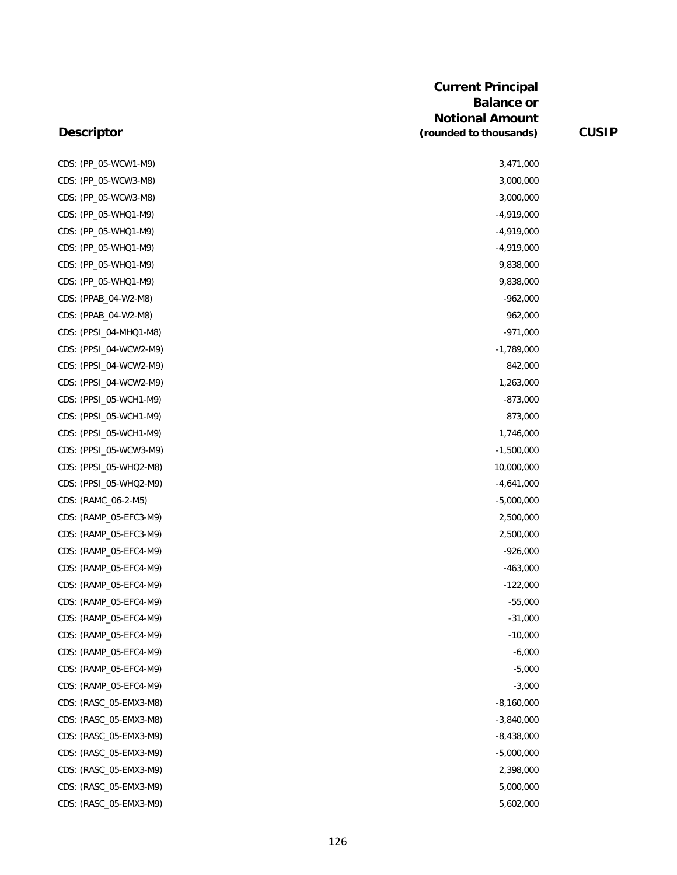| CDS: (PP_05-WCW1-M9)   | 3,471,000    |
|------------------------|--------------|
| CDS: (PP_05-WCW3-M8)   | 3,000,000    |
| CDS: (PP_05-WCW3-M8)   | 3,000,000    |
| CDS: (PP_05-WHQ1-M9)   | $-4,919,000$ |
| CDS: (PP_05-WHQ1-M9)   | $-4,919,000$ |
| CDS: (PP_05-WHQ1-M9)   | $-4,919,000$ |
| CDS: (PP_05-WHQ1-M9)   | 9,838,000    |
| CDS: (PP_05-WHQ1-M9)   | 9,838,000    |
| CDS: (PPAB_04-W2-M8)   | $-962,000$   |
| CDS: (PPAB_04-W2-M8)   | 962,000      |
| CDS: (PPSI_04-MHQ1-M8) | $-971,000$   |
| CDS: (PPSI_04-WCW2-M9) | $-1,789,000$ |
| CDS: (PPSI_04-WCW2-M9) | 842,000      |
| CDS: (PPSI_04-WCW2-M9) | 1,263,000    |
| CDS: (PPSI_05-WCH1-M9) | $-873,000$   |
| CDS: (PPSI_05-WCH1-M9) | 873,000      |
| CDS: (PPSI_05-WCH1-M9) | 1,746,000    |
| CDS: (PPSI_05-WCW3-M9) | $-1,500,000$ |
| CDS: (PPSI_05-WHQ2-M8) | 10,000,000   |
| CDS: (PPSI_05-WHQ2-M9) | $-4,641,000$ |
| CDS: (RAMC_06-2-M5)    | $-5,000,000$ |
| CDS: (RAMP_05-EFC3-M9) | 2,500,000    |
| CDS: (RAMP_05-EFC3-M9) | 2,500,000    |
| CDS: (RAMP_05-EFC4-M9) | $-926,000$   |
| CDS: (RAMP_05-EFC4-M9) | $-463,000$   |
| CDS: (RAMP_05-EFC4-M9) | $-122,000$   |
| CDS: (RAMP 05-EFC4-M9) | $-55,000$    |
| CDS: (RAMP_05-EFC4-M9) | $-31,000$    |
| CDS: (RAMP_05-EFC4-M9) | $-10,000$    |
| CDS: (RAMP_05-EFC4-M9) | $-6,000$     |
| CDS: (RAMP_05-EFC4-M9) | $-5,000$     |
| CDS: (RAMP_05-EFC4-M9) | $-3,000$     |
| CDS: (RASC_05-EMX3-M8) | $-8,160,000$ |
| CDS: (RASC_05-EMX3-M8) | $-3,840,000$ |
| CDS: (RASC_05-EMX3-M9) | $-8,438,000$ |
| CDS: (RASC_05-EMX3-M9) | $-5,000,000$ |
| CDS: (RASC_05-EMX3-M9) | 2,398,000    |
| CDS: (RASC_05-EMX3-M9) | 5,000,000    |
| CDS: (RASC_05-EMX3-M9) | 5,602,000    |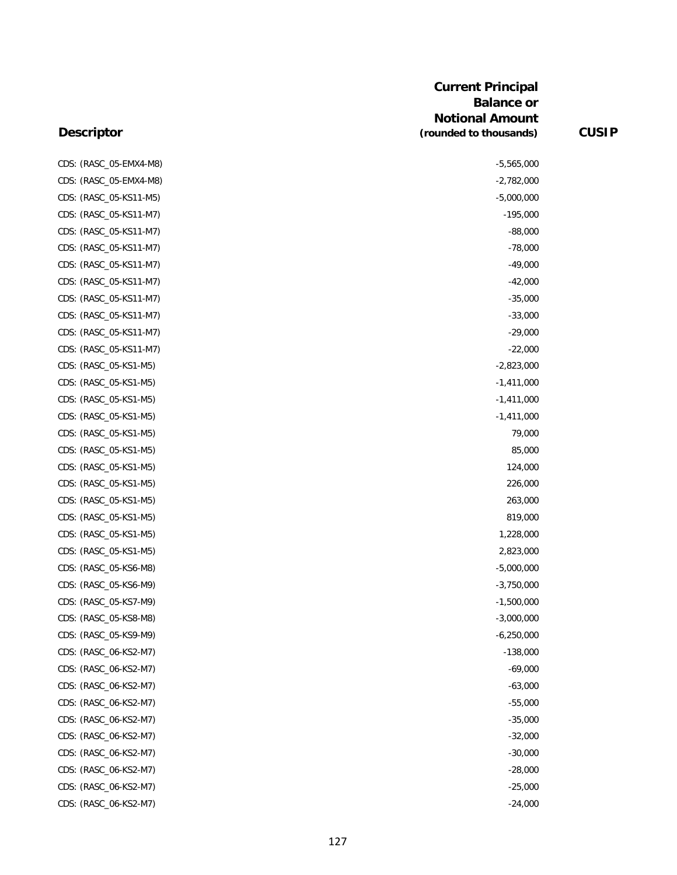| CDS: (RASC_05-EMX4-M8) | $-5,565,000$ |
|------------------------|--------------|
| CDS: (RASC_05-EMX4-M8) | $-2,782,000$ |
| CDS: (RASC_05-KS11-M5) | $-5,000,000$ |
| CDS: (RASC_05-KS11-M7) | $-195,000$   |
| CDS: (RASC_05-KS11-M7) | $-88,000$    |
| CDS: (RASC_05-KS11-M7) | $-78,000$    |
| CDS: (RASC_05-KS11-M7) | $-49,000$    |
| CDS: (RASC_05-KS11-M7) | $-42,000$    |
| CDS: (RASC_05-KS11-M7) | $-35,000$    |
| CDS: (RASC_05-KS11-M7) | $-33,000$    |
| CDS: (RASC_05-KS11-M7) | $-29,000$    |
| CDS: (RASC_05-KS11-M7) | $-22,000$    |
| CDS: (RASC_05-KS1-M5)  | $-2,823,000$ |
| CDS: (RASC_05-KS1-M5)  | $-1,411,000$ |
| CDS: (RASC_05-KS1-M5)  | $-1,411,000$ |
| CDS: (RASC_05-KS1-M5)  | $-1,411,000$ |
| CDS: (RASC_05-KS1-M5)  | 79,000       |
| CDS: (RASC_05-KS1-M5)  | 85,000       |
| CDS: (RASC_05-KS1-M5)  | 124,000      |
| CDS: (RASC_05-KS1-M5)  | 226,000      |
| CDS: (RASC_05-KS1-M5)  | 263,000      |
| CDS: (RASC_05-KS1-M5)  | 819,000      |
| CDS: (RASC_05-KS1-M5)  | 1,228,000    |
| CDS: (RASC_05-KS1-M5)  | 2,823,000    |
| CDS: (RASC_05-KS6-M8)  | $-5,000,000$ |
| CDS: (RASC_05-KS6-M9)  | $-3,750,000$ |
| CDS: (RASC_05-KS7-M9)  | $-1,500,000$ |
| CDS: (RASC_05-KS8-M8)  | $-3,000,000$ |
| CDS: (RASC_05-KS9-M9)  | $-6,250,000$ |
| CDS: (RASC_06-KS2-M7)  | $-138,000$   |
| CDS: (RASC_06-KS2-M7)  | $-69,000$    |
| CDS: (RASC_06-KS2-M7)  | $-63,000$    |
| CDS: (RASC_06-KS2-M7)  | $-55,000$    |
| CDS: (RASC_06-KS2-M7)  | $-35,000$    |
| CDS: (RASC_06-KS2-M7)  | $-32,000$    |
| CDS: (RASC_06-KS2-M7)  | $-30,000$    |
| CDS: (RASC_06-KS2-M7)  | $-28,000$    |
| CDS: (RASC_06-KS2-M7)  | $-25,000$    |
| CDS: (RASC_06-KS2-M7)  | $-24,000$    |
|                        |              |

| $-5,565,000$ |  |
|--------------|--|
| $-2,782,000$ |  |
| $-5,000,000$ |  |
| $-195.000$   |  |
| $-88,000$    |  |
| -78,000      |  |
| $-49,000$    |  |
| -42,000      |  |
| $-35,000$    |  |
| $-33,000$    |  |
| $-29,000$    |  |
| $-22,000$    |  |
| $-2,823,000$ |  |
| $-1,411,000$ |  |
| $-1,411,000$ |  |
| $-1,411,000$ |  |
| 79,000       |  |
| 85,000       |  |
| 124,000      |  |
| 226,000      |  |
| 263,000      |  |
| 819,000      |  |
| 1,228,000    |  |
| 2,823,000    |  |
| -5,000,000   |  |
| $-3,750,000$ |  |
| -1,500,000   |  |
| $-3,000,000$ |  |
| $-6,250,000$ |  |
| $-138,000$   |  |
| $-69,000$    |  |
| -63,000      |  |
| $-55,000$    |  |
| $-35,000$    |  |
| $-32,000$    |  |
| -30,000      |  |
| -28,000      |  |
| -25,000      |  |
| $-24.000$    |  |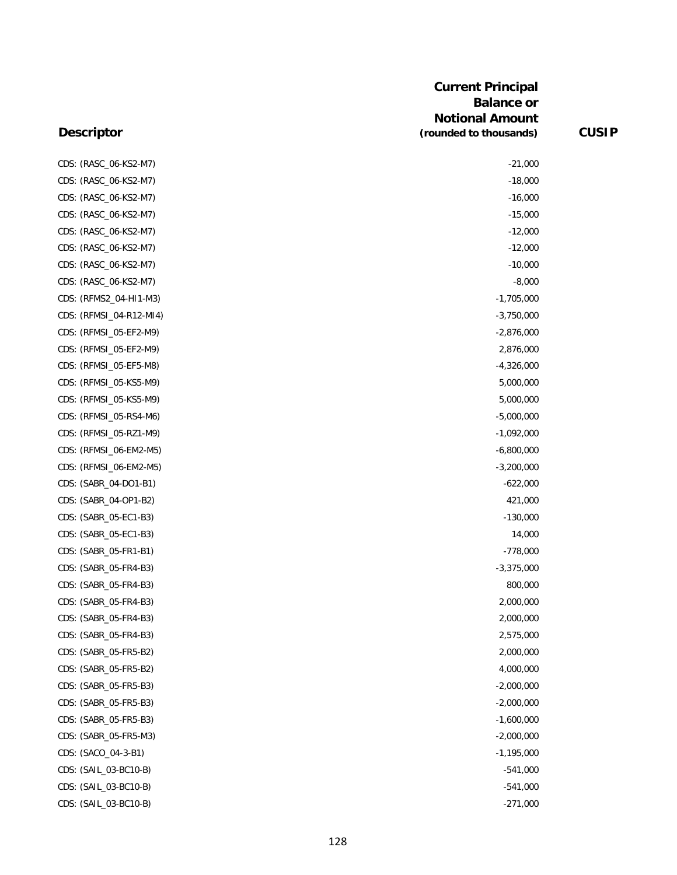| CDS: (RASC_06-KS2-M7)   | $-21,000$    |
|-------------------------|--------------|
| CDS: (RASC_06-KS2-M7)   | $-18,000$    |
| CDS: (RASC_06-KS2-M7)   | $-16,000$    |
| CDS: (RASC_06-KS2-M7)   | $-15,000$    |
| CDS: (RASC_06-KS2-M7)   | $-12,000$    |
| CDS: (RASC_06-KS2-M7)   | $-12,000$    |
| CDS: (RASC_06-KS2-M7)   | $-10,000$    |
| CDS: (RASC_06-KS2-M7)   | $-8,000$     |
| CDS: (RFMS2_04-HI1-M3)  | $-1,705,000$ |
| CDS: (RFMSI_04-R12-MI4) | $-3,750,000$ |
| CDS: (RFMSI_05-EF2-M9)  | $-2,876,000$ |
| CDS: (RFMSI_05-EF2-M9)  | 2,876,000    |
| CDS: (RFMSI_05-EF5-M8)  | $-4,326,000$ |
| CDS: (RFMSI_05-KS5-M9)  | 5,000,000    |
| CDS: (RFMSI_05-KS5-M9)  | 5,000,000    |
| CDS: (RFMSI_05-RS4-M6)  | $-5,000,000$ |
| CDS: (RFMSI_05-RZ1-M9)  | $-1,092,000$ |
| CDS: (RFMSI_06-EM2-M5)  | $-6,800,000$ |
| CDS: (RFMSI_06-EM2-M5)  | $-3,200,000$ |
| CDS: (SABR_04-DO1-B1)   | $-622,000$   |
| CDS: (SABR_04-OP1-B2)   | 421,000      |
| CDS: (SABR_05-EC1-B3)   | $-130,000$   |
| CDS: (SABR_05-EC1-B3)   | 14,000       |
| CDS: (SABR_05-FR1-B1)   | $-778,000$   |
| CDS: (SABR_05-FR4-B3)   | $-3,375,000$ |
| CDS: (SABR_05-FR4-B3)   | 800,000      |
| CDS: (SABR_05-FR4-B3)   | 2,000,000    |
| CDS: (SABR_05-FR4-B3)   | 2,000,000    |
| CDS: (SABR_05-FR4-B3)   | 2,575,000    |
| CDS: (SABR_05-FR5-B2)   | 2,000,000    |
| CDS: (SABR_05-FR5-B2)   | 4,000,000    |
| CDS: (SABR_05-FR5-B3)   | $-2,000,000$ |
| CDS: (SABR_05-FR5-B3)   | $-2,000,000$ |
| CDS: (SABR_05-FR5-B3)   | $-1,600,000$ |
| CDS: (SABR_05-FR5-M3)   | $-2,000,000$ |
| CDS: (SACO_04-3-B1)     | $-1,195,000$ |
| CDS: (SAIL_03-BC10-B)   | $-541,000$   |
| CDS: (SAIL_03-BC10-B)   | $-541,000$   |
| CDS: (SAIL_03-BC10-B)   | $-271,000$   |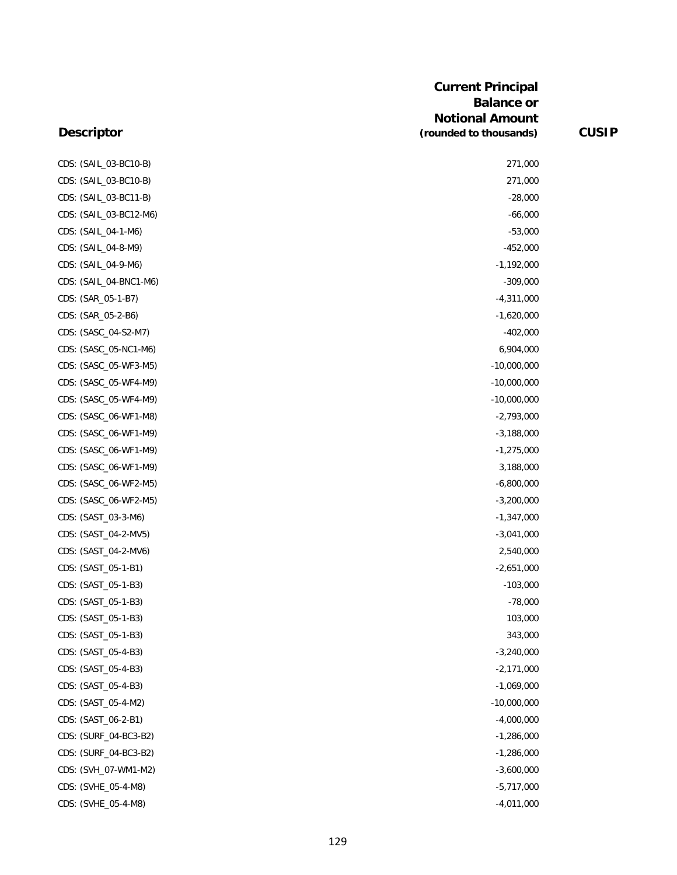| CDS: (SAIL_03-BC10-B)  | 271,000       |
|------------------------|---------------|
| CDS: (SAIL_03-BC10-B)  | 271,000       |
| CDS: (SAIL_03-BC11-B)  | $-28,000$     |
| CDS: (SAIL_03-BC12-M6) | $-66,000$     |
| CDS: (SAIL_04-1-M6)    | $-53,000$     |
| CDS: (SAIL_04-8-M9)    | $-452,000$    |
| CDS: (SAIL_04-9-M6)    | $-1,192,000$  |
| CDS: (SAIL_04-BNC1-M6) | $-309,000$    |
| CDS: (SAR_05-1-B7)     | $-4,311,000$  |
| CDS: (SAR_05-2-B6)     | $-1,620,000$  |
| CDS: (SASC_04-S2-M7)   | $-402,000$    |
| CDS: (SASC_05-NC1-M6)  | 6,904,000     |
| CDS: (SASC_05-WF3-M5)  | $-10,000,000$ |
| CDS: (SASC_05-WF4-M9)  | $-10,000,000$ |
| CDS: (SASC_05-WF4-M9)  | $-10,000,000$ |
| CDS: (SASC 06-WF1-M8)  | $-2,793,000$  |
| CDS: (SASC_06-WF1-M9)  | $-3,188,000$  |
| CDS: (SASC_06-WF1-M9)  | $-1,275,000$  |
| CDS: (SASC_06-WF1-M9)  | 3,188,000     |
| CDS: (SASC_06-WF2-M5)  | $-6,800,000$  |
| CDS: (SASC_06-WF2-M5)  | $-3,200,000$  |
| CDS: (SAST_03-3-M6)    | $-1,347,000$  |
| CDS: (SAST_04-2-MV5)   | $-3,041,000$  |
| CDS: (SAST_04-2-MV6)   | 2,540,000     |
| CDS: (SAST_05-1-B1)    | $-2,651,000$  |
| CDS: (SAST_05-1-B3)    | $-103,000$    |
| CDS: (SAST_05-1-B3)    | $-78,000$     |
| CDS: (SAST_05-1-B3)    | 103,000       |
| CDS: (SAST_05-1-B3)    | 343,000       |
| CDS: (SAST_05-4-B3)    | $-3,240,000$  |
| CDS: (SAST_05-4-B3)    | $-2,171,000$  |
| CDS: (SAST_05-4-B3)    | $-1,069,000$  |
| CDS: (SAST_05-4-M2)    | $-10,000,000$ |
| CDS: (SAST_06-2-B1)    | $-4,000,000$  |
| CDS: (SURF_04-BC3-B2)  | $-1,286,000$  |
| CDS: (SURF_04-BC3-B2)  | $-1,286,000$  |
| CDS: (SVH_07-WM1-M2)   | $-3,600,000$  |
| CDS: (SVHE_05-4-M8)    | $-5,717,000$  |
| CDS: (SVHE_05-4-M8)    | $-4,011,000$  |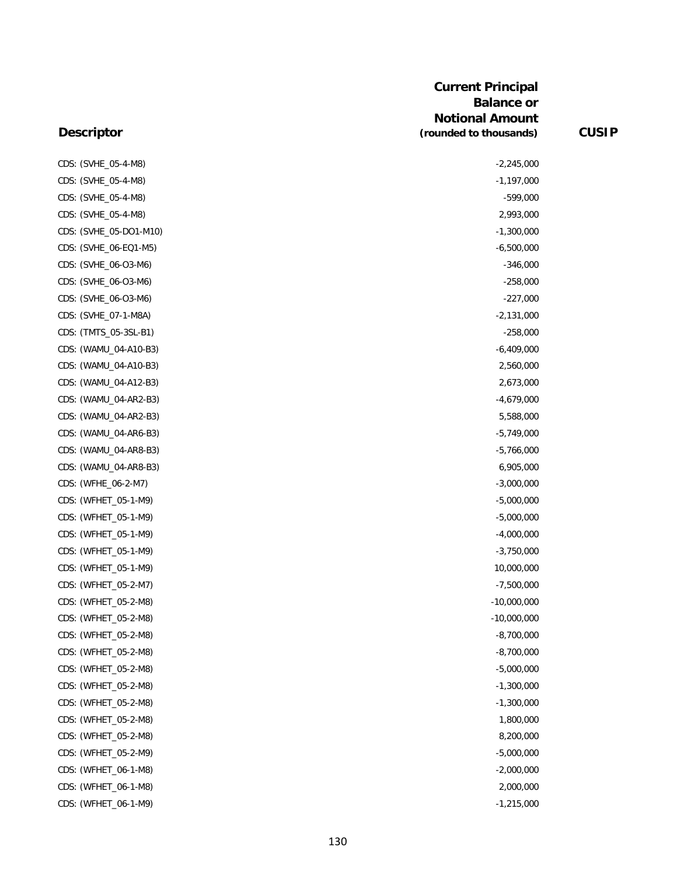| CDS: (SVHE_05-4-M8)    | $-2,245,000$  |
|------------------------|---------------|
| CDS: (SVHE_05-4-M8)    | $-1,197,000$  |
| CDS: (SVHE_05-4-M8)    | $-599,000$    |
| CDS: (SVHE_05-4-M8)    | 2,993,000     |
| CDS: (SVHE_05-DO1-M10) | $-1,300,000$  |
| CDS: (SVHE_06-EQ1-M5)  | $-6,500,000$  |
| CDS: (SVHE_06-O3-M6)   | $-346,000$    |
| CDS: (SVHE_06-O3-M6)   | $-258,000$    |
| CDS: (SVHE_06-O3-M6)   | $-227,000$    |
| CDS: (SVHE_07-1-M8A)   | $-2,131,000$  |
| CDS: (TMTS_05-3SL-B1)  | $-258,000$    |
| CDS: (WAMU_04-A10-B3)  | $-6,409,000$  |
| CDS: (WAMU_04-A10-B3)  | 2,560,000     |
| CDS: (WAMU_04-A12-B3)  | 2,673,000     |
| CDS: (WAMU_04-AR2-B3)  | $-4,679,000$  |
| CDS: (WAMU_04-AR2-B3)  | 5,588,000     |
| CDS: (WAMU_04-AR6-B3)  | $-5,749,000$  |
| CDS: (WAMU_04-AR8-B3)  | $-5,766,000$  |
| CDS: (WAMU_04-AR8-B3)  | 6,905,000     |
| CDS: (WFHE_06-2-M7)    | $-3,000,000$  |
| CDS: (WFHET_05-1-M9)   | $-5,000,000$  |
| CDS: (WFHET_05-1-M9)   | $-5,000,000$  |
| CDS: (WFHET_05-1-M9)   | $-4,000,000$  |
| CDS: (WFHET_05-1-M9)   | $-3,750,000$  |
| CDS: (WFHET_05-1-M9)   | 10,000,000    |
| CDS: (WFHET_05-2-M7)   | $-7,500,000$  |
| CDS: (WFHET_05-2-M8)   | $-10,000,000$ |
| CDS: (WFHET_05-2-M8)   | $-10,000,000$ |
| CDS: (WFHET_05-2-M8)   | $-8,700,000$  |
| CDS: (WFHET_05-2-M8)   | $-8,700,000$  |
| CDS: (WFHET_05-2-M8)   | $-5,000,000$  |
| CDS: (WFHET_05-2-M8)   | $-1,300,000$  |
| CDS: (WFHET_05-2-M8)   | $-1,300,000$  |
| CDS: (WFHET_05-2-M8)   | 1,800,000     |
| CDS: (WFHET_05-2-M8)   | 8,200,000     |
| CDS: (WFHET_05-2-M9)   | $-5,000,000$  |
| CDS: (WFHET_06-1-M8)   | $-2,000,000$  |
| CDS: (WFHET_06-1-M8)   | 2,000,000     |
| CDS: (WFHET_06-1-M9)   | $-1,215,000$  |
|                        |               |